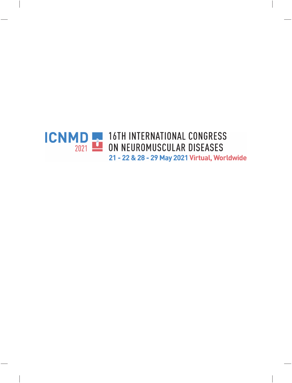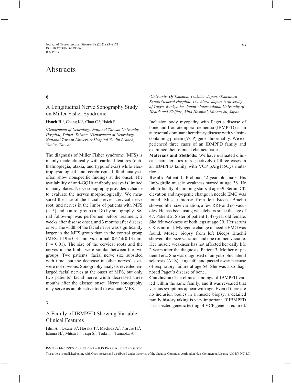# **Abstracts**

# A Longitudinal Nerve Sonography Study on Miller Fisher Syndrome

Hsueh H.<sup>1</sup>, Chang K.<sup>2</sup>, Chao C.<sup>1</sup>, Hsieh S.<sup>1</sup>

*1 Department of Neurology, National Taiwan University Hospital, Taipei, Taiwan, 2 Department of Neurology, National Taiwan University Hospital Yunlin Branch, Yunlin, Taiwan*

The diagnosis of Miller Fisher syndrome (MFS) is mainly made clinically with cardinal features (ophthalmoplegia, ataxia, and hyporeflexia) while electrophysiological and cerebrospinal fluid analyses often show nonspecific findings at the onset. The availability of anti-GQ1b antibody assays is limited in many places. Nerve sonography provides a chance to evaluate the nerves morphologically. We measured the size of the facial nerves, cervical nerve root, and nerves in the limbs of patients with MFS  $(n=5)$  and control group  $(n=18)$  by sonography. Serial follow-up was performed before treatment, 2 weeks after disease onset, and 3 months after disease onset. The width of the facial nerve was significantly larger in the MFS group than in the control group (MFS:  $1.19 \pm 0.31$  mm vs. normal:  $0.67 \pm 0.13$  mm,  $P = 0.01$ ). The size of the cervical roots and the nerves in the limbs were similar between the two groups. Two patients' facial nerve size subsided with time, but the decrease in other nerves' sizes were not obvious. Sonography analysis revealed enlarged facial nerves at the onset of MFS, but only two patients' facial nerve width decreased three months after the disease onset. Nerve sonography may serve as an objective tool to evaluate MFS.

### **7**

# A Family of IBMPFD Showing Variable Clinical Features

**Ishii A.<sup>1</sup>**, Okune S.<sup>1</sup>, Hosaka T.<sup>1</sup>, Machida A.<sup>2</sup>, Naruse H.<sup>3</sup>, Ishiura H.<sup>3</sup>, Mitsui J.<sup>3</sup>, Tsuji S.<sup>3</sup>, Toda T.<sup>3</sup>, Tamaoka A.<sup>1</sup>

*1 University Of Tsukuba, Tsukuba, Japan, 2 Tsuchiura Kyodo General Hospital, Tsuchiura, Japan, 3 University of Tokyo, Bunkyo-ku, Japan, 4 International University of Health and Welfare, Mita Hospital, Minato-ku, Japan*

Inclusion body myopathy with Paget's disease of bone and frontotemporal dementia (IBMPFD) is an autosomal dominant hereditary disease with valosincontaining protein (VCP) gene abnormality. We experienced three cases of an IBMPFD family and examined their clinical characteristics.

**Materials and Methods:** We have evaluated clinical characteristics retrospectively of three cases in an IBMPFD family with VCP pArg155Cys mutation.

**Result:** Patient 1: Proboud 42-year old male. His limb-girdle muscle weakness started at age 38. He felt difficulty of climbing stairs at age 39. Serum CK elevation and myogenic change in needle EMG was found. Muscle biopsy from left Biceps Brachii showed fiber size variation, a few RRF and no vacuoles. He has been using wheelchairs since the age of 47. Patient 2: Sister of patient 1. 47-year old female. She felt weakness of both legs at age 39. Her serum CK is normal. Myogenic change in needle EMG was found. Muscle biopsy from left Biceps Brachii showed fiber size variation and one rimmed vacuole. Her muscle weakness has not affected her daily life 2 years after the diagnosis. Patient 3: Mother of patient 1&2. She was diagnosed of amyotrophic lateral sclerosis (ALS) at age 40, and passed away because of respiratory failure at age 54. She was also diagnosed Paget's disease of bone.

**Conclusion:** The clinical findings of IBMPFD varied within the same family, and it was revealed that various symptoms appear with age. Even if there are no inclusion bodies in a muscle biopsy, a detailed family history taking is very important. If IBMPFD is suspected genetic testing of VCP gene is required.

ISSN 2214-3599/\$35.00 © 2021 – IOS Press. All rights reserved.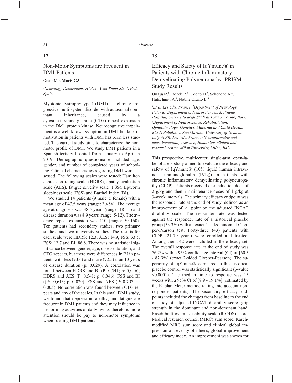### **17**

# Non-Motor Symptoms are Frequent in DM1 Patients

Otero M.<sup>1</sup>, Morís G.<sup>1</sup>

### *1 Neurology Department, HUCA, Avda Roma S/n, Oviedo, Spain*

Myotonic dystrophy type 1 (DM1) is a chronic progressive multi-system disorder with autosomal dominant inheritance, caused by a cytosine-thymine-guanine (CTG) repeat expansion in the DM1 protein kinase. Neurocognitive impairment is a well-known symptom in DM1 but lack of motivation in patients with DM1 has been less studied. The current study aims to characterize the nonmotor profile of DM1. We study DM1 patients in a Spanish tertiary hospital from January to April in 2019. Demographic questionnaire included age, gender, and number of completed years of schooling. Clinical characteristics regarding DM1 were assessed. The following scales were tested: Hamilton depression rating scale (HDRS), apathy evaluation scale (AES), fatigue severity scale (FSS), Epworth sleepiness scale (ESS) and Barthel Index (BI).

We studied 14 patients (9 male, 5 female) with a mean age of 47.5 years (range: 30-56). The average age at diagnosis was 38.5 years (range: 18-51) and disease duration was 8.9 years (range: 5-12). The average repeat expansion was 110 (range: 50-160). Ten patients had secondary studies, two primary studies, and two university studies. The results for each scale were HDRS: 12.3, AES: 14.9, FSS: 33.5, ESS: 12.7 and BI: 86.8. There was no statistical significance between gender, age, disease duration, and CTG repeats, but there were differences in BI in patients with less (93.6) and more (72.5) than 10 years of disease duration (p: 0.029). A correlation was found between HDRS and BI (P: 0,541; p: 0,046); HDRS and AES (P: 0,541; p: 0,046); FSS and BI ((P: -0,613; p: 0,020); FSS and AES (P: 0,707; p: 0,005). No correlation was found between CTG repeats and any of the scales. In this small DM1 study, we found that depression, apathy, and fatigue are frequent in DM1 patients and they may influence in performing activities of daily living; therefore, more attention should be pay to non-motor symptoms when treating DM1 patients.

### **18**

# Efficacy and Safety of IqYmune® in Patients with Chronic Inflammatory Demyelinating Polyneuropathy: PRISM Study Results

**Ouaja R.<sup>1</sup>**, Bonek R.<sup>2</sup>, Cocito D.<sup>3</sup>, Schenone A.<sup>4</sup>, Hufschmitt A.<sup>1</sup>, Nobile Orazio E.<sup>6</sup>

*1 LFB, Les Ulis, France, 2 Department of Neurology, Poland, 3 Department of Neurosciences, Molinette Hospital, Universita degli Studi di Torino, Torino, Italy, 4 Department of Neuroscience, Rehabilitation, Ophthalmology, Genetics, Maternal and Child Health, RCCS Policlinico San Martino, University of Genova, Italy, 5 LFB, Les Ulis, France, 6 Neuromuscular and neuroimmunology service, Humanitas clinical and research center, Milan University, Milan, Italy*

This prospective, multicenter, single-arm, open-label phase 3 study aimed to evaluate the efficacy and safety of IqYmune® (10% liquid human intravenous immunoglobulin (IVIg)) in patients with chronic inflammatory demyelinating polyneuropathy (CIDP). Patients received one induction dose of 2 g/kg and then 7 maintenance doses of 1 g/kg at 3-week intervals. The primary efficacy endpoint was the responder rate at the end of study, defined as an improvement of  $\geq 1$  point on the adjusted INCAT disability scale. The responder rate was tested against the responder rate of a historical placebo group (33.3%) with an exact 1-sided binomial Clopper-Pearson test. Forty-three (43) patients with CIDP (21-79 years) were enrolled and treated. Among them, 42 were included in the efficacy set. The overall response rate at the end of study was 76.2% with a 95% confidence interval (CI) of  $[60.5]$ - 87.9%] (exact 2-sided Clopper-Pearson). The superiority of IqYmune® compared to the historical placebo control was statistically significant (p-value) <0.0001). The median time to response was 15 weeks with a 95% CI of [8.9 - 19.1%] (estimated by the Kaplan-Meier method taking into account nonresponder patients). The secondary efficacy endpoints included the changes from baseline to the end of study of adjusted INCAT disability score, grip strength in the dominant and non-dominant hand, Rasch-built overall disability scale (R-ODS) score, Medical research council (MRC) sum score, Raschmodified MRC sum score and clinical global impression of severity of illness, global improvement and efficacy index. An improvement was shown for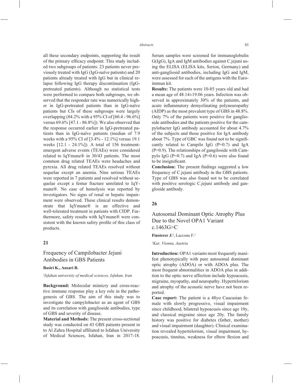all these secondary endpoints, supporting the result of the primary efficacy endpoint. This study included two subgroups of patients: 23 patients never previously treated with IgG (IgG-naïve patients) and 20 patients already treated with IgG but in clinical relapse following IgG therapy discontinuation (IgGpretreated patients). Although no statistical tests were performed to compare both subgroups, we observed that the responder rate was numerically higher in IgG-pretreated patients than in IgG-naïve patients but CIs of these subgroups were largely overlapping (84.2% with a 95% CI of [60.4 - 96.6%] versus 69.6% [47.1 - 86.8%]). We also observed that the response occurred earlier in IgG-pretreated patients than in IgG-naïve patients (median of 7.9 weeks with a 95% CI of [3.4% - 12.1%] versus 19.1 weeks [12.1 - 24.1%]). A total of 156 treatmentemergent adverse events (TEAEs) were considered related to IqYmune® in 30/43 patients. The most common drug related TEAEs were headaches and pyrexia. All drug related TEAEs resolved without sequelae except an anemia. Nine serious TEAEs were reported in 7 patients and resolved without sequelae except a femur fracture unrelated to IqYmune®. No case of hemolysis was reported by investigators. No signs of renal or hepatic impairment were observed. These clinical results demonstrate that IqYmune® is an effective and well-tolerated treatment in patients with CIDP. Furthermore, safety results with IqYmune® were consistent with the known safety profile of this class of products.

### **21**

Frequency of Campilobacter Jejuni Antibodies in GBS Patients

#### **Basiri K., Ansari B.**

#### *1 Isfahan university of medical sciences, Isfahan, Iran*

**Background:** Molecular mimicry and cross-reactive immune response play a key role in the pathogenesis of GBS. The aim of this study was to investigate the campylobacter as an agent of GBS and its correlation with ganglioside antibodies, type of GBS and severity of disease.

**Material and Methods:** The present cross-sectional study was conducted on 43 GBS patients present in to Al Zahra Hospital affiliated to Isfahan University of Medical Sciences, Isfahan, Iran in 2017-18.  Serum samples were screened for immunoglobulin G(IgG), IgA and IgM antibodies against C.jejuni using the ELISA (ELISA kits, Serion, Germany) and anti-gangliosid antibodies, including IgG and IgM, were assessed for each of the antigens with the Euroimmun kit.

**Results:** The patients were 10-85 years old and had a mean age of 48.14±19.06 years. Infection was observed in approximately 30% of the patients, and acute inflammatory demyelinating polyneuropathy (AIDP) as the most prevalent type of GBS in 48.8%. Only 7% of the patients were positive for ganglioside antibodies and the patients positive for the campylobacter IgG antibody accounted for about 4.7% of the subjects and those positive for IgA antibody about 7%. Type of GBC was found not to be significantly related to Campilo IgG  $(P=0.7)$  and IgA (P=0.9). The relationships of gangiloside with Campylo IgG ( $P=0.7$ ) and IgA ( $P=0.6$ ) were also found to be insignificant.

**Conclusion:** The present findings suggested a low frequency of C.jejuni antibody in the GBS patients. Type of GBS was also found not to be correlated with positive serologic C.jejuni antibody and gangloside antibody.

#### **26**

Autosomal Dominant Optic Atrophy Plus Due to the Novel OPA1 Variant c.1463G>C

**Finsterer J.1** , Laccone F.1

*1 Kar, Vienna, Austria*

**Introduction:** OPA1 variants most frequently manifest phenotypically with pure autosomal dominant optic atrophy (ADOA) or with ADOA plus. The most frequent abnormalities in ADOA plus in addition to the optic nerve affection include hypoacusis, migraine, myopathy, and neuropathy. Hypertelorism and atrophy of the acoustic nerve have not been reported.

**Case report:** The patient is a 48yo Caucasian female with slowly progressive, visual impairment since childhood, bilateral hypoacusis since age 10y, and classical migraine since age 20y. The family history was positive for diabetes (father, mother) and visual impairment (daughter). Clinical examination revealed hypertelorism, visual impairment, hypoacusis, tinnitus, weakness for elbow flexion and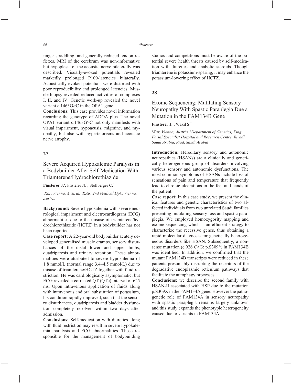finger straddling, and generally reduced tendon reflexes. MRI of the cerebrum was non-informative but hypoplasia of the acoustic nerve bilaterally was described. Visually-evoked potentials revealed markedly prolonged P100-latencies bilaterally. Acoustically-evoked potentials were distorted with poor reproducibility and prolonged latencies. Muscle biopsy revealed reduced activities of complexes I, II, and IV. Genetic work-up revealed the novel variant c.1463G>C in the OPA1 gene.

**Conclusions:** This case provides novel information regarding the genotype of ADOA plus. The novel OPA1 variant c.1463G>C not only manifests with visual impairment, hypoacusis, migraine, and myopathy, but also with hypertelorisms and acoustic nerve atrophy.

### **27**

Severe Acquired Hypokalemic Paralysis in a Bodybuilder After Self-Medication With Triamterene/Hydrochlorothiazide

Finsterer J.<sup>1</sup>, Pfisterer N.<sup>2</sup>, Stöllberger C.<sup>2</sup>

*1 Kar, Vienna, Austria, 2 KAR, 2nd Medical Dpt., Vienna, Austria*

**Background:** Severe hypokalemia with severe neurological impairment and electrocardiogram (ECG) abnormalities due to the misuse of triamterene/hydrochlorothiazide (HCTZ) in a bodybuilder has not been reported.

**Case report:** A 22-year-old bodybuilder acutely developed generalised muscle cramps, sensory disturbances of the distal lower and upper limbs, quadriparesis and urinary retention. These abnormalities were attributed to severe hypokalemia of 1.8 mmol/L (normal range 3.4–4.5 mmol/L) due to misuse of triamterene/HCTZ together with fluid restriction. He was cardiologically asymptomatic, but ECG revealed a corrected QT (QTc) interval of 625 ms. Upon intravenous application of fluids along with intravenous and oral substitution of potassium, his condition rapidly improved, such that the sensory disturbances, quadriparesis and bladder dysfunction completely resolved within two days after admission.

**Conclusions:** Self-medication with diuretics along with fluid restriction may result in severe hypokalemia, paralysis and ECG abnormalities. Those responsible for the management of bodybuilding studios and competitions must be aware of the potential severe health threats caused by self-medication with diuretics and anabolic steroids. Though triamterene is potassium-sparing, it may enhance the potassium-lowering effect of HCTZ.

### **28**

Exome Sequencing: Mutilating Sensory Neuropathy With Spastic Paraplegia Due a Mutation in the FAM134B Gene

**Finsterer J.<sup>1</sup>**, Wakil S.<sup>2</sup>

*1 Kar, Vienna, Austria, 2 Department of Genetics, King Faisal Specialist Hospital and Research Centre, Riyadh, Saudi Arabia, Riad, Saudi Arabia*

**Introduction:** Hereditary sensory and autonomic neuropathies (HSANs) are a clinically and genetically heterogeneous group of disorders involving various sensory and autonomic dysfunctions. The most common symptoms of HSANs include loss of sensations of pain and temperature that frequently lead to chronic ulcerations in the feet and hands of the patient.

**Case report:** In this case study, we present the clinical features and genetic characteristics of two affected individuals from two unrelated Saudi families presenting mutilating sensory loss and spastic paraplegia. We employed homozygosity mapping and exome sequencing which is an efficient strategy to characterize the recessive genes, thus obtaining a rapid molecular diagnosis for genetically heterogeneous disorders like HSAN. Subsequently, a nonsense mutation (c.926 C>G; p.S309\*) in FAM134B was identified. In addition, we confirmed that the mutant FAM134B transcripts were reduced in these patients presumably disrupting the receptors of the degradative endoplasmic reticulum pathways that facilitate the autophagy processes.

**Conclusions:** we describe the second family with HSAN-II associated with HSP due to the mutation p.S309X in the FAM134A gene. However the pathogenetic role of FAM134A in sensory neuropathy with spastic paraplegia remains largely unknown and this study expands the phenotypic heterogeneity caused due to variants in FAM134A.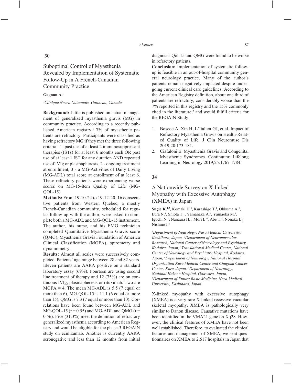# Suboptimal Control of Myasthenia Revealed by Implementation of Systematic Follow-Up in A French-Canadian Community Practice

#### **Gagnon A.1**

#### *1 Clinique Neuro Outaouais, Gatineau, Canada*

**Background:** Little is published on actual management of generalized myasthenia gravis (MG) in community practice. According to a recently published American registry,<sup> $1$ </sup> 7% of myasthenic patients are refractory. Participants were classified as having refractory MG if they met the three following criteria : 1 -past use of at least 2 immunosuppressant therapies (ISTs) for at least 6 months each OR past use of at least 1 IST for any duration AND repeated use of IVIg or plasmapheresis, 2 - ongoing treatment at enrollment, 3 - a MG-Activities of Daily Living (MG-ADL) total score at enrollment of at least 6. These refractory patients were experiencing worse scores on MG-15-item Quality of Life (MG-QOL-15).

**Methods:** From 19-10-24 to 19-12-20, 16 consecutive patients from Western Quebec, a mostly French-Canadian community, scheduled for regular follow-up with the author, were asked to complete both a MG-ADL and MG-QOL-15 instrument. The author, his nurse, and his EMG technician completed Quantitative Myasthenia Gravis score (QMG), Myasthenia Gravis Foundation of America Clinical Classification (MGFA), spirometry and dynamometry.

**Results:** Almost all scales were successively completed. Patients' age range between 28 and 82 years. Eleven patients are AARA positive on a standard laboratory essay (69%). Fourteen are using second line treatment of therapy and 12 (75%) are on continuous IVIg, plasmapheresis or rituximab. Two are  $MGFA = 4$ . The mean MG-ADL is 5.5 (7 equal or more than 6), MG-QOL-15 is 11.1 (6 equal or more than 15), QMG is 7.3 (7 equal or more than 10). Correlations have been found between MG-ADL and MG-OOL-15 ( $r = 0.55$ ) and MG-ADL and OMG ( $r =$ 0.56). Five  $(31.3\%)$  meet the definition of refractory generalized myasthenia according to American Registry and would be eligible for the phase-3 REGAIN study on eculizumab. Another is currently AARA seronegative and less than 12 months from initial

 diagnosis. Qol-15 and QMG were found to be worse in refractory patients.

**Conclusion:** Implementation of systematic followup is feasible in an out-of-hospital community general neurology practice. Many of the author's patients remain negatively impacted despite undergoing current clinical care guidelines. According to the American Registry definition, about one third of patients are refractory, considerably worse than the 7% reported in this registry and the 15% commonly cited in the literature,<sup>2</sup> and would fulfill criteria for the REGAIN Study.

- 1. Boscoe A, Xin H, L'Italien GJ, et al. Impact of Refractory Myasthenia Gravis on Health-Related Quality of Life. J Clin Neuromusc Dis 2019;20:173-181.
- 2. Ciafaloni E. Myasthenia Gravis and Congenital Myasthenic Syndromes. Continuum: Lifelong Learning in Neurology 2019;25:1767-1784.

### **34**

# A Nationwide Survey on X-linked Myopathy with Excessive Autophagy (XMEA) in Japan

Sugie K.<sup>1,2</sup>, Komaki H.<sup>3</sup>, Kurashige T.<sup>4</sup>, Ohkuma A.<sup>5</sup>, Eura N.<sup>1</sup>, Shiota T.<sup>1</sup>, Yamanaka A.<sup>1</sup>, Yamaoka M.<sup>1</sup>, Iguchi N.<sup>1</sup>, Nanaura H.<sup>1</sup>, Mori E.<sup>6</sup>, Abe T.<sup>5</sup>, Nonaka I.<sup>2</sup>, Nishino I.2

*1 Department of Neurology, Nara Medical University, Kashihara, Japan, 2 Department of Neuromuscular Research, National Center of Neurology and Psychiatry, Kodaira, Japan, 3 Translational Medical Center, National Center of Neurology and Psychiatry Hospital, Kodaira, Japan, 4 Department of Neurology, National Hospital Organization Kure Medical Center and Chugoku Cancer Center, Kure, Japan, 5 Department of Neurology, National Hakone Hospital, Odawara, Japan, 6 Department of Future Basic Medicine, Nara Medical University, Kashihara, Japan*

X-linked myopathy with excessive autophagy (XMEA) is a very rare X-linked recessive vacuolar skeletal myopathy. XMEA is pathologically very similar to Danon disease. Causative mutations have been identified in the VMA21 gene on Xq28. However, the clinical features of XMEA have not been well established. Therefore, to evaluated the clinical features and management of XMEA, we sent questionnaires on XMEA to 2,617 hospitals in Japan that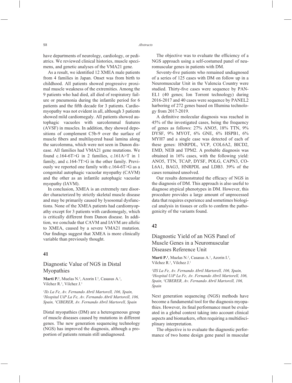have departments of neurology, cardiology, or pediatrics. We reviewed clinical histories, muscle specimens, and genetic analyses of the VMA21 gene.

As a result, we identified 12 XMEA male patients from 4 families in Japan. Onset was from birth to childhood. All patients showed progressive proximal muscle weakness of the extremities. Among the 9 patients who had died, all died of respiratory failure or pneumonia during the infantile period for 6 patients and the fifth decade for 3 patients. Cardiomyopathy was not evident in all, although 3 patients showed mild cardiomegaly. All patients showed autophagic vacuoles with sarcolemmal features (AVSF) in muscles. In addition, they showed depositions of complement C5b-9 over the surface of muscle fibers and multilayered basal lamina along the sarcolemma, which were not seen in Danon disease. All families had VMA21 gene mutations. We found c.164-6T>G in 2 families, c.161A>T in 1 family, and c.164-7T>G in the other family. Previously we reported one family with c.164-6T>G as a congenital autophagic vacuolar myopathy (CAVM) and the other as an infantile autophagic vacuolar myopathy (IAVM).

In conclusion, XMEA is an extremely rare disorder characterized by strictly skeletal muscle disease and may be primarily caused by lysosomal dysfunctions. None of the XMEA patients had cardiomyopathy except for 3 patients with cardiomegaly, which is critically different from Danon disease. In addition, we conclude that CAVM and IAVM are allelic to XMEA, caused by a severe VMA21 mutation. Our findings suggest that XMEA is more clinically variable than previously thought.

### **41**

### Diagnostic Value of NGS in Distal Myopathies

**Marti P.**<sup>1</sup>, Muelas N.<sup>2</sup>, Azorin I.<sup>3</sup>, Casasus A.<sup>1</sup>, Vilchez R.1 , Vilchez J.1

*1 IIs La Fe, Av. Fernando Abril Martorell, 106, Spain, 2 Hospital UiP La Fe, Av. Fernando Abril Martorell, 106, Spain, 3 CIBERER, Av. Fernando Abril Martorell, Spain*

Distal myopathies (DM) are a heterogeneous group of muscle diseases caused by mutations in different genes. The new generation sequencing technology (NGS) has improved the diagnosis, although a proportion of patients remain still undiagnosed.

The objective was to evaluate the efficiency of a NGS approach using a self-costumed panel of neuromuscular genes in patients with DM.

Seventy-five patients who remained undiagnosed of a series of 125 cases with DM on follow up in a Neuromuscular Unit in the Valencia Country were studied. Thirty-five cases were sequence by PAN-EL1 (40 genes; Ion Torrent technology) during 2016-2017 and 40 cases were sequence by PANEL2 harboring of 272 genes based on Illumina technology from 2017-2019.

A definitive molecular diagnosis was reached in 45% of the investigated cases, being the frequency of genes as follows: 27% ANO5, 18% TTN, 9% DYSF, 9% MYOT, 6% GNE, 6% HSPB1, 6% MYH7 and a single case was detected of each of these genes: HNRPDL, VCP, COL6A2, BICD2, EMD, NEB and TPM2. A probable diagnosis was obtained in 16% cases, with the following yield: ANO5, TTN, TCAP, DYSF, POLG, CAPN3, CO-L6A1, BAG3, HNRPDL and LDB3. 39% of the cases remained unsolved.

Our results demonstrated the efficacy of NGS in the diagnosis of DM. This approach is also useful to diagnose atypical phenotypes in DM. However, this procedure provides a large amount of unprocessed data that requires experience and sometimes biological analysis in tissues or cells to confirm the pathogenicity of the variants found.

#### **42**

# Diagnostic Yield of an NGS Panel of Muscle Genes in a Neuromuscular Diseases Reference Unit

Marti P.<sup>1</sup>, Muelas N.<sup>2</sup>, Casasus A.<sup>1</sup>, Azorin I.<sup>3</sup>, Vilchez R.<sup>1</sup>, Vilchez J.<sup>1</sup>

*1 IIS La Fe, Av. Fernando Abril Martorell, 106, Spain, 2 Hospital UiP La Fe, Av. Fernando Abril Martorell, 106, Spain, 3 CIBERER, Av. Fernando Abril Martorell, 106, Spain*

Next generation sequencing (NGS) methods have become a fundamental tool for the diagnosis myopathies. However, its final performance must be evaluated in a global context taking into account clinical aspects and biomarkers, often requiring a multidisciplinary interpretation.

The objective is to evaluate the diagnostic performance of two home design gene panel in muscular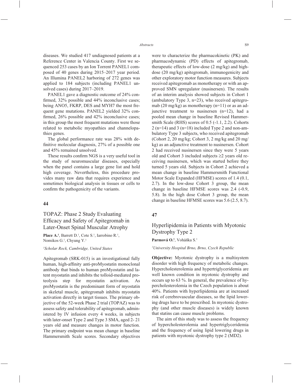diseases. We studied 417 undiagnosed patients at a Reference Center in Valencia County. First we sequenced 253 cases by an Ion Torrent PANEL1 composed of 40 genes during 2015–2017 year period. An Illumina PANEL2 harboring of 272 genes was applied to 184 subjects (including PANEL1 unsolved cases) during 2017–2019.

PANEL1 gave a diagnostic outcome of 24% confirmed,  $32\%$  possible and  $44\%$  inconclusive cases; being ANO5, FKRP, DES and MYH7 the most frequent gene mutations. PANEL2 yielded 32% confirmed,  $26\%$  possible and  $42\%$  inconclusive cases; in this group the most frequent mutations were those related to metabolic myopathies and channelopathies genes.

The global performance rate was 28% with definitive molecular diagnosis,  $27%$  of a possible one and 45% remained unsolved.

These results confirm NGS is a very useful tool in the study of neuromuscular diseases, especially when the panel contains a large gene list and hold high coverage. Nevertheless, this procedure provides many raw data that requires experience and sometimes biological analysis in tissues or cells to confirm the pathogenicity of the variants.

#### **44**

# TOPAZ: Phase 2 Study Evaluating Efficacy and Safety of Apitegromab in Later-Onset Spinal Muscular Atrophy

**Place A.<sup>1</sup>**, Barrett D.<sup>1</sup>, Cote S.<sup>1</sup>, Iarrobino R.<sup>1</sup>, Nomikos G.<sup>1</sup>, Chyung Y.<sup>1</sup>

*1 Scholar Rock, Cambridge, United States*

Apitegromab (SRK-015) is an investigational fully human, high-affinity anti-proMyostatin monoclonal antibody that binds to human proMyostatin and latent myostatin and inhibits the tolloid-mediated proteolysis step for myostatin activation. As proMyostatin is the predominant form of myostatin in skeletal muscle, apitegromab inhibits myostatin activation directly in target tissues. The primary objective of the 52-week Phase 2 trial (TOPAZ) was to assess safety and tolerability of apitegromab, administered by IV infusion every 4 weeks, in subjects with later-onset Type 2 and Type 3 SMA, aged 2- 21 years old and measure changes in motor function. The primary endpoint was mean change in baseline Hammersmith Scale scores. Secondary objectives were to characterize the pharmacokinetic (PK) and pharmacodynamic (PD) effects of apitegromab, therapeutic effects of low-dose (2 mg/kg) and highdose (20 mg/kg) apitegromab, immunogenicity and other exploratory motor function measures. Subjects received apitegromab as monotherapy or with an approved SMN upregulator (nusinersen). The results of an interim analysis showed subjects in Cohort 1 (ambulatory Type 3, n=23), who received apitegromab (20 mg/kg) as monotherapy  $(n=11)$  or as an adjunctive treatment to nusinersen (n=12), had a pooled mean change in baseline Revised Hammersmith Scale (RHS) scores of 0.5 (-1.1, 2.2). Cohorts  $2(n=14)$  and  $3(n=18)$  included Type 2 and non-ambulatory Type 3 subjects, who received apitegromab (Cohort 2, 20 mg/kg; Cohort 3, 2 mg/kg and 20 mg/ kg) as an adjunctive treatment to nusinersen. Cohort 2 had received nusinersen since they were 5 years old and Cohort 3 included subjects  $\geq 2$  years old receiving nusinersen, which was started before they turned 5 years old. Subjects in Cohort 2 achieved a mean change in baseline Hammersmith Functional Motor Scale Expanded (HFMSE) scores of 1.4 (0.1, 2.7). In the low-dose Cohort 3 group, the mean change in baseline HFMSE scores was 2.4 (-0.9, 5.8). In the high dose Cohort 3 group, the mean change in baseline HFMSE scores was 5.6 (2.5, 8.7).

### **47**

Hyperlipidemia in Patients with Myotonic Dystrophy Type 2

Parmová O.<sup>1</sup>, Voháňka S.<sup>1</sup>

*1 University Hospital Brno, Brno, Czech Republic*

**Objective:** Myotonic dystrophy is a multisystem disorder with high frequency of metabolic changes. Hypercholesterolemia and hypertriglyceridemia are well known condition in myotonic dystrophy and occurs up to 63 %. In general, the prevalence of hypercholesterolemia in the Czech population is about 40%. Patients with hyperlipidemia are at increased risk of cerebrovascular diseases, so the lipid lowering drugs have to be prescribed. In myotonic dystrophy (and other muscle diseases) is widely known that statins can cause muscle problems.

The aim of this study was to assess the frequency of hypercholesterolemia and hypertriglyceridemia and the frequency of using lipid lowering drugs in patients with myotonic dystrophy type 2 (MD2).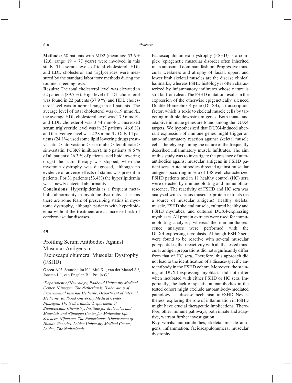**Methods:** 58 patients with MD2 (mean age 53.6  $\pm$ 12.6; range  $19 - 77$  years) were involved in this study. The serum levels of total cholesterol, HDL and LDL cholesterol and triglycerides were measured by the standard laboratory methods during the routine screening tests.

**Results:** The total cholesterol level was elevated in 52 patients (89.7 %). High level of LDL cholesterol was found in 22 patients (37.9 %) and HDL cholesterol level was in normal range in all patients. The average level of total cholesterol was 6.19 mmol/L, the average HDL cholesterol level was 1.79 mmol/L and LDL cholesterol was 3.44 mmol/L. Increased serum triglyceride level was in 27 patients (46.6 %) and the average level was 2.28 mmol/L. Only 14 patients (24.1%) used some lipid lowering drugs (rosuvastatin > atorvastatin > ezetimibe > fenofibrate > simvastatin, PCSK9 inhibitors). In 5 patients (8.6 % of all patients; 26.3 % of patients used lipid lowering drugs) the statin therapy was stopped, when the myotonic dystrophy was diagnosed, although no evidence of adverse effects of statins was present in patients. For 31 patients (53.4%) the hyperlipidemia was a newly detected abnormality.

**Conclusions:** Hyperlipidemia is a frequent metabolic abnormality in myotonic dystrophy. It seems there are some fears of prescribing statins in myotonic dystrophy, although patients with hyperlipidemia without the treatment are at increased risk of cerebrovascular diseases.

#### **49**

# Profiling Serum Antibodies Against Muscular Antigens in Facioscapulohumeral Muscular Dystrophy (FSHD)

Greco A.<sup>1,2</sup>, Straasheijm K.<sup>3</sup>, Mul K.<sup>1</sup>, van der Maarel S.<sup>4</sup>, Joosten L.<sup>2</sup>, van Engelen B.<sup>1</sup>, Pruijn G.<sup>3</sup>

*1 Department of Neurology, Radboud University Medical Center, Nijmegen, The Netherlands, 2 Laboratory of Experimental Internal Medicine, Department of Internal Medicine, Radboud University Medical Center, Nijmegen, The Netherlands, 3 Department of Biomolecular Chemistry, Institute for Molecules and Materials and Nijmegen Center for Molecular Life Sciences, Nijmegen, The Netherlands, 4 Department of Human Genetics, Leiden University Medical Center, Leiden, The Netherlands*

Facioscapulohumeral dystrophy (FSHD) is a complex (epi)genetic muscular disorder often inherited in an autosomal dominant fashion. Progressive muscular weakness and atrophy of facial, upper, and lower limb skeletal muscles are the disease clinical hallmarks, whereas FSHD histology is often characterized by inflammatory infiltrates whose nature is still far from clear. The FSHD mutation results in the expression of the otherwise epigenetically silenced Double Homeobox 4 gene (DUX4), a transcription factor, which is toxic to skeletal muscle cells by targeting multiple downstream genes. Both innate and adaptive immune genes are found among the DUX4 targets. We hypothesized that DUX4-induced aberrant expression of immune genes might trigger an auto-inflammatory reaction against skeletal muscle cells, thereby explaining the nature of the frequently described inflammatory muscle infiltrates. The aim of this study was to investigate the presence of autoantibodies against muscular antigens in FSHD patient sera. Autoantibodies directed against muscular antigens occurring in sera of 138 well characterized FSHD patients and in 11 healthy control (HC) sera were detected by immunoblotting and immunofluorescence. The reactivity of FSHD and HC sera was analysed with various muscular protein extracts (as a source of muscular antigens): healthy skeletal muscle, FSHD skeletal muscle, cultured healthy and FSHD myotubes, and cultured DUX4-expressing myoblasts. All protein extracts were used for immunoblotting analyses, whereas the immunofluorescence analyses were performed with the DUX4-expressing myoblasts. Although FSHD sera were found to be reactive with several muscular polypeptides, their reactivity with all the tested muscular antigen preparations did not significantly differ from that of HC sera. Therefore, this approach did not lead to the identification of a disease-specific autoantibody in the FSHD cohort. Moreover, the staining of DUX4-expressing myoblasts did not differ when incubated with either FSHD or HC sera. Importantly, the lack of specific autoantibodies in the tested cohort might exclude autoantibody-mediated pathology as a disease mechanism in FSHD. Nevertheless, exploring the role of inflammation in FSHD might have crucial therapeutic implications. Therefore, other immune pathways, both innate and adaptive, warrant further investigation.

**Key words:** autoantibodies, skeletal muscle antigens, inflammation, facioscapulohumeral muscular dystrophy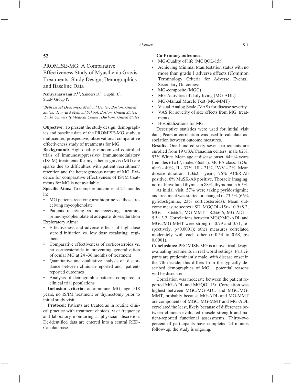# **52**

PROMISE-MG: A Comparative Effectiveness Study of Myasthenia Gravis Treatments: Study Design, Demographics and Baseline Data

Narayanaswami P.<sup>1,2</sup>, Sanders D.<sup>3</sup>, Guptill J.<sup>3</sup>, Study Group P.

*1 Beth Israel Deaconess Medical Center, Boston, United States, 2 Harvard Medical School, Boston, United States, 3 Duke University Medical Center, Durham, United States*

**Objective:** To present the study design, demographics and baseline data of the PROMISE-MG study, a multicenter, prospective, observational comparative effectiveness study of treatments for MG.

**Background:** High-quality randomized controlled trials of immunosuppressive/ immunomodulatory (IS/IM) treatments for myasthenia gravis (MG) are sparse due to difficulties with patient recruitment/ retention and the heterogeneous nature of MG. Evidence for comparative effectiveness of IS/IM treatments for MG is not available.

**Specific Aims:** To compare outcomes at 24 months in:

- MG patients receiving azathioprine vs. those receiving mycophenolate
- Patients receiving vs. not-receiving azathioprine/mycophenolate at adequate doses/duration Exploratory Aims:
- Effectiveness and adverse effects of high dose steroid initiation vs. low dose escalating regimens
- Comparative effectiveness of corticosteroids vs. no corticosteroids in preventing generalization of ocular MG at 24 -36 months of treatment
- Quantitative and qualitative analysis of discordance between clinician-reported and patientreported outcomes
- Analysis of demographic patterns compared to clinical trial populations

**Inclusion criteria:** autoimmune MG, age >18 years, no IS/IM treatment or thymectomy prior to initial study visit.

**Protocol:** Patients are treated as in routine clinical practice with treatment choices, visit frequency and laboratory monitoring at physician discretion. De-identified data are entered into a central RED-Cap database.

#### **Co-Primary outcomes:**

- MG-Quality of life (MGQOL-15r)
- Achieving Minimal Manifestation status with no more than grade 1 adverse effects (Common Terminology Criteria for Adverse Events). Secondary Outcomes:
- MG-composite (MGC)
- MG-Activities of daily living (MG-ADL)
- MG-Manual Muscle Test (MG-MMT)
- Visual Analog Scale (VAS) for disease severity
- VAS for severity of side effects from MG treatments
- Hospitalizations for MG

Descriptive statistics were used for initial visit data; Pearson correlation was used to calculate association between outcome measures.

**Results:** One hundred sixty seven participants are enrolled from 19 USA/Canadian centers: male 62%, 93% White. Mean age at disease onset:  $64\pm14$  years (females  $61\pm17$ , males  $66\pm11$ ). MGFA class: I (Ocular) - 40%, II - 37%, III - 21%, IV/V - 2%. Mean disease duration: 1.3±2.5 years; 76% AChR-Ab positive, 6% MuSK-Ab positive. Thoracic imaging: normal/involuted thymus in 88%, thymoma in 6.5%.

At initial visit, 57% were taking pyridostigmine and treatment was started or changed in 73.5% (66% pyridostigmine, 23% corticosteroids). Mean outcome measure scores± SD: MGQOL-15r - 10.9±8.2, MGC - 8.6±6.2, MG-MMT - 8.2±6.6, MG-ADL - 5.5± 3.2. Correlations between MGC/MG-ADL and MGC/MG-MMT were strong (r=0.79 and 0.71, respectively,  $p<0.0001$ ); other measures correlated moderately with each other  $(r=0.54$  to 0.68,  $p<$ 0.0001).

**Conclusions:** PROMISE-MG is a novel trial design evaluating treatments in real world settings. Participants are predominantly male, with disease onset in the 7th decade; this differs from the typically described demographics of MG – potential reasons will be discussed.

Correlation was moderate between the patient reported MG-ADL and MGQOL15r. Correlation was highest between MGC/MG-ADL and MGC/MG-MMT, probably because MG-ADL and MG-MMT are components of MGC. MG-MMT and MG-ADL correlated the least, likely because of differences between clinician-evaluated muscle strength and patient-reported functional assessments. Thirty-two percent of participants have completed 24 months follow-up; the study is ongoing.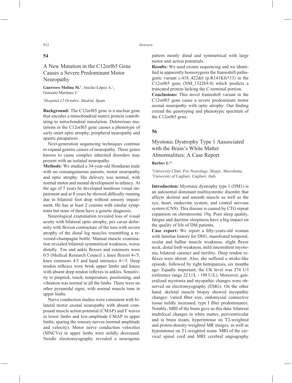### **54**

# A New Mutation in the C12orf65 Gene Causes a Severe Predominant Motor Neuropathy

Guerrero Molina M.<sup>1</sup>, Ateche-López A.<sup>1</sup>, Gonzalo-Martínez J.1

#### *1 Hospital 12 Octubre, Madrid, Spain*

**Background:** The C12orf65 gene is a nuclear gene that encodes a mitochondrial matrix protein contributing to mitochondrial translation. Deleterious mutations in the C12orf65 gene causes a phenotype of early onset optic atrophy, peripheral neuropathy and spastic paraparesis .

Next-generation sequencing techniques continue to expand genetic causes of neuropathy. These genes known to cause complex inherited disorders may present with an isolated neuropathy.

**Methods:** We studied a 34-year-old Honduran male with no consanguineous parents, motor neuropathy and optic atrophy. His delivery was normal, with normal motor and mental development in infancy. At the age of 5 years he developed insidious visual impairment and at 8 years he showed difficulty running due to bilateral foot drop without sensory impairment. He has at least 2 cousins with similar symptoms but none of them have a genetic diagnosis.

Neurological examination revealed loss of visual acuity with bilateral optic atrophy, pes cavus deformity with flexion contracture of the toes with severe atrophy of the distal leg muscles resembling a reversed-champagne bottle. Manual muscle examination revealed bilateral symmetrical weakness, worse distally. Toe and ankle flexors and extensors were  $0/5$  (Medical Research Council), knee flexors  $4-1/5$ , knee extensors 4/5 and hand intrinsics 4+/5. Deep tendon reflexes were brisk upper limbs and knees with absent deep tendon reflexes in ankles. Sensitivity to pinprick, touch, temperature, positioning, and vibration was normal in all the limbs. There were no other pyramidal signs, with normal muscle tone in upper limbs.

Nerve conduction studies were consistent with bilateral motor axonal neuropathy with absent compound muscle action potential (CMAP) and F waves in lower limbs and low-amplitude CMAP in upper limbs, sparing the sensory nerves (normal amplitude and velocity). Motor nerve conduction velocities (MNCVs) in upper limbs were mildly decreased. Needle electromyography revealed a neurogenic pattern mostly distal and symmetrical with large motor unit action potentials.

**Results:** We used exome sequencing and we identified in apparently homozygosis the frameshift pathogenic variant c.418\_422del (p.R141Kfs\*13) in the C12orf65 gene (NM\_152269.4) which predicts a truncated protein lacking the C-terminal portion.

**Conclusions:** This novel frameshift variant in the C12orf65 gene cause a severe predominant motor axonal neuropathy with optic atrophy. Our finding extend the genotyping and phenotypic spectrum of the C12orf65 gene.

### **56**

# Myotonic Dystrophy Type 1 Aassociated with the Brain's White Matter Abnormalities: A Case Report

#### **Barbov I.1,2**

#### *1 University Clinic For Neurology, Skopje, Macedonia, 2 University of Cagliari, Cagliari, Italy*

**Introduction:** Myotonic dystrophy type 1 (DM1) is an autosomal dominant multisystemic disorder that affects skeletal and smooth muscle as well as the eye, heart, endocrine system, and central nervous system (CNS). This disease is caused by CTG repeat expansion on chromosome 19q. Poor sleep quality, fatigue and daytime sleepiness have a big impact on the quality of life of DM patients.

Case report: We report a fifty-years-old woman with familiar history for DM1, manifested temporal, ocular and bulbar muscle weakness, slight flexor neck, distal limb weakness, mild intermittent myotonia, bilateral cataract and sterility. Deep tendon reflexes were absent. Also, she suffered a stroke-like episode, followed by right hemiparesis, six months ago. Equally important, the CK level was 274 U/l (reference range 22 U/L - 198 U/L). Moreover, generalized myotonia and myopathic changes were observed on electromyography (EMG). On the other hand, skeletal muscle biopsy showed myopathic changes: varied fiber size, endomysial connective tissue mildly increased, type I fiber predominance. Notably, MRI of the brain gave us this data: bilateral multifocal changes in white matter, periventricular and in brain steam, hyperintense on T2-weighted and proton-density-weighted MR images, as well as hypointense on T1-weighted scans. MRI of the cervical spinal cord and MRI cerebral angiography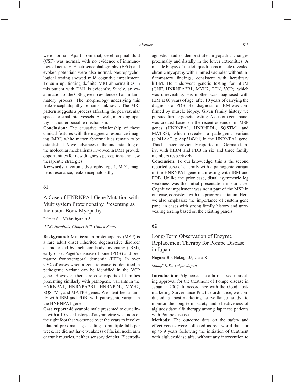were normal. Apart from that, cerebrospinal fluid (CSF) was normal, with no evidence of immunological activity. Electroencephalography (EEG) and evoked potentials were also normal. Neuropsychological testing showed mild cognitive impairment. To sum up, finding definite MRI abnormalities in this patient with DM1 is evidently. Surely, an examination of the CSF gave no evidence of an inflammatory process. The morphology underlying this leukoencephalopathy remains unknown. The MRI pattern suggests a process affecting the perivascular spaces or small pial vessels. As well, microangiopathy is another possible mechanism.

**Conclusion:** The causative relationship of these clinical features with the magnetic resonance imaging (MRI) white matter abnormalities remain to be established. Novel advances in the understanding of the molecular mechanisms involved in DM1 provide opportunities for new diagnosis perceptions and new therapeutic strategies.

**Keywords:** myotonic dystrophy type 1, MD1, magnetic resonance, leukoencephalopathy

### **61**

A Case of HNRNPA1 Gene Mutation with Multisystem Proteinopathy Presenting as Inclusion Body Myopathy

Palmer S.<sup>1</sup>, **Mehrabyan A.<sup>1</sup>** 

#### *1 UNC Hospitals, Chapel Hill, United States*

**Background:** Multisystem proteinopathy (MSP) is a rare adult onset inherited degenerative disorder characterized by inclusion body myopathy (IBM), early-onset Paget's disease of bone (PDB) and premature frontotemporal dementia (FTD). In over  $99\%$  of cases when a genetic cause is identified, a pathogenic variant can be identified in the VCP gene. However, there are case reports of families presenting similarly with pathogenic variants in the HNRNPA1, HNRNPA2B1, HNRNPDL, MYH2, SOSTM1, and MATR3 genes. We identified a family with IBM and PDB, with pathogenic variant in the HNRNPA1 gene.

**Case report:** 46 year old male presented to our clinic with a 10 year history of asymmetric weakness of the right foot that worsened over the years to involve bilateral proximal legs leading to multiple falls per week. He did not have weakness of facial, neck, arm or trunk muscles, neither sensory deficits. Electrodiagnostic studies demonstrated myopathic changes proximally and distally in the lower extremities. A muscle biopsy of the left quadriceps muscle revealed chronic myopathy with rimmed vacuoles without inflammatory findings, consistent with hereditary hIBM. He underwent genetic testing for hIBM (GNE, HNRNPA2B1, MYH2, TTN, VCP), which was unrevealing. His mother was diagnosed with IBM at 60 years of age, after 10 years of carrying the diagnosis of PDB. Her diagnosis of IBM was confirmed by muscle biopsy. Given family history we pursued further genetic testing. A custom gene panel was created based on the recent advances in MSP genes (HNRNPA1, HNRNPDL, SQSTM1 and MATR3), which revealed a pathogenic variant (c.941A>T, p.Asp314Val) in the HNRNPA1 gene. This has been previously reported in a German family, with hIBM and PDB in six and three family members respectively.

**Conclusion:** To our knowledge, this is the second reported case of a family with a pathogenic variant in the HNRNPA1 gene manifesting with IBM and PDB. Unlike the prior case, distal asymmetric leg weakness was the initial presentation in our case. Cognitive impairment was not a part of the MSP in our case, consistent with the prior presentation. Here we also emphasize the importance of custom gene panel in cases with strong family history and unrevealing testing based on the existing panels.

#### **62**

# Long-Term Observation of Enzyme Replacement Therapy for Pompe Disease in Japan

**Nagura H.1** , Hokugo J.1 , Ueda K.1

*1 Sanofi K.K., Tokyo, Japan*

**Introduction:** Alglucosidase alfa received marketing approval for the treatment of Pompe disease in Japan in 2007. In accordance with the Good Postmarketing Surveillance Practice ordinance, we conducted a post-marketing surveillance study to monitor the long-term safety and effectiveness of alglucosidase alfa therapy among Japanese patients with Pompe disease.

**Methods:** The outcome data on the safety and effectiveness were collected as real-world data for up to 9 years following the initiation of treatment with alglucosidase alfa, without any intervention to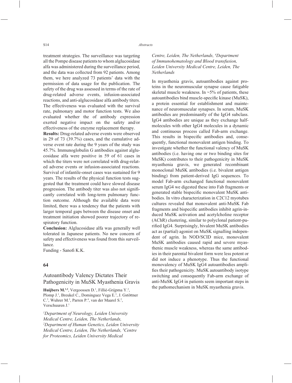treatment strategies. The surveillance was targeting all the Pompe disease patients to whom alglucosidase alfa was administered during the surveillance period, and the data was collected from 92 patients. Among them, we here analyzed 73 patients' data with the permission of data usage for the publication. The safety of the drug was assessed in terms of the rate of drug-related adverse events, infusion-associated reactions, and anti-alglucosidase alfa antibody titers. The effectiveness was evaluated with the survival rate, pulmonary and motor function tests. We also evaluated whether the of antibody expression exerted negative impact on the safety and/or effectiveness of the enzyme replacement therapy.

**Results:** Drug-related adverse events were observed in 29 of 73 (39.7%) cases, and the cumulative adverse event rate during the 9 years of the study was 45.7%. Immunoglobulin G antibodies against alglucosidase alfa were positive in 59 of 61 cases in which the titers were not correlated with drug-related adverse events or infusion-associated reactions. Survival of infantile-onset cases was sustained for 9 years. The results of the physical function tests suggested that the treatment could have slowed disease progression. The antibody titer was also not significantly correlated with long-term pulmonary function outcome. Although the available data were limited, there was a tendency that the patients with larger temporal gaps between the disease onset and treatment initiation showed poorer trajectory of respiratory function.

**Conclusion:** Alglucosidase alfa was generally well tolerated in Japanese patients. No new concern of safety and effectiveness was found from this surveillance.

Funding - Sanofi K.K.

### **64**

# Autoantibody Valency Dictates Their Pathogenicity in MuSK Myasthenia Gravis

Huijbers M.<sup>1,2</sup>, Vergoossen D.<sup>1</sup>, Fillié-Grijpma Y.<sup>2</sup>, Plomp J.<sup>1</sup>, Breukel C., Dominguez Vega E.<sup>3</sup>, J. Gstöttner C.<sup>3</sup>, Wuhrer M.<sup>3</sup>, Parren P.<sup>4</sup>, van der Maarel S.<sup>2</sup>, Verschuuren J.1

*1 Department of Neurology, Leiden University Medical Centre, Leiden, The Netherlands, 2 Department of Human Genetics, Leiden University Medical Centre, Leiden, The Netherlands, 3 Centre for Proteomics, Leiden University Medical* 

### *Centre, Leiden, The Netherlands, 4 Department of Immunohematology and Blood transfusion, Leiden University Medical Centre, Leiden, The Netherlands*

In myasthenia gravis, autoantibodies against proteins in the neuromuscular synapse cause fatigable skeletal muscle weakness. In  $\sim$ 5% of patients, these autoantibodies bind muscle-specific kinase (MuSK), a protein essential for establishment and maintenance of neuromuscular synapses. In serum, MuSK antibodies are predominantly of the IgG4 subclass. IgG4 antibodies are unique as they exchange halfmolecules with other IgG4 molecules in a dynamic and continuous process called Fab-arm exchange. This results in bispecific antibodies and, consequently, functional monovalent antigen binding. To investigate whether the functional valency of MuSK antibodies (i.e. having one or two binding sites for MuSK) contributes to their pathogenicity in MuSK myasthenia gravis, we generated recombinant monoclonal MuSK antibodies (i.e. bivalent antigen binding) from patient-derived IgG sequences. To model Fab-arm exchanged functional monovalent serum IgG4 we digested these into Fab fragments or generated stable bispecific monovalent MuSK antibodies. In vitro characterization in C2C12 myotubes cultures revealed that monovalent anti-MuSK Fab fragments and bispecific antibodies inhibit agrin-induced MuSK activation and acetylcholine receptor (AChR) clustering, similar to polyclonal patient-purified IgG4. Surprisingly, bivalent MuSK antibodies act as (partial) agonist on MuSK signalling independent of agrin. In NOD/SCID mice, monovalent MuSK antibodies caused rapid and severe myasthenic muscle weakness, whereas the same antibodies in their parental bivalent form were less potent or did not induce a phenotype. Thus the functional monovalency of MuSK IgG4 autoantibodies amplifies their pathogenicity. MuSK autoantibody isotype switching and consequently Fab-arm exchange of anti-MuSK IgG4 in patients seem important steps in the pathomechanism in MuSK myasthenia gravis.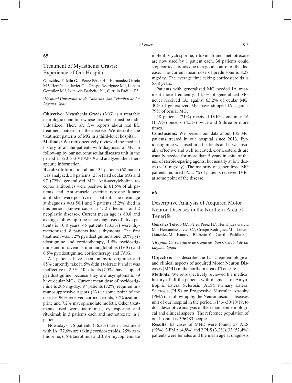# Treatment of Myasthenia Gravis: Experience of Our Hospital

González Toledo G.<sup>1</sup>, Pérez Pérez H.<sup>1</sup>, Hernández García M.<sup>1</sup>, Hernández Javier C.<sup>1</sup>, Crespo Rodríguez M.<sup>1</sup>, Lobato González M.<sup>1</sup>, Ivanovic-Barbeito Y.<sup>1</sup>, Carrillo Padilla F.<sup>1</sup>

#### *1 Hospital Universitario de Canarias, San Cristóbal de La Laguna, Spain*

**Objective:** Myasthenia Gravis (MG) is a treatable neurologic condition whose treatment must be individualized. There are few reports about real life treatment patterns of the disease. We describe the treatment patterns of MG in a third-level hospital.

**Methods:** We retrospectively reviewed the medical history of all the patients with diagnosis of MG in follow-up by our neuromuscular diseases unit in the period 1/1/2013-30/10/2019 and analyzed their therapeutic information.

**Results:** Information about 135 patients (68 males) was analyzed. 38 patients (28%) had ocular MG and 97 (72%) generalized MG. Anti-acetylcholine receptor antibodies were positive in 61.5% of all patients and Anti-muscle specific tyrosine kinase antibodies were positive in 1 patient. The mean age at diagnosis was 50.1 and 7 patients (5,2%) died in this period –known cause in 4: 2 infections and 2 neoplastic disease-. Current mean age is 60.8 and average follow up time since diagnosis of alive patients is 10.8 years. 45 patients (33.3%) were thymectomized. 8 patients had a thymoma. The first treatment was: 72% pyridostigmine alone, 20% pyridostigmine and corticotherapy, 1.5% pyridostigmine and intravenous immunoglobulins (IVIG) and 6,5% pyridostigmine, corticotherapy and IVIG.

All patients have been on pyridostigmine and 85% currently take it. 5% didn't tolerate it and it was ineffective in 2.5%. 10 patients (7.5%) have stopped pyridostigmine because they are asymptomatic -9 have ocular MG-. Current mean dose of pyridostigmine is 205 mg/day. 97 patients (72%) required immunosuppressive agents (IA) at some point of the disease. 96% received corticosteroids, 37% azathioprine and 7,2% mycophenolate mofetil. Other treatments used were tacrolimus, cyclosporine and rituximab in 3 patients each and methotrexate in 1 patient.

Nowadays, 76 patients (56.3%) are in treatment with IA: 77,6% are taking corticosteroids, 25% azathioprine, 6,6% tacrolimus and 3,9% mycophenolate

mofetil. Cyclosporine, rituximab and methotrexate are now used by 1 patient each. 38 patients could stop corticosteroids due to a good control of the disease. The current mean dose of prednisone is 8.28 mg/day. The average time taking corticosteroids is 5.68 years.

Patients with generalized MG needed IA treatment more frequently: 14,5% of generalized MG never received IA, against 63,2% of ocular MG. 30% of generalized MG have stopped IA, against 79% of ocular MG.

28 patients (21%) received IVIG sometime: 16  $(11.9\%)$  once, 6  $(4.5\%)$  twice and 6 three or more times.

**Conclusions:** We present our data about 135 MG patients treated in our hospital since 2013. Pyridostigmine was used in all patients and it was usually effective and well tolerated. Corticosteroids are usually needed for more than 5 years in spite of the use of steroid-sparing agents, but usually at low doses (< 10 mg/day). The majority of generalized MG patients required IA. 21% of patients received IVIG at some point of the disease.

#### **66**

# Descriptive Analysis of Acquired Motor Neuron Diseases in the Northern Area of Tenerife

González Toledo G.<sup>1</sup>, Pérez Pérez H.<sup>1</sup>, Hernández García M.<sup>1</sup>, Hernández Javier C.<sup>1</sup>, Crespo Rodríguez M.<sup>1</sup>, Lobato González M.<sup>1</sup>, Ivanovic-Barbeito Y.<sup>1</sup>, Carrillo Padilla F.<sup>1</sup>

#### *1 Hospital Universitario de Canarias, San Cristóbal de La Laguna, Spain*

**Objective:** To describe the basic epidemiological and clinical aspects of acquired Motor Neuron Diseases (MND) in the northern area of Tenerife.

**Methods:** We retrospectively reviewed the medical history of all the patients with diagnosis of Amyotrophic Lateral Sclerosis (ALS), Primary Lateral Sclerosis (PLS) or Progressive Muscular Atrophy (PMA) in follow-up by the Neuromuscular diseases unit of our hospital in the period 1/1/14-30/10/19, to do a descriptive analysis of their main epidemiological and clinical aspects. The reference population of our hospital is 396483 people.

**Results:** 63 cases of MND were found: 58 ALS (92%), 3 PMA (4,8%) and 2 PLS (3,2%). 33 (52,4%) patients were females and the mean age at diagnosis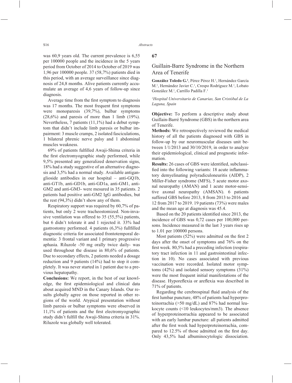was 60,9 years old. The current prevalence is 6,55 per 100000 people and the incidence in the 5 years period from October of 2014 to October of 2019 was 1,96 per 100000 people. 37 (58,7%) patients died in this period, with an average surveillance since diagnosis of 24,8 months. Alive patients currently accumulate an average of 4,6 years of follow-up since diagnosis.

Average time from the first symptom to diagnosis was 17 months. The most frequent first symptoms were monoparesis (39,7%), bulbar symptoms  $(28,6\%)$  and paresis of more than 1 limb  $(19\%).$ Nevertheless, 7 patients (11,1%) had a debut symptom that didn't include limb paresis or bulbar impairment: 3 muscle cramps, 2 isolated fasciculations, 1 bilateral phrenic nerve palsy and 1 abdominal muscles weakness.

69% of patients fulfilled Awaji-Shima criteria in the first electromyographic study performed, while 9,5% presented any generalized denervation signs, 18% had a study suggestive of an alternative diagnosis and 3,5% had a normal study. Available antiganglioside antibodies in our hospital – anti-GQ1b, anti-GT1b, anti-GD1b, anti-GD1a, anti-GM1, anti-GM2 and anti-GM3- were mesured in 35 patients. 2 patients had positive anti-GM2 IgG antibodies, but the rest (94,3%) didn't show any of them.

Respiratory support was required by 60,7% of patients, but only 2 were tracheostomized. Non-invasive ventilation was offered to 35 (55,5%) patients, but 6 didn't tolerate it and 1 rejected it. 33% had gastrostomy performed. 4 patients  $(6,3\%)$  fullfilled diagnostic criteria for associated frontotemporal dementia: 3 frontal variant and 1 primary progressive aphasia. Riluzole -50 mg orally twice daily- was used throughout the disease in 80,6% of patients. Due to secondary effects, 2 patients needed a dosage reduction and 9 patients (14%) had to stop it completely. It was never started in 1 patient due to a previous hepatopathy.

**Conclusions:** We report, in the best of our knowledge, the first epidemiological and clinical data about acquired MND in the Canary Islands. Our results globally agree on those reported in other regions of the world. Atypical presentation without limb paresis or bulbar symptoms were observed in  $11,1\%$  of patients and the first electromyographic study didn't fulfill the Awaji-Shima criteria in 31%. Riluzole was globally well tolerated.

**67**

### Guillain-Barre Syndrome in the Northern Area of Tenerife

González Toledo G.<sup>1</sup>, Pérez Pérez H.<sup>1</sup>, Hernández García M.<sup>1</sup>, Hernández Javier C.<sup>1</sup>, Crespo Rodríguez M.<sup>1</sup>, Lobato González M.1 , Carrillo Padilla F.1

*1 Hospital Universitario de Canarias, San Cristóbal de La Laguna, Spain*

**Objective:** To perform a descriptive study about Guillain-Barré Syndrome (GBS) in the northern area of Tenerife.

**Methods:** We retrospectively reviewed the medical history of all the patients diagnosed with GBS in follow-up by our neuromuscular diseases unit between 1/1/2013 and 30/10/2019, in order to analyze their epidemiological, clinical and prognostic information.

**Results:** 26 cases of GBS were identified, subclassified into the following variants: 18 acute inflammatory demyelinating polyradiculoneuritis (AIDP), 2 Miller-Fisher syndrome (MFS), 5 acute motor axonal neuropathy (AMAN) and 1 acute motor-sensitive axonal neuropathy (AMSAN). 6 patients suffered GBS before 2013, 8 from 2013 to 2016 and 12 from 2017 to 2019. 19 patients (73%) were males and the mean age at diagnosis was 45.4.

Based on the 20 patients identified since 2013, the incidence of GBS was 0,72 cases per 100,000 persons. Incidence measured in the last 3 years rises up to 1.01 per 100000 persons.

Most patients  $(52\%)$  were admitted on the first 2 days after the onset of symptoms and 76% on the first week. 80,5% had a preceding infection (respiratory tract infection in 11 and gastrointestinal infection in 10). No cases associated with previous vaccination were recorded. Isolated motor symptoms  $(42\%)$  and isolated sensory symptoms  $(31\%)$ were the most frequent initial manifestations of the disease. Hyporeflexia or areflexia was described in 71% of patients.

Regarding the cerebrospinal fluid analysis of the first lumbar puncture, 48% of patients had hyperproteinorrachia (>50 mg/dL) and 87% had normal leukocyte counts (<10 leukocytes/mm3). The absence of hyperproteinorrachia appeared to be associated with an early lumbar puncture: all patients admitted after the first week had hyperproteinorrachia, compared to 12.5% of those admitted on the first day. Only 43,5% had albuminocytologic dissociation.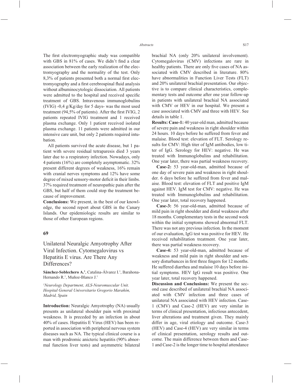The first electromyographic study was compatible with GBS in 81% of cases. We didn't find a clear association between the early realization of the electromyography and the normality of the test. Only 8,3% of patients presented both a normal first electromyography and a first cerebrospinal fluid analysis without albuminocytologic dissociation. All patients were admitted to the hospital and received specific treatment of GBS. Intravenous immunoglobulins (IVIG) -0,4 g/Kg/day for 5 days- was the most used treatment (94,5% of patients). After the first IVIG,  $2$ patients repeated IVIG treatment and 1 received plasma exchange. Only 1 patient received isolated plasma exchange. 11 patients were admitted in our intensive care unit, but only 2 patients required intubation.

All patients survived the acute disease, but 1 patient with severe residual tetraparesis died 3 years later due to a respiratory infection. Nowadays, only 4 patients (16%) are completely asymptomatic. 32% present different degrees of weakness, 16% remain with cranial nerves symptoms and 12% have some degree of mixed sensory-motor deficit in their limbs. 37% required treatment of neuropathic pain after the GBS, but half of them could stop the treatment because of improvement.

**Conclusions:** We present, in the best of our knowledge, the second report about GBS in the Canary Islands. Our epidemiologic results are similar to those of other European regions.

### **69**

Unilateral Neuralgic Amyotrophy After Viral Infection. Cytomegalovirus vs Hepatitis E virus. Are There Any Differences?

Sánchez-Soblechero A.<sup>1</sup>, Catalina-Álvarez I.<sup>1</sup>, Barahona-Hernando R.<sup>1</sup>, Muñoz-Blanco J.<sup>1</sup>

*1 Neurology Department, ALS-Neuromuscular Unit. Hospital General Universitario Gregorio Marañón, Madrid, Spain*

**Introduction:** Neuralgic Amyotrophy (NA) usually presents as unilateral shoulder pain with proximal weakness. It is preceded by an infection in about 40% of cases. Hepatitis E Virus (HEV) has been reported in association with peripheral nervous system diseases such as NA. The typical clinical course is a man with prodromic anicteric hepatitis (90% abnormal function liver tests) and asymmetric bilateral brachial NA (only 20% unilateral involvement). Cytomegalovirus (CMV) infections are rare in healthy patients. There are only five cases of NA associated with CMV described in literature. 80% have abnormalities in Function Liver Tests (FLT) and 20% unilateral brachial presentation. Our objective is to compare clinical characteristics, complementary tests and outcome after one year follow-up in patients with unilateral brachial NA associated with CMV or HEV in our hospital. We present a case associated with CMV and three with HEV. See details in table 1.

**Results: Case-1:** 40 year-old man, admitted because of severe pain and weakness in right shoulder within 24 hours. 10 days before he suffered from fever and malaise. Blood test: elevation of FLT. Serology results for CMV: High titer of IgM antibodies, low titer of IgG. Serology for HEV: negative. He was treated with Immunoglobulins and rehabilitation. One year later, there was partial weakness recovery.

**Case-2:** 53 year-old-man, admitted because of one day of severe pain and weakness in right shoulder. 6 days before he suffered from fever and malaise. Blood test: elevation of FLT and positive IgM against HEV. IgM test for CMV: negative. He was treated with Immunoglobulins and rehabilitation. One year later, total recovery happened.

**Case-3:** 56 year-old-man, admitted because of mild pain in right shoulder and distal weakness after 18 months. Complementary tests in the second week within the initial symptoms showed abnormal FLT. There was not any previous infection. In the moment of our evaluation, IgG test was positive for HEV. He received rehabilitation treatment. One year later, there was partial weakness recovery.

**Case-4:** 53 year-old-man, admitted because of weakness and mild pain in right shoulder and sensory disturbances in first three fingers for 12 months. He suffered diarrhea and malaise 10 days before initial symptoms. HEV IgG result was positive. One year later, total recovery happened.

**Discussion and Conclusions:** We present the second case described of unilateral brachial NA associated with CMV infection and three cases of unilateral NA associated with HEV infection. Case-1 (CMV) and Case-2 (HEV) are very similar in terms of clinical presentation, infectious antecedent, liver alterations and treatment given. They mainly differ in age, viral etiology and outcome. Case-3 (HEV) and Case-4 (HEV) are very similar in terms of clinical presentation, serology results and outcome. The main difference between them and Case-1 and Case-2 is the longer time to hospital attendance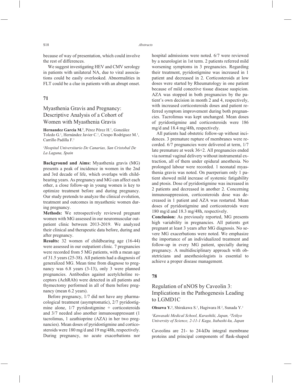because of way of presentation, which could involve the rest of differences.

We suggest investigating HEV and CMV serology in patients with unilateral NA, due to viral associations could be easily overlooked. Abnormalities in FLT could be a clue in patients with an abrupt onset.

### **71**

# Myasthenia Gravis and Pregnancy: Descriptive Analysis of a Cohort of Women with Myasthenia Gravis

Hernandez Garcia M.<sup>1</sup>, Pérez Pérez H.<sup>1</sup>, González Toledo G.<sup>1</sup>, Hernández Javier C.<sup>1</sup>, Crespo Rodríguez M.<sup>1</sup>, Carrillo Padilla F.1

#### *1 Hospital Universitario De Canarias, San Cristobal De La Laguna, Spain*

**Background and Aims:** Myasthenia gravis (MG) presents a peak of incidence in women in the 2nd and 3rd decade of life, which overlaps with childbearing years. As pregnancy and MG can affect each other, a close follow-up in young women is key to optimize treatment before and during pregnancy. Our study pretends to analyze the clinical evolution, treatment and outcomes in myasthenic women during pregnancy.

**Methods:** We retrospectively reviewed pregnant women with MG assessed in our neuromuscular outpatient clinic between 2013-2019. We analyzed their clinical and therapeutic data before, during and after pregnancy.

**Results:** 32 women of childbearing age (16-44) were assessed in our outpatient clinic. 7 pregnancies were recorded from 5 MG patients, with a mean age of 31.5 years (25-38). All patients had a diagnosis of generalized MG. Mean time from diagnose to pregnancy was 6.8 years (3-13), only 3 were planned pregnancies. Antibodies against acetylcholine receptors (AchRAb) were detected in all patients and thymectomy performed in all of them before pregnancy (mean 6.2 years).

Before pregnancy, 1/7 did not have any pharmacological treatment (asymptomatic), 2/7 pyridostigmine alone, 1/7 pyridostigmine + corticosteroids and 3/7 needed also another inmunosuppressant (1 tacrolimus, 1 azathioprine (AZA) in her two pregnancies). Mean doses of pyridostigmine and corticosteroids were 180 mg/d and 19 mg/48h, respectively. During pregnancy, no acute exacerbations nor  hospital admissions were noted. 6/7 were reviewed by a neurologist in 1st term. 2 patients referred mild worsening symptoms in 3 pregnancies. Regarding their treatment, pyridostigmine was increased in 1 patient and decreased in 2. Corticosteroids at low doses were started by Rheumatology in one patient because of mild conective tissue disease suspicion. AZA was stopped in both pregnancies by the patient's own decision in month 2 and 4, respectively, with increased corticosteroids doses and patient referred symptom improvement during both pregnancies. Tacrolimus was kept unchanged. Mean doses of pyridostigmine and corticosteroids were 186 mg/d and 18.4 mg/48h, respectively.

All patients had obstetric follow-up without incidences. 3 premature rupture of membranes were recorded. 6/7 pregnancies were delivered at term, 1/7 late premature at week 36+2. All pregnancies ended via normal vaginal delivery without instrumental extraction, all of them under epidural anesthesia. No prolonged labour were recorded. 1 neonatal myasthenia gravis was noted. On puerperium only 1 patient showed mild increase of systemic fatigability and ptosis. Dose of pyridostigmine was increased in 2 patients and decreased in another 2. Concerning inmunosuppression, corticosteroids dose was decreased in 1 patient and AZA was restarted. Mean doses of pyridostigmine and corticosteroids were 180 mg/d and 18.3 mg/48h, respectively.

**Conclusion:** As previously reported, MG presents high variability in pregnancies. All patients got pregnant at least 3 years after MG diagnosis. No severe MG exacerbations were noted. We emphasize the importance of an individualized treatment and follow-up in every MG patient, specially during pregnancy. A multidisciplinary approach with obstetricians and anesthesiologists is essential to achieve a proper disease management.

### **78**

# Regulation of nNOS by Caveolin 3: Implications in the Pathogenesis Leading to LGMD1C

**Ohsawa Y.<sup>1</sup>**, Shirakawa S.<sup>1</sup>, Hagiwara H.<sup>2</sup>, Sunada Y.<sup>1</sup>

*1 Kawasaki Medical School, Kurashiki, Japan, 2 Teikyo University of Science, 2-11-1 Kaga, Itabashi-ku, Japan*

Caveolins are 21- to 24-kDa integral membrane proteins and principal components of flask-shaped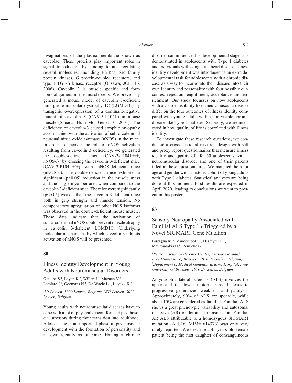invaginations of the plasma membrane known as caveolae. These proteins play important roles in signal transduction by binding to and regulating several molecules: including Ha-Ras, Src family protein kinases, G protein-coupled receptors, and type I TGF-β kinase receptor (Ohsawa, JCI 116,  $2006$ ). Caveolin  $3$  is muscle specific and form homooligomers in the muscle cells. We previously generated a mouse model of caveolin 3-deficient limb-girdle muscular dystrophy 1C (LGMD1C) by transgenic overexpression of a dominant-negative mutant of caveolin 3 (CAV-3-P104L) in mouse muscle (Sunada, Hum Mol Genet 10, 2001). The deficiency of caveolin-3 caused atrophic myopathy accompanied with the activation of subsarcolemmal neuronal nitric oxide synthase (nNOS) in the mice. In order to uncover the role of nNOS activation resulting from caveolin 3 deficiency, we generated the double-deficient mice  $(CAV-3-P104L+/+,$  $nNOS-/-$ ) by crossing the caveolin 3-deficient mice  $(CAV-3-P104L+/+)$  with nNOS-deficient mice  $(nNOS-/-)$ . The double-deficient mice exhibited a significant ( $p<0.05$ ) reduction in the muscle mass and the single myofiber area when compared to the caveolin 3-deficient mice. The mice were significantly  $(p<0.05)$  weaker than the caveolin 3-deficient mice both in grip strength and muscle tension. No compensatory upregulation of other NOS isoforms was observed in the double-deficient mouse muscle. These data indicate that the activation of subsarcolemmal nNOS could prevent muscle atrophy in caveolin 3-deficient LGMD1C. Underlying molecular mechanisms by which caveolin-3 inhibits activation of nNOS will be presented.

#### **80**

### Illness Identity Development in Young Adults with Neuromuscular Disorders

**Geuens S.<sup>1</sup>**, Leyen K.<sup>2</sup>, Willen J.<sup>1</sup>, Maenen V.<sup>1</sup>, Lemiere J.<sup>1</sup>, Goemans N.<sup>1</sup>, De Waele L.<sup>1</sup>, Luyckx K.<sup>2</sup>

*1 Uz Leuven, 3000 Leuven, Belgium, 2 KU Leuven, 3000 Leuven, Belgium*

Young adults with neuromuscular diseases have to cope with a lot of physical discomfort and psychosocial stressors during their transition into adulthood. Adolescence is an important phase in psychosocial development with the formation of personality and an own identity as outcome. Having a chronic disorder can influence this developmental stage as is demonstrated in adolescents with Type 1 diabetes and individuals with congenital heart disease. Illness identity development was introduced as an extra developmental task for adolescents with a chronic disease as a way to incorporate their disease into their own identity and personality with four possible outcomes: rejection, engulfment, acceptance and enrichment. Our study focusses on how adolescents with a visible disability like a neuromuscular disease differ on the four outcomes of illness identity compared with young adults with a non-visible chronic disease like Type 1 diabetes. Secondly, we are interested in how quality of life is correlated with illness identity.

To investigate these research questions, we conducted a cross sectional research design with self and proxy report questionnaires that measure illness identity and quality of life. 50 adolescents with a neuromuscular disorder and one of their parents filled in these questionnaires. We matched them for age and gender with a historic cohort of young adults with Type 1 diabetes. Statistical analyses are being done at this moment. First results are expected in April 2020, leading to conclusions we want to present in this poster.

### **83**

# Sensory Neuropathy Associated with Familial ALS Type 16 Triggered by a Novel SIGMAR1 Gene Mutation

Bisciglia M.<sup>1</sup>, Vandernoot I.<sup>2</sup>, Desmyter L.<sup>2</sup>, Mavroudakis N.<sup>1</sup>, Remiche G.<sup>1</sup>

*1 Neuromuscular Reference Center, Erasme Hospital, Free University of Brussels, 1070 Bruxelles, Belgium, 2 Department of Medical Genetics, Erasme Hospital, Free University Of Brussels, 1070 Bruxelles, Belgium*

Amyotrophic lateral sclerosis (ALS) involves the upper and the lower motorneurons. It leads to progressive generalized weakness and paralysis. Approximately, 90% of ALS are sporadic, while about 10% are considered as familial. Familial ALS shows a great phenotypic variability and autosomal recessive (AR) or dominant transmission. Familial AR ALS attributable to a homozygous SIGMAR1 mutation (ALS16, MIM# 614373) was only very rarely reported. We describe a 45-years old female patient being the first daughter of consanguineous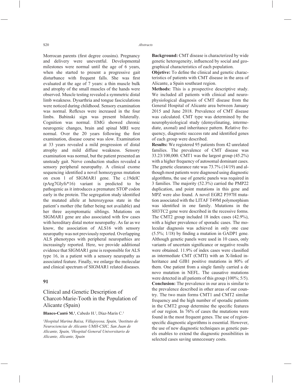Morrocan parents (first degree cousins). Pregnancy and delivery were uneventful. Developmental milestones were normal until the age of 6 years, when she started to present a progressive gait disturbance with frequent falls. She was first evaluated at the age of 7 years: a thin muscle bulk and atrophy of the small muscles of the hands were observed. Muscle testing revealed a symmetric distal limb weakness. Dysarthria and tongue fasciculations were noticed during childhood. Sensory examination was normal. Reflexes were increased in the four limbs. Babinski sign was present bilaterally. Cognition was normal. EMG showed chronic neurogenic changes, brain and spinal MRI were normal. Over the 20 years following the first examination, disease course was slow. Examination at 33 years revealed a mild progression of distal atrophy and mild diffuse weakness. Sensory examination was normal, but the patient presented an unsteady gait. Nerve conduction studies revealed a sensory peripheral neuropathy. A clinical exome sequencing identified a novel homozygous mutation on exon 1 of SIGMAR1 gene. The c.19delC (pArg7Glyfs\*16) variant is predicted to be pathogenic as it introduces a premature STOP codon early in the protein. The segregation study identified the mutated allele at heterozygous state in the patient's mother (the father being not available) and her three asymptomatic siblings. Mutations on SIGMAR1 gene are also associated with few cases with hereditary distal motor neuropathy. As far as we know, the association of ALS16 with sensory neuropathy was not previously reported. Overlapping ALS phenotypes with peripheral neuropathies are increasingly reported. Here, we provide additional evidence that SIGMAR1 gene is responsible for ALS type 16, in a patient with a sensory neuropathy as associated feature. Finally, we enlarge the molecular and clinical spectrum of SIGMAR1 related diseases.

### **91**

# Clinical and Genetic Description of Charcot-Marie-Tooth in the Population of Alicante (Spain)

#### Blanco-Cantó M.<sup>1</sup>, Cabedo H.<sup>2</sup>, Díaz-Marín C.<sup>3</sup>

*1 Hospital Marina Baixa, Villajoyosa, Spain, 2 Instituto de Neurociencias de Alicante UMH-CSIC, San Juan de Alicante, Spain, 3 Hospital General Universitario de Alicante, Alicante, Spain*

**Background:** CMT disease is characterized by wide genetic heterogeneity, influenced by social and geographical characteristics of each population.

**Objetive:** To define the clinical and genetic characteristics of patients with CMT disease in the area of Alicante, a Spain southeast region.

**Methods:** This is a prospective descriptive study. We included all patients with clinical and neurophysiological diagnosis of CMT disease from the General Hospital of Alicante area between January 2015 and June 2018. Prevalence of CMT disease was calculated. CMT type was determined by the neurophysiological study (demyelinating, intermediate, axonal) and inheritance pattern. Relative frequency, diagnostic success rate and identified genes of each group were described.

**Results:** We registered 95 patients from 42 unrelated families. The prevalence of CMT disease was 33.23/100,000. CMT1 was the largest group (45.2%) with a higher frequency of autosomal dominant cases. The genetic clearance rate was 73.7% (14/19) and although most patients were diagnosed using diagnostic algorithms, the use of genetic panels was required in 3 families. The majority (52.3%) carried the PMP22 duplication, and point mutations in this gene and MPZ were also found. A novel EGR2 P397H mutation associated with the LITAF T49M polymorphism was identified in one family. Mutations in the SH3TC2 gene were described in the recessive forms. The CMT2 group included 18 index cases (42.9%), with a higher prevalence of sporadic cases. The molecular diagnosis was achieved in only one case  $(5.5\%; 1/18)$  by finding a mutation in GADP1 gene. Although genetic panels were used in 10 cases, only variants of uncertain significance or negative results were obtained. 11.9% of index cases were classified as intermediate CMT (CMTI) with an X-linked inheritance and GJB1 positive mutations in 80% of them. One patient from a single family carried a de novo mutation in NEFL. The causative mutations were detected in all patients of this group (100%; 5/5). **Conclusion:** The prevalence in our area is similar to the prevalence described in other areas of our country. The two main forms CMT1 and CMT2 similar frequency and the high number of sporadic patients in the CMT2 group determine the specific features of our region. In 76% of cases the mutations were found in the most frequent genes. The use of regionspecific diagnostic algorithms is essential. However, the use of new diagnostic techniques as genetic panels enables to extend the diagnostic possibilities in selected cases saving unnecessary costs.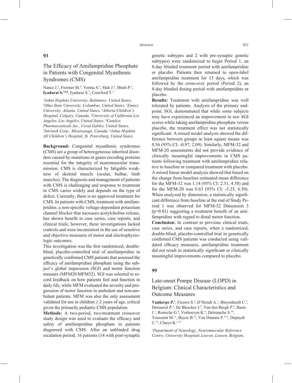### **93**

# The Efficacy of Amifampridine Phosphate in Patients with Congenital Myasthenic Syndromes (CMS)

Nance J.<sup>1</sup>, Freimer M.<sup>2</sup>, Verma S.<sup>3</sup>, Mah J.<sup>4</sup>, Shieh P.<sup>5</sup>, **Iyadurai S.<sup>2,6,8</sup>**, Iyadurai S.<sup>7</sup>, Crawford T.<sup>1</sup>

*1 Johns Hopkins University, Baltimore, United States, 2 Ohio State University, Columbus, United States, 3 Emory University, Atlanta, United States, 4 Alberta Children's Hospital, Calgary, Canada, 5 University of California Los Angeles, Los Angeles, United States, 6 Catalyst Pharmaceuticals Inc., Coral Gables, United States, 7 Intrinsik Corp., Mississauga, Canada, 8 Johns Hopkins All Children's Hospital, St. Petersburg, United States*

**Background:** Congenital myasthenic syndromes (CMS) are a group of heterogeneous inherited disorders caused by mutations in genes encoding proteins essential for the integrity of neuromuscular transmission. CMS is characterized by fatigable weakness of skeletal muscle (ocular, bulbar, limb muscles). The diagnosis and management of patients with CMS is challenging and response to treatment in CMS varies widely and depends on the type of defect. Currently, there is no approved treatment for CMS. In patients with CMS, treatment with amifampridine, a non-specific voltage-dependent potassium channel blocker that increases acetylcholine release, has shown benefit in case series, case reports, and clinical trials; however, these investigations lacked controls and were inconsistent in the use of sensitive and objective measures of motor and electrophysiologic outcomes.

This investigation was the first randomized, doubleblind, placebo-controlled trial of amifampridine in genetically confirmed CMS patients that assessed the efficacy of amifampridine phosphate using the subject's global impression (SGI) and motor function measure (MFM20/MFM32). SGI was selected to record feedback on how patients feel and function in daily life, while MFM evaluated the severity and progression of motor function in ambulant and non-ambulant patients. MFM was also the only assessment validated for use in children  $\geq 2$  years of age, critical given the primarily pediatric CMS population.

**Methods:** A two-period, two-treatment crossover study design was used to evaluate the efficacy and safety of amifampridine phosphate in patients diagnosed with CMS. After an unblinded drug escalation period, 16 patients (14 with post-synaptic genetic subtypes and 2 with pre-synaptic genetic subtypes) were randomized to begin Period 1, an 8-day blinded treatment period with amifampridine or placebo. Patients then returned to open-label amifampridine treatment for 13 days, which was followed by the cross-over period (Period 2), an 8-day blinded dosing period with amifampridine or placebo.

**Results:** Treatment with amifampridine was well tolerated by patients. Analysis of the primary endpoint, SGI, demonstrated that while some subjects may have experienced an improvement in raw SGI scores while taking amifampridine phosphate versus placebo, the treatment effect was not statistically significant. A mixed model analysis showed the difference between groups in least square means was 0.56 (95% CI: -0.97, 2.09). Similarly, MFM-32 and MFM-20 assessments did not provide evidence of clinically meaningful improvements in CMS patients following treatment with amifampridine relative to baseline or compared treatment with placebo. A mixed linear model analysis showed that based on the change from baseline estimated mean difference for the MFM-32 was 1.14 (95% CI: 2.31, 4.58) and for the MFM-20 was 0.63 (95% CI: -5.25, 6.50). When analyzed by dimension, a statistically significant difference from baseline at the end of Study Period 1 was observed for MFM-32 Dimension 3  $(p=0.01)$  suggesting a treatment benefit of an amifampridine with regard to distal motor function.

**Conclusion:** In contrast to previous clinical trials, case series, and case reports, when a randomized, double-blind, placebo-controlled trial in genetically confirmed CMS patients was conducted using validated efficacy measures, amifampridine treatment did not result in statistically significant or clinically meaningful improvements compared to placebo.

#### **99**

# Late-onset Pompe Disease (LOPD) in Belgium: Clinical Characteristics and Outcome Measures

Vanherpe P.<sup>1</sup>, Fieuws S.<sup>2</sup>, D'Hondt A.<sup>1</sup>, Bleyenheuft C.<sup>3</sup>, Demaerel P.<sup>4</sup>, De Bleecker J.<sup>5</sup>, Van den Bergh P.<sup>6</sup>, Baets J.7 , Remiche G.8 , Verhoeven K.9 , Delstanche S.10, Toussaint M.11, Buyse B.12, Van Damme P.1,13, Depuydt  $C.^{14}$ , Claeys K.<sup>1,14</sup>

*1 Department of Neurology, Neuromuscular Reference Centre, University Hospitals Leuven, Leuven, Belgium,*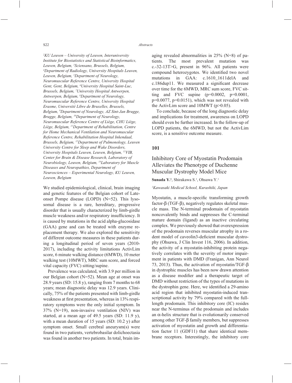*2 KU Leuven – University of Leuven, Interuniversity Institute for Biostatistics and Statistical Bioinformatics, Leuven, Belgium, 3 Sciensano, Brussels, Belgium, 4 Department of Radiology, University Hospitals Leuven, Leuven, Belgium, 5 Department of Neurology, Neuromuscular Reference Centre, University Hospital Gent, Gent, Belgium, 6 University Hospital Saint-Luc, Brussels, Belgium, 7 University Hospital Antwerpen, Antwerpen, Belgium, 8 Department of Neurology, Neuromuscular Reference Centre, University Hospital Erasme, Université Libre de Bruxelles, Brussels, Belgium, 9 Department of Neurology, AZ Sint-Jan Brugge, Brugge, Belgium, 10Department of Neurology, Neuromuscular Reference Centre of Liège, CHU Liège, Liège, Belgium, 11Department of Rehabilitation, Centre for Home Mechanical Ventilation and Neuromuscular Reference Centre, Rehabilitation Hospital Inkendaal, Brussels, Belgium, 12Department of Pulmonology, Leuven University Centre for Sleep and Wake Disorders, University Hospitals Leuven, Leuven, Belgium, 13VIB, Center for Brain & Disease Research, Laboratory of Neurobiology, Leuven, Belgium, 14Laboratory for Muscle Diseases and Neuropathies, Department of Neurosciences – Experimental Neurology, KU Leuven, Leuven, Belgium*

We studied epidemiological, clinical, brain imaging and genetic features of the Belgian cohort of Lateonset Pompe disease (LOPD) (N=52). This lysosomal disease is a rare, hereditary, progressive disorder that is usually characterized by limb-girdle muscle weakness and/or respiratory insufficiency. It is caused by mutations in the acid alpha-glucosidase (GAA) gene and can be treated with enzyme replacement therapy. We also explored the sensitivity of different outcome measures in these patients during a longitudinal period of seven years (2010- 2017), including the activity limitations ActivLim score, 6 minute walking distance (6MWD), 10 meter walking test (10MWT), MRC sum score, and forced vital capacity (FVC) sitting/supine.

Prevalence was calculated, with 3.9 per million in our Belgian cohort (N=52). Mean age at onset was 28.9 years (SD: 15.8 y), ranging from 7 months to 68 years; mean diagnostic delay was 12.9 years. Clinically, 75% of the patients presented with limb-girdle weakness at first presentation, whereas in 13% respiratory symptoms were the only initial symptom. In 37% (N=19), non-invasive ventilation (NIV) was started, at a mean age of 49.5 years (SD: 11.9 y), with a mean duration of 15 years (SD: 10.2 y) after symptom onset. Small cerebral aneurysm(s) were found in two patients, vertebrobasilar dolichoectasia was found in another two patients. In total, brain imaging revealed abnormalities in 25% (N=8) of patients. The most prevalent mutation was c.-32-13T>G, present in 96%. All patients were compound heterozygotes. We identified two novel mutations in GAA: c.1610\_1611delA and c.186dup11. We measured a significant decrease over time for the 6MWD, MRC sum score, FVC sitting and FVC supine  $(p=0.0002, p=0.0001,$  $p=0.0077$ ,  $p=0.0151$ ), which was not revealed with the ActivLim score and 10MWT (p>0.05).

To conclude, because of the long diagnostic delay and implications for treatment, awareness on LOPD should even be further increased. In the follow-up of LOPD patients, the 6MWD, but not the ActivLim score, is a sensitive outcome measure.

### **101**

# Inhibitory Core of Myostatin Prodomain Alleviates the Phenotype of Duchenne Muscular Dystrophy Model Mice

Sunada Y.<sup>1</sup>, Shirakawa S.<sup>1</sup>, Ohsawa Y.<sup>1</sup>

#### *1 Kawasaki Medical School, Kurashiki, Japan*

Myostatin, a muscle-specific transforming growth factor-β (TGF-β), negatively regulates skeletal muscle mass. The N-terminal prodomain of myostatin noncovalently binds and suppresses the C-terminal mature domain (ligand) as an inactive circulating complex. We previously showed that overexpression of the prodomain reverses muscular atrophy in a rodent model of caveolin3-deficient muscular dystrophy (Ohsawa, J Clin Invest 116, 2006). In addition, the activity of a myostatin-inhibiting protein negatively correlates with the severity of motor impairment in patients with DMD (Franigan, Ann Neurol 73, 2013). Thus, the activation of myostatin/TGF-β in dystrophic muscles has been now drawn attention as a disease modifier and a therapeutic target of DMD without restriction of the types of mutations in the dystrophin gene. Here, we identified a 29-amino acid region that inhibited myostatin-induced transcriptional activity by 79% compared with the fulllength prodomain. This inhibitory core (IC) resides near the N-terminus of the prodomain and includes an  $\alpha$ -helix structure that is evolutionarily conserved among other TGF-β family members, but suppresses activation of myostatin and growth and differentiation factor 11 (GDF11) that share identical membrane receptors. Interestingly, the inhibitory core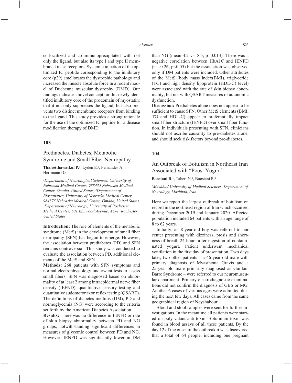co-localized and co-immunoprecipitated with not only the ligand, but also its type I and type II membrane kinase receptors. Systemic injection of the optimized IC peptide corresponding to the inhibitory core (p29) ameliorates the dystrophic pathology and increased the muscle absolute force in a rodent model of Duchenne muscular dystrophy (DMD). Our findings indicate a novel concept for this newly identified inhibitory core of the prodomain of myostatin: that it not only suppresses the ligand, but also prevents two distinct membrane receptors from binding to the ligand. This study provides a strong rationale for the use of the optimized IC peptide for a disease modification therapy of DMD.

### **103**

# Prediabetes, Diabetes, Metabolic Syndrome and Small Fiber Neuropathy

#### **Thaisetthawatkul P.<sup>1</sup>**, Lyden E.<sup>2</sup>, Fernandes A.<sup>1</sup>, Herrmann D.3

*1 Department of Neurological Sciences, University of Nebraska Medical Center, 988435 Nebraska Medical Center, Omaha, United States, 2 Department of Biostatistics, University of Nebraska Medical Center, 984375 Nebraska Medical Center, Omaha, United States, 3 Department of Neurology, University of Rochester Medical Center, 601 Elmwood Avenue, AC-1, Rochester, United States*

**Introduction:** The role of elements of the metabolic syndrome (MetS) in the development of small fiber neuropathy (SFN) has begun to emerge. However, the association between prediabetes (PD) and SFN remains controversial. This study was conducted to evaluate the association between PD, additional elements of the MetS and SFN.

**Methods:** 268 patients with SFN symptoms and normal electrophysiology underwent tests to assess small fibers. SFN was diagnosed based on abnormality of at least 2 among intraepidermal nerve fiber density (IEFND), quantitative sensory testing and quantitative sudomotor axon reflex testing (OSART). The definitions of diabetes mellitus (DM), PD and normoglycemia (NG) were according to the criteria set forth by the American Diabetes Association.

**Results:** There was no difference in IENFD or rate of skin biopsy abnormality between PD and NG groups, notwithstanding significant differences in measures of glycemic control between PD and NG. However, IENFD was significantly lower in DM than NG (mean 4.2 vs. 8.5,  $p=0.013$ ). There was a negative correlation between HbA1C and IENFD  $(r=-0.26; p<0.05)$  but the association was observed only if DM patients were included. Other attributes of the MetS (body mass index(BMI), triglyceride (TG) and high density lipoprotein (HDL-C) level) were associated with the rate of skin biopsy abnormality, but not with QSART measures of autonomic dysfunction.

**Discussion:** Prediabetes alone does not appear to be sufficient to cause SFN. Other MetS elements (BMI, TG and HDL-C) appear to preferentially impact small fiber structure (IENFD) over small fiber function. In individuals presenting with SFN, clinicians should not ascribe causality to pre-diabetes alone, and should seek risk factors beyond pre-diabetes.

### **104**

### An Outbreak of Botulism in Northeast Iran Associated with "Poost Yogurt"

Boostani R.<sup>1</sup>, Taheri N.<sup>1</sup>, Boostani R.<sup>1</sup>

*1 Mashhad University of Medical Sciences, Department of Neurology, Mashhad, Iran*

Here we report the largest outbreak of botulism on record in the northeast region of Iran which occurred during December 2019 and January 2020. Affected population included 64 patients with an age range of 8 to 62 years.

Initially, an 8-year-old boy was referred to our center presenting with dizziness, ptosis and shortness of breath 24 hours after ingestion of contaminated yogurt. Patient underwent mechanical ventilation in the first day of presentation. Two days later, two other patients – a 46-year-old male with primary diagnosis of Myasthenia Gravis and a 25-year-old male primarily diagnosed as Guillain Barre Syndrome – were referred to our neuromuscular department. Primary electrodiagnostic examinations did not confirm the diagnosis of GBS or MG. Another 6 cases of various ages were admitted during the next few days. All cases came from the same geographical region of Neyshabour.

Blood and stool samples were sent for further investigations. In the meantime all patients were started on poly-valant anti-toxin. Botulinum toxin was found in blood assays of all these patients. By the day 12 of the onset of the outbreak it was discovered that a total of 64 people, including one pregnant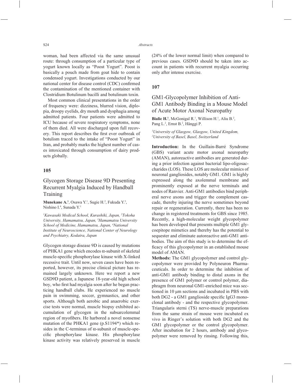woman, had been affected via the same unusual route: through consumption of a particular type of yogurt known locally as "Poost Yogurt". Poost is basically a pouch made from goat hide to contain condensed yogurt. Investigations conducted by our national center for disease control (CDC) confirmed the contamination of the mentioned container with Clostridium Botulinum bacilli and botulinum toxin.

Most common clinical presentations in the order of frequency were: dizziness, blurred vision, diplopia, droopy eyelids, dry mouth and dysphagia among admitted patients. Four patients were admitted to ICU because of severe respiratory symptoms, none of them died. All were discharged upon full recovery. This report describes the first ever outbreak of botulism traced to the intake of "Poost Yogurt" in Iran, and probably marks the highest number of cases intoxicated through consumption of dairy products globally.

### **105**

# Glycogen Storage Disease 9D Presenting Recurrent Myalgia Induced by Handball Training

Munekane A.<sup>1</sup>, Osawa Y.<sup>1</sup>, Sugie H.<sup>2</sup>, Fukuda Y.<sup>3</sup>, Nishino I.<sup>4</sup>, Sunada Y.<sup>1</sup>

*1 Kawasaki Medical School, Kurashiki, Japan, 2 Tokoha University, Hamamatsu, Japan, 3 Hamamatsu University School of Medicine, Hamamatsu, Japan, 4 National Institute of Neuroscience, National Center of Neurology and Psychiatry, Kodaira, Japan*

Glycogen storage disease 9D is caused by mutations of PHKA1 gene which encodes  $\alpha$ -subunit of skeletal muscle-specific phosphorylase kinase with X-linked recessive trait. Until now, seven cases have been reported, however, its precise clinical picture has remained largely unknown. Here we report a new GSD9D patient, a Japanese 18-year-old high school boy, who first had myalgia soon after he began practicing handball clubs. He experienced no muscle pain in swimming, soccer, gymnastics, and other sports. Although both aerobic and anaerobic exercise tests were normal, muscle biopsy exhibited accumulation of glycogen in the subsarcolemmal region of myofibers. He harbored a novel nonsense mutation of the PHKA1 gene (p.S1194\*) which resides in the C-terminus of  $\alpha$ -subunit of muscle-specific phosphorylase kinase. His phosphorylase kinase activity was relatively preserved in muscle (24% of the lower normal limit) when compared to previous cases. GSD9D should be taken into account in patients with recurrent myalgia occurring only after intense exercise.

### **107**

# GM1-Glycopolymer Inhibition of Anti-GM1 Antibody Binding in a Mouse Model of Acute Motor Axonal Neuropathy

**Bialic H.**<sup>1</sup>, McGonigal R.<sup>1</sup>, Willison H.<sup>1</sup>, Aliu B.<sup>2</sup>, Pang L.<sup>2</sup>, Ernst B.<sup>2</sup>, Hänggi P.

*1 University of Glasgow, Glasgow, United Kingdom, 2 University of Basel, Basel, Switzerland*

**Introduction:** In the Guillain-Barré Syndrome (GBS) variant acute motor axonal neuropathy (AMAN), autoreactive antibodies are generated during a prior infection against bacterial lipo-oligosaccharides (LOS). These LOS are molecular mimics of neuronal gangliosides, notably GM1. GM1 is highly expressed along the axolemmal membrane and prominently exposed at the nerve terminals and nodes of Ranvier. Anti-GM1 antibodies bind peripheral nerve axons and trigger the complement cascade, thereby injuring the nerve sometimes beyond repair or regeneration. Currently, there has been no change in registered treatments for GBS since 1985. Recently, a high-molecular weight glycopolymer has been developed that presents multiple GM1 glycoepitope mimetics and thereby has the potential to sequester and eliminate autoreactive anti-GM1 antibodies. The aim of this study is to determine the efficacy of this glycopolymer in an established mouse model of AMAN.

**Methods:** The GM1 glycopolymer and control glycopolymer were provided by Polyneuron Pharmaceuticals. In order to determine the inhibition of anti-GM1 antibody binding to distal axons in the presence of GM1 polymer or control polymer, diaphragm from neuronal GM1-enriched mice was sectioned in 10 µm sections and incubated in PBS with both DG2 - a GM1 ganglioside specific IgG3 monoclonal antibody - and the respective glycopolymer. Triangularis sterni (TS) nerve-muscle preparations from the same strain of mouse were incubated ex vivo in Ringer's solution with both DG2 and the GM1 glycopolymer or the control glycopolymer. After incubation for 2 hours, antibody and glycopolymer were removed by rinsing. Following this,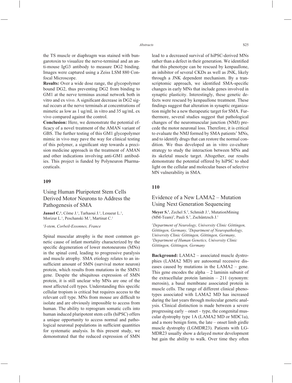the TS muscle or diaphragm was stained with bungarotoxin to visualize the nerve-terminal and an anti-mouse IgG3 antibody to measure DG2 binding. Images were captured using a Zeiss LSM 880 Confocal Microscope.

**Results:** Over a wide dose range, the glycopolymer bound DG2, thus preventing DG2 from binding to GM1 at the nerve terminus axonal network both in vitro and ex vivo. A significant decrease in DG2 signal occurs at the nerve terminals at concentrations of mimetic as low as 1 ug/mL in vitro and 35 ug/mL ex vivo compared against the control.

**Conclusion:** Here, we demonstrate the potential efficacy of a novel treatment of the AMAN variant of GBS. The further testing of this GM1 glycopolymer mimic in vivo may pave the way for clinical testing of this polymer, a significant step towards a precision medicine approach in the treatment of AMAN and other indications involving anti-GM1 antibodies. This project is funded by Polyneuron Pharmaceuticals.

#### **109**

# Using Human Pluripotent Stem Cells Derived Motor Neurons to Address the Pathogenesis of SMA

**Januel C.<sup>1</sup>**, Côme J.<sup>1</sup>, Tarhaoui J.<sup>1</sup>, Lesueur L.<sup>1</sup>, Morizur L.<sup>1</sup>, Peschanski M.<sup>1</sup>, Martinat C.<sup>1</sup>

#### *1 I-stem, Corbeil-Essonnes, France*

Spinal muscular atrophy is the most common genetic cause of infant mortality characterized by the specific degeneration of lower motoneurons (MNs) in the spinal cord, leading to progressive paralysis and muscle atrophy. SMA etiology relates to an insufficient amount of SMN (survival motor neuron) protein, which results from mutations in the SMN1 gene. Despite the ubiquitous expression of SMN protein, it is still unclear why MNs are one of the most affected cell types. Understanding this specific cellular tropism is critical but requires access to the relevant cell type. MNs from mouse are difficult to isolate and are obviously impossible to access from human. The ability to reprogram somatic cells into human induced pluripotent stem cells (hiPSC) offers a unique opportunity to access normal and pathological neuronal populations in sufficient quantities for systematic analysis. In this present study, we demonstrated that the reduced expression of SMN lead to a decreased survival of hiPSC-derived MNs rather than a defect in their generation. We identified that this phenotype can be rescued by kenpaullone, an inhibitor of several CKDs as well as JNK, likely through a JNK dependent mechanism. By a transcriptomic approach, we identified SMA-specific changes in early MNs that include genes involved in synaptic plasticity. Interestingly, these genetic defects were rescued by kenpaullone treatment. These findings suggest that alteration in synaptic organization might be a new therapeutic target for SMA. Furthermore, several studies suggest that pathological changes of the neuromuscular junction (NMJ) precede the motor neuronal loss. Therefore, it is critical to evaluate the NMJ formed by SMA patients' MNs, and to identify drugs that can restore the normal condition. We thus developed an in vitro co-culture strategy to study the interaction between MNs and its skeletal muscle target. Altogether, our results demonstrate the potential offered by hiPSC to shed light on the cellular and molecular bases of selective MN vulnerability in SMA.

### **110**

### Evidence of a New LAMA2 – Mutation Using Next Generation Sequencing

Meyer S.<sup>1</sup>, Zechel S.<sup>2</sup>, Schmidt J.<sup>1</sup>, MutationMining (MM-Team)<sup>3</sup>, Pauli S.<sup>3</sup>, Zschüntzsch J.<sup>1</sup>

*1 Department of Neurology, University Clinic Göttingen, Göttingen, Germany, 2 Department of Neuropathology, University Clinic Göttingen, Göttingen, Germany, 3 Department of Human Genetics, University Clinic Göttingen, Göttingen, Germany*

**Background:** LAMA2 – associated muscle dystrophies (LAMA2 MD) are autosomal recessive diseases caused by mutations in the LAMA2 – gene. This gene encodes the alpha  $-2$  laminin subunit of the extracellular protein laminin – 211 (synonym: merosin), a basal membrane associated protein in muscle cells. The range of different clinical phenotypes associated with LAMA2 MD has increased during the last years through molecular genetic analysis. Clinical distinction is made between a severe progressing early – onset – type, the congenital muscular dystrophy type 1A (LAMA2 MD or MDC1a), and a more benign form, the late – onset limb girdle muscle dystrophy (LGMDR23). Patients with LG-MDR23 usually show a delayed motor development but gain the ability to walk. Over time they often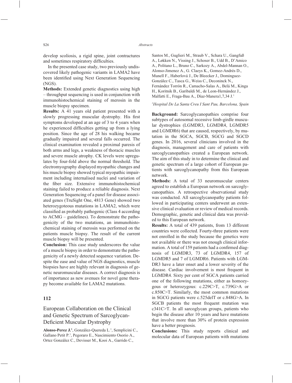develop scoliosis, a rigid spine, joint contractures and sometimes respiratory difficulties.

In the presented case study, two previously undiscovered likely pathogenic variants in LAMA2 have been identified using Next Generation Sequencing (NGS).

**Methods:** Extended genetic diagnostics using high – throughput sequencing is used in conjunction with immunohistochemical staining of merosin in the muscle biopsy specimen.

**Results:** A 41 years old patient presented with a slowly progressing muscular dystrophy. His first symptoms developed at an age of 3 to 4 years when he experienced difficulties getting up from a lying position. Since the age of 28 his walking became gradually impaired and several falls occurred. The clinical examination revealed a proximal paresis of both arms and legs, a weakness of thoracic muscles and severe muscle atrophy. CK levels were upregulates by four-fold above the normal threshold. The electromyography displayed myopathic changes and his muscle biopsy showed typical myopathic impairment including internalised nuclei and variation of the fiber size. Extensive immunohistochemical staining failed to produce a reliable diagnosis. Next Generation Sequencing of a panel for disease associated genes (TruSight One, 4813 Gene) showed two heterozygoteous mutations in LAMA2, which were classified as probably pathogenic (Class 4 according to ACMG – guidelines). To demonstrate the pathogenicity of the two mutations, an immunohistochemical staining of merosin was performed on the patients muscle biopsy. The result of the current muscle biopsy will be presented.

**Conclusion:** This case study underscores the value of a muscle biopsy in order to demonstrate the pathogenicity of a newly detected sequence variation. Despite the ease and value of NGS diagnostics, muscle biopsies have are highly relevant in diagnosis of genetic neuromuscular diseases. A correct diagnosis is of importance as new avenues for novel gene therapy become available for LAMA2 mutations.

# **112**

European Collaboration on the Clinical and Genetic Spectrum of Sarcoglycan-Deficient Muscular Dystrophy

Alonso-Perez J.<sup>1</sup>, González-Quereda L.<sup>1</sup>, Semplicini C., Gallano Petit P.1 , Pegoraro E., Nascimiento Osorio A., Ortez González C., Devisser M., Kooi A., Garrido C.,

Santos M., Guglieri M., Straub V., Schara U., Gangfuß A., Løkken N., Vissing J., Schoser B., Udd B., D'Amico A., Politano L., Bruno C., Sarkozy A., Abdel-Mannan O., Alonso-Jimenez A., G. Claeys K., Gomez-Andrés D., Munell F., Haberlová J., De Bleecker J., Dominguez-González C., Tasca G., Weiss C., Deconinck N., Fernández Torrón R., Camacho-Salas A., Belá M., Kinga H., Koritnik B., Garibaldi M., de Leon-Hernández J., Malfatti E., Fraga-Bau A., Díaz-Manera1,7,34 J.1

#### *1 Hospital De La Santa Creu I Sant Pau, Barcelona, Spain*

**Background:** Sarcoglycanopathies comprise four subtypes of autosomal recessive limb-girdle muscular dystrophies (LGMDR3, LGMDR4, LGMDR5 and LGMDR6) that are caused, respectively, by mutation in the SGCA, SGCB, SGCG and SGCD genes. In 2016, several clinicians involved in the diagnosis, management and care of patients with sarcoglycanopathies created a European network. The aim of this study in to determine the clinical and genetic spectrum of a large cohort of European patients with sarcoglycanopathy from this European network.

**Methods:** A total of 33 neuromuscular centers agreed to establish a European network on sarcoglycanopathies. A retrospective observational study was conducted. All sarcoglycanopathy patients followed in participating centers underwent an extensive clinical evaluation or review of medical records. Demographic, genetic and clinical data was provided to this European network.

**Results:** A total of 439 patients, from 13 different countries were collected. Fourty-three patients were not enrolled in the study because the genetics were not available or there was not enough clinical information. A total of 159 patients had a confirmed diagnosis of LGMDR3, 73 of LGMDR4, 157 of LGMDR5 and 7 of LGMDR6. Patients with LGM-DR3 have a later onset and a lower severity of the disease. Cardiac involvement is most frequent in LGMDR4. Sixty per cent of SGCA patients carried one of the following mutations, either as homozygous or heterozygous: c.229C>T, c.739G>A or c.850C>T. Similarly, the most common mutations in SGCG patients were c.525delT or c.848G>A. In SGCB patients the most frequent mutation was c341C>T. In all sarcoglycan groups, patients who begin the disease after 10 years and have mutations that involve more than 30% of protein expression have a better prognosis.

**Conclusions:** This study reports clinical and molecular data of European patients with mutations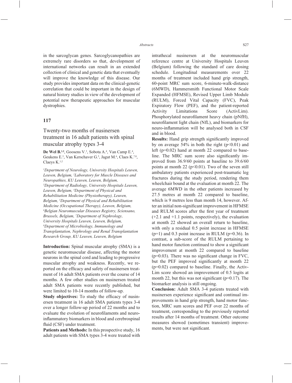in the sarcoglycan genes. Sarcoglycanopathies are extremely rare disorders so that, development of international networks can result in an extended collection of clinical and genetic data that eventually will improve the knowledge of this disease. Our study provides important data on the clinical-genetic correlation that could be important in the design of natural history studies in view of the development of potential new therapeutic approaches for muscular dystrophies.

### **117**

Twenty-two months of nusinersen treatment in 16 adult patients with spinal muscular atrophy types 3-4

De Wel B.<sup>1,2</sup>, Goosens V.<sup>3</sup>, Sobota A.<sup>4</sup>, Van Camp E.<sup>4</sup>, Geukens E.<sup>5</sup>, Van Kerschaver G.<sup>5</sup>, Jagut M.<sup>6</sup>, Claes K.<sup>7,8</sup>, Claeys K.1,2

*1 Department of Neurology, University Hospitals Leuven, Leuven, Belgium, 2 Laboratory for Muscle Diseases and Neuropathies, KU Leuven, Leuven, Belgium, 3 Department of Radiology, University Hospitals Leuven, Leuven, Belgium, 4 Department of Physical and Rehabilitation Medicine (Physiotherapy), Leuven, Belgium, 5 Department of Physical and Rehabilitation Medicine (Occupational Therapy), Leuven, Belgium, 6 Belgian Neuromuscular Diseases Registry, Sciensano, Brussels, Belgium, 7 Department of Nephrology, University Hospitals Leuven, Leuven, Belgium, 8 Department of Microbiology, Immunology and Transplantation, Nephrology and Renal Transplantation Research Group, KU Leuven, Leuven, Belgium*

**Introduction:** Spinal muscular atrophy (SMA) is a genetic neuromuscular disease, affecting the motor neurons in the spinal cord and leading to progressive muscular atrophy and weakness. Recently, we reported on the efficacy and safety of nusinersen treatment of 16 adult SMA patients over the course of 14 months. A few other studies on nusinersen treated adult SMA patients were recently published, but were limited to 10-14 months of follow-up.

**Study objectives:** To study the efficacy of nusinersen treatment in 16 adult SMA patients types 3-4 over a longer follow-up period of 22 months and to evaluate the evolution of neurofilaments and neuroinflammatory biomarkers in blood and cerebrospinal fluid (CSF) under treatment.

**Patients and Methods:** In this prospective study, 16 adult patients with SMA types 3-4 were treated with intrathecal nusinersen at the neuromuscular reference centre at University Hospitals Leuven (Belgium) following the standard of care dosing schedule. Longitudinal measurements over 22 months of treatment included hand grip strength, 60-point MRC sum score, 6-minute-walk-distance (6MWD), Hammersmith Functional Motor Scale Expanded (HFMSE), Revised Upper Limb Module (RULM), Forced Vital Capacity (FVC), Peak Expiratory Flow (PEF), and the patient-reported Activity Limitations Score (ActivLim). Phosphorylated neurofilament heavy chain (pNfH), neurofilament light chain (NfL), and biomarkers for neuro-inflammation will be analysed both in CSF and in blood.

**Results:** Hand grip strength significantly improved by on average  $54\%$  in both the right ( $p<0.01$ ) and left (p=0.02) hand at month 22 compared to baseline. The MRC sum score also significantly improved from 36.9/60 points at baseline to 39.6/60 points at month 22 ( $p<0.01$ ). Two of the seven still ambulatory patients experienced post-traumatic leg fractures during the study period, rendering them wheelchair bound at the evaluation at month 22. The average 6MWD in the other patients increased by 27.5 metres at month 22 compared to baseline, which is 9 metres less than month 14, however. After an initial non-significant improvement in HFMSE and RULM scores after the first year of treatment (+2.1 and +1.1 points, respectively), the evaluation at month 22 showed an overall return to baseline, with only a residual 0.5 point increase in HFMSE  $(p=1)$  and 0.3 point increase in RULM ( $p=0.36$ ). In contrast, a sub-score of the RULM pertaining to hand motor function continued to show a significant improvement at month 22 compared to baseline  $(p=0.03)$ . There was no significant change in FVC, but the PEF improved significantly at month 22  $(p=0.02)$  compared to baseline. Finally, the Activ-Lim score showed an improvement of 0.5 logits at month 22, but this was not significant ( $p=0.17$ ). The biomarker analysis is still ongoing.

**Conclusion:** Adult SMA 3-4 patients treated with nusinersen experience significant and continual improvements in hand grip strength, hand motor function, MRC sum scores and PEF over 22 months of treatment, corresponding to the previously reported results after 14 months of treatment. Other outcome measures showed (sometimes transient) improvements, but were not significant.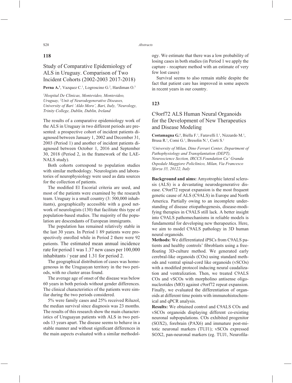### **118**

# Study of Comparative Epidemiology of ALS in Uruguay. Comparison of Two Incident Cohorts (2002-2003 2017-2018)

#### **Perna A.**<sup>1</sup>, Vazquez C.<sup>1</sup>, Logroscino G.<sup>2</sup>, Hardiman O.<sup>3</sup>

*1 Hospital De Clinicas, Montevideo, Montevideo, Uruguay, 2 Unit of Neurodegenerative Diseases, University of Bari 'Aldo Moro', Bari, Italy, 3 Neurology, Trinity College, Dublin, Dublin, Ireland* 

The results of a comparative epidemiology work of the ALS in Uruguay in two different periods are presented: a prospective cohort of incident patients diagnosed between January 1, 2002 and December 31, 2003 (Period 1) and another of incident patients diagnosed between October 1, 2016 and September 30, 2018 (Period 2, in the framework of the LAE-NALS study).

Both cohorts correspond to population studies with similar methodology. Neurologists and laboratories of neurophysiology were used as data sources for the collection of patients.

The modified El Escorial criteria are used, and most of the patients were examined by the research team. Uruguay is a small country (3: 500,000 inhabitants), geographically accessible with a good network of neurologists (130) that facilitate this type of population-based studies. The majority of the population are descendants of European immigrants.

The population has remained relatively stable in the last 30 years. In Period 1 89 patients were prospectively enrolled while in Period 2 there were 92 patients. The estimated mean annual incidence rate for period 1 was 1.37 new cases per 100,000 inhabitants / year and 1.31 for period 2.

The geographical distribution of cases was homogeneous in the Uruguayan territory in the two periods, with no cluster areas found.

The average age of onset of the disease was below 60 years in both periods without gender differences. The clinical characteristics of the patients were similar during the two periods considered.

5% were family cases and 25% received Riluzol, the median survival since diagnosis was 23 months. The results of this research show the main characteristics of Uruguayan patients with ALS in two periods 13 years apart. The disease seems to behave in a stable manner and without significant differences in the main aspects evaluated with a similar methodology. We estimate that there was a low probability of losing cases in both studies (in Period 1 we apply the capture - recapture method with an estimate of very few lost cases)

Survival seems to also remain stable despite the fact that patient care has improved in some aspects in recent years in our country.

### **123**

# C9orf72 ALS Human Neural Organoids for the Development of New Therapeutics and Disease Modeling

Costamagna G.<sup>1</sup>, Biella F.<sup>1</sup>, Faravelli I.<sup>1</sup>, Nizzardo M.<sup>1</sup>, Brusa R.<sup>1</sup>, Comi G.<sup>1</sup>, Bresolin N.<sup>1</sup>, Corti S.<sup>1</sup>

*1 University of Milan, Dino Ferrari Center, Department of Pathophysiology and Transplantation (DEPT), Neuroscience Section, IRCCS Foundation Ca' Granda Ospedale Maggiore Policlinico, Milan, Via Francesco Sforza 35, 20122, Italy*

**Background and aims:** Amyotrophic lateral sclerosis (ALS) is a devastating neurodegenerative disease. C9orf72 repeat expansion is the most frequent genetic cause of ALS (C9ALS) in Europe and North America. Partially owing to an incomplete understanding of disease etiopathogenesis, disease-modifying therapies in C9ALS still lack. A better insight into C9ALS pathomechanisms in reliable models is fundamental for developing new therapeutics. Here, we aim to model C9ALS pathology in 3D human neural organoids.

**Methods:** We differentiated iPSCs from C9ALS patients and healthy controls' fibroblasts using a freefloating 3D-culture method. We generated early cerebral-like organoids (COs) using standard methods and ventral spinal-cord like organoids (vSCOs) with a modified protocol inducing neural caudalization and ventralization. Then, we treated C9ALS COs and vSCOs with morpholino antisense oligonucleotides (MO) against c9orf72 repeat expansion. Finally, we evaluated the differentiation of organoids at different time points with immunohistochemical and qPCR analysis.

**Results:** We obtained control and C9ALS COs and vSCOs organoids displaying different co-existing neuronal subpopulations. COs exhibited progenitor (SOX2), forebrain (PAX6) and immature post-mitotic neuronal markers (TUJ1); vSCOs expressed SOX2, pan-neuronal markers (eg. TUJ1, Neurofila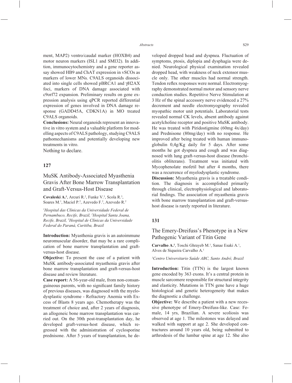ment, MAP2) ventro/caudal marker (HOXB4) and motor neuron markers (ISL1 and SMI32). In addition, immunocytochemistry and a gene reporter assay showed HB9 and ChAT expression in vSCOs as markers of lower MNs. C9ALS organoids dissociated into single cells showed pBRCA1 and γH2AX foci, markers of DNA damage associated with c9orf72 expansion. Preliminary results on gene expression analysis using qPCR reported differential expression of genes involved in DNA damage response (GADD45A, CDKN1A) in MO treated C9ALS organoids.

**Conclusions:** Neural organoids represent an innovative in vitro system and a valuable platform for modelling aspects of C9ALS pathology, studying C9ALS pathomechanisms and potentially developing new treatments in vitro.

Nothing to declare.

### **127**

# MuSK Antibody-Associated Myasthenia Gravis After Bone Marrow Transplantation and Graft-Versus-Host Disease

Covaleski A.<sup>1</sup>, Arcuri R.<sup>2</sup>, Funke V.<sup>3</sup>, Scola R.<sup>3</sup>, Soares M.<sup>1</sup>, Maciel P.<sup>2</sup>, Azevedo F.<sup>2</sup>, Azevedo R.<sup>2</sup>

*1 Hospital das Clínicas da Universidade Federal de Pernambuco, Recife, Brazil, 2 Hospital Santa Joana, Recife, Brazil, 3 Hospital de Clínicas da Universidade Federal do Paraná, Curitiba, Brazil*

**Introduction:** Myasthenia gravis is an autoimmune neuromuscular disorder, that may be a rare complication of bone marrow transplantation and graftversus-host disease.

**Objective:** To present the case of a patient with MuSK antibody-associated myasthenia gravis after bone marrow transplantation and graft-versus-host disease and review literature.

**Case report:** A 56-year-old male, from non-consanguineous parents, with no significant family history of previous diseases, was diagnosed with the myelodysplastic syndrome - Refractory Anemia with Excess of Blasts 8 years ago. Chemotherapy was the treatment of choice and, after 2 years of diagnosis, an allogeneic bone marrow transplantation was carried out. On the 30th post-transplantation day, he developed graft-versus-host disease, which regressed with the administration of cyclosporine prednisone. After 5 years of transplantation, he developed dropped head and dyspnea. Fluctuation of symptoms, ptosis, diplopia and dysphagia were denied. Neurological physical examination revealed dropped head, with weakness of neck extensor muscle only. The other muscles had normal strength. Tendon reflex responses were normal. Electromyography demonstrated normal motor and sensory nerve conduction studies. Repetitive Nerve Stimulation at 3 Hz of the spinal accessory nerve evidenced a 27% decrement and needle electromyography revealed myopathic motor unit potentials. Laboratorial tests revealed normal CK levels, absent antibody against acetylcholine receptor and positive MuSK antibody. He was treated with Piridostigmine (60mg 4x/day) and Prednisone (80mg/day) with no response. He improved after being treated with human immunoglobulin 0,4g/Kg daily for 5 days. After some months he got dyspnea and cough and was diagnosed with lung graft-versus-host disease (bronchiolitis obliterans). Treatment was initiated with Mycophenolate mofetil but after 4 months, there was a recurrence of myelodysplastic syndrome.

**Discussion:** Myasthenia gravis is a treatable condition. The diagnosis is accomplished primarily through clinical, electrophysiological and laboratorial findings. The association of myasthenia gravis with bone marrow transplantation and graft-versushost disease is rarely reported in literature.

#### **131**

The Emery-Dreifuss's Phenotype in a New Pathogenic Variant of Titin Gene

Carvalho A.<sup>1</sup>, Toschi Ghrayeb M.<sup>1</sup>, Sanae Esaki A.<sup>1</sup>, Alves de Siqueira Carvalho A.1

*1 Centro Universitario Saúde ABC, Santo André, Brazil*

**Introduction:** Titin (TTN) is the largest known gene encoded by 363 exons. It's a central protein in muscle sarcomere responsible for structural integrity and elasticity. Mutations in TTN gene have a huge histological and genetic heterogeneity that makes the diagnostic a challenge.

**Objective:** We describe a patient with a new recessive phenotype of Emery-Dreifuss-like. Case: Female, 14 yrs, Brazilian. A severe scoliosis was observed at age 1. The milestones was delayed and walked with support at age 2. She developed contractures around 10 years old, being submitted to arthrodesis of the lumbar spine at age 12. She also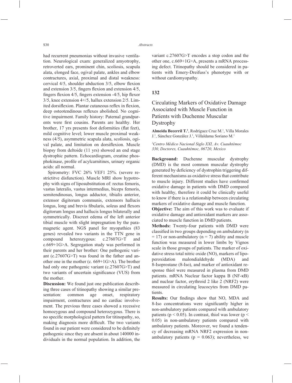had recurrent pneumonias without invasive ventilation. Neurological exam: generalized amyotrophy, retroverted ears, prominent chin, scoliosis, scapula alata, elonged face, ogival palate, ankles and elbow contractures, axial, proximal and distal weakness: cervical  $4/5$ , shoulder abduction  $3/5$ , elbow flexion and extension  $3/5$ , fingers flexion and extension  $4/5$ , fingers flexion  $4/5$ , fingers extension  $-4/5$ , hip flexor 3/5, knee extension 4+/5, hallux extension 2/5. Limited dorsiflexion. Plantar cutaneous reflex in flexion. deep osteotendinous reflexes abolished. No cognitive impairment. Family history: Paternal grandparents were first cousins. Parents are healthy. Her brother, 17 yrs presents foot deformities (flat feet), mild cognitive level; lower muscle proximal weakness (4/5), asymmetric scapula alata, scoliosis, ogival palate, and limitation on dorsiflexion. Muscle biopsy from deltoide (11 yrs) showed an end stage dystrophic pattern. Echocardiogram, creatine phosphokinase, profile of acylcarnitines, urinary organic acids: all normal.

Spirometry: FVC 26% VEF1 25%. (severe restrictitve disfunction). Muscle MRI show hypotrophy with signs of liposubstitution of: rectus femoris, vastus lateralis, vastus intermedius, biceps femoris, semitendinosus, longus adductor, tibialis anterior, extensor digitorum communis, extensors hallucis longus, long and brevis fibularis, soleus and flexors digitorum longus and hallucis longus bilaterally and symmetrically. Discreet edema of the left anterior tibial muscle with slight impregnation by the paramagnetic agent. NGS panel for myopathies (83 genes) revealed two variants in the TTN gene in compound heterozygous: c.27607G>T and c.669+1G>A. Segregation study was performed in their parents and her brother: One pathogenic variant (c.27607G>T) was found in the father and another one in the mother (c. 669+1G>A). The brother had only one pathogenic variant (c.27607G>T) and two variants of uncertain significance (VUS) from the mother.

**Discussion:** We found just one publication describing three cases of titinopathy showing a similar presentation: common age onset, respiratory impairment, contractures and no cardiac involvement. The previous three cases showed a recessive homozygous and compound heterozygous. There is no specific morphological pattern for titinopathy, so, making diagnosis more difficult. The two variants found in our patient were considered to be definitely pathogenic since they are absent in about 140000 individuals in the normal population. In addition, the variant c.27607G>T encodes a stop codon and the other one, c.669+1G>A, presents a mRNA processing defect. Titinopathy should be considered in patients with Emery-Dreifuss's phenotype with or without cardiomyopathy.

### **132**

Circulating Markers of Oxidative Damage Associated with Muscle Function in Patients with Duchenne Muscular Dystrophy

**Almeida Becerril T.1** , Rodríguez Cruz M.1 , Villa Morales J.1 , Sánchez González J.1 , Villaldama Soriano M.1

*1 Centro Médico Nacional Siglo XXI, Av. Cuauhtémoc 330, Doctores, Cuauhtémoc, 06720, Mexico*

**Background:** Duchenne muscular dystrophy (DMD) is the most common muscular dystrophy generated by deficiency of dystrophin triggering different mechanisms as oxidative stress that contribute to muscle injury. Different studies have confirmed oxidative damage in patients with DMD compared with healthy, therefore it could be clinically useful to know if there is a relationship between circulating markers of oxidative damage and muscle function.

**Objective:** The aim of this work was to evaluate if oxidative damage and antioxidant markers are associated to muscle function in DMD patients.

**Methods:** Twenty-four patients with DMD were classified in two groups depending on ambulatory (n  $=$  17) or non-ambulatory (n = 7) ability and muscle function was measured in lower limbs by Vignos scale in those groups of patients. The marker of oxidative stress total nitric oxide (NO), markers of lipoperoxidation malondialdehyde (MDA) and 8-Isoprostane (8-Iso), and marker of antioxidant response thiol were measured in plasma from DMD patients. mRNA Nuclear factor kappa B (NF-κB) and nuclear factor, erythroid 2 like 2 (NRF2) were measured in circulating leucocytes from DMD patients.

**Results:** Our findings show that NO, MDA and 8-Iso concentrations were significantly higher in non-ambulatory patients compared with ambulatory patients ( $p < 0.05$ ). In contrast, thiol was lower ( $p <$ 0.05) in non-ambulatory patients compared with ambulatory patients. Moreover, we found a tendency of decreasing mRNA NRF2 expression in nonambulatory patients ( $p = 0.063$ ); nevertheless, we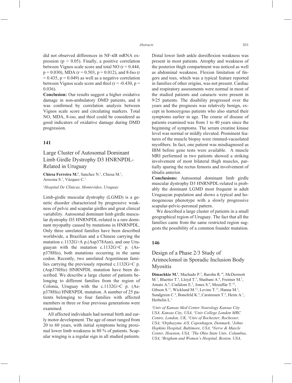did not observed differences in NF-κB mRNA expression ( $p > 0.05$ ). Finally, a positive correlation between Vignos scale score and total NO  $(r = 0.444)$ ,  $p = 0.030$ ), MDA (r = 0.503, p = 0.012), and 8-Iso (r  $= 0.435$ ,  $p = 0.049$ ) as well as a negative correlation between Vignos scale score and thiol ( $r = -0.430$ ,  $p =$ 0.036).

**Conclusion:** Our results suggest a higher oxidative damage in non-ambulatory DMD patients, and it was confirmed by correlation analysis between Vignos scale score and circulating markers. Total NO, MDA, 8-iso, and thiol could be considered as good indicators of oxidative damage during DMD progression.

### **141**

Large Cluster of Autosomal Dominant Limb Girdle Dystrophy D3 HNRNPDL-Related in Uruguay

Chiesa Ferreira M.<sup>1</sup>, Sanchez N.<sup>1</sup>, Chiesa M.<sup>1</sup>, Arocena S.<sup>1</sup>, Vázquez C.<sup>1</sup>

*1 Hospital De Clínicas, Montevideo, Uruguay*

Limb-girdle muscular dystrophy (LGMD) is a genetic disorder characterized by progressive weakness of pelvic and scapular girdles and great clinical variability. Autosomal dominant limb girdle muscular dystrophy D3 HNRNPDL-related is a rare dominant myopathy caused by mutations in HNRNPDL. Only three unrelated families have been described worldwide, a Brazilian and a Chinese carrying the mutation c.1132G>A p.(Asp378Asn), and one Uruguayan with the mutation c.1132G>C p. (Asp378His), both mutations occurring in the same codon. Recently, two unrelated Argentinean families carrying the previously reported c.1132G>C p. (Asp378His) HNRNPDL mutation have been described. We describe a large cluster of patients belonging to different families from the region of Colonia, Uruguay with the c.1132G>C p. (Asp378His) HNRNPDL mutation. A number of 25 patients belonging to four families with affected members in three or four previous generations were examined.

All affected individuals had normal birth and early motor development. The age of onset ranged from 20 to 60 years, with initial symptoms being proximal lower limb weakness in 80 % of patients. Scapular winging is a regular sign in all studied patients. Distal lower limb ankle dorsiflexion weakness was present in most patients. Atrophy and weakness of the posterior thigh compartment was noticed as well as abdominal weakness. Flexion limitation of fingers and toes, which was a typical feature reported in families of other origins, was not present. Cardiac and respiratory assessments were normal in most of the studied patients and cataracts were present in 9/25 patients. The disability progressed over the years and the prognosis was relatively benign, except in homozygous patients who also started their symptoms earlier in age. The course of disease of patients examined was from 1 to 40 years since the beginning of symptoms. The serum creatine kinase level was normal or mildly elevated. Prominent features of the muscle biopsy were rimmed-vacuolated myofibers. In fact, one patient was misdiagnosed as IBM before gene tests were available. A muscle MRI performed in two patients showed a striking involvement of most bilateral thigh muscles, partially sparing the rectus femoris and involvement of tibialis anterior.

**Conclusions:** Autosomal dominant limb girdle muscular dystrophy D3 HNRNPDL-related is probably the dominant LGMD most frequent in adult Uruguayan population and shows a typical and homogeneous phenotype with a slowly progressive scapular-pelvic-peroneal pattern.

We described a large cluster of patients in a small geographical region of Uruguay. The fact that all the families came from the same restricted region suggests the possibility of a common founder mutation.

### **146**

# Design of a Phase 2/3 Study of Arimoclomol in Sporadic Inclusion Body Myositis

Dimachkie M.<sup>1</sup>, Machado P.<sup>2</sup>, Barohn R.<sup>14</sup>, McDermott M.<sup>3</sup>, Blaetter T.<sup>4</sup>, Lloyd T.<sup>5</sup>, Shaibani A.<sup>6</sup>, Freimer M.<sup>7</sup>, Amato A.<sup>8</sup>, Ciafaloni E.<sup>3</sup>, Jones S.<sup>9</sup>, Mozaffar T.<sup>10</sup>, Gibson S.<sup>11</sup>, Wicklund M.<sup>12</sup>, Levine T.<sup>13</sup>, Hanna M.<sup>2</sup>, Sundgreen C.<sup>4</sup>, Bonefeld K.<sup>4</sup>, Carstensen T.<sup>4</sup>, Heim A.<sup>1</sup>, Herbelin L.<sup>1</sup>

*1 Univ of Kansas Med Center Neurology Kansas City USA, Kansas City, USA, 2 Univ College London MRC Centre, London, UK, 3 Univ of Rochester, Rochester, USA, 4 Orphazyme A/S, Copenhagen, Denmark, 5 Johns Hopkins Hospital, Baltimore, USA, 6 Nerve & Muscle Center, Houston, USA, 7 The Ohio State Univ, Columbus, USA, 8 Brigham and Women's Hospital, Boston, USA,*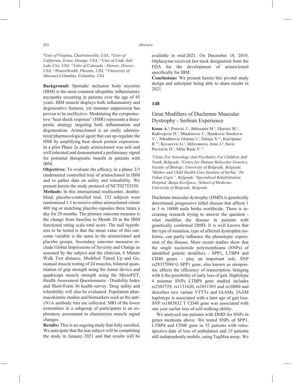*9 Univ of Virginia, Charlottesville, USA, 10Univ of California, Irvine, Orange, USA, 11Univ of Utah, Salt Lake City, USA, 12Univ of Colorado - Denver, Denver, USA, 13HonorHealth, Phoenix, USA, 14University of Missouri-Columbia, Columbia, USA* 

**Background:** Sporadic inclusion body myositis  $(IBM)$  is the most common idiopathic inflammatory myopathy occurring in patients over the age of 45 years. IBM muscle displays both inflammatory and degenerative features, yet immune suppression has proven to be ineffective. Modulating the cytoprotective "heat shock response" (HSR) represents a therapeutic strategy targeting both inflammation and degeneration. Arimoclomol is an orally administered pharmacological agent that can up-regulate the HSR by amplifying heat shock protein expression. In a pilot Phase 2a study arimoclomol was safe and well tolerated and demonstrated a preliminary signal for potential therapeutic benefit in patients with IBM.

**Objectives:** To evaluate the efficacy in a phase  $2/3$ randomized controlled trial of arimoclomol in IBM and to gather data on safety and tolerability. We present herein the study protocol of NCT02753530. **Methods:** In this international multicenter, doubleblind, placebo-controlled trial, 152 subjects were randomized 1:1 to receive either arimoclomol citrate 400 mg or matching placebo capsules three times a day for 20 months. The primary outcome measure is the change from baseline to Month 20 in the IBM functional rating scale total score. The null hypothesis to be tested is that the mean value of this outcome variable is the same in the arimoclomol and placebo groups. Secondary outcome measures include Global Impressions of Severity and Change as assessed by the subject and the clinician, 6 Minute Walk Test distance, Modified Timed Up and Go, manual muscle testing of 24 muscles, bilateral quantitation of grip strength using the Jamar device and quadriceps muscle strength using the MicroFET, Health Assessment Questionnaire - Disability Index and Short-Form 36 health survey. Drug safety and tolerability will also be evaluated. Population pharmacokinetic studies and biomarkers such as the anticN1A antibody titer are collected. MRI of the lower extremities in a subgroup of participants is an exploratory assessment to characterize muscle signal changes.

**Results:** This is an ongoing study that fully enrolled. We anticipate that the last subject will be completing the study in January 2021 and that results will be available in mid-2021. On December 18, 2019, Orphazyme received fast track designation from the FDA for the development of arimoclomol specifically for IBM.

**Conclusions:** We present herein this pivotal study design and anticipate being able to share results in 2021.

#### **148**

# Gene Modifiers of Duchenne Muscular Dystrophy - Serbian Experience

**Kosac A.**<sup>1</sup>, Pesovic J.<sup>2</sup>, Brkusanin M.<sup>2</sup>, Djurisic M.<sup>3</sup>, Radivojevic D.<sup>3</sup>, Mladenovic J.<sup>1</sup>, Brankovic Sreckovic V.<sup>1</sup>, Nikodinovic Glumac J.<sup>1</sup>, Ostojic S.<sup>3,5</sup>, Kravljanac R.<sup>3,5</sup>, Kovacevic G.<sup>3</sup>, Milovanovic Arsic J.<sup>4</sup>, Savic Pavicevic D.<sup>3</sup>, Milic Rasic V.<sup>1,5</sup>

*1 Clinic For Neurology And Psychiatry For Children And Youth, Belgrade, 2 Centre for Human Molecular Genetics, Faculty of Biology, University of Belgrade, Belgrade, 3 Mother and Child Health Care Institute of Serbia "Dr Vukan Cupic", Belgrade, 4 Specialized Rehabilitation Hospital, Banja Koviljaca, 5 School of Medicine, University of Belgrade, Belgrade* 

Duchenne muscular dystrophy (DMD) is genetically determined, progressive lethal disease that affects 1 in 5 to 10000 male births worldwide. There is increasing research trying to answer the question what modifies the disease in patients with genetically confirmed DMD. It is well known that the type of mutation, type of affected dystrophin isoforms, can partly influence the phenotypic expression of the disease. More recent studies show that the single nucleotide polymorphisms (SNPs) of identified genetic modifiers - SPP1, LTBP4 and CD40 genes - play an important role. SNP rs28357094 G SPP1 gene, also known as oteopontin, affects the efficiency of transcription, bringing with it the possibility of early loss of gait. Haplotype 4 misense SNPs LTBP4 gene studied includes rs2303729, rs1131620, rs1051303 and rs10880 and describes two variant VTTTs and IAAMs. IAAM haplotype is associated with a later age of gait loss. SNP rs1883832 T CD40 gene was associated with one year earlier loss of self-walking ability.

We analyzed our patients with DMD for SNPs in genes mentions above. We tested SNPs of SPP1, LTBP4 and CD40 gens in 52 patients with retrospective data of loss of ambulation and 35 patients still independently mobile, using TaqMan assay. We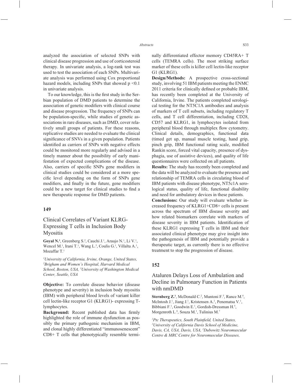analyzed the association of selected SNPs with clinical disease progression and use of corticosteroid therapy. In univariate analysis, a log-rank test was used to test the association of each SNPs. Multivariate analysis was performed using Cox proportional hazard models, including SNPs that showed  $p \le 0.1$ in univariate analysis.

To our knowledge, this is the first study in the Serbian population of DMD patients to determine the association of genetic modifiers with clinical course and disease progression. The frequency of SNPs can be population-specific, while studies of genetic associations in rare diseases, such as DMD, cover relatively small groups of patients. For these reasons, replicative studies are needed to evaluate the clinical significance of SNVs in a given population. Patients identified as carriers of SNPs with negative effects could be monitored more regularly and advised in a timely manner about the possibility of early manifestation of expected complications of the disease. Also, carriers of specific SNPs gene modifiers in clinical studies could be considered at a more specific level depending on the form of SNPs gene modifiers, and finally in the future, gene modifiers could be a new target for clinical studies to find a new therapeutic response for DMD patients.

#### **149**

# Clinical Correlates of Variant KLRG-Expressing T cells in Inclusion Body Myositis

Goyal N.<sup>1</sup>, Greenberg S.<sup>2</sup>, Cauchi J.<sup>1</sup>, Araujo N.<sup>1</sup>, Li V.<sup>1</sup>, Wencel M.<sup>1</sup>, Irani T.<sup>1</sup>, Wang L.<sup>3</sup>, Coulis G.<sup>1</sup>, Villalta A.<sup>1</sup>, Mozaffar T.<sup>1</sup>

*1 University of California, Irvine, Orange, United States, 2 Brigham and Women's Hospital, Harvard Medical School, Boston, USA, 3 University of Washington Medical Center, Seattle, USA*

**Objective:** To correlate disease behavior (disease phenotype and severity) in inclusion body myositis (IBM) with peripheral blood levels of variant killer cell lectin-like receptor G1 (KLRG1)- expressing Tlymphocytes.

**Background:** Recent published data has firmly highlighted the role of immune dysfunction as possibly the primary pathogenic mechanism in IBM, and clonal highly differentiated "immunosenescent" CD8+ T cells that phenotypically resemble terminally differentiated effector memory CD45RA+ T cells (TEMRA cells). The most striking surface marker of these cells is killer cell lectin-like receptor G1 (KLRG1).

**Design/Methods:** A prospective cross-sectional study, involving 51 IBM patients meeting the ENMC 2011 criteria for clinically defined or probable IBM, has recently been completed at the University of California, Irvine. The patients completed serological testing for the NT5C1A antibodies and analysis of markers of T cell subsets, including regulatory T cells, and T cell differentiation, including CD28, CD57 and KLRG1, in lymphocytes isolated from peripheral blood through multiplex flow cytometry. Clinical details, demographics, functional data (timed get up, manual muscle testing, hand grip, pinch grip, IBM functional rating scale, modified Rankin score, forced vital capacity, presence of dysphagia, use of assistive devices), and quality of life questionnaires were collected on all patients.

**Results:** The study has recently been completed and the data will be analyzed to evaluate the presence and relationship of TEMRA cells in circulating blood of IBM patients with disease phenotype, NT5c1A serological status, quality of life, functional disability and need for ambulatory devices in these patients.

**Conclusions:** Our study will evaluate whether increased frequency of KLRG1+CD8+ cells is present across the spectrum of IBM disease severity and how related biomarkers correlate with markers of disease severity in IBM patients. Identification of these KLRG1 expressing T cells in IBM and their associated clinical phenotype may give insight into the pathogenesis of IBM and potentially provide a therapeutic target, as currently there is no effective treatment to stop the progression of disease.

#### **152**

# Ataluren Delays Loss of Ambulation and Decline in Pulmonary Function in Patients with nmDMD

**Sternberg Z.**<sup>1</sup>, McDonald C.<sup>2</sup>, Muntoni F.<sup>3</sup>, Rance M.<sup>4</sup>, McIntosh J.<sup>1</sup>, Jiang J.<sup>1</sup>, Kristensen A.<sup>1</sup>, Penematsa V.<sup>1</sup>, Bibbiani F.<sup>1</sup>, Goodwin E.<sup>1</sup>, Gordish-Dressman H.<sup>5</sup>, Morgenroth L.<sup>6</sup>, Souza M.<sup>1</sup>, Tulinius M.<sup>7</sup>

<sup>1</sup> Ptc Therapeutics, South Plainfield, United States,<br><sup>2</sup>University of California Davis School of Medicine *University of California Davis School of Medicine, Davis, CA, USA, Davis, USA, 3 Dubowitz Neuromuscular Centre & MRC Centre for Neuromuscular Diseases,*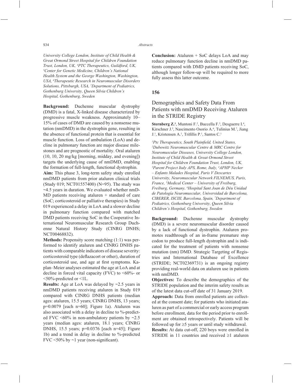*University College London, Institute of Child Health & Great Ormond Street Hospital for Children Foundation Trust, London, UK, 4 PTC Therapeutics, Guildford, UK, 5 Center for Genetic Medicine, Children's National Health System and the George Washington, Washington, USA, 6 Therapeutic Research in Neuromuscular Disorders Solutions, Pittsburgh, USA, 7 Department of Pediatrics, Gothenburg University, Queen Silvia Children's Hospital, Gothenburg, Sweden*

**Background:** Duchenne muscular dystrophy (DMD) is a fatal, X-linked disease characterized by progressive muscle weakness. Approximately 10– 15% of cases of DMD are caused by a nonsense mutation (nmDMD) in the dystrophin gene, resulting in the absence of functional protein that is essential for muscle function. Loss of ambulation (LoA) and decline in pulmonary function are major disease milestones and are prognostic of mortality. Oral ataluren (10, 10, 20 mg/kg [morning, midday, and evening]) targets the underlying cause of nmDMD, enabling the formation of full-length, functional dystrophin.

**Aim:** This phase 3, long-term safety study enrolled nmDMD patients from prior ataluren clinical trials (Study 019; NCT01557400) (N=95). The study was ~4.5 years in duration. We evaluated whether nmD-MD patients receiving ataluren + standard of care (SoC; corticosteroid or palliative therapies) in Study 019 experienced a delay in LoA and a slower decline in pulmonary function compared with matched DMD patients receiving SoC in the Cooperative International Neuromuscular Research Group Duchenne Natural History Study (CINRG DNHS; NCT00468832).

**Methods:** Propensity score matching (1:1) was performed to identify ataluren and CINRG DNHS patients with comparable indicators of disease severity: corticosteroid type (deflazacort or other), duration of corticosteroid use, and age at first symptoms. Kaplan–Meier analyses estimated the age at LoA and at decline in forced vital capacity (FVC) to  $<60\%$ - or <50%-predicted or <1L.

**Results:** Age at LoA was delayed by ~2.5 years in nmDMD patients receiving ataluren in Study 019 compared with CINRG DNHS patients (median ages: ataluren, 15.5 years; CINRG DNHS, 13 years; p=0.0079 [each n=60]; Figure 1a). Ataluren was also associated with a delay in decline to %-predicted FVC  $\leq 60\%$  in non-ambulatory patients by  $\sim 2.5$ years (median ages: ataluren, 18.1 years; CINRG DNHS, 15.5 years; p=0.0376 [each n=45]; Figure 1b) and a trend in delay in decline to %-predicted FVC  $\leq$ 50% by  $\sim$ 1 year (non-significant).

**Conclusion:** Ataluren + SoC delays LoA and may reduce pulmonary function decline in nmDMD patients compared with DMD patients receiving SoC, although longer follow-up will be required to more fully assess this latter outcome.

### **156**

# Demographics and Safety Data From Patients with nmDMD Receiving Ataluren in the STRIDE Registry

**Sternberg Z.<sup>1</sup>**, Muntoni F.<sup>2</sup>, Buccella F.<sup>3</sup>, Desguerre I.<sup>4</sup>, Kirschner J.<sup>5</sup>, Nascimento Osorio A.<sup>6</sup>, Tulinius M.<sup>7</sup>, Jiang J.<sup>1</sup>, Kristensen A.<sup>1</sup>, Trifillis P.<sup>1</sup>, Santos C.<sup>1</sup>

<sup>1</sup> Ptc Therapeutics, South Plainfield, United States,<br><sup>2</sup>Dubowitz Neuromuscular Centre & MRC Centre : *Dubowitz Neuromuscular Centre & MRC Centre for Neuromuscular Diseases, University College London, Institute of Child Health & Great Ormond Street Hospital for Children Foundation Trust, London, UK, 3 Parent Project Italy APS, Rome, Italy, 4 APHP Necker – Enfants Malades Hospital, Paris V Descartes University, Neuromuscular Network FILNEMUS, Paris, France, 5 Medical Center – University of Freiburg, Freiburg, Germany, 6 Hospital Sant Joan de Déu Unidad de Patología Neuromuscular, Universidad de Barcelona, CIBERER, ISCIII, Barcelona, Spain, 7 Department of Pediatrics, Gothenburg University, Queen Silvia Children's Hospital, Gothenburg, Sweden*

**Background:** Duchenne muscular dystrophy (DMD) is a severe neuromuscular disorder caused by a lack of functional dystrophin. Ataluren promotes readthrough of an in-frame premature stop codon to produce full-length dystrophin and is indicated for the treatment of patients with nonsense mutation (nm) DMD. Strategic Targeting of Registries and International Database of Excellence (STRIDE; NCT02369731) is an ongoing registry providing real-world data on ataluren use in patients with nmDMD.

**Objectives:** To describe the demographics of the STRIDE population and the interim safety results as of the latest data cut-off date of 31 January 2019.

**Approach:** Data from enrolled patients are collected at the consent date; for patients who initiated ataluren as part of a commercial or early access program before enrollment, data for the period prior to enrollment are obtained retrospectively. Patients will be followed up for  $\geq$ 5 years or until study withdrawal.

**Results:** At data cut-off, 220 boys were enrolled in STRIDE in 11 countries and received  $\geq 1$  ataluren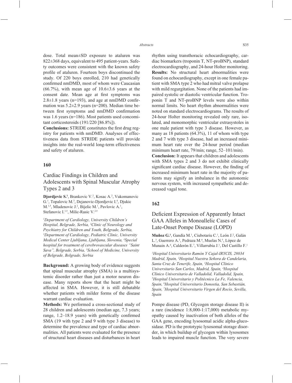dose. Total mean±SD exposure to ataluren was 822±368 days, equivalent to 495 patient-years. Safety outcomes were consistent with the known safety profile of ataluren. Fourteen boys discontinued the study. Of 220 boys enrolled, 210 had genetically confirmed nmDMD, most of whom were Caucasian  $(66.7\%)$ , with mean age of  $10.6\pm3.6$  years at the consent date. Mean age at first symptoms was  $2.8 \pm 1.8$  years (n=193), and age at nmDMD confirmation was 5.2±2.9 years (n=200). Median time between first symptoms and nmDMD confirmation was 1.6 years (n=186). Most patients used concomitant corticosteroids (191/220 [86.8%]).

**Conclusions:** STRIDE constitutes the first drug registry for patients with nmDMD. Analyses of effectiveness data from STRIDE patients will provide insights into the real-world long-term effectiveness and safety of ataluren.

#### **160**

# Cardiac Findings in Children and Adolescents with Spinal Muscular Atrophy Types 2 and 3

Djordjevic S.<sup>1</sup>, Brankovic V.<sup>2</sup>, Kosac A.<sup>2</sup>, Vukomanovic G.<sup>1</sup>, Topalovic M.<sup>3</sup>, Dejanovic-Djordjevic I.<sup>4</sup>, Djukic M.<sup>1,5</sup>, Mladenovic J.<sup>2</sup>, Bijelic M.<sup>1</sup>, Pavlovic A.<sup>1</sup>, Stefanovic I.<sup>1,5</sup>, Milic-Rasic V.<sup>2,5</sup>

*1 Department of Cardiology, University Children's Hospital, Belgrade, Serbia, 2 Clinic of Neurology and Psychiatry for Children and Youth, Belgrade, Serbia, 3 Department of Cardiology, Pediatric Clinic, University Medical Center Ljubljana, Ljubljana, Slovenia, 4 Special hospital for treatment of cerebrovascular diseases "Saint Sava", Belgrade, Serbia, 5 School of Medicine, University of Belgrade, Belgrade, Serbia*

**Background:** A growing body of evidence suggests that spinal muscular atrophy (SMA) is a multisystemic disorder rather than just a motor neuron disease. Many reports show that the heart might be affected in SMA. However, it is still debatable whether patients with milder forms of the disease warrant cardiac evaluation.

**Methods:** We performed a cross-sectional study of 28 children and adolescents (median age, 7.3 years; range,  $1.2-18.9$  years) with genetically confirmed SMA (19 with type 2 and 9 with type 3 disease) to determine the prevalence and type of cardiac abnormalities. All patients were evaluated for the presence of structural heart diseases and disturbances in heart

rhythm using transthoracic echocardiography, cardiac biomarkers (troponin T, NT-proBNP), standard electrocardiography, and 24-hour Holter monitoring. **Results:** No structural heart abnormalities were found on echocardiography, except in one female patient with SMA type 2 who had mitral valve prolapse with mild regurgitation. None of the patients had impaired systolic or diastolic ventricular function. Troponin T and NT-proBNP levels were also within normal limits. No heart rhythm abnormalities were noted on standard electrocardiograms. The results of 24-hour Holter monitoring revealed only rare, isolated, and monomorphic ventricular extrasystoles in one male patient with type 3 disease. However, as many as 18 patients (64.3%), 11 of whom with type 2 and 7 with type 3 disease, had an increased minimum heart rate over the 24-hour period (median minimum heart rate, 79/min; range, 52–101/min).

**Conclusion:** It appears that children and adolescents with SMA types 2 and 3 do not exhibit clinically significant cardiac disease. However, the finding of increased minimum heart rate in the majority of patients may signify an imbalance in the autonomic nervous system, with increased sympathetic and decreased vagal tone.

#### **162**

# Deficient Expression of Apparently Intact GAA Alleles in Monoallelic Cases of Late-Onset Pompe Disease (LOPD)

Muñoz G.<sup>1</sup>, Gandía M.<sup>1</sup>, Ciubotariu C.<sup>1</sup>, León J.<sup>2</sup>, Galán L.<sup>3</sup>, Guerrero A.<sup>3</sup>, Pedraza M.<sup>4</sup>, Muelas N.<sup>5</sup>, López de Munain A.<sup>6</sup>, Calderón E.<sup>7</sup>, Villarrubia J.<sup>1</sup>, Del Castillo F.<sup>1</sup>

*1 Hospital Universitario Ramón Y Cajal-IRYCIS, 28034 Madrid, Spain, 2 Hospital Nuestra Señora de Candelaria, Santa Cruz de Tenerife, Spain, 3 Hospital Clínico Universitario San Carlos, Madrid, Spain, 4 Hospital Clínico Universitario de Valladolid, Valladolid, Spain, 5 Hospital Universitario y Politécnico La Fe, Valencia, Spain, 6 Hospital Universitario Donostia, San Sebastián, Spain, 7 Hospital Universitario Virgen del Rocío, Sevilla, Spain*

Pompe disease (PD, Glycogen storage disease II) is a rare (incidence 1:8,000-1:17,000) metabolic myopathy caused by inactivation of both alleles of the GAA gene, encoding lysosomal acidic alpha-glucosidase. PD is the prototypic lysosomal storage disorder, in which buildup of glycogen within lysosomes leads to impaired muscle function. The very severe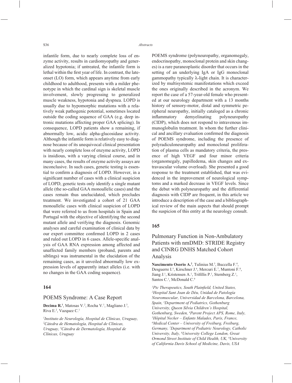infantile form, due to nearly complete loss of enzyme activity, results in cardiomyopathy and generalized hypotonia; if untreated, the infantile form is lethal within the first year of life. In contrast, the lateonset (LO) form, which appears anytime from early childhood to adulthood, presents with a milder phenotype in which the cardinal sign is skeletal muscle involvement, slowly progressing to generalized muscle weakness, hypotonia and dyspnea. LOPD is usually due to hypomorphic mutations with a relatively weak pathogenic potential, sometimes located outside the coding sequence of GAA (e.g. deep intronic mutations affecting proper GAA splicing). In consequence, LOPD patients show a remaining, if abnormally low, acidic alpha-glucosidase activity. Although the infantile form is relatively easy to diagnose because of its unequivocal clinical presentation with nearly complete loss of enzyme activity, LOPD is insidious, with a varying clinical course, and in many cases, the results of enzyme activity assays are inconclusive. In such cases, genetic testing is essential to confirm a diagnosis of LOPD. However, in a significant number of cases with a clinical suspicion of LOPD, genetic tests only identify a single mutant allele (the so-called GAA monoallelic cases) and the cases remain thus unelucidated, which precludes treatment. We investigated a cohort of 21 GAA monoallelic cases with clinical suspicion of LOPD that were referred to us from hospitals in Spain and Portugal with the objective of identifying the second mutant allele and verifying the diagnosis. Genomic analyses and careful examination of clinical data by our expert committee confirmed LOPD in 2 cases and ruled out LOPD in 6 cases. Allele-specific analysis of GAA RNA expression among affected and unaffected family members (proband, parents and siblings) was instrumental in the elucidation of the remaining cases, as it unveiled abnormally low expression levels of apparently intact alleles (i.e. with no changes in the GAA coding sequence).

### **164**

### POEMS Syndrome: A Case Report

Decima R.<sup>1</sup>, Matosas V.<sup>2</sup>, Rocha V.<sup>1</sup>, Magliano J.<sup>3</sup>, Riva E.2 , Vazquez C.1

*1 Instituto de Neurología, Hospital de Clínicas, Uruguay, 2 Cátedra de Hematología, Hospital de Clínicas, Uruguay, 3 Cátedra de Dermatología, Hospital de Clínicas, Uruguay*

POEMS syndrome (polyneuropathy, organomegaly, endocrinopathy, monoclonal protein and skin changes) is a rare paraneoplastic disorder that occurs in the setting of an underlying IgA or IgG monoclonal gammopathy typically λ-light chain. It is characterized by multisystemic manifestations which exceed the ones originally described in the acronym. We report the case of a 57-year-old female who presented at our neurology department with a 13 months history of sensory-motor, distal and symmetric peripheral neuropathy, initially cataloged as a chronic inflammatory demyelinating polyneuropathy (CIDP), which does not respond to intravenous immunoglobulin treatment. In whom the further clinical and ancillary evaluation confirmed the diagnosis of POEMS syndrome, including the presence of polyradiculoneuropathy and monoclonal proliferation of plasma cells as mandatory criteria, the presence of high VEGF and four minor criteria (organomegaly, papilledema, skin changes and extravascular volume overload). She presented a good response to the treatment established, that was evidenced in the improvement of neurological symptoms and a marked decrease in VEGF levels. Since the debut with polyneuropathy and the differential diagnosis with CIDP are frequent, in this article we introduce a description of the case and a bibliographical review of the main aspects that should prompt the suspicion of this entity at the neurology consult.

#### **165**

# Pulmonary Function in Non-Ambulatory Patients with nmDMD: STRIDE Registry and CINRG DNHS Matched Cohort Analysis

Nascimento Osorio A.<sup>2</sup>, Tulinius M.<sup>3</sup>, Buccella F.<sup>4</sup>, Desguerre I.<sup>5</sup>, Kirschner J.<sup>6</sup>, Mercuri E.<sup>7</sup>, Muntoni F.<sup>8</sup>, Jiang J.<sup>1</sup>, Kristensen A.<sup>1</sup>, Trifillis P.<sup>1</sup>, Sternberg Z.<sup>1</sup>, Santos C.<sup>1</sup>, McDonald C.<sup>9</sup>

<sup>1</sup> Ptc Therapeutics, South Plainfield, United States,<br><sup>2</sup>Hospital Sant Joan de Déu, Unidad de Patología. *Hospital Sant Joan de Déu, Unidad de Patología Neuromuscular, Universidad de Barcelona, Barcelona, Spain, 3 Department of Pediatrics, Gothenburg University, Queen Silvia Children's Hospital, Gothenburg, Sweden, <sup>4</sup>Parent Project APS, Rome, Italy,*<br><sup>5</sup>Hônital Necker – Enfants Malades, Paris, France *Hôpital Necker – Enfants Malades, Paris, France, 6 Medical Center – University of Freiburg, Freiburg, Germany, 7 Department of Pediatric Neurology, Catholic University, Italy, 8 University College London, Great Ormond Street Institute of Child Health, UK, 9 University of California Davis School of Medicine, Davis, USA*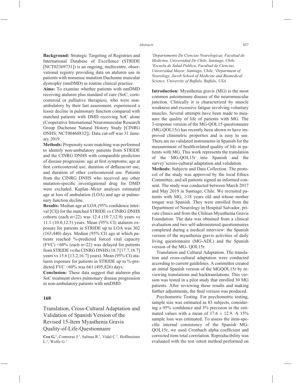**Background:** Strategic Targeting of Registries and International Database of Excellence (STRIDE [NCT02369731]) is an ongoing, multicentre, observational registry providing data on ataluren use in patients with nonsense mutation Duchenne muscular dystrophy (nmDMD) in routine clinical practice.

**Aims:** To examine whether patients with nmDMD receiving ataluren plus standard of care (SoC; corticosteroid or palliative therapies), who were nonambulatory by their last assessment, experienced a lesser decline in pulmonary function compared with matched patients with DMD receiving SoC alone (Cooperative International Neuromuscular Research Group Duchenne Natural History Study [CINRG DNHS; NCT00468832]). Data cut-off was 31 January 2019.

**Methods:** Propensity score matching was performed to identify non-ambulatory patients from STRIDE and the CINRG DNHS with comparable predictors of disease progression: age at first symptoms; age at first corticosteroid use; duration of deflazacort use; and duration of other corticosteroid use. Patients from the CINRG DNHS who received any other mutation-specific investigational drug for DMD were excluded. Kaplan–Meier analyses estimated age at loss of ambulation (LOA) and age at pulmonary function decline.

**Results:** Median age at LOA (95% confidence interval [CI]) for the matched STRIDE vs CINRG DNHS cohorts (each n=22) was 12.4 (10.7,12.9) years vs 11.1 (10.0,12.5) years. Mean (95% CI) ataluren exposure for patients in STRIDE up to LOA was 302  $(163,440)$  days. Median  $(95\%$  CI) age at which patients reached %-predicted forced vital capacity (FVC)  $\leq 60\%$  (each n=22) was delayed for patients from STRIDE vs the CINRG DNHS (18.7 [17.7,18.7] years vs 15.6 [13.2,16.7] years). Mean (95% CI) ataluren exposure for patients in STRIDE up to %-predicted FVC <60% was 661 (495,826) days.

**Conclusion:** These data suggest that ataluren plus SoC treatment slows pulmonary disease progression in non-ambulatory patients with nmDMD.

#### **168**

Translation, Cross-Cultural Adaptation and Validation of Spanish Version of the Revised 15-Item Myasthenia Gravis Quality-of-Life-Questionnaire

Cea G.<sup>1</sup>, Contreras J.<sup>1</sup>, Salinas R.<sup>1</sup>, Vidal C.<sup>2</sup>, Hoffmeister L.2 , Wolfe G.3

*1 Departamento De Ciencias Neurologicas, Facultad de Medicina, Universidad De Chile, Santiago, Chile, 2 Escuela de Salud Publica, Facultad de Ciencias, Universidad Mayor, Santiago, Chile, 3 Department of Neurology, Jacob School of Medicine and Biomedical Science, University of Buffalo, Buffalo, USA*

**Introduction:** Myasthenia gravis (MG) is the most common autoimmune disease of the neuromuscular junction. Clinically it is characterized by muscle weakness and excessive fatigue involving voluntary muscles. Several attempts have been made to measure the quality of life of patients with MG. The 3-response version of the MG-QOL15 questionnaire (MG-QOL15r) has recently been shown to have improved clinimetric properties and is easy to use. There are no validated instruments in Spanish for the measurement of health-related quality of life in patients with MG. This work represents the translation of the MG-QOL15r into Spanish and the survey'scross-cultural adaptation and validation.

**Methods:** Subjects and Data Collection. The protocol of the study was approved by the local Ethics Committee, and all patients signed an informed consent. The study was conducted between March 2017 and May 2019 in Santiago, Chile. We recruited patients with MG,  $\geq 18$  years old and whose mother tongue was Spanish. They were enrolled from the Department of Neurology in Hospital Salvador, private clinics and from the Chilean Myasthenia Gravis Foundation. The data was obtained from a clinical evaluation and two self-administered questionnaires completed during a medical interview: the Spanish version of the myasthenia gravis activities of daily living questionnaire (MG-ADL) and the Spanish version of the MG- QOL15r.

Translation and Cultural Adaptation. The translation and cross-cultural adaptation were conducted according to current guidelines. A committee created an initial Spanish version of the MGQOL15r by reviewing translations and backtranslations. This version was tested in a pilot study that enrolled 30 MG patients. After reviewing these results and making further adjustments, the final version was produced.

Psychometric Testing. For psychometric testing, sample size was estimated as 83 subjects, considering a  $95\%$  confidence and  $3\%$  precision in the estimated values with a mean of  $17.6 \pm 12.9$ . A  $15\%$ sample loss was estimated. To assess the item-specific internal consistency of the Spanish MG-QOL15r, we used Cronbach alpha coefficient and corrected item total correlation. Reproducibility was evaluated with the test–retest method performed on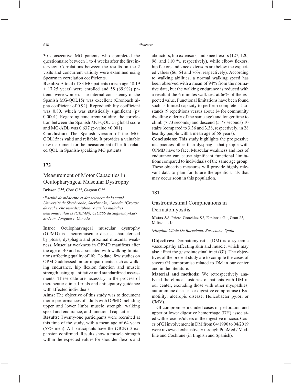30 consecutive MG patients who completed the questionnaire between 1 to 4 weeks after the first interview. Correlations between the results on the 2 visits and concurrent validity were examined using Spearman correlation coefficients.

**Results:** A total of 83 MG patients (mean age 48.19  $\pm$  17.25 years) were enrolled and 58 (69.9%) patients were women. The internal consistency of the Spanish MG-QOL15r was excellent (Cronbach alpha coefficient of 0.92). Reproducibility coefficient was 0.80, which was statistically significant ( $p$  < 0.0001). Regarding concurrent validity, the correlation between the Spanish MG-QOL15r global score and MG-ADL was  $0.637$  (p-value  $\leq 0.001$ )

**Conclusion:** The Spanish version of the MG-QOL15r is valid and reliable. It provides a valuable new instrument for the measurement of health-related QOL in Spanish-speaking MG patients

## **172**

# Measurement of Motor Capacities in Oculopharyngeal Muscular Dystrophy

**Brisson J.<sup>1,2</sup>**, Côté C.<sup>1,2</sup>, Gagnon C.<sup>1,2</sup>

*1 Faculté de médecine et des sciences de la santé, Université de Sherbrooke, Sherbrooke, Canada, 2 Groupe de recherche interdisciplinaire sur les maladies neuromusculaires (GRIMN), CIUSSS du Saguenay-Lac-St-Jean, Jonquière, Canada*

**Intro:** Oculopharyngeal muscular dystrophy (OPMD) is a neuromuscular disease characterised by ptosis, dysphagia and proximal muscular weakness. Muscular weakness in OPMD manifests after the age of 40 and is associated with walking limitations affecting quality of life. To date, few studies on OPMD addressed motor impairments such as walking endurance, hip flexion function and muscle strength using quantitative and standardized assessments. These date are necessary in the process of therapeutic clinical trials and anticipatory guidance with affected individuals.

**Aims:** The objective of this study was to document motor performances of adults with OPMD including upper and lower limbs muscle strength, walking speed and endurance, and functional capacities.

**Results:** Twenty-one participants were recruited at this time of the study, with a mean age of 64 years (57% men). All participants have the (GCN)13 expansion confirmed. Results show a muscle strength within the expected values for shoulder flexors and abductors, hip extensors, and knee flexors (127, 120, 96, and 110  $\%$ , respectively), while elbow flexors, hip flexors and knee extensors are below the expected values (66, 64 and 76%, respectively). According to walking abilities, a normal walking speed has been observed with a mean of 94% from the normative data, but the walking endurance is reduced with a result at the 6 minutes walk test at 66% of the expected value. Functional limitations have been found such as limited capacity to perform complete sit-tostands (9 repetitions versus about 14 for community dwelling elderly of the same age) and longer time to climb (7.73 seconds) and descend (5.77 seconds) 10 stairs (compared to 3.36 and 3.38, respectively, in 28 healthy people with a mean age of 58 years).

**Conclusions:** This study highlights the progressive incapacities other than dysphagia that people with OPMD have to face. Muscular weakness and loss of endurance can cause significant functional limitations compared to individuals of the same age group. These objective measures will provide highly relevant data to plan for future therapeutic trials that may occur soon in this population.

## **181**

## Gastrointestinal Complications in Dermatomyositis

Matas A.<sup>1</sup>, Prieto-González S.<sup>1</sup>, Espinosa G.<sup>1</sup>, Grau J.<sup>1</sup>, Milisenda J.1

#### *1 Hospital Clínic De Barcelona, Barcelona, Spain*

**Objectives:** Dermatomyositis (DM) is a systemic vasculopathy affecting skin and muscle, which may also affect the gastrointestinal tract (GI). The objectives of the present study are to compile the cases of severe GI compromise related to DM in our center and in the literature.

**Material and methods:** We retrospectively analyzed the clinical histories of patients with DM in our center, excluding those with other myopathies, autoimmune diseases or digestive compromise (dysmotility, ulceropic disease, Helicobacter pylori or CMV).

GI compromise included cases of perforation and upper or lower digestive hemorrhage (DH) associated with erosions/ulcers of the digestive mucosa. Cases of GI involvement in DM from 04/1990 to 04/2019 were reviewed exhaustively through PubMed / Medline and Cochrane (in English and Spanish).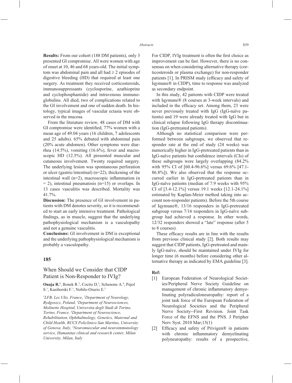**Results:** From our cohort (188 DM patients), only 3 presented GI compromise. All were women with age of onset at 10, 46 and 68 years-old. The initial symptom was abdominal pain and all had  $\geq 2$  episodes of digestive bleeding (HD) that required at least one surgery. As treatment they received corticosteroids, immunosuppressants (cyclosporine, azathioprine and cyclophosphamide) and intravenous immunoglobulins. All died, two of complications related to the GI involvement and one of sudden death. In histology, typical images of vascular ectasia were observed in the mucosa.

From the literature review, 48 cases of DM with GI compromise were identified, 77% women with a mean age of 49.04 years (16 children, 7 adolescents and 25 adults). 65% debuted with abdominal pain (20% acute abdomen). Other symptoms were diarrhea (14.5%), vomiting (16.6%), fever and macroscopic HD (12.5%). All presented muscular and cutaneous involvement. Twenty required surgery. The underlying lesion was spontaneous perforation or ulcer (gastric/intestinal) (n=22), thickening of the intestinal wall ( $n=2$ ), macroscopic inflammation ( $n$  $= 2$ ), intestinal pneumatosis (n=15) or overlaps. In 13 cases vasculitis was described. Mortality was 41.7%.

**Discussion:** The presence of GI involvement in patients with DM denotes severity, so it is recommended to start an early intensive treatment. Pathological findings, as in muscle, suggest that the underlying pathophysiological mechanism is a vasculopathy and not a genuine vasculitis.

**Conclusions:** GI involvement in DM is exceptional and the underlying pathophysiological mechanism is probably a vasculopathy.

#### **185**

## When Should we Consider that CIDP Patient is Non-Responder to IVIg?

**Ouaja R.**<sup>1</sup>, Bonek R.<sup>2</sup>, Cocito D.<sup>3</sup>, Schenone A.<sup>4</sup>, Pujol S.<sup>1</sup>, Kasiborski F.<sup>1</sup>, Nobile-Orazio E.<sup>5</sup>

*1 LFB, Les Ulis, France, 2 Department of Neurology, Bydgoszcz, Poland, 3 Department of Neurosciences, Molinette Hospital, Universita degli Studi di Torino, Torino, France, 4 Department of Neuroscience, Rehabilitation, Ophthalmology, Genetics, Maternal and Child Health, RCCS Policlinico San Martino, University of Genova, Italy, 5 Neuromuscular and neuroimmunology service, Humanitas clinical and research center, Milan University, Milan, Italy* 

For CIDP, IVIg treatment is often the first choice as improvement can be fast. However, there is no consensus on when considering alternative therapy (corticosteroids or plasma exchange) for non-responder patients [1]. In PRISM study (efficacy and safety of Iqymune® in CIDP), time to response was analyzed as secondary endpoint.

In this study, 42 patients with CIDP were treated with Iqymune® (8 courses at 3-week intervals) and included in the efficacy set. Among them, 23 were never previously treated with IgG (IgG-naïve patients) and 19 were already treated with IgG but in clinical relapse following IgG therapy discontinuation (IgG-pretreated patients).

Although no statistical comparison were performed between subgroups, we observed that responder rate at the end of study (24 weeks) was numerically higher in IgG-pretreated patients than in IgG-naïve patients but confidence intervals (CIs) of these subgroups were largely overlapping (84.2% with 95% CI of [60.4-96.6%] versus 69.6% [47.1- 86.8%]). We also observed that the response occurred earlier in IgG-pretreated patients than in IgG-naïve patients (median of 7.9 weeks with 95% CI of [3.4-12.1%] versus 19.1 weeks [12.1-24.1%] estimated by Kaplan-Meier method taking into account non-responder patients). Before the 5th course of Iqymune®, 13/16 responders in IgG-pretreated subgroup versus 7/16 responders in IgG-naïve subgroup had achieved a response. In other words, 12/32 responders showed a "late" response (after 5 to 8 courses).

These efficacy results are in line with the results from previous clinical study [2]. Both results may suggest that CIDP patients, IgG-pretreated and mainly IgG-naïve, should be maintained under IVIg for longer time (6 months) before considering other alternative therapy as indicated by EMA guideline [3].

#### **Ref:**

- [1] European Federation of Neurological Societies/Peripheral Nerve Society Guideline on management of chronic inflammatory demyelinating polyradiculoneuropathy: report of a joint task force of the European Federation of Neurological Societies and the Peripheral Nerve Society--First Revision. Joint Task Force of the EFNS and the PNS. J Peripher Nerv Syst. 2010 Mar;15(1)
- [2] Efficacy and safety of Privigen® in patients with chronic inflammatory demyelinating polyneuropathy: results of a prospective,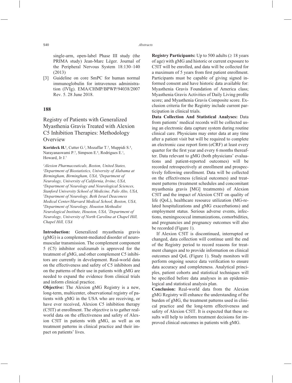single-arm, open-label Phase III study (the PRIMA study) Jean-Marc Léger. Journal of the Peripheral Nervous System 18:130–140 (2013)

[3] Guideline on core SmPC for human normal immunoglobulin for intravenous administration (IVIg). EMA/CHMP/BPWP/94038/2007 Rev. 5. 28 June 2018.

#### **188**

# Registry of Patients with Generalized Myasthenia Gravis Treated with Alexion C5 Inhibition Therapies: Methodology **Overview**

**Korideck H.<sup>1</sup>**, Cutter G.<sup>2</sup>, Mozaffar T.<sup>3</sup>, Muppidi S.<sup>4</sup>, Narayanaswami P.<sup>5</sup>, Simpson E.<sup>6</sup>, Rodrigues E.<sup>1</sup>, Howard, Jr J.7

*1 Alexion Pharmaceuticals, Boston, United States, 2 Department of Biostatistics, University of Alabama at Birmingham, Birmingham, USA, 3 Department of Neurology, University of California, Irvine, USA, 4 Department of Neurology and Neurological Sciences, Stanford University School of Medicine, Palo Alto, USA, 5 Department of Neurology, Beth Israel Deaconess Medical Center/Harvard Medical School, Boston, USA, 6 Department of Neurology, Houston Methodist Neurological Institute, Houston, USA, 7 Department of Neurology, University of North Carolina at Chapel Hill, Chapel Hill, USA*

**Introduction:** Generalized myasthenia gravis (gMG) is a complement-mediated disorder of neuromuscular transmission. The complement component 5 (C5) inhibitor eculizumab is approved for the treatment of gMG, and other complement C5 inhibitors are currently in development. Real-world data on the effectiveness and safety of C5 inhibitors and on the patterns of their use in patients with gMG are needed to expand the evidence from clinical trials and inform clinical practice.

**Objective:** The Alexion gMG Registry is a new, long-term, multicenter, observational registry of patients with gMG in the USA who are receiving, or have ever received, Alexion C5 inhibition therapy (C5IT) at enrollment. The objective is to gather realworld data on the effectiveness and safety of Alexion C5IT in patients with gMG, as well as on treatment patterns in clinical practice and their impact on patients' lives.

**Registry Participants:** Up to 500 adults  $( \geq 18 \text{ years})$ of age) with gMG and historic or current exposure to C5IT will be enrolled, and data will be collected for a maximum of 5 years from first patient enrollment. Participants must be capable of giving signed informed consent and have historic data available for: Myasthenia Gravis Foundation of America class; Myasthenia Gravis Activities of Daily Living profile score; and Myasthenia Gravis Composite score. Exclusion criteria for the Registry include current participation in clinical trials.

**Data Collection And Statistical Analyses:** Data from patients' medical records will be collected using an electronic data capture system during routine clinical care. Physicians may enter data at any time after a patient visit but will be required to complete an electronic case report form (eCRF) at least every quarter for the first year and every 6 months thereafter. Data relevant to gMG (both physicians' evaluations and patient-reported outcomes) will be recorded retrospectively at enrollment and prospectively following enrollment. Data will be collected on the effectiveness (clinical outcomes) and treatment patterns (treatment schedules and concomitant myasthenia gravis [MG] treatments) of Alexion C5IT and the impact of Alexion C5IT on quality of life (QoL), healthcare resource utilization (MG-related hospitalizations and gMG exacerbations) and employment status. Serious adverse events, infections, meningococcal immunizations, comorbidities, and pregnancies and pregnancy outcomes will also be recorded (Figure 1).

If Alexion C5IT is discontinued, interrupted or changed, data collection will continue until the end of the Registry period to record reasons for treatment changes and to provide information on clinical outcomes and QoL (Figure 1). Study monitors will perform ongoing source data verification to ensure data accuracy and completeness. Analytical principles, patient cohorts and statistical techniques will be specified before data analyses in an epidemiological and statistical analysis plan.

**Conclusion:** Real-world data from the Alexion gMG Registry will enhance the understanding of the burden of gMG, the treatment patterns used in clinical practice and the long-term effectiveness and safety of Alexion C5IT. It is expected that these results will help to inform treatment decisions for improved clinical outcomes in patients with gMG.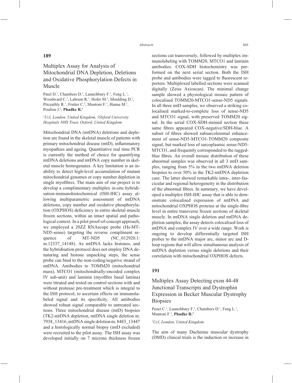# Multiplex Assay for Analysis of Mitochondrial DNA Depletion, Deletions and Oxidative Phosphorylation Defects in Muscle

**189**

Patel D.<sup>1</sup>, Chambers D.<sup>1</sup>, Launchbury F.<sup>1</sup>, Feng L.<sup>1</sup>, Woodward C.<sup>1</sup>, Labrum R.<sup>1</sup>, Hofer M.<sup>2</sup>, Moulding D.<sup>1</sup>, Pitceathly R.<sup>1</sup>, Fratter C.<sup>2</sup>, Muntoni F.<sup>1</sup>, Hanna M.<sup>1</sup>, Poulton J.<sup>2</sup>, **Phadke R.<sup>1</sup>** 

### *1 Ucl, London, United Kingdom, 2 Oxford University Hospitals NHS Trust, Oxford, United Kingdom*

Mitochondrial DNA (mtDNA) deletions and depletion are found in the skeletal muscle of patients with primary mitochondrial disease (mtD), inflammatory myopathies and ageing. Quantitative real time PCR is currently the method of choice for quantifying mtDNA deletions and mtDNA copy number in skeletal muscle homogenates. A key limitation is an inability to detect high-level accumulation of mutant mitochondrial genomes or copy number depletion in single myofibres. The main aim of our project is to develop a complimentary multiplex in-situ hybridisation-immunohistochemical (ISH-IHC) assay allowing multiparametric assessment of mtDNA deletions, copy number and oxidative phosphorylation (OXPHOS) deficiency in entire skeletal muscle frozen sections, within an intact spatial and pathological context. In a pilot proof-of-concept approach, we employed a 20ZZ RNAscope probe (Hs-MT-ND5-sense) targeting the reverse compliment sequence of MT-ND5 (NC\_012920.1: m.12337\_14148). As mtDNA lacks histones, and the hybridisation protocol does not employ DNA denaturing and histone unpacking steps, the sense probe can bind to the non-coding/negative strand of mtDNA. Antibodies to TOMM20 (mitochondrial mass), MTCO1 (mitochondrially-encoded complex IV sub-unit) and laminin (myofibre basal lamina) were titrated and tested on control sections with and without protease pre-treatment which is integral to the ISH protocol, to ascertain effects on immunolabeled signal and its specificity. All antibodies showed robust signal comparable to untreated sections. Three mitochondrial disease (mtD) biopsies (TK2-mtDNA depletion, mtDNA single deletion m. 7938\_13416, mtDNA single deletion m. 8483\_13447 and a histologically normal biopsy (mtD excluded) were recruited to the pilot assay. The ISH assay was developed initially on 7 microns thickness frozen

sections cut transversely, followed by multiplex immunolabeling with TOMM20, MTCO1 and laminin antibodies. COX-SDH histochemistry was performed on the next serial section. Both the ISH probe and antibodies were tagged to fluorescent reporters. Multiplexed labelled sections were scanned digitally (Zeiss Axioscan). The minimal change sample showed a physiological mosaic pattern of colocalised TOMM20-MTCO1-sense-ND5 signals. In all three mtD samples, we observed a striking colocalised marked-to-complete loss of sense-ND5 and MTCO1 signal, with preserved TOMM20 signal. In the serial COX-SDH-stained section these same fibres appeared COX-negative/SDH-blue. A subset of fibres showed subsarcolemmal enhancement of sense-ND5-MTCO1-TOMM20 composite signal, but marked loss of sarcoplasmic sense-ND5- MTCO1, and frequently corresponded to the raggedblue fibres. An overall mosaic distribution of these abnormal samples was observed in all 3 mtD samples, ranging from 5% in the two mtDNA deletion biopsies to over 50% in the TK2-mtDNA depletion case. The latter showed remarkable intra-, inter-fascicular and regional heterogeneity in the distribution of the abnormal fibres. In summary, we have developed a multiplex ISH-IHC assay that is able to demonstrate colocalised expression of mtDNA and mitochondrial OXPHOS proteins at the single-fibre level in entire transverse frozen sections of skeletal muscle. In mtDNA single deletion and mtDNA depletion samples, the assay detects colocalised loss of mtDNA and complex IV over a wide range. Work is ongoing to develop differentially targeted ISH probes to the mtDNA major arc, minor arc and Dloop regions that will allow simultaneous analysis of mtDNA depletion versus single deletions and their correlation with mitochondrial OXPHOS defects.

## **191**

# Multiplex Assay Detecting exon 44-48 Junctional Transcripts and Dystrophin Expression in Becker Muscular Dystrophy **Biopsies**

Penet C.<sup>1</sup>, Launchbury F.<sup>1</sup>, Chambers D.<sup>1</sup>, Feng L.<sup>1</sup>, Muntoni F.1 , **Phadke R.1**

#### *1 Ucl, London, United Kingdom*

The aim of many Duchenne muscular dystrophy (DMD) clinical trials is the induction or increase in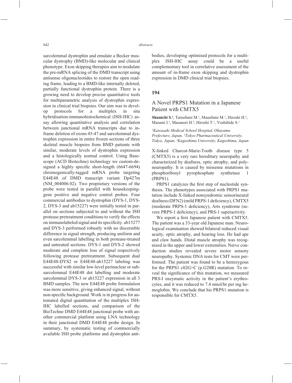sarcolemmal dystrophin and emulate a Becker muscular dystrophy (BMD)-like molecular and clinical phenotype. Exon skipping therapies aim to modulate the pre-mRNA splicing of the DMD transcript using antisense oligonucleotides to restore the open reading frame, leading to a BMD-like internally deleted, partially functional dystrophin protein. There is a growing need to develop precise quantitative tools for multiparametric analysis of dystrophin expression in clinical trial biopsies. Our aim was to develop protocols for a multiplex in situ hybridisation-immunohistochemical (ISH-IHC) assay allowing quantitative analysis and correlation between junctional mRNA transcripts due to inframe deletion of exons 45-47 and sarcolemmal dystrophin expression in entire frozen sections of three skeletal muscle biopsies from BMD patients with similar, moderate levels of dystrophin expression and a histologically normal control. Using Basescope (ACD Biotechne) technology we custom-designed a highly specific short-length  $(6647-6694)$ chromogenically-tagged mRNA probe targeting E44E48 of DMD transcript variant Dp427m (NM\_004006.02). Two proprietary versions of the probe were tested in parallel with housekeepinggene positive and negative control probes. Four commercial antibodies to dystrophin (DYS-1, DYS-2, DYS-3 and ab15227) were initially tested in parallel on sections subjected to and without the ISH protease pretreatment conditions to verify the effects on immunolabeled signal and its specificity. ab15277 and DYS-3 performed robustly with no discernible difference in signal strength, producing uniform and even sarcolemmal labelling in both protease-treated and untreated sections. DYS-1 and DYS-2 showed moderate and complete loss of signal respectively following protease pretreatment. Subsequent dual E44E48-DYS2 or E44E48-ab15227 labeling was successful with similar low-level perinuclear or subsarcolemmal E44E48 dot labelling and moderate sarcolemmal DYS-3 or ab15227 expression in all 3 BMD samples. The new E44E48 probe formulation was more sensitive, giving enhanced signal, without non-specific background. Work is in progress for automated digital quantitation of the multiplex ISH-IHC labelled sections, and comparison of the BioTechne DMD E44E48 junctional probe with another commercial platform using LNA technology in their junctional DMD E44E48 probe design. In summary, by systematic testing of commercially available ISH probe platforms and dystrophin antibodies, developing optimised protocols for a multiplex ISH-IHC assay could be a useful complementary tool in correlative assessment of the amount of in-frame exon skipping and dystrophin expression in DMD clinical trial biopsies.

#### **194**

# A Novel PRPS1 Mutation in a Japanese Patient with CMTX5

Shunichi S.<sup>1</sup>, Tatsufumi M.<sup>1</sup>, Masafumi M.<sup>1</sup>, Hiroshi H.<sup>2</sup>, Masami I.<sup>2</sup>, Masanori H.<sup>3</sup>, Hiroshi T.<sup>3</sup>, Yoshihide S.<sup>1</sup>

*1 Kawasaki Medical School Hospital, Okayama Prefecture, Japan, 2 Tokyo Pharmaceutical University, Tokyo, Japan, 3 Kagoshima University, Kagoshima, Japan*

X-linked Charcot-Marie-Tooth disease type 5 (CMTX5) is a very rare hereditary neuropathy and characterized by deafness, optic atrophy, and polyneuropathy. It is caused by missense mutations in phosphoribosyl pyrophosphate synthetase 1 (PRPS1).

PRPS1 catalyzes the first step of nucleotide synthesis. The phenotypes associated with PRPS1 mutation include X-linked nonsyndromic sensorineural deafness (DFN2) (mild PRPS-1 deficiency), CMTX5 (moderate PRPS-1 deficiency), Arts syndrome (severe PRPS-1 deficiency), and PRS-1 superactivity.

We report a first Japanese patient with CMTX5. The patient was a 33-year old Japanese man. Neurological examination showed bilateral reduced visual acuity, optic atrophy, and hearing loss. He had ape and claw hands. Distal muscle atrophy was recognized in the upper and lower extremities. Nerve conduction studies revealed severe motor sensory neuropathy. Systemic DNA tests for CMT were performed. The patient was found to be a hemizygous for the PRPS1 c82G>C (p.G28R) mutation. To reveal the significance of this mutation, we measured PRS-I enzymatic activity in the patient's erythrocytes, and it was reduced to 7.4 nmol/hr per mg hemoglobin. We conclude that his PRPS1 mutation is responsible for CMTX5.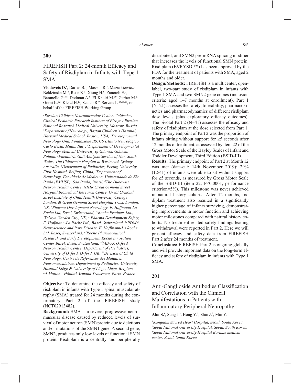## **200**

# FIREFISH Part 2: 24-month Efficacy and Safety of Risdiplam in Infants with Type 1 SMA

Vlodavets D.<sup>1</sup>, Darras B.<sup>2</sup>, Masson R.<sup>3</sup>, Mazurkiewicz-Bełdzińska M.<sup>4</sup>, Rose K.<sup>5</sup>, Xiong H.<sup>6</sup>, Zanoteli E.<sup>7</sup>, Baranello G.<sup>3,8</sup>, Dodman A.<sup>9</sup>, El-Khairi M.<sup>10</sup>, Gerber M.<sup>11</sup>, Gorni K.<sup>12</sup>, Kletzl H.<sup>13</sup>, Scalco R.<sup>9</sup>, Servais L.<sup>14,15,16</sup>, on behalf of the FIREFISH Working Group

*1 Russian Children Neuromuscular Center, Veltischev Clinical Pediatric Research Institute of Pirogov Russian National Research Medical University, Moscow, Russia, 2 Department of Neurology, Boston Children's Hospital, Harvard Medical School, Boston, USA, 3 Developmental Neurology Unit, Fondazione IRCCS Istituto Neurologico Carlo Besta, Milan, Italy, 4 Department of Developmental Neurology Medical University of Gdańsk, Gdańsk, Poland, 5 Paediatric Gait Analysis Service of New South Wales, The Children's Hospital at Westmead, Sydney, Australia, 6 Department of Pediatrics, Peking University First Hospital, Beijing, China, 7 Department of Neurology, Faculdade de Medicina, Universidade de São Paulo (FMUSP), São Paulo, Brazil, 8 The Dubowitz Neuromuscular Centre, NIHR Great Ormond Street Hospital Biomedical Research Centre, Great Ormond Street Institute of Child Health University College London, & Great Ormond Street Hospital Trust, London, UK, 9 Pharma Development Neurology, F. Hoffmann-La Roche Ltd, Basel, Switzerland, 10Roche Products Ltd., Welwyn Garden City, UK, 11Pharma Development Safety, F. Hoffmann-La Roche Ltd., Basel, Switzerland, 12PDMA Neuroscience and Rare Disease, F. Hoffmann-La Roche Ltd, Basel, Switzerland, 13Roche Pharmaceutical Research and Early Development, Roche Innovation Center Basel, Basel, Switzerland, 14MDUK Oxford Neuromuscular Centre, Department of Paediatrics, University of Oxford, Oxford, UK, 15Division of Child Neurology, Centre de Références des Maladies Neuromusculaires, Department of Pediatrics, University Hospital Liège & University of Liège, Liège, Belgium, 16I-Motion - Hôpital Armand Trousseau, Paris, France*

**Objective:** To determine the efficacy and safety of risdiplam in infants with Type 1 spinal muscular atrophy (SMA) treated for 24 months during the confirmatory Part 2 of the FIREFISH study (NCT02913482).

**Background:** SMA is a severe, progressive neuromuscular disease caused by reduced levels of survival of motor neuron (SMN) protein due to deletions and/or mutations of the SMN1 gene. A second gene, SMN2, produces only low levels of functional SMN protein. Risdiplam is a centrally and peripherally distributed, oral SMN2 pre-mRNA splicing modifier that increases the levels of functional SMN protein. Risdiplam (EVRYSDI™) has been approved by the FDA for the treatment of patients with SMA, aged 2 months and older.

**Design/Methods:** FIREFISH is a multicenter, openlabel, two-part study of risdiplam in infants with Type 1 SMA and two SMN2 gene copies (inclusion criteria: aged 1–7 months at enrollment). Part 1 (N=21) assesses the safety, tolerability, pharmacokinetics and pharmacodynamics of different risdiplam dose levels (plus exploratory efficacy outcomes). The pivotal Part  $2(N=41)$  assesses the efficacy and safety of risdiplam at the dose selected from Part 1. The primary endpoint of Part 2 was the proportion of infants sitting without support for  $\geq$ 5 seconds after 12 months of treatment, as assessed by item 22 of the Gross Motor Scale of the Bayley Scales of Infant and Toddler Development, Third Edition (BSID-III).

**Results:** The primary endpoint of Part 2 at Month 12 was met (data-cut: 14th November 2019); 29% (12/41) of infants were able to sit without support for  $\geq$ 5 seconds, as measured by Gross Motor Scale of the BSID-III (item 22; P<0.0001, performance criterion=5%). This milestone was never achieved in natural history cohorts. After 12 months, risdiplam treatment also resulted in a significantly higher percentage of infants surviving, demonstrating improvements in motor function and achieving motor milestones compared with natural history cohorts. No treatment-related safety findings leading to withdrawal were reported in Part 2. Here we will present efficacy and safety data from FIREFISH Part 2 after 24 months of treatment.

**Conclusions:** FIREFISH Part 2 is ongoing globally and will provide important data on the long-term efficacy and safety of risdiplam in infants with Type 1 SMA.

## **201**

Anti-Ganglioside Antibodies Classification and Correlation with the Clinical Manifestations in Patients with Inflammatory Peripheral Neuropathy

**Ahn S.<sup>1</sup>**, Sung J.<sup>2</sup>, Hong Y.<sup>3</sup>, Shin J.<sup>2</sup>, Min Y.<sup>1</sup>

 *Kangnam Sacred Heart Hospital, Seoul, South Korea, Seoul National University Hospital, Seoul, South Korea, Seoul National University Hospital Borame medical center, Seoul, South Korea*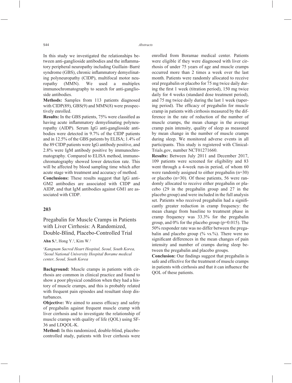In this study we investigated the relationships between anti-ganglioside antibodies and the inflammatory peripheral neuropathy including Guillain–Barré syndrome (GBS), chronic inflammatory demyelinating polyneuropathy (CIDP), multifocal motor neuropathy (MMN). We used a multiplex immunochromatography to search for anti-ganglioside antibodies.

**Methods:** Samples from 113 patients diagnosed with CIDP(89), GBS(9) and MMN(8) were prospectively enrolled.

**Results:** In the GBS patients, 75% were classified as having acute inflammatory demyelinating polyneuropathy (AIDP). Serum IgG anti-ganglioside antibodies were detected in 9.7% of the CIDP patients and in 12.5% of the GBS patients by ELISA; 1.4% of the 89 CIDP patients were IgG antibody positive, and 2.8% were IgM antibody positive by immunochromatography. Compared to ELISA method, immunochromatography showed lower detection rate. This will be affected by blood sampling time which after acute stage with treatment and accuracy of method.

**Conclusions:** These results suggest that IgG anti-GM2 antibodies are associated with CIDP and AIDP, and that IgM antibodies against GM1 are associated with CIDP.

## **203**

# Pregabalin for Muscle Cramps in Patients with Liver Cirrhosis: A Randomized, Double-Blind, Placebo-Controlled Trial

**Ahn S.1** , Hong Y.2 , Kim W.2

*1 Kangnam Sacred Heart Hospital, Seoul, South Korea, 2 Seoul National University Hospital Borame medical center, Seoul, South Korea*

**Background:** Muscle cramps in patients with cirrhosis are common in clinical practice and found to show a poor physical condition when they had a history of muscle cramps, and this is probably related with frequent pain episodes and resultant sleep disturbances.

**Objective:** We aimed to assess efficacy and safety of pregabalin against frequent muscle cramp with liver cirrhosis and to investigate the relationship of muscle cramps with quality of life (QOL) using SF-36 and LDQOL-K.

**Method:** In this randomized, double-blind, placebocontrolled study, patients with liver cirrhosis were enrolled from Boramae medical center. Patients were eligible if they were diagnosed with liver cirrhosis of under 75 years of age and muscle cramps occurred more than 2 times a week over the last month. Patients were randomly allocated to receive oral pregabalin or placebo for 75 mg twice daily during the first 1 week (titration period),  $150$  mg twice daily for 4 weeks (standard dose treatment period), and 75 mg twice daily during the last 1 week (tapering period). The efficacy of pregabalin for muscle cramp in patients with cirrhosis measured by the difference in the rate of reduction of the number of muscle cramps, the mean change in the average cramp pain intensity, quality of sleep as measured by mean change in the number of muscle cramps during sleep. We monitored adverse events in all participants. This study is registered with Clinical-Trials.gov, number NCT01271660.

**Results:** Between July 2011 and December 2017, 109 patients were screened for eligibility and 83 went through a 4-week run-in period, of whom 60 were randomly assigned to either pregabalin (n=30) or placebo (n=30). Of those patients, 56 were randomly allocated to receive either pregabalin or placebo (29 in the pregabalin group and 27 in the placebo group) and were included in the full analysis set. Patients who received pregabalin had a significantly greater reduction in cramp frequency: the mean change from baseline to treatment phase in cramp frequency was 33.3% for the pregabalin group, and 0% for the placebo group (p=0.015). The 50% responder rate was no differ between the pregabalin and placebo group  $(\%$  vs.%). There were no significant differences in the mean changes of pain intensity and number of cramps during sleep between the pregabalin and placebo groups.

**Conclusion:** Our findings suggest that pregabalin is safe and effective for the treatment of muscle cramps in patients with cirrhosis and that it can influence the QOL of these patients.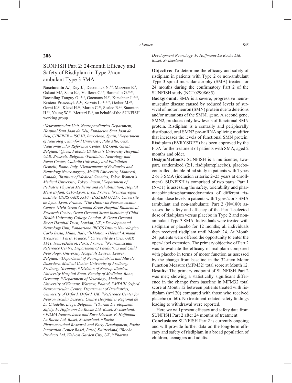# SUNFISH Part 2: 24-month Efficacy and Safety of Risdiplam in Type 2/nonambulant Type 3 SMA

Nascimento A.<sup>1</sup>, Day J.<sup>2</sup>, Deconinck N.<sup>3,4</sup>, Mazzone E.<sup>5</sup>, Oskoui M.<sup>6</sup>, Saito K.<sup>7</sup>, Vuillerot C.<sup>8,9</sup>, Baranello G.<sup>10,11</sup>, Boespflug-Tanguy O.<sup>12,13</sup>, Goemans N.<sup>14</sup>, Kirschner J.<sup>15,16</sup>, Kostera-Pruszczyk A.17, Servais L.12,18,19, Gerber M.20, Gorni K.<sup>21</sup>, Kletzl H.<sup>22</sup>, Martin C.<sup>23</sup>, Scalco R.<sup>24</sup>, Staunton H.<sup>23</sup>, Yeung W.<sup>23</sup>, Mercuri E.<sup>5</sup>, on behalf of the SUNFISH working group

*1 Neuromuscular Unit, Neuropaediatrics Department, Hospital Sant Joan de Déu, Fundacion Sant Joan de Deu, CIBERER – ISC III, Barcelona, Spain, 2 Department of Neurology, Stanford University, Palo Alto, USA, 3 Neuromuscular Reference Center, UZ Gent, Ghent, Belgium, 4 Queen Fabiola Children's University Hospital, ULB, Brussels, Belgium, 5 Paediatric Neurology and Nemo Center, Catholic University and Policlinico Gemelli, Rome, Italy, 6 Departments of Pediatrics and Neurology Neurosurgery, McGill University, Montreal, Canada, 7 Institute of Medical Genetics, Tokyo Women's Medical University, Tokyo, Japan, 8 Department of Pediatric Physical Medicine and Rehabilitation, Hôpital Mère Enfant, CHU-Lyon, Lyon, France, 9 Neuromyogen institute, CNRS UMR 5310 - INSERM U1217, Université de Lyon, Lyon, France, 10The Dubowitz Neuromuscular Centre, NIHR Great Ormond Street Hospital Biomedical Research Centre, Great Ormond Street Institute of Child Health University College London, & Great Ormond Street Hospital Trust, London, UK, 11Developmental Neurology Unit, Fondazione IRCCS Istituto Neurologico Carlo Besta, Milan, Italy, 12I-Motion - Hôpital Armand Trousseau, Paris, France, 13Université de Paris, UMR 1141, NeuroDiderot, Paris, France, 14Neuromuscular Reference Centre, Department of Paediatrics and Child Neurology, University Hospitals Leuven, Leuven, Belgium, 15Department of Neuropediatrics and Muscle Disorders, Medical Center-University of Freiburg, Freiburg, Germany, 16Division of Neuropediatrics, University Hospital Bonn, Faculty of Medicine, Bonn, Germany, 17Department of Neurology, Medical University of Warsaw, Warsaw, Poland, 18MDUK Oxford Neuromuscular Centre, Department of Paediatrics, University of Oxford, Oxford, UK, 19Reference Center for Neuromuscular Disease, Centre Hospitalier Régional de La Citadelle, Liège, Belgium, 20Pharma Development, Safety, F. Hoffmann-La Roche Ltd, Basel, Switzerland, 21PDMA Neuroscience and Rare Disease, F. Hoffmann-La Roche Ltd, Basel, Switzerland, 22Roche Pharmaceutical Research and Early Development, Roche Innovation Center Basel, Basel, Switzerland, 23Roche Products Ltd, Welwyn Garden City, UK, 24Pharma* 

*Development Neurology, F. Hoffmann-La Roche Ltd, Basel, Switzerland*

**Objective:** To determine the efficacy and safety of risdiplam in patients with Type 2 or non-ambulant Type 3 spinal muscular atrophy (SMA) treated for 24 months during the confirmatory Part 2 of the SUNFISH study (NCT02908685).

**Background:** SMA is a severe, progressive neuromuscular disease caused by reduced levels of survival of motor neuron (SMN) protein due to deletions and/or mutations of the SMN1 gene. A second gene, SMN2, produces only low levels of functional SMN protein. Risdiplam is a centrally and peripherally distributed, oral SMN2 pre-mRNA splicing modifier that increases the levels of functional SMN protein. Risdiplam (EVRYSDI™) has been approved by the FDA for the treatment of patients with SMA, aged 2 months and older.

**Design/Methods:** SUNFISH is a multicenter, twopart, randomized (2:1, risdiplam:placebo), placebocontrolled, double-blind study in patients with Types 2 or 3 SMA (inclusion criteria: 2–25 years at enrollment). SUNFISH is comprised of two parts: Part 1 (N=51) is assessing the safety, tolerability and pharmacokinetics/pharmacodynamics of different risdiplam dose levels in patients with Types 2 or 3 SMA (ambulant and non-ambulant); Part  $2$  (N=180) assesses the safety and efficacy of the Part 1-selected dose of risdiplam versus placebo in Type 2 and nonambulant Type 3 SMA. Individuals were treated with risdiplam or placebo for 12 months; all individuals then received risdiplam until Month 24. At Month 24, patients were offered the opportunity to enter the open-label extension. The primary objective of Part 2 was to evaluate the efficacy of risdiplam compared with placebo in terms of motor function as assessed by the change from baseline in the 32-item Motor Function Measure (MFM32) total score at Month 12. **Results:** The primary endpoint of SUNFISH Part 2 was met; showing a statistically significant difference in the change from baseline in MFM32 total score at Month 12 between patients treated with risdiplam (n=120) compared with those who received placebo ( $n=60$ ). No treatment-related safety findings leading to withdrawal were reported.

Here we will present efficacy and safety data from SUNFISH Part 2 after 24 months of treatment. **Conclusions:** SUNFISH Part 2 is currently ongoing and will provide further data on the long-term efficacy and safety of risdiplam in a broad population of children, teenagers and adults.

## **206**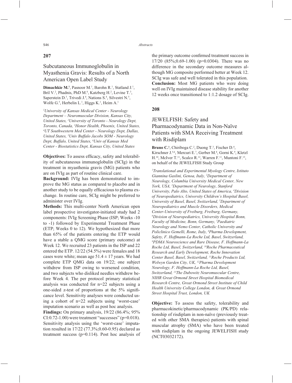## **207**

# Subcutaneous Immunoglobulin in Myasthenia Gravis: Results of a North American Open Label Study

**Dimachkie M.<sup>1</sup>**, Pasnoor M.<sup>1</sup>, Barohn R.<sup>1</sup>, Statland J.<sup>1</sup>, Bril V.<sup>2</sup>, Phadnis, PhD M.<sup>6</sup>, Katzberg H.<sup>2</sup>, Levine T.<sup>3</sup>, Saperstein D.<sup>3</sup>, Trivedi J.<sup>4</sup>, Nations S.<sup>4</sup>, Silvestri N.<sup>5</sup>, Wolfe G.<sup>5</sup>, Herbelin L.<sup>1</sup>, Higgs K.<sup>1</sup>, Heim A.<sup>1</sup>

*1 University of Kansas Medical Center - Neurology Department – Neuromuscular Division, Kansas City, United States, 2 University of Toronto - Neurology Dept, Toronto, Canada, 3 Honor Health, Phoenix, United States, 4 UT Southwestern Med Center - Neurology Dept, Dallas, United States, 5 Univ Buffalo Jacobs SOM - Neurology Dept, Buffalo, United States, 6 Univ of Kansas Med Center - Biostatistics Dept, Kansas City, United States*

**Objectives:** To assess efficacy, safety and tolerability of subcutaneous immunoglobulin (SCIg) in the treatment in myasthenia gravis (MG) patients who are on IVIg as part of routine clinical care.

**Background:** IVIg has been demonstrated to improve the MG status as compared to placebo and in another study to be equally efficacious to plasma exchange. In routine care, SCIg might be preferred to administer over IVIg.

**Methods:** This multi-center North American open label prospective investigator-initiated study had 2 components: IVIg Screening Phase (ISP; Weeks -10 to -1) followed by Experimental Treatment Phase (ETP; Weeks 0 to 12). We hypothesized that more than 65% of the patients entering the ETP would have a stable a QMG score (primary outcome) at Week 12. We recruited 23 patients in the ISP and 22 entered the ETP. 12/22 (54.5%) were females and 18 cases were white; mean age  $51.4 \pm 17$  years. We had complete ETP QMG data on 19/22; one subject withdrew from ISP owing to worsened condition, and two subjects who disliked needles withdrew before Week 4. The per protocol primary statistical analysis was conducted for n=22 subjects using a one-sided z-test of proportions at the  $5\%$  significance level. Sensitivity analyses were conducted using a cohort of n=22 subjects using 'worst-case' imputation scenario as well as post hoc analysis.

**Findings:** On primary analysis, 19/22 (86.4%; 95%  $CI: 0.72-1.00$  were treatment "successes" ( $p=0.018$ ). Sensitivity analysis using the 'worst-case' imputation resulted in 17/22 (77.3%;0.60-0.95) declared as treatment success (p=0.114). Post hoc analysis of the primary outcome confirmed treatment success in 17/20 (85%;0.69-1.00) (p=0.0304). There was no difference in the secondary outcome measures although MG composite performed better at Week 12. SCIg was safe and well tolerated in this population. **Conclusion:** Most MG patients who were doing well on IVIg maintained disease stability for another 12 weeks once transitioned to 1:1.2 dosage of SCIg.

## **208**

# JEWELFISH: Safety and Pharmacodynamic Data in Non-Naïve Patients with SMA Receiving Treatment with Risdiplam

Bruno C<sup>1</sup>, Chiriboga C<sup>2</sup>, Duong T<sup>3</sup>, Fischer D.<sup>4</sup>, Kirschner J.<sup>5,6</sup>, Mercuri E.<sup>7</sup>, Gerber M.<sup>8</sup>, Gorni K.<sup>9</sup>, Kletzl H.<sup>10</sup>, McIver T.<sup>11</sup>, Scalco R.<sup>12</sup>, Warren F.<sup>11</sup>, Muntoni F.<sup>13</sup>, on behalf of the JEWELFISH Study Group

*1 Translational and Experimental Myology Centre, Istituto Giannina Gaslini, Genoa, Italy, 2 Department of Neurology, Columbia University Medical Center, New York, USA, 3 Department of Neurology, Stanford University, Palo Alto, United States of America, 4 Division of Neuropediatrics, University Children's Hospital Basel, University of Basel, Basel, Switzerland, 5 Department of Neuropediatrics and Muscle Disorders, Medical Center-University of Freiburg, Freiburg, Germany, 6 Division of Neuropediatrics, University Hospital Bonn, Faculty of Medicine, Bonn, Germany, 7 Paediatric Neurology and Nemo Center, Catholic University and Policlinico Gemelli, Rome, Italy, 8 Pharma Development, Safety, F. Hoffmann-La Roche Ltd, Basel, Switzerland, 9 PDMA Neuroscience and Rare Disease, F. Hoffmann-La Roche Ltd, Basel, Switzerland, 10Roche Pharmaceutical Research and Early Development, Roche Innovation Center Basel, Basel, Switzerland, 11Roche Products Ltd, Welwyn Garden City, UK, 12Pharma Development Neurology, F. Hoffmann-La Roche Ltd, Basel, Switzerland, 13The Dubowitz Neuromuscular Centre, NIHR Great Ormond Street Hospital Biomedical Research Centre, Great Ormond Street Institute of Child Health University College London, & Great Ormond Street Hospital Trust, London, UK*

**Objective:** To assess the safety, tolerability and pharmacokinetic/pharmacodynamic (PK/PD) relationship of risdiplam in non-naïve (previously treated with other SMA therapies) patients with spinal muscular atrophy (SMA) who have been treated with risdiplam in the ongoing JEWELFISH study (NCT03032172).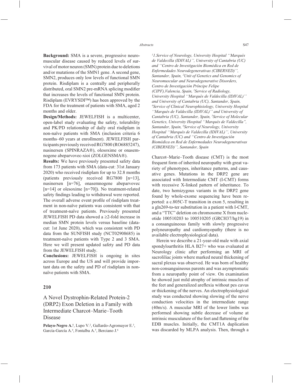**Background:** SMA is a severe, progressive neuromuscular disease caused by reduced levels of survival of motor neuron (SMN) protein due to deletions and/or mutations of the SMN1 gene. A second gene, SMN2, produces only low levels of functional SMN protein. Risdiplam is a centrally and peripherally distributed, oral SMN2 pre-mRNA splicing modifier that increases the levels of functional SMN protein. Risdiplam (EVRYSDI™) has been approved by the FDA for the treatment of patients with SMA, aged 2 months and older.

**Design/Methods:** JEWELFISH is a multicenter, open-label study evaluating the safety, tolerability and PK/PD relationship of daily oral risdiplam in non-naïve patients with SMA (inclusion criteria 6 months–60 years at enrollment). JEWELFISH participants previously received RG7800 (RO6885247), nusinersen (SPINRAZA®), olesoxime or onasemnogene abeparvovec-xioi (ZOLGENSMA®).

**Results:** We have previously presented safety data from 173 patients with SMA (data-cut: 31st January 2020) who received risdiplam for up to 32.8 months (patients previously received RG7800 [n=13], nusinersen [n=76], onasemnogene abeparvovec [n=14] or olesoxime [n=70]). No treatment-related safety findings leading to withdrawal were reported. The overall adverse event profile of risdiplam treatment in non-naïve patients was consistent with that of treatment-naïve patients. Previously presented JEWELFISH PD data showed a  $\geq$ 2-fold increase in median SMN protein levels versus baseline (datacut: 1st June 2020), which was consistent with PD data from the SUNFISH study (NCT02908685) in treatment-naïve patients with Type 2 and 3 SMA. Here we will present updated safety and PD data from the JEWELFISH study.

**Conclusions:** JEWELFISH is ongoing in sites across Europe and the US and will provide important data on the safety and PD of risdiplam in nonnaïve patients with SMA.

## **210**

# A Novel Dystrophin-Related Protein-2 (DRP2) Exon Deletion in a Family with Intermediate Charcot–Marie–Tooth Disease

Pelayo-Negro A.<sup>1</sup>, Lupo V.<sup>2</sup>, Gallardo-Agromayor E.<sup>3</sup>, García-García A.<sup>4</sup>, Fontalba A.<sup>5</sup>, Berciano J.<sup>6</sup>

*1 1.Service of Neurology, University Hospital ''Marqués de Valdecilla (IDIVAL)'', University of Cantabria (UC) and ''Centro de Investigación Biomédica en Red de Enfermedades Neurodegenerativas (CIBERNED)'', Santander, Spain, 2 Unit of Genetics and Genomics of Neuromuscular and Neurodegenerative Disorders, Centro de Investigación Príncipe Felipe (CIPF),Valencia, Spain, 3 Service of Radiology, University Hospital ''Marqués de Valdecilla (IDIVAL)'' and University of Cantabria (UC), Santander, Spain, 4 Service of Clinical Neurophisiology, University Hospital ''Marqués de Valdecilla (IDIVAL)'' and University of Cantabria (UC), Santander, Spain, 5 Service of Molecular Genetics, University Hospital ''Marqués de Valdecilla", Santander, Spain, 6 Service of Neurology, University Hospital ''Marqués de Valdecilla (IDIVAL)'', University of Cantabria (UC) and ''Centro de Investigación Biomédica en Red de Enfermedades Neurodegenerativas (CIBERNED)'', Santander, Spain*

Charcot–Marie–Tooth disease (CMT) is the most frequent form of inherited neuropathy with great variety of phenotypes, inheritance patterns, and causative genes. Mutations in the DRP2 gene are associated with Intermediate CMT (I-CMT) forms with recessive X-linked pattern of inheritance. To date, two hemizygous variants in the DRP2 gene found by whole-exome sequencing have been reported: a c.805C-T transition in exon 5, resulting in a gln269-to-ter substitution in a patient with I-CMT, and a "TTC" deletion on chromosome X from nucleotide 100510203 to 100510205 (GRCH37/hg19) in a consanguineous family with slowly progressive polyneuropathy and cardiomyopathy (there is no available electrophysiological data).

Herein we describe a 21-year-old male with axial spondyloarthritis HLA B27+ who was evaluated at Neurology clinic after performing an MRI of sacroliliac joints where marked neural thickening of sacral plexus was observed. He was born of healthy non-consanguineous parents and was asymptomatic from a neuropathy point of view. On examination he showed just mild atrophy of intrinsic muscles of the feet and generalized areflexia without pes cavus or thickening of the nerves. An electrophysiological study was conducted showing slowing of the nerve conduction velocities in the intermediate range (40m/s). A muscular MRI of the lower limbs was performed showing subtle decrease of volume at intrinsic musculature of the feet and flattening of the EDB muscles. Initially, the CMT1A duplication was discarded by MLPA analysis. Then, through a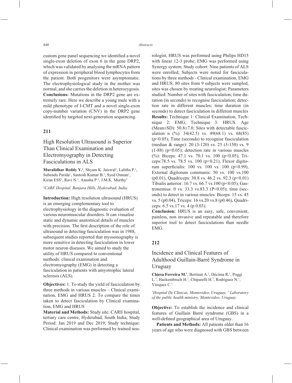custom gene panel sequencing we identified a novel single-exon deletion of exon 6 in the gene DRP2, which was validated by analysing the mRNA pattern of expression in peripheral blood lymphocytes from the patient. Both progenitors were asymptomatic. The electrophysiological study in the mother was normal, and she carries the deletion in heterozygosis. **Conclusions:** Mutations in the DRP2 gene are extremely rare. Here we describe a young male with a mild phenotype of I-CMT and a novel single-exon copy-number variation (CNV) in the DRP2 gene identified by targeted next-generation sequencing.

## **211**

High Resolution Ultrasound is Superior Than Clinical Examination and Electromyography in Detecting Fasciculations in ALS

Muralidhar Reddy Y.<sup>1</sup>, Shyam K. Jaiswal<sup>1</sup>, Lalitha P.<sup>1</sup>, Subendu Parida<sup>1</sup>, Santosh Kumar B.<sup>1</sup>, Syed Osman<sup>1</sup>, Kiran ESS<sup>1</sup>, Ravi N.<sup>1</sup>, Anusha P.<sup>1</sup>, J.M.K. Murthy<sup>1</sup>

*1 CARE Hospital, Banjara Hills, Hyderabad, India*

**Introduction:** High resolution ultrasound (HRUS) is an emerging complementary tool to electrophysiology in the diagnostic evaluation of various neuromuscular disorders. It can visualise static and dynamic anatomical details of muscles with precision. The first description of the role of ultrasound in detecting fasciculation was in 1988, subsequent studies reported that myosonography is more sensitive in detecting fasciculation in lower motor neuron diseases. We aimed to study the utility of HRUS compared to conventional methods: clinical examination and electromyography (EMG) in detecting a fasciculation in patients with amyotrophic lateral sclerosis (ALS).

**Objectives:** 1. To study the yield of fasciculation by three methods in various muscles – Clinical examination, EMG and HRUS 2. To compare the times taken to detect fasciculation by Clinical examination, EMG and HRUS

**Material and Methods:** Study site: CARE hospital, tertiary care centre, Hyderabad, South India; Study Period: Jan 2019 and Dec 2019; Study technique: Clinical examination was performed by trained neurologist, HRUS was performed using Philips HD15 with linear 12-3 probe; EMG was performed using Synergy system; Study cohort: Nine patients of ALS were enrolled; Subjects were noted for fasciculations by three methods - Clinical examination, EMG and HRUS; 80 sites from 9 subjects were sampled, sites was chosen by treating neurologist; Parameters studied: Number of sites with fasciculation; time duration (in seconds) to recognise fasciculation; detection rate in different muscles; time duration (in seconds) to detect fasciculation in different muscles **Results:** Technique 1: Clinical Examination, Technique 2: EMG, Technique 3: HRUS. Age (Mean±SD): 50.8±7.0; Sites with detectable fasciculation n  $(\%): 34(42.5)$  vs.  $49(68.1)$  vs.  $68(85)$ (p<0.05); Time (seconds) to recognise fasciculation (median & range): 20 (3-120) vs. 25 (3-150) vs. 9  $(1-88)$  ( $p<0.05$ ); detection rate in various muscles (%): Biceps: 47.1 vs. 70.1 vs. 100 (p<0.05), Triceps:78.5 vs. 78.5 vs. 100 ( $p<0.21$ ), Flexor digitorum superficialis: 100 vs. 100 vs. 100 ( $p < 0.99$ ), External digitorum communis: 50 vs. 100 vs.100 (p0.01), Quadriceps: 30.8 vs. 46.2 vs. 92.3 (p<0.01) Tibialis anterior: 16.7 vs. 66.7 vs. 100 ( $p$ <0.05), Gastronemius: 0 vs. 33.3 vs.83.3 (P<0.05); time (seconds) to detect in various muscles: Biceps: 15 vs. 45 vs. 5 (p0.04), Triceps: 16 vs.20 vs.8 (p0.46), Quadriceps: 6.5 vs.17 vs. 4 (p 0.03).

**Conclusion:** HRUS is an easy, safe, convenient, painless, non invasive and repeatable and therefore superior tool to detect fasciculations than needle EMG.

## **212**

# Incidence and Clinical Features of Adulthood Guillain-Barré Syndrome in Uruguay

Chiesa Ferreira M.<sup>1</sup>, Bertinat A.<sup>1</sup>, Décima R.<sup>1</sup>, Poggi L.<sup>1</sup>, Hackembruch H.<sup>1</sup>, Chiparelli H.<sup>2</sup>, Rodriguez N.<sup>1</sup>, Vázquez C.1

*1 Hospital De Clínicas, Montevideo, Uruguay, 2 Laboratory of the public health ministry, Montevideo, Uruguay*

**Objective:** To establish the incidence and clinical features of Guillain Barré syndrome (GBS) in a well-defined geographical area of Uruguay.

**Patients and Methods:** All patients older than 16 years of age who were diagnosed with GBS between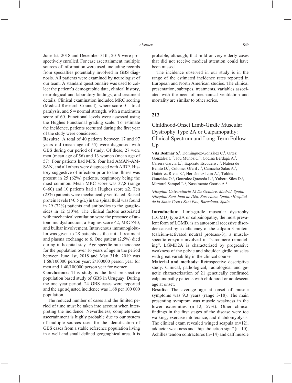June 1st, 2018 and December 31th, 2019 were prospectively enrolled. For case ascertainment, multiple sources of information were used, including records from specialties potentially involved in GBS diagnosis. All patients were examined by neurologist of our team. A standard questionnaire was used to collect the patient's demographic data, clinical history, neurological and laboratory findings, and treatment details. Clinical examination included MRC scoring (Medical Research Council), where score  $0 =$  total paralysis, and  $5$  = normal strength, with a maximum score of 60. Functional levels were assessed using the Hughes Functional grading scale. To estimate the incidence, patients recruited during the first year of the study were considered.

**Results:** A total of 40 patients between 17 and 97 years old (mean age of 55) were diagnosed with GBS during our period of study. Of these, 27 were men (mean age of 56) and 13 women (mean age of 57). Four patients had MFS, four had AMAN-AM-SAN, and all others were diagnosed with AIDP. History suggestive of infection prior to the illness was present in 25 (62%) patients, respiratory being the most common. Mean MRC score was 37,8 (range 0–60) and 10 patients had a Hughes score  $\leq$ 2. Ten (25%) patients were mechanically ventilated. Raised protein levels ( $>0.5$  g/L) in the spinal fluid was found in 29 (72%) patients and antibodies to the gangliosides in 12 (30%). The clinical factors associated with mechanical ventilation were the presence of autonomic dysfunction, a Hughes score  $\leq$ 2, MRC $\leq$ 40, and bulbar involvement. Intravenous immunoglobulin was given to 28 patients as the initial treatment and plasma exchange to 6. One patient (2,5%) died during in-hospital stay. Age specific rate incidence for the population over 16 years of age in the period between June 1st, 2018 and May 31th, 2019 was 1.68/100000 person year; 2/100000 person year for men and 1.40/100000 person year for women.

**Conclusions:** This study is the first prospective population based study of GBS in Uruguay. During the one year period, 24 GBS cases were reported and the age adjusted incidence was 1.68 per 100 000 population.

The reduced number of cases and the limited period of time must be taken into account when interpreting the incidence. Nevertheless, complete case ascertainment is highly probable due to our system of multiple sources used for the identification of GBS cases from a stable reference population living in a well and small defined geographical area. It is probable, although, that mild or very elderly cases that did not receive medical attention could have been missed.

The incidence observed in our study is in the range of the estimated incidence rates reported in European and North American studies. The clinical presentation, subtypes, treatments, variables associated with the need of mechanical ventilation and mortality are similar to other series.

## **213**

# Childhood-Onset Limb-Girdle Muscular Dystrophy Type 2A or Calpainopathy: Clinical Spectrum and Long-Term Follow Up

**Vila Bedmar S.1** , Domínguez-González C.1 , Ortez González C.<sup>2</sup>, Jou Muñoz C.<sup>2</sup>, Codina Berdagà A.<sup>2</sup>, Carrera García L.<sup>2</sup>, Expósito Escudero J.<sup>2</sup>, Natera de Benito D.<sup>2</sup>, Colomer Oferil J.<sup>2</sup>, Camacho Salas A.<sup>1</sup>, Gutiérrez Rivas E.<sup>1</sup>, Hernández Lain A.<sup>1</sup>, Toldos González O.<sup>1</sup>, Gonzalez Quereda L.<sup>3</sup>, Yubero Siles D.<sup>2</sup>, Martorel Sampol L.<sup>2</sup>, Nascimento Osorio A.<sup>2</sup>

*1 Hospital Universitario 12 De Octubre, Madrid, Spain, 2 Hospital Sant Joan de Déu, Barcelona, Spain, 3 Hospital de la Santa Creu i Sant Pau, Barcelona, Spain* 

**Introduction:** Limb-girdle muscular dystrophy (LGMD) type 2A or calpainopathy, the most prevalent form of LGMD, is an autosomal recessive disorder caused by a deficiency of the calpain-3 protein (calcium-activated neutral protease-3), a musclespecific enzyme involved in "sarcomere remodeling". LGMD2A is characterized by progressive weakness of the pelvic and shoulder girdle muscles with great variability in the clinical course.

**Material and methods:** Retrospective descriptive study. Clinical, pathological, radiological and genetic characterization of 21 genetically confirmed calpainopathy patients with childhood or adolescent age at onset.

**Results:** The average age at onset of muscle symptoms was 9.3 years (range 3-18). The main presenting symptom was muscle weakness in the lower extremities (n=12, 57%). Other clinical findings in the first stages of the disease were toe walking, exercise intolerance, and rhabdomyolysis. The clinical exam revealed winged scapula (n=12), adductor weakness and "hip abduction sign" (n=10), Achilles tendon contractures (n=14) and calf muscle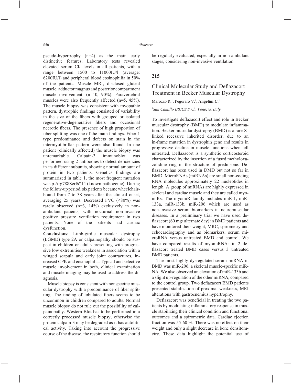pseudo-hypertrophy (n=4) as the main early distinctive features. Laboratory tests revealed elevated serum CK levels in all patients, with a range between 1500 to 11000IU/l (average: 6200IU/l) and peripheral blood eosinophilia in 50% of the patients. Muscle MRI, disclosed gluteal muscle, adductor magnus and posterior compartment muscle involvement. (n=10, 90%). Paravertebral muscles were also frequently affected (n=5, 45%). The muscle biopsy was consistent with myopathic pattern, dystrophic findings consisted of variability in the size of the fibers with grouped or isolated regenerative-degenerative fibers and occasional necrotic fibers. The presence of high proportion of fiber splitting was one of the main findings. Fiber 1 type predominance and defects on stain in the intermyofibrillar pattern were also found. In one patient (clinically affected) the muscle biopsy was unremarkable. Calpain-3 immunoblot was performed using 2 antibodies to detect deficiencies in its different subunits, showing normal amount of protein in two patients. Genetics findings are summarized in table 1, the most frequent mutation was p.Arg788Serfs\*14 (known pathogenic). During the follow-up period, six patients became wheelchairbound from 7 to 38 years after the clinical onset, averaging 25 years. Decreased FVC  $(\leq 80\%)$  was rarely observed (n=3, 14%) exclusively in nonambulant patients, with nocturnal non-invasive positive pressure ventilation requirement in two patients. None of the patients had cardiac dysfunction.

**Conclusions:** Limb-girdle muscular dystrophy (LGMD) type 2A or calpainopathy should be suspect in children or adults presenting with progressive low extremities weakness in association with a winged scapula and early joint contractures, increased CPK and eosinophilia. Typical and selective muscle involvement in both, clinical examination and muscle imaging may be used to address the diagnosis.

Muscle biopsy is consistent with nonspecific muscular dystrophy with a predominance of fiber splitting. The finding of lobulated fibers seems to be uncommon in children compared to adults. Normal muscle biopsy do not rule out the possibility of calpainopathy. Western-Blot has to be performed in a correctly processed muscle biopsy, otherwise the protein calpain-3 may be degraded as it has autolitical activity. Taking into account the progressive course of the disease, the respiratory function should be regularly evaluated, especially in non-ambulant stages, considering non-invasive ventilation.

## **215**

# Clinical Molecular Study and Deflazacort Treatment in Becker Muscular Dystrophy

Marozzo R.1 , Pegoraro V.1 , **Angelini C.1**

*1 San Camillo IRCCS S.r.l., Venezia, Italy*

To investigate deflazacort effect and role in Becker muscular dystrophy (BMD) to modulate inflammation. Becker muscular dystrophy (BMD) is a rare Xlinked recessive inherited disorder, due to an in-frame mutation in dystrophin gene and results in progressive decline in muscle functions when left untreated. Deflazacort is a synthetic corticosteroid characterized by the insertion of a fused methyloxazolidine ring in the structure of prednisone. Deflazacort has been used in DMD but not so far in BMD. MicroRNAs (miRNAs) are small non-coding RNA molecules approximately 22 nucleotides in length. A group of miRNAs are highly expressed in skeletal and cardiac muscle and they are called myomiRs. The myomiR family includes miR-1, miR-133a, miR-133b, miR-206 which are used as non-invasive serum biomarkers in neuromuscular diseases. In a preliminary trial we have used deflazacort (60 mg/ alternate day) in BMD patients and have monitored their weight, MRC, spirometry and echocardiography and as biomarkers, serum microRNA versus untreated BMD and control. We have compared results of myomiRNAs in 2 deflazacort treated BMD cases versus 3 untreated BMD patients.

The most highly dysregulated serum miRNA in BMD was miR-206, a skeletal muscle-specific miR-NA. We also observed an elevation of miR-133b and a slight up-regulation of the other miRNA, compared to the control group. Two deflazacort BMD patients presented stabilization of proximal weakness, MRI alterations with gastrocnemius hypertrophy.

Deflazacort was beneficial in treating the two patients by modulating inflammatory response in muscle stabilizing their clinical condition and functional outcomes and a spirometric data. Cardiac ejection fraction was 55-60 %. There was no effect on their weight and only a slight decrease in bone densitometry. These data highlight the potential use of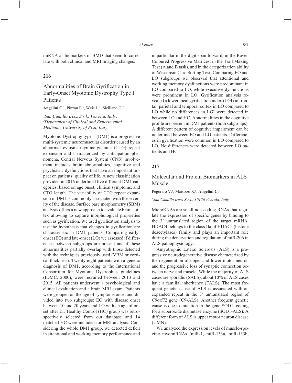miRNA as biomarkers of BMD that seem to correlate with both clinical and MRI imaging changes.

## **216**

# Abnormalities of Brain Gyrification in Early-Onset Myotonic Dystrophy Type I Patients

Angelini C.<sup>1</sup>, Pinzan E.<sup>1</sup>, Weis L.<sup>1</sup>, Siciliano G.<sup>2</sup>

*1 San Camillo Irccs S.r.l., Venezia, Italy, 2 Department of Clinical and Experimental Medicine, University of Pisa, Italy*

Myotonic Dystrophy type 1 (DM1) is a progressive multi-systemic neuromuscular disorder caused by an abnormal cytosine-thymine-guanine (CTG) repeat expansion and characterized by anticipation phenomena. Central Nervous System (CNS) involvement includes brain abnormalities, cognitive and psychiatric dysfunctions that have an important impact on patients' quality of life. A new classification provided in 2016 underlined five different DM1 categories, based on age onset, clinical symptoms, and CTG length. The variability of CTG repeat expansion in DM1 is commonly associated with the severity of the disease. Surface base morphometry (SBM) analysis offers a new approach to evaluate brain cortex allowing to capture morphological proprieties such as gyrification. We used gyrification analysis to test the hypothesis that changes in gyrification are characteristic in DM1 patients. Comparing earlyonset (EO) and late-onset (LO) we assessed if differences between subgroups are present and if these abnormalities partially overlap with those detected with the techniques previously used (VBM or cortical thickness). Twenty-eight patients with a genetic diagnosis of DM1, according to the International Consortium for Myotonic Dystrophies guidelines (IDMC, 2000), were recruited between 2013 and 2015. All patients underwent a psychological and clinical evaluation and a brain MRI exam. Patients were grouped on the age of symptoms onset and divided into two subgroups: EO with disease onset between 10 and 20 years and LO with an age of onset after 21. Healthy Control (HC) group was retrospectively selected from our database and 14 matched HC were included for MRI analysis. Considering the whole DM1 group, we detected deficit in attentional and working memory performance and in particular in the digit span forward, in the Raven Coloured Progressive Matrices, in the Trail Making Test (A and B task), and in the categorization ability of Wisconsin Card Sorting Test. Comparing EO and LO subgroups we observed that attentional and working memory dysfunctions were predominant in EO compared to LO, while executive dysfunctions were prominent in LO. Gyrification analysis revealed a lower local gyrification index (LGI) in frontal, parietal and temporal cortex in EO compared to LO while no differences in LGI were detected in between LO and HC. Abnormalities in the cognitive profile are present in DM1 patients (both subgroups). A different pattern of cognitive impairment can be underlined between EO and LO patients. Differences in gyrification were common in EO compared to LO. No differences were detected between LO patients and HC.

### **217**

# Molecular and Protein Biomarkers in ALS Muscle

Pegoraro V.<sup>1</sup>, Marozzo R.<sup>1</sup>, **Angelini C.<sup>1</sup>** 

*1 San Camillo Irccs S.r.l., 30126 Venezia, Italy*

MicroRNAs are small non-coding RNAs that regulate the expression of specific genes by binding to the 3' untranslated region of the target mRNA. HDAC4 belongs to the class IIa of HDACs (histone deacetylases) family and plays an important role during the denervation and regulation of miR-206 in ALS pathophysiology.

Amyotrophic Lateral Sclerosis (ALS) is a progressive neurodegenerative disease characterized by the degeneration of upper and lower motor neuron and the progressive loss of synaptic connection between nerve and muscle. While the majority of ALS cases are sporadic (SALS), about 10% of ALS cases have a familial inheritance (FALS). The most frequent genetic cause of ALS is associated with an expanded repeat in the 3' untranslated region of C9orf72 gene (C9-ALS). Another frequent genetic cause is due to mutation in the gene SOD1, coding for a superoxide dismutase enzyme (SOD1-ALS). A different form of ALS is upper motor neuron disease (UMN).

We analyzed the expression levels of muscle-specific myomiRNAs (miR-1, miR-133a, miR-133b,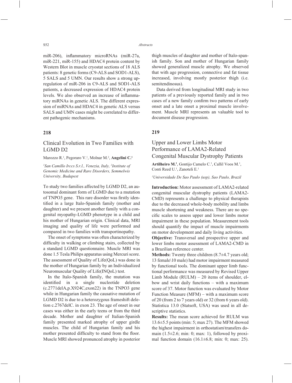miR-206), inflammatory microRNAs (miR-27a, miR-221, miR-155) and HDAC4 protein content by Western Blot in muscle cryostat sections of 18 ALS patients: 8 genetic forms (C9-ALS and SOD1-ALS), 5 SALS and 5 UMN. Our results show a strong upregulation of miR-206 in C9-ALS and SOD1-ALS patients, a decreased expression of HDAC4 protein levels. We also observed an increase of inflammatory miRNAs in genetic ALS. The different expression of miRNAs and HDAC4 in genetic ALS versus SALS and UMN cases might be correlated to different pathogenic mechanisms.

### **218**

# Clinical Evolution in Two Families with LGMD D2

Marozzo R.1 , Pegoraro V.1 , Molnar M.2 , **Angelini C.1**

*1 San Camillo Irccs S.r.l., Venezia, Italy, 2 Institute of Genomic Medicine and Rare Disorders, Semmelwis University, Budapest*

To study two families affected by LGMD D2, an autosomal dominant form of LGMD due to a mutation of TNPO3 gene. This rare disorder was firstly identified in a large Italo-Spanish family (mother and daughter) and we present another family with a congenital myopathy-LGMD phenotype in a child and his mother of Hungarian origin. Clinical data, MRI imaging and quality of life were performed and compared in two families with transportinopathy.

The onset of symptoms was often characterized by difficulty in walking or climbing stairs, collected by a standard LGMD questionnaire. Muscle MRI was done 1.5 Tesla Philips apparatus using Mercuri score. The assessment of Quality of Life(QoL) was done in the mother of Hungarian family by an Individualized Neuromuscular Quality of Life(INQoL) test.

In the Italo-Spanish family, the mutation was identified in a single nucleotide deletion (c.2771delA,p.X924C,exon22) in the TNPO3 gene while in Hungarian family the causative mutation of LGMD D2 is due to a heterozygous frameshift deletion c.2767delC. in exon 23. The age of onset in our cases was either in the early teens or from the third decade. Mother and daughter of Italian-Spanish family presented marked atrophy of upper girdle muscles. The child of Hungarian family and his mother presented difficulty to stand from the floor. Muscle MRI showed pronunced atrophy in posterior

thigh muscles of daughter and mother of Italo-spanish family. Son and mother of Hungarian family showed generalized muscle atrophy. We observed that with age progression, connective and fat tissue increased, involving mostly posterior thigh (i.e. semitendinosus).

Data derived from longitudinal MRI study in two patients of a previously reported family and in two cases of a new family confirm two patterns of early onset and a late onset a proximal muscle involvement. Muscle MRI represents an valuable tool to document disease progression.

### **219**

# Upper and Lower Limbs Motor Performance of LAMA2-Related Congenital Muscular Dystrophy Patients

Artilheiro M.<sup>1</sup>, Gontijo Camelo C.<sup>1</sup>, Callil Voos M.<sup>1</sup>, Conti Reed U.<sup>1</sup>, Zanoteli E.<sup>1</sup>

*1 Universidade De Sao Paulo (usp), Sao Paulo, Brazil*

**Introduction:** Motor assessment of LAMA2-related congenital muscular dystrophy patients (LAMA2- CMD) represents a challenge to physical therapists due to the decreased whole-body mobility and limbs muscle shortening and weakness. There are no specific scales to assess upper and lower limbs motor impairment in these population. Measurement tools should quantify the impact of muscle impairments on motor development and daily living activities.

**Objective:** Transversal and prospective upper and lower limbs motor assessment of LAMA2-CMD in a Brazilian reference center.

**Methods:** Twenty three children (8.7 $\pm$ 4.7 years old; 13 female\10 male) had motor impairment measured by functional tools. The dominant upper limb functional performance was measured by Revised Upper Limb Module (RULM) – 20 items of shoulder, elbow and wrist daily functions – with a maximum score of 37. Motor function was evaluated by Motor Function Measure (MFM) – with a maximum score of 20 (from 2 to 7 years old) or 32 (from 6 years old). Statistica 13.0 (Statsoft, USA) was used in all descriptive statistics.

**Results:** The mean score achieved for RULM was 13.6±5.5 points (min: 5; max 27). The MFM showed the highest impairment in orthostatism\transfers domain  $(1.5\pm 2.6; \text{min: 0; max: 1})$ , followed by proximal function domain  $(16.1\pm6.8; \text{min: 0}; \text{max: } 25)$ .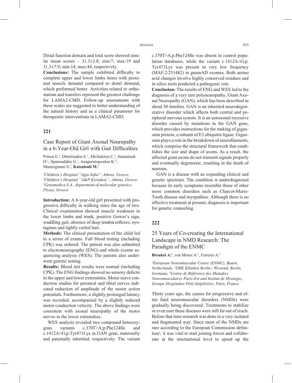Distal function domain and total score showed similar mean scores –  $31.3\pm3.8$ ; min:7; max:19 and 31.3±7.9; min:14; max:44, respectively.

**Conclusions:** The sample exhibited difficulty to complete upper and lower limbs items with proximal muscle demand compared to distal demand, which performed better. Activities related to orthostatism and transfers represent the greatest challenge for LAMA2-CMD. Follow-up assessments with these scales are suggested to better understanding of the natural history and as a clinical parameter for therapeutic interventions in LAMA2-CMD.

### **221**

## Case Report of Giant Axonal Neuropathy in a 6-Year-Old Girl with Gait Difficulties

Petrou E.<sup>1</sup>, Dimitriadou E.<sup>1</sup>, Michaletou C.<sup>1</sup>, Stamatiadi D.<sup>1</sup>, Spanoudakis G.<sup>1</sup>, Anagnostopoulou K.<sup>3</sup>, Mastrogianni S.2 , **Katsalouli M.1**

<sup>1</sup>Children's Hospital "Agia Sofia", Athens, Greece,<br><sup>2</sup>Children's Hospital ''A&P Kyriakou'' Athens Gre *Children's Hospital ''A&P Kyriakou'', Athens, Greece, 3 Genomedica S.A., department of molecular genetics, Pireus, Greece*

**Introduction:** A 6-year-old girl presented with progressive difficulty in walking since the age of two. Clinical examination showed muscle weakness in the lower limbs and trunk, positive Gower's sign, waddling gait, absence of deep tendon reflexes, nystagmus and tightly curled hair.

**Methods:** The clinical presentation of the child led to a series of exams. Full blood testing (including CPK) was ordered. The patient was also submitted to electroneurography (ENG) and whole exome sequencing analysis (WES). The parents also underwent genetic testing.

**Results:** Blood test results were normal (including CPK). The ENG findings showed no sensory deficits in the upper and lower extremities. Motor nerve conduction studies for peroneal and tibial nerves indicated reduction of amplitude of the motor action potentials. Furthermore, a slightly prolonged latency was recorded, accompanied by a slightly reduced motor conduction velocity. The above findings were consistent with axonal neuropathy of the motor nerves in the lower extremities.

WES analysis revealed two compound heterozygous variants c.370T>A;p.Phe124Ile and c.1412A>G;p.Tyr471Lys in GAN gene, maternally and paternally inherited, respectively. The variant c.370T>A;p.Phe124Ile was absent in control population databases, while the variant c.1412A>G;p. Tyr471Lys was present in very low frequency (MAF:2/251482) in gnomAD exomes. Both amino acid changes involve highly conserved residues and in silico tools predicted a pathogenic role.

**Conclusion:** The results of ENG and WES led to the diagnosis of a very rare polyneuropathy, Giant Axonal Neuropathy (GAN), which has been described in about 50 families. GAN is an inherited neurodegenerative disorder which affects both central and peripheral nervous system. It is an autosomal recessive disorder caused by mutations in the GAN gene, which provides instructions for the making of gigaxonin protein, a subunit of E3 ubiquitin ligase. Gigaxonin plays a role in the breakdown of neurofilaments, which comprise the structural framework that establishes the size and shape of axons. As a result, the affected giant axons do not transmit signals properly and eventually degenerate, resulting in the death of neurons.

GAN is a disease with an expanding clinical and genetic spectrum. The condition is underdiagnosed because its early symptoms resemble those of other more common disorders such as Charcot-Marie-Tooth disease and myopathies. Although there is no effective treatment at present, diagnosis is important for genetic counseling.

### **222**

# 25 Years of Co-creating the International Landscape in NMD Research: The Paradigm of the ENMC

#### Breukel A.<sup>1</sup>, von Moers A.<sup>2</sup>, Ferreiro A.<sup>3</sup>

*1 European Neuromuscular Centre (ENMC), Baarn, Netherlands, 2 DRK Kliniken Berlin | Westend, Berlin, Germany, 3 Centre de Référence des Maladies Neuromusculaires Paris-Est and Institut de Myologie, Groupe Hospitalier Pitié-Salpêtrière, Paris, France*

Thirty years ago, the causes for progressive and often fatal neuromuscular disorders (NMDs) were gradually being discovered. Treatments to stabilize or even cure these diseases were still far out of reach. Before that time research was done in a very isolated and fragmented way. Since most of the NMDs are rare according to the European Commission definition<sup>1</sup>, it was vital to start joining forces and collaborate at the international level to speed up the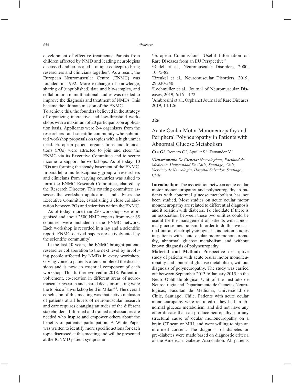development of effective treatments. Parents from children affected by NMD and leading neurologists discussed and co-created a unique concept to bring researchers and clinicians together². As a result, the European Neuromuscular Centre (ENMC) was founded in 1992. More exchange of knowledge, sharing of (unpublished) data and bio-samples, and collaboration in multinational studies was needed to improve the diagnosis and treatment of NMDs. This became the ultimate mission of the ENMC.

To achieve this, the founders believed in the strategy of organizing interactive and low-threshold workshops with a maximum of 20 participants on application basis. Applicants were 2-4 organisers from the researchers- and scientific community who submitted workshop proposals on topics with a high unmet need. European patient organisations and foundations (POs) were attracted to join and steer the ENMC via its Executive Committee and to secure income to support the workshops. As of today, 10 POs are forming the steady basement of the ENMC. In parallel, a multidisciplinary group of researchers and clinicians from varying countries was asked to form the ENMC Research Committee, chaired by the Research Director. This rotating committee assesses the workshop applications and advises the Executive Committee, establishing a close collaboration between POs and scientists within the ENMC.

As of today, more than 250 workshops were organised and about 2500 NMD experts from over 65 countries were included in the ENMC network. Each workshop is recorded in a lay and a scientific report; ENMC-derived papers are actively cited by the scientific community<sup>3</sup>.

In the last 10 years, the ENMC brought patientresearcher collaboration to the next level by involving people affected by NMDs in every workshop. Giving voice to patients often completed the discussions and is now an essential component of each workshop. This further evolved in 2018: Patient involvement, co-creation in different areas of neuromuscular research and shared decision-making were the topics of a workshop held in Milan<sup>4,5</sup>. The overall conclusion of this meeting was that active inclusion of patients at all levels of neuromuscular research and care requires changing attitudes of the different stakeholders. Informed and trained ambassadors are needed who inspire and empower others about the benefits of patients' participation. A White Paper was written to identify more specific actions for each topic discussed at this meeting and will be presented at the ICNMD patient symposium.

<sup>1</sup>European Commission: "Useful Information on Rare Diseases from an EU Perspective"

²Rüdel et al., Neuromuscular Disorders, 2000,  $10.75 - 82$ 

³Breukel et al., Neuromuscular Disorders, 2019, 29:330-340

4 Lochmüller et al., Journal of Neuromuscular Diseases, 2019, 6:161–172

5 Ambrosini et al., Orphanet Journal of Rare Diseases 2019, 14:126

### **226**

# Acute Ocular Motor Mononeuropathy and Peripheral Polyneuropathy in Patients with Abnormal Glucose Metabolism

Cea G.<sup>1</sup>, Romero C.<sup>2</sup>, Aguilar S.<sup>2</sup>, Fernandez V.<sup>1</sup>

*1 Departamento De Ciencias Neurologicas, Facultad de Medicina, Universidad De Chile, Santiago, Chile, 2 Servicio de Neurologia, Hospital Salvador, Santiago, Chile*

**Introduction:** The association between acute ocular motor mononeuropathy and polyneuropathy in patients with abnormal glucose metabolism has not been studied. Most studies on acute ocular motor mononeuropathy are related to differential diagnosis and it relation with diabetes. To elucidate If there is an association between these two entities could be useful for the management of patients with abnormal glucose metabolism. In order to do this we carried out an electrophysiological conduction studies in patients with acute ocular motor mononeuropathy, abnormal glucose metabolism and without known diagnosis of polyneuropathy.

**Material and Method:** Prospective descriptive study of patients with acute ocular motor mononeuropathy and abnormal glucose metabolism, without diagnosis of polyneuropathy. The study was carried out between September 2013 to January 2015, in the Neuro-Ophthalmological Unit of the Instituto de Neurocirugia and Departamento de Ciencias Neurologicas, Facultad de Medicina, Universidad de Chile, Santiago, Chile. Patients with acute ocular mononeuropathy were recruited if they had an abnormal glucose metabolism, and did not have any other disease that can produce neuropathy, nor any structural cause of ocular mononeuropathy on a brain CT scan or MRI, and were willing to sign an informed consent. The diagnosis of diabetes or pre-diabetes were made based on diagnostic criteria of the American Diabetes Association. All patients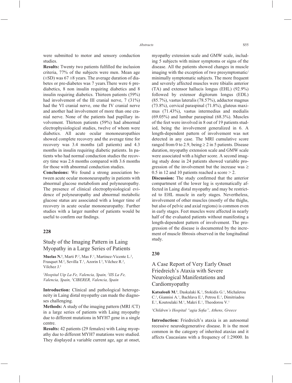were submitted to motor and sensory conduction studies.

**Results:** Twenty two patients fulfilled the inclusion criteria, 77% of the subjects were men. Mean age  $(\pm SD)$  was 67  $\pm 8$  years. The average duration of diabetes or pre-diabetes was 7 years.There were 6 prediabetics, 8 non insulin requiring diabetics and 8 insulin requiring diabetics. Thirteen patients (59%) had involvement of the III cranial nerve, 7 (31%) had the VI cranial nerve, one the IV cranial nerve and another had involvement of more than one cranial nerve. None of the patients had pupillary involvement. Thirteen patients (59%) had abnormal electrophysiological studies, twelve of whom were diabetics. All acute ocular mononeuropathies showed complete recovery and the average time for recovery was 3.4 months (all patients) and 4.3 months in insulin requiring diabetic patients. In patients who had normal conduction studies the recovery time was 2.6 months compared with 3.6 months for those with abnormal conduction studies.

**Conclusions:** We found a strong association between acute ocular mononeuropathy in patients with abnormal glucose metabolism and polyneuropathy. The presence of clinical electrophysiological evidence of polyneuropathy and abnormal metabolic glucose status are associated with a longer time of recovery in acute ocular mononeuropathy. Further studies with a larger number of patients would be useful to confirm our findings.

#### **228**

## Study of the Imaging Pattern in Laing Myopathy in a Large Series of Patients

**Muelas N.<sup>1</sup>**, Marti P.<sup>2</sup>, Mas F.<sup>1</sup>, Martinez-Vicente L.<sup>2</sup>, Frasquet M.<sup>2</sup>, Sevilla T.<sup>1</sup>, Azorin I.<sup>3</sup>, Vilchez R.<sup>2</sup>, Vilchez J.2

*1 Hospital Uip La Fe, Valencia, Spain, 2 IIS La Fe, Valencia, Spain, 3 CIBERER, Valencia, Spain*

**Introduction:** Clinical and pathological heterogeneity in Laing distal myopathy can made the diagnoses challenging.

**Methods:** A study of the imaging pattern (MRI /CT) in a large series of patients with Laing myopathy due to different mutations in MYH7 gene in a single centre.

**Results:** 42 patients (29 females) with Laing myopathy due to different MYH7 mutations were studied. They displayed a variable current age, age at onset, myopathy extension scale and GMW scale, including 5 subjects with minor symptoms or signs of the disease. All the patients showed changes in muscle imaging with the exception of two presymptomatic/ minimally symptomatic subjects. The more frequent and severely affected muscles were tibialis anterior (TA) and extensor hallucis longus (EHL) (92.9%) followed by extensor digitorum longus (EDL) (85.7%), vastus lateralis (78.57%), adductor magnus (73.8%), cervical paraspinal (71.8%), gluteus maximus (71.43%), vastus intermedius and medialis (69.05%) and lumbar paraspinal (68.3%). Muscles of the feet were involved in 8 out of 19 patients studied, being the involvement generalized in 6. A length-dependent pattern of involvement was not detected in any case. The MRI cumulative score ranged from 0 to 2.9, being  $\geq$  2 in 5 patients. Disease duration, myopathy extension scale and GMW scale were associated with a higher score. A second imaging study done in 24 patients showed variable progression of the involvement but the increase was  $\geq$ 0.5 in 12 and 10 patients reached a score > 2.

**Discussion:** The study confirmed that the anterior compartment of the lower leg is systematically affected in Laing distal myopathy and may be restricted to EHL muscle in early stages. Nevertheless, involvement of other muscles (mostly of the thighs, but also of pelvic and axial regions) is common even in early stages. Feet muscles were affected in nearly half of the evaluated patients without manifesting a length-dependent pattern of involvement. The progression of the disease is documented by the increment of muscle fibrosis observed in the longitudinal study.

#### **230**

# A Case Report of Very Early Onset Friedreich's Ataxia with Severe Neurological Manifestations and Cardiomyopathy

Katsalouli M.<sup>1</sup>, Daskalaki K.<sup>1</sup>, Stokidis G.<sup>1</sup>, Michaletou C.<sup>1</sup>, Giannisi A.<sup>1</sup>, Bachlava E.<sup>1</sup>, Petrou E.<sup>1</sup>, Dimitriadou E.<sup>1</sup>, Koutoulaki M.<sup>1</sup>, Makri E.<sup>1</sup>, Theodorou V.<sup>1</sup>

<sup>1</sup>Children's Hospital "agia Sofia", Athens, Greece

**Introduction:** Friedreich's ataxia is an autosomal recessive neurodegenerative disease. It is the most common in the category of inherited ataxias and it affects Caucasians with a frequency of 1:29000. In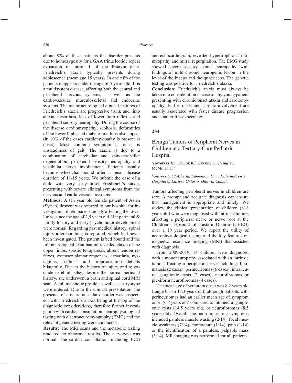about 98% of these patients the disorder presents due to homozygosity for a GAA trinucleotide repeat expansion in intron 1 of the frataxin gene. Friedreich's ataxia typically presents during adolescence (mean age 15 years). In one fifth of the patients it appears under the age of 5 years old. It is a multisystem disease, affecting both the central and peripheral nervous systems, as well as the cardiovascular, musculoskeletal and endocrine systems. The major neurological clinical features of Friedreich's ataxia are progressive trunk and limb ataxia, dysarthria, loss of lower limb reflexes and peripheral sensory neuropathy. During the course of the disease cardiomyopathy, scoliosis, deformities of the lower limbs and diabetes mellitus also appear (in 10% of the cases cardiomyopathy is present at onset). Most common symptom at onset is unsteadiness of gait. The ataxia is due to a combination of cerebellar and spinocerebellar degeneration, peripheral sensory neuropathy and vestibular nerve involvement. Patients usually become wheelchair-bound after a mean disease duration of 11-15 years. We submit the case of a child with very early onset Friedreich's ataxia, presenting with severe clinical symptoms from the nervous and cardiovascular systems.

**Methods:** A ten year old female patient of Asian (Syrian) descent was referred to our hospital for investigation of tetraparesis mostly affecting the lower limbs, since the age of 2,5 years old. Her perinatal  $\&$ family history and early psychomotor development were normal. Regarding past medical history, spinal injury after bombing is reported, which had never been investigated. The patient is bed bound and the full neurological examination revealed ataxia of the upper limbs, spastic tetraparesis, absent tendon reflexes, extensor plantar responses, dysarthria, nystagmus, scoliosis and proprioception deficits bilaterally. Due to the history of injury and to exclude cerebral palsy, despite the normal perinatal history, she underwent a brain and spinal cord MRI scan. A full metabolic profile, as well as a caryotype were ordered. Due to the clinical presentation, the presence of a neuromuscular disorder was suspected, with Friedreich's ataxia being at the top of the diagnostic considerations, therefore further investigation with cardiac consultation, neurophysiological testing with electroneuromyography (EMG) and the relevant genetic testing were conducted.

**Results:** The MRI scans and the metabolic testing rendered no abnormal results. The caryotype was normal. The cardiac consultation, including ECG and echocardiogram, revealed hypertrophic cardiomyopathy and mitral regurgitation. The EMG study showed severe sensory axonal neuropathy, with findings of mild chronic neurogenic lesion in the level of the biceps and the quadriceps. The genetic testing was positive for Friedreich's ataxia.

**Conclusion:** Friedreich's ataxia must always be taken into consideration in case of any young patient presenting with chronic onset ataxia and cardiomyopathy. Earlier onset and cardiac involvement are usually associated with faster disease progression and smaller life-expectancy.

## **234**

Benign Tumors of Peripheral Nerves in Children at a Tertiary-Care Pediatric Hospital

**Yaworski A.<sup>1</sup>**, Koujok K.<sup>2</sup>, Cheung K.<sup>2</sup>, Ying Y.<sup>2</sup>, McMillan H.2

*1 University Of Alberta, Edmonton, Canada, 2 Children's Hospital of Eastern Ontario, Ottawa, Canada*

Tumors affecting peripheral nerves in children are rare. A prompt and accurate diagnosis can ensure that management is appropriate and timely. We review the clinical presentation of children (<18 years old) who were diagnosed with intrinsic tumors affecting a peripheral nerve or nerve root at the Children's Hospital of Eastern Ontario (CHEO) over a 10 year period. We report the utility of neurophysiological testing and the key features on magnetic resonance imaging (MRI) that assisted with diagnosis.

From 2009-2019, 14 children were diagnosed with a mononeuropathy associated with an intrinsic tumor affecting a peripheral nerve including: lipomatosis (2 cases), perineuriomas (6 cases), intraneural ganglionic cysts (2 cases), neurofibromas or plexiform neurofibromas (4 cases).

The mean age of symptom onset was 8.2 years old (range 0.3 to 17.3 years old) although patients with perineuriomas had an earlier mean age of symptom onset (6.7 years old) compared to intraneural ganglionic cysts  $(14.5 \text{ years old})$  or neurofibromas  $(8.5 \text{ m})$ years old). Overall, the main presenting symptoms included painless muscle wasting (2/14), focal muscle weakness (7/14), contracture (1/14), pain (1/14) or the identification of a painless, palpable mass (3/14). MR imaging was performed for all patients.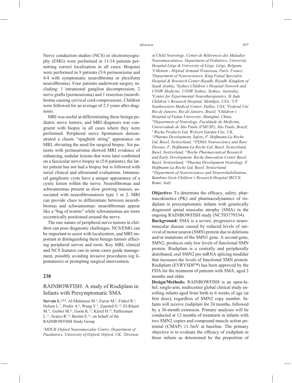Nerve conduction studies (NCS) or electromyography (EMG) were performed in 11/14 patients permitting correct localization in all cases. Biopsies were performed in 9 patients (5/6 perineurioma and 4/4 with symptomatic neurofibroma or plexiform neurofibroma). Four patients underwent surgery including: 1 intraneural ganglion decompression, 2 nerve grafts (perineurioma) and 1 resection (neurofibroma causing cervical cord compression). Children were followed for an average of 2.5 years after diagnosis.

MRI was useful at differentiating these benign pediatric nerve tumors, and MRI diagnosis was congruent with biopsy in all cases where they were performed. Peripheral nerve lipomatosis demonstrated a classic "spaghetti string" appearance on MRI, obviating the need for surgical biopsy. Six patients with perineurioma showed MRI evidence of enhancing, nodular lesions that were later confirmed on a fascicular nerve biopsy in (5/6 patients); the latter patient has not had a biopsy but is followed with serial clinical and ultrasound evaluations. Intraneural ganglionic cysts have a unique appearance of a cystic lesion within the nerve. Neurofibromas and schwannomas present as slow growing masses, associated with neurofibromatosis type 1 or 2. MRI can provide clues to differentiate between neurofibromas and schwannomas: neurofibromas appear like a "bag of worms" while schwannomas are more eccentrically positioned around the nerve.

The rare nature of peripheral nerve tumors in children can pose diagnostic challenges. NCS/EMG can be important to assist with localization, and MRI important at distinguishing these benign tumors affecting peripheral nerves and roots. Key MRI, clinical and NCS features can in some cases guide management, possibly avoiding invasive procedures (eg lipomatosis) or prompting surgical intervention.

#### **238**

## RAINBOWFISH: A study of Risdiplam in Infants with Presymptomatic SMA

Servais L.<sup>1,2,3</sup>, Al-Muhaizea M.<sup>4</sup>, Farrar M.<sup>5</sup>, Finkel R.<sup>6</sup>, Nelson L.<sup>7</sup>, Prufer A.<sup>8</sup>, Wang Y.<sup>9</sup>, Zanoteli E.<sup>10</sup>, El-Khairi M.11, Gerber M.12, Gorni K.13, Kletzl H.14, Palfreeman L.<sup>11</sup>, Scalco R.<sup>15</sup>, Bertini E.<sup>16</sup>, on behalf of the RAINBOWFISH Study Group

*1 MDUK Oxford Neuromuscular Centre, Department of Paediatrics, University of Oxford, Oxford, UK, 2 Division*  *of Child Neurology, Center de Références des Maladies Neuromusculaires, Department of Pediatrics, University Hospital Liège & University of Liège, Liège, Belgium, 3 I-Motion - Hôpital Armand Trousseau, Paris, France, 4 Department of Neurosciences, King Faisal Specialist Hospital & Research Center-Riyadh, Riyadh, Kingdom of Saudi Arabia, 5 Sydney Children's Hospital Network and UNSW Medicine, UNSW Sydney, Sydney, Australia, 6 Center for Experimental Neurotherapeutics, St Jude Children's Research Hospital, Memhpis, USA, 7 UT Southwestern Medical Center, Dallas, USA, 8 Federal Uni Rio de Janeiro, Rio de Janeiro, Brazil, 9 Children's Hospital of Fudan University, Shanghai, China, 10Department of Neurology, Faculdade de Medicina, Universidade de São Paulo (FMUSP), São Paulo, Brazil, 11Roche Products Ltd, Welwyn Garden City, UK, 12Pharma Development, Safety, F. Hoffmann-La Roche Ltd, Basel, Switzerland, 13PDMA Neuroscience and Rare Disease, F. Hoffmann-La Roche Ltd, Basel, Switzerland, Basel, Switzerland, 14Roche Pharmaceutical Research and Early Development, Roche Innovation Center Basel, Basel, Switzerland, 15Pharma Development Neurology, F. Hoffmann-La Roche Ltd, Basel, Switzerland, 16Department of Neurosciences and Neurorehabilitation, Bambino Gesù Children's Research Hospital IRCCS, Rome, Italy*

**Objective:** To determine the efficacy, safety, pharmacokinetics (PK) and pharmacodynamics of risdiplam in presymptomatic infants with genetically diagnosed spinal muscular atrophy (SMA) in the ongoing RAINBOWFISH study (NCT03779334).

**Background:** SMA is a severe, progressive neuromuscular disease caused by reduced levels of survival of motor neuron (SMN) protein due to deletions and/or mutations of the SMN1 gene. A second gene, SMN2, produces only low levels of functional SMN protein. Risdiplam is a centrally and peripherally distributed, oral SMN2 pre-mRNA splicing modifier that increases the levels of functional SMN protein. Risdiplam (EVRYSDI™) has been approved by the FDA for the treatment of patients with SMA, aged 2 months and older.

**Design/Methods:** RAINBOWFISH is an open-label, single-arm, multicenter global clinical study enrolling infants aged from birth to 6 weeks of age (at first dose), regardless of SMN2 copy number. Infants will receive risdiplam for 24 months, followed by a 36-month extension. Primary analyses will be conducted at 12 months of treatment in infants with two SMN2 copies and compound muscle action potential (CMAP)  $\geq 1.5$ mV at baseline. The primary objective is to evaluate the efficacy of risdiplam in these infants as determined by the proportion of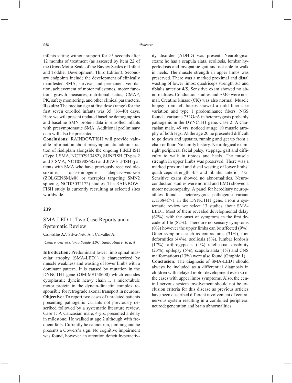infants sitting without support for  $\geq$ 5 seconds after 12 months of treatment (as assessed by item 22 of the Gross Motor Scale of the Bayley Scales of Infant and Toddler Development, Third Edition). Secondary endpoints include the development of clinically manifested SMA, survival and permanent ventilation, achievement of motor milestones, motor function, growth measures, nutritional status, CMAP, PK, safety monitoring, and other clinical parameters. **Results:** The median age at first dose (range) for the first seven enrolled infants was  $35$  (16–40) days. Here we will present updated baseline demographics and baseline SMN protein data in enrolled infants with presymptomatic SMA. Additional preliminary data will also be presented.

**Conclusions:** RAINBOWFISH will provide valuable information about presymptomatic administration of risdiplam alongside the ongoing FIREFISH (Type 1 SMA, NCT02913482), SUNFISH (Types 2 and 3 SMA, NCT02908685) and JEWELFISH (patients with SMA who have previously received olesoxime, onasemnogene abeparvovec-xioi (ZOLGENSMA®) or therapies targeting SMN2 splicing, NCT03032172) studies. The RAINBOW-FISH study is currently recruiting at selected sites worldwide.

#### **239**

## SMA-LED 1: Two Case Reports and a Systematic Review

Carvalho A.<sup>1</sup>, Silva-Neto A.<sup>1</sup>, Carvalho A.<sup>1</sup>

#### *1 Centro Universitario Saúde ABC, Santo André, Brazil*

**Introduction:** Predominant lower limb spinal muscular atrophy (SMA-LED1) is characterized by muscle weakness and wasting of lower limbs with a dominant pattern. It is caused by mutation in the DYNC1H1 gene (OMIM#158600) which encodes cytoplasmic dynein heavy chain 1, a microtubule motor protein in the dynein-dinactin complex responsible for retrograde axonal transport in neurons. **Objective:** To report two cases of unrelated patients presenting pathogenic variants not previously described followed by a systematic literature review. Case 1: A Caucasian male, 4 yrs, presented a delay in milestone. He walked at age 2 although with frequent falls. Currently he cannot run, jumping and he presents a Gowers's sign. No cognitive impairment was found, however an attention deficit hyperactivity disorder (ADHD) was present. Neurological exam: he has a scapula alata, scoliosis, lombar hyperlodosis and myopathic gait and not able to walk in heels. The muscle strength in upper limbs was preserved. There was a marked proximal and distal wasting of lower limbs: quadriceps strength 3/5 and tibialis anterior 4/5. Sensitive exam showed no abnormalities. Conduction studies and EMG were normal. Creatine kinase (CK) was also normal. Muscle biopsy from left biceps showed a mild fiber size variation and type 1 predominance fibers. NGS found a variant c.752G>A in heterozygosis probably pathogenic in the DYNC1H1 gene. Case 2: A Caucasian male, 49 yrs, noticed at age 10 muscle atrophy of both legs. At the age 20 he presented difficult to go down and upstairs, running and get up from a chair or floor. No family history. Neurological exam: right peripheral facial palsy, steppage gait and difficulty to walk in tiptoes and heels. The muscle strength in upper limbs was preserved. There was a marked proximal and distal wasting of lower limbs: quadriceps strength 4/5 and tibialis anterior 4/5. Sensitive exam showed no abnormalities. Neuroconduction studies were normal and EMG showed a motor neuronopathy. A panel for hereditary neuropathies found a heterozygous pathogenic variant c.13384C>T in the DYNC1H1 gene. From a systematic review we select 13 studies about SMA-LED1. Most of them revealed developmental delay  $(62\%)$ , with the onset of symptoms in the first decade of life (82%). There are no sensory symptoms  $(0\%)$  however the upper limbs can be affected  $(9\%).$ Other symptoms such as contractures (31%), foot deformities (44%), scoliosis (8%), lumbar lordosis (17%), arthrogyposes (4%) intellectual disability  $(23\%)$ , epilepsy  $(5\%)$ , scapula alata  $(1\%)$  and CNS malformations (13%) were also found (Graphic 1). **Conclusion:** The diagnosis of SMA-LED1 should always be included as a differential diagnosis in children with delayed motor development even so in the cases with upper limbs symptoms. Also, the central nervous system involvement should not be exclusion criteria for this disease as previous articles have been described different involvement of central nervous system resulting in a combined peripheral neurodegeneration and brain abnormalities.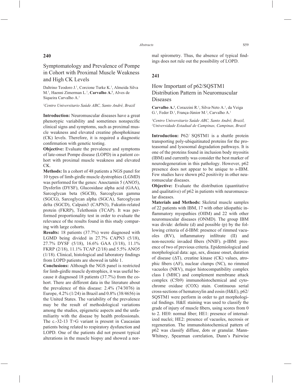## **240**

# Symptomatology and Prevalence of Pompe in Cohort with Proximal Muscle Weakness and High CK Levels

Daltrino Teodoro J.<sup>1</sup>, Corcione Turke K.<sup>1</sup>, Almeida Silva M.<sup>1</sup>, Haenni Zimerman L.<sup>1</sup>, Carvalho A.<sup>1</sup>, Alves de Siqueira Carvalho A.<sup>1</sup>

## *1 Centro Universitario Saúde ABC, Santo André, Brazil*

**Introduction:** Neuromuscular diseases have a great phenotypic variability and sometimes nonspecific clinical signs and symptoms, such as proximal muscle weakness and elevated creatine phosphokinase (CK) levels. Therefore, it is required a diagnostic confirmation with genetic testing.

**Objective:** Evaluate the prevalence and symptoms of late-onset Pompe disease (LOPD) in a patient cohort with proximal muscle weakness and elevated CK.

**Methods:** In a cohort of 48 patients a NGS panel for 10 types of limb-girdle muscle dystrophies (LGMD) was performed for the genes: Anoctamin 5 (ANO5), Dysferlin (DYSF), Glucosidase alpha acid (GAA), Sarcoglycan beta (SGCB), Sarcoglycan gamma (SGCG), Sarcoglycan alpha (SGCA), Sarcoglycan delta (SGCD), Calpain3 (CAPN3), Fukutin-related protein (FKRP), Telethonin (TCAP). It was performed proportionality test in order to evaluate the relevance of the results found in this study comparing with large cohorts.

**Results:** 18 patients (37.7%) were diagnosed with LGMD being divided in 27.7% CAPN3 (5/18), 27.7% DYSF (5/18), 16.6% GAA (3/18), 11.1% FKRP (2/18), 11.1% TCAP (2/18) and 5.5% ANO5  $(1/18)$ . Clinical, histological and laboratory findings from LOPD patients are showed in table 1.

**Conclusions:** Although the NGS panel is restricted for limb-girdle muscle dystrophies, it was useful because it diagnosed 18 patients (37.7%) from the cohort. There are different data in the literature about the prevalence of this disease: 2.4% (74/3076) in Europe, 4.2% (1/24) in Brazil and 0.8% (38/4656) in the United States. The variability of the prevalence may be the result of methodological variations among the studies, epigenetic aspects and the unfamiliarity with the disease by health professionals. The c.-32-13 T>G variant is present in Caucasian patients being related to respiratory dysfunction and LOPD. One of the patients did not present typical alterations in the muscle biopsy and showed a normal spirometry. Thus, the absence of typical findings does not rule out the possibility of LOPD.

## **241**

# How Important of p62/SQSTM1 Distribution Pattern in Neuromuscular Diseases

Carvalho A.<sup>1</sup>, Corazzini R.<sup>1</sup>, Silva-Neto A.<sup>1</sup>, da Veiga G.<sup>1</sup>, Feder D.<sup>1</sup>, França-Júnior M.<sup>2</sup>, Carvalho A.<sup>1</sup>

### *1 Centro Universitario Saúde ABC, Santo André, Brazil, 2 Universidade Estadual de Campinas, Campinas, Brazil*

**Introduction:** P62/ SQSTM1 is a shuttle protein transporting poly-ubiquitinated proteins for the proteasomal and lysosomal degradation pathways. It is one of the proteins found in inclusion body myositis (IBM) and currently was consider the best marker of neurodegeneration in this pathology. However, p62 presence does not appear to be unique to s-IBM. Few studies have shown p62 positivity in other neuromuscular diseases.

**Objective:** Evaluate the distribution (quantitative) and qualitative) of p62 in patients with neuromuscular diseases.

**Materials and Methods:** Skeletal muscle samples of 22 patients with IBM, 17 with other idiopathic inflammatory myopathies (OIIM) and 22 with other neuromuscular diseases (ONMD). The group IBM was divide: definite (d) and possible (p) by the following criteria of d-IBM: presence of rimmed vacuoles (RV), inflammatory infiltrate (II) and non-necrotic invaded fibers (NNIF). p-IBM: presence of two of previous criteria. Epidemiological and morphological data: age, sex, disease onset, duration of disease (ΔT), creatine kinase (CK) values, atrophic fibers (AF), nuclear clumps (NC), no rimmed vacuoles (NRV), major histocompatibility complex class I (MHC) and complement membrane attack complex (C5b9) immunohistochemical and cytochrome oxidase (COX) stain. Continuous serial cross-sections of hematoxylin and eosin (H&E), p62/ SQSTM1 were perform in order to get morphological findings. H&E staining was used to classify the grade of injury of muscle fibers, using scores from 0 to 2. HE0: normal fiber; HE1: presence of internalized nuclei; HE2: presence of vacuoles, necrosis or regeneration. The immunohistochemical pattern of p62 was classify diffuse, dots or granular. Mann-Whitney, Spearman correlation, Dunn's Pairwise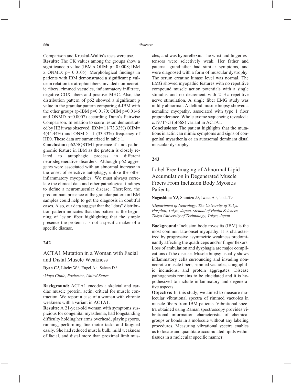Comparison and Kruskal-Wallis's tests were use.

**Results:** The CK values among the groups show a significance p value (IBM x OIIM:  $p= 0.0008$ ; IBM x ONMD:  $p= 0.0105$ ). Morphological findings in patients with IBM demonstrated a significant p value in relation to: atrophic fibers, invaded non-necrotic fibers, rimmed vacuoles, inflammatory infiltrate, negative COX fibers and positive MHC. Also, the distribution pattern of  $p62$  showed a significant  $p$ value in the granular pattern comparing d-IBM with the other groups (p-IBM p= $0.0170$ ; OIIM p= $0.0146$ and ONMD p=0.0007) according Dunn's Pairwise Comparison. In relation to score lesion demonstrated by HE it was observed: IBM= 11(73.33%) OIIM= 4(44.44%) and ONMD= 1 (33.33%) frequency of HE0. These data are summarized in table 1.

**Conclusion:** p62/SQSTM1 presence it's not pathognomic feature in IBM as the protein is closely related to autophagic process in different neurodegenerative disorders. Although p62 aggregates were associated with an abnormal increase in the onset of selective autophagy, unlike the other inflammatory myopathies. We must always correlate the clinical data and other pathological findings to define a neuromuscular disease. Therefore, the predominant presence of the granular pattern in IBM samples could help to get the diagnosis in doubtful cases. Also, our data suggest that the "dots" distribution pattern indicates that this pattern is the beginning of lesion fiber highlighting that the simple presence the protein it is not a specific maker of a specific disease.

## **242**

# ACTA1 Mutation in a Woman with Facial and Distal Muscle Weakness

Ryan C.<sup>1</sup>, Litchy W.<sup>1</sup>, Engel A.<sup>1</sup>, Selcen D.<sup>1</sup>

*1 Mayo Clinic, Rochester, United States*

**Background:** ACTA1 encodes a skeletal and cardiac muscle protein, actin, critical for muscle contraction. We report a case of a woman with chronic weakness with a variant in ACTA1.

**Results:** A 21-year-old woman with symptoms suspicious for congenital myasthenia, had longstanding difficulty holding her arms overhead, playing sports, running, performing fine motor tasks and fatigued easily. She had reduced muscle bulk, mild weakness of facial, and distal more than proximal limb muscles, and was hyporeflexic. The wrist and finger extensors were selectively weak. Her father and paternal grandfather had similar symptoms, and were diagnosed with a form of muscular dystrophy. The serum creatine kinase level was normal. The EMG showed myopathic features with no repetitive compound muscle action potentials with a single stimulus and no decrement with 2 Hz repetitive nerve stimulation. A single fiber EMG study was mildly abnormal. A deltoid muscle biopsy showed a nemaline myopathy, associated with type 1 fiber preponderance. Whole exome sequencing revealed a c.197T>G (pI66S) variant in ACTA1.

**Conclusions:** The patient highlights that the mutations in actin can mimic symptoms and signs of congenital myasthenia or an autosomal dominant distal muscular dystrophy.

### **243**

# Label-Free Imaging of Abnormal Lipid Accumulation in Degenerated Muscle Fibers From Inclusion Body Myositis Patients

Nagashima Y.<sup>1</sup>, Shimizu J.<sup>2</sup>, Iwata A.<sup>1</sup>, Toda T.<sup>1</sup>

*1 Department of Neurology, The University of Tokyo Hospital, Tokyo, Japan, 2 School of Health Sciences, Tokyo University of Technology, Tokyo, Japan*

**Background:** Inclusion body myositis (IBM) is the most common late-onset myopathy. It is characterized by progressive asymmetric weakness predominantly affecting the quadriceps and/or finger flexors. Loss of ambulation and dysphagia are major complications of the disease. Muscle biopsy usually shows inflammatory cells surrounding and invading nonnecrotic muscle fibers, rimmed vacuoles, congophilic inclusions, and protein aggregates. Disease pathogenesis remains to be elucidated and it is hypothesized to include inflammatory and degenerative aspects.

**Objective:** In this study, we aimed to measure molecular vibrational spectra of rimmed vacuoles in muscle fibers from IBM patients. Vibrational spectra obtained using Raman spectroscopy provides vibrational information characteristic of chemical groups or bonds in a molecule without any labeling procedures. Measuring vibrational spectra enables us to locate and quantitate accumulated lipids within tissues in a molecular specific manner.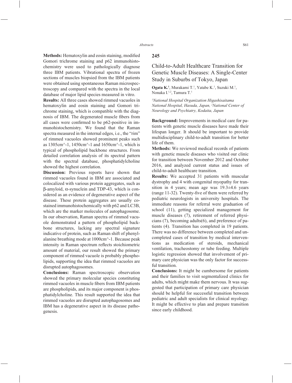**Methods:** Hematoxylin and eosin staining, modified Gomori trichrome staining and p62 immunohistochemistry were used to pathologically diagnose three IBM patients. Vibrational spectra of frozen sections of muscles biopsied from the IBM patients were obtained using spontaneous Raman microspectroscopy and compared with the spectra in the local database of major lipid species measured in vitro.

**Results:** All three cases showed rimmed vacuoles in hematoxylin and eosin staining and Gomori trichrome staining, which is compatible with the diagnosis of IBM. The degenerated muscle fibers from all cases were confirmed to be  $p62$ -positive in immunohistochemistry. We found that the Raman spectra measured in the internal edges, i.e., the "rim" of rimmed vacuoles showed prominent peaks such as 1305cm^-1, 1450cm^-1 and 1650cm^-1, which is typical of phospholipid backbone structures. From detailed correlation analysis of its spectral pattern with the spectral database, phosphatidylcholine showed the highest correlation.

**Discussion:** Previous reports have shown that rimmed vacuoles found in IBM are associated and colocalized with various protein aggregates, such as β-amyloid, α-synuclein and TDP-43, which is considered as an evidence of degenerative aspect of the disease. These protein aggregates are usually costained immunohistochemically with p62 and LC3B, which are the marker molecules of autophagosome. In our observation, Raman spectra of rimmed vacuole demonstrated a pattern of phospholipid backbone structures, lacking any spectral signature indicative of protein, such as Raman shift of phenylalanine breathing mode at 1000cm^-1. Because peak intensity in Raman spectrum reflects stoichiometric amount of material, our result showed the primary component of rimmed vacuole is probably phospholipids, supporting the idea that rimmed vacuoles are disrupted autophagosomes.

**Conclusions:** Raman spectroscopic observation showed the primary molecular species constituting rimmed vacuoles in muscle fibers from IBM patients are phospholipids, and its major component is phosphatidylcholine. This result supported the idea that rimmed vacuoles are disrupted autophagosomes and IBM has a degenerative aspect in its disease pathogenesis.

## **245**

# Child-to-Adult Healthcare Transition for Genetic Muscle Diseases: A Single-Center Study in Suburbs of Tokyo, Japan

**Ogata K.<sup>1</sup>**, Murakami T.<sup>1</sup>, Yatabe K.<sup>1</sup>, Suzuki M.<sup>1</sup>, Nonaka I.<sup>1,2</sup>, Tamura T.<sup>1</sup>

*1 National Hospital Organization Higashisaitama National Hospital, Hasuda, Japan, 2 National Center of Neurology and Psychiatry, Kodaita, Japan*

**Background:** Improvements in medical care for patients with genetic muscle diseases have made their lifespan longer. It should be important to provide multidisciplinary child-to-adult transition for better life of them.

**Methods:** We reviewed medical records of patients with genetic muscle diseases who visited our clinic for transition between November 2012 and October 2016, and analyzed current status and issues of child-to-adult healthcare transition.

**Results:** We accepted 31 patients with muscular dystrophy and 4 with congenital myopathy for transition in 4 years; mean age was 19.3±4.6 years (range 11-32). Twenty-five of them were referred by pediatric neurologists in university hospitals. The immediate reasons for referral were graduation of school (11), getting specialized management for muscle diseases (7), retirement of referred physicians (7), becoming adults(6), and preference of patients (4). Transition has completed in 19 patients. There was no difference between completed and uncompleted cases of transition by medical interventions as medication of steroids, mechanical ventilation, tracheostomy or tube feeding. Multiple logistic regression showed that involvement of primary care physician was the only factor for successful transition.

**Conclusions:** It might be cumbersome for patients and their families to visit segmentalized clinics for adults, which might make them nervous. It was suggested that participation of primary care physician should be helpful for successful transition between pediatric and adult specialists for clinical myology. It might be effective to plan and prepare transition since early childhood.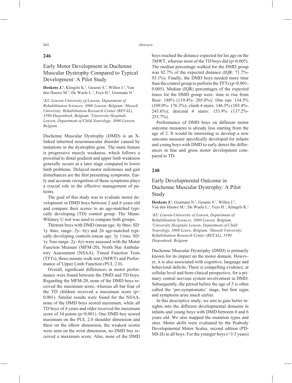### **246**

# Early Motor Development in Duchenne Muscular Dystrophy Compared to Typical Development: A Pilot Study

**Hoskens J.**<sup>1</sup>, Klingels K.<sup>2</sup>, Geuens S.<sup>3</sup>, Willen J.<sup>3</sup>, Van den Hauwe M.<sup>3</sup>, De Waele L.<sup>3</sup>, Feys H.<sup>1</sup>, Goemans N.<sup>3</sup>

*1 KU Leuven-University of Leuven, Department of Rehabilitation Sciences, 3000 Leuven, Belgium, 2 Hasselt University, Rehabilitation Research Center (REVAL), 3590 Diepenbeek, Belgium, 3 University Hospitals Leuven, Department of Child Neurology, 3000 Leuven, Belgium*

Duchenne Muscular Dystrophy (DMD) is an Xlinked inherited neuromuscular disorder caused by mutations in the dystrophin gene. The main feature is progressive muscle weakness, which follows a proximal to distal gradient and upper limb weakness generally occurs at a later stage compared to lower limb problems. Delayed motor milestones and gait disturbances are the first presenting symptoms. Early and accurate recognition of these symptoms plays a crucial role in the effective management of patients.

The goal of this study was to evaluate motor development in DMD boys between 2 and 6 years old and compare their scores to an age-matched typically developing (TD) control group. The Mann-Whitney U test was used to compare both groups.

Thirteen boys with DMD (mean age: 4y 0mo; SD: 1y 4mo; range: 2y- 6y) and 26 age-matched typically developing controls (mean age: 3y 11mo; SD: 1y 5mo range: 2y- 6y) were assessed with the Motor Function Measure (MFM-20), North Star Ambulatory Assessment (NSAA), Timed Function Tests (TFTs), three-minute walk test (3MWT) and Performance of Upper Limb Function (PUL 2.0).

Overall, significant differences in motor performance were found between the DMD and TD boys. Regarding the MFM-20, none of the DMD boys received the maximum score, whereas all but four of the TD children received a maximum score (p< 0.001). Similar results were found for the NSAA, none of the DMD boys scored maximum, while all TD boys of 4 years and older received the maximum score of 34 points ( $p<0.001$ ). One DMD boy scored maximum on the PUL 2.0 shoulder dimension and three on the elbow dimension, the weakest scores were seen on the wrist dimension, no DMD boy received a maximum score. Also, none of the DMD

boys reached the distance expected for his age on the 3MWT, whereas most of the TD boys did (p=0.005). The median percentage walked for the DMD group was 82.7% of the expected distance (IQR: 71.7%-93.1%). Finally, the DMD boys needed more time than the control group to perform the TFTs  $(p<0.001$ -0.005). Median (IQR) percentages of the expected times for the DMD group were: time to rise from floor:  $188\%$  (119.4%- 205.0%); 10m run:  $134.5\%$ (109.0%- 176.3%); climb 4 stairs: 146.5% (103.4%- 243.6%); descend 4 stairs: 153.9% (137.2%- 253.7%).

Performance of DMD boys on different motor outcome measures is already less starting from the age of 2. It would be interesting to develop a new outcome measure specifically developed for infants and young boys with DMD to early detect the differences in fine and gross motor development compared to TD.

#### **248**

# Early Developmental Outcome in Duchenne Muscular Dystrophy: A Pilot Study

**Hoskens**  $J^1$ , Goemans  $N^2$ , Geuens  $S^2$ , Willen  $J^2$ , Van den Hauwe M.<sup>2</sup>, De Waele L.<sup>2</sup>, Feys H.<sup>1</sup>, Klingels K.<sup>3</sup>

*1 KU Leuven-University of Leuven, Department of Rehabilitation Sciences, 3000 Leuven, Belgium, 2 University Hospitals Leuven, Department of Child Neurology, 3000 Leuve, Belgium, 3 Hasselt University, Rehabilitation Research Center (REVAL), 3590 Diepenbeek, Belgium*

Duchenne Muscular Dystrophy (DMD) is primarily known for its impact on the motor domain. However, it is also associated with cognitive, language and behavioral deficits. There is compelling evidence, at cellular level and from clinical perspective, for a primary central nervous system involvement in DMD. Subsequently, the period before the age of 5 is often called the 'pre-symptomatic' stage, but first signs and symptoms arise much earlier.

In this descriptive study, we aim to gain better insights into the different developmental domains in infants and young boys with DMD between 0 and 6 years old. We also mapped the mutation types and sites. Motor skills were evaluated by the Peabody Developmental Motor Scales, second edition (PD-MS-II) in all boys. For the younger boys  $(\leq 3.5 \text{ years})$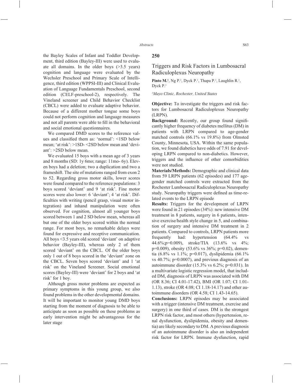the Bayley Scales of Infant and Toddler Development, third edition (Bayley-III) were used to evaluate all domains. In the older boys (>3.5 years) cognition and language were evaluated by the Wechsler Preschool and Primary Scale of Intelligence, third edition (WPPSI-III) and Clinical Evaluation of Language Fundamentals Preschool, second edition (CELF-preschool-2), respectively. The Vineland screener and Child Behavior Checklist (CBCL) were added to evaluate adaptive behavior. Because of a different mother tongue some boys could not perform cognition and language measures and not all parents were able to fill in the behavioral and social emotional questionnaires.

We compared DMD scores to the reference values and classified them as: 'normal': <1SD below mean; 'at risk': >1SD- <2SD below mean and 'deviant': >2SD below mean.

We evaluated 15 boys with a mean age of 3 years and 8 months (SD: 1y 6mo; range: 11mo- 6y). Eleven boys had a deletion; two a duplication and two a frameshift. The site of mutations ranged from exon 2 to 52. Regarding gross motor skills, lower scores were found compared to the reference populations: 3 boys scored 'deviant' and 9 'at risk'. Fine motor scores were also lower: 6 'deviant'; 4 'at risk'. Difficulties with writing (pencil grasp, visual motor integration) and inhand manipulation were often observed. For cognition, almost all younger boys scored between 1 and 2 SD below mean, whereas all but one of the older boys scored within the normal range. For most boys, no remarkable delays were found for expressive and receptive communication. All boys <3.5 years old scored 'deviant' on adaptive behavior (Bayley-III), whereas only 2 of them scored 'deviant' on the CBCL. Of the older boys only 1 out of 8 boys scored in the 'deviant' zone on the CBCL. Seven boys scored 'deviant' and 1 'at risk' on the Vineland Screener. Social emotional scores (Bayley-III) were 'deviant' for 2 boys and 'at risk' for 1 boy.

Although gross motor problems are expected as primary symptoms in this young group, we also found problems in the other developmental domains. It will be important to monitor young DMD boys starting from the moment of diagnosis to be able to anticipate as soon as possible on these problems as early intervention might be advantageous for the later stage

#### **250**

# Triggers and Risk Factors in Lumbosacral Radiculoplexus Neuropathy

**Pinto M.<sup>1</sup>**, Ng P.<sup>1</sup>, Dyck P.<sup>1</sup>, Thapa P.<sup>1</sup>, Laughlin R.<sup>1</sup>, Dyck P.1

#### *1 Mayo Clinic, Rochester, United States*

**Objective:** To investigate the triggers and risk factors for Lumbosacral Radiculoplexus Neuropathy (LRPN).

Background: Recently, our group found significantly higher frequency of diabetes mellitus (DM) in patients with LRPN compared to age-gender matched controls (66.1% vs 19.8%) from Olmsted County, Minnesota, USA. Within the same population, we found diabetics have odds of 7.91 for developing LRPN compared to non-diabetics. However, triggers and the influence of other comorbidities were not studied.

**Materials/Methods:** Demographic and clinical data from 59 LRPN patients (62 episodes) and 177 agegender matched controls were extracted from the Rochester Lumbosacral Radiculoplexus Neuropathy study. Neuropathy triggers were defined as time-related events to the LRPN episode

**Results:** Triggers for the development of LRPN were found in 21 episodes (34%): new intensive DM treatment in 8 patients, surgery in 6 patients, intensive exercise/health style change in 5, and combination of surgery and intensive DM treatment in 2 patients. Compared to controls, LRPN patients more frequently had: hypertension (64.4% vs 44.6%;p=0.009), stroke/TIA (13.6% vs 4%; p=0.009), obesity (53.6% vs 36%; p=0.02), dementia (6.8% vs 1.1%; p=0.017), dyslipidemia (66.1% vs 40.7%; p=0.0007), and previous diagnosis of an autoimmune disorder (15.3% vs 6.2%; p=0.031). In a multivariate logistic regression model, that included DM, diagnosis of LRPN was associated with DM (OR 8.36; CI 4.01-17.42), BMI (OR 1.07; CI 1.01- 1.13), stroke (OR 4.08; CI 1.18-14.17) and other autoimmune disorders (OR 4.58; CI 1.43-14.65).

**Conclusions:** LRPN episodes may be associated with a trigger (intensive DM treatment, exercise and surgery) in one third of cases. DM is the strongest LRPN risk factor, and most others (hypertension, renal dysfunction, dyslipidemia, obesity and dementia) are likely secondary to DM. A previous diagnosis of an autoimmune disorder is also an independent risk factor for LRPN. Immune dysfunction, rapid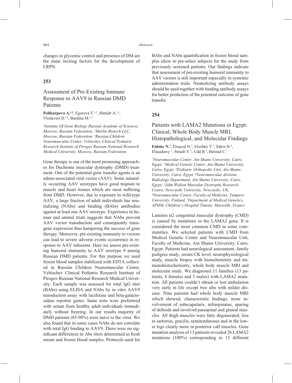changes in glycemic control and presence of DM are the main inciting factors for the development of LRPN.

### **253**

# Assessment of Pre-Existing Immune Response to AAV9 in Russian DMD Patients

Polikarpova A.<sup>1,2</sup>, Egorova T.<sup>1,2</sup>, Shmidt A.<sup>1,2</sup>, Vlodavets D.<sup>3,2</sup>, Bardina M.<sup>1,2</sup>

*1 Institute Of Gene Biology Russian Academy of Sciences, Moscow, Russian Federation, 2 Marlin Biotech LLC, Moscow, Russian Federation, 3 Russian Children Neuromuscular Center, Veltischev Clinical Pediatric Research Institute of Pirogov Russian National Research Medical University, Moscow, Russian Federation*

Gene therapy is one of the most promising approaches for Duchenne muscular dystrophy (DMD) treatment. One of the potential gene transfer agents is an adeno-associated viral vector (AAV). Some naturally occurring AAV serotypes have good tropism to muscle and heart tissues which are most suffering from DMD. However, due to exposure to wild-type AAV, a large fraction of adult individuals has neutralizing (NAbs) and binding (BAbs) antibodies against at least one AAV serotype. Experience in human and animal trials suggests that NAbs prevent AAV vector transduction and consequently transgene expression thus hampering the success of gene therapy. Moreover, pre-existing immunity to vectors can lead to severe adverse events occurrence in response to AAV infusions. Here we assess pre-existing humoral immunity to AAV serotype 9 among Russian DMD patients. For this purpose we used frozen blood samples stabilized with EDTA collected in Russian Children Neuromuscular Center, Veltischev Clinical Pediatric Research Institute of Pirogov Russian National Research Medical University. Each sample was assessed for total IgG titer (BAbs) using ELISA and NAbs by in vitro AAV9 transduction assay with luciferase and beta-galactosidase reporter genes. Same tests were performed with serum from healthy adult individuals immediately without freezing. In our results majority of DMD patients (85-90%) were naive to the virus. We also found that in some cases NAbs do not correlate with total IgG binding to AAV9. There were no significant differences in Abs titers determined in fresh serum and frozen blood samples. Protocols used for

BAbs and NAbs quantification in frozen blood samples allow to pre-select subjects for the study from previously screened patients. Our findings indicate that assessment of pre-existing humoral immunity to AAV vectors is still important especially in systemic administration trials. Neutralizing antibody assays should be used together with binding antibody assays for better prediction of the potential outcome of gene transfer.

### **254**

# Patients with LAMA2 Mutations in Egypt: Clinical, Whole Body Muscle MRI, Histopathological, and Molecular Findings

Fahmy N.<sup>1</sup>, Elsayed N.<sup>2</sup>, Elsobky T.<sup>3</sup>, Sakre H.<sup>4</sup>, Elsaadawy<sup>4</sup>, Straub V.<sup>5</sup>, Udd B.<sup>6</sup>, Béroud C.<sup>7</sup>

*1 Neuromuscular Center, Ain Shams University, Cairo, Egypt, 2 Medical Genetic Center, Ain Shams University, Cairo, Egypt, 3 Pediatric Orthopedic Unit, Ain Shams University, Cairo, Egypt, 4 Neuromuscular division, Radiology Department, Ain Shams University, Cairo, Egypt, 5 John Walton Muscular Dystrophy Research Centre, Newcastle University, Newcastle, UK, 6 Neuromuscular Center, Faculty of Medicine, Tampere University, Finland, 7 Department of Medical Genetics, APHM, Children's Hospital Timone, Marseille, France*

Laminin α2 congenital muscular dystrophy (CMD) is caused by mutations in the LAMA2 gene. It is considered the most common CMD in some communities. We selected patients with CMD from Medical Genetic Center and Neuromuscular Unit, Faculty of Medicine, Ain Shams University, Cairo, Egypt. Patients had neurological assessment, family pedigree study, serum CK level, neurophysiological study, muscle biopsy with histochemistry and immunohistochemistry, whole body muscle MRI and molecular study. We diagnosed 11 families (13 patients, 8 females and 5 males) with LAMA2 mutation. All patients couldn't obtain or lost ambulation very early in life except two sibs with milder disease. Nine patients had whole body muscle MRI which showed, characteristic findings, more involvement of subscapularis, infraspinatus, sparing of deltoids and involved paraspinal and gluteal muscles. All thigh muscles were fatty degenerated, less in sartorius, gracilis, semitendinosus and in the lower legs clearly more in posterior calf muscles. Gene mutation analysis of 13 patients revealed 26 LAMA2 mutations (100%) corresponding to 13 different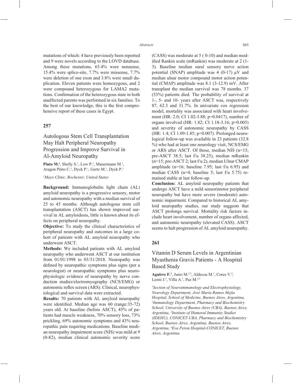mutations of which: 4 have previously been reported and 9 were novels according to the LOVD database. Among these mutations, 65.4% were nonsense, 15.4% were splice-site, 7.7% were missense, 7.7% were deletion of one exon and 3.8% were small duplication. Eleven patients were homozygous, and 2 were compound heterozygous for LAMA2 mutations. Confirmation of the heterozygous state in both unaffected parents was performed in six families. To the best of our knowledge, this is the first comprehensive report of these cases in Egypt.

### **257**

Autologous Stem Cell Transplantation May Halt Peripheral Neuropathy Progression and Improve Survival in Al-Amyloid Neuropathy

**Pinto M.<sup>1</sup>**, Shelly S.<sup>1</sup>, Low P.<sup>1</sup>, Mauermann M.<sup>1</sup>, Aragon Pinto C.<sup>1</sup>, Dyck P.<sup>1</sup>, Gertz M.<sup>1</sup>, Dyck P.<sup>1</sup>

#### *1 Mayo Clinic, Rochester, United States*

**Background:** Immunoglobulin light chain (AL) amyloid neuropathy is a progressive sensory, motor and autonomic neuropathy with a median survival of 25 to 45 months. Although autologous stem cell transplantation (ASCT) has shown improved survival in AL amyloidosis, little is known about its effects on peripheral neuropathy.

**Objective:** To study the clinical characteristics of peripheral neuropathy and outcomes in a large cohort of patients with AL amyloid neuropathy who underwent ASCT.

**Methods:** We included patients with AL amyloid neuropathy who underwent ASCT at our institution from 01/01/1998 to 03/31/2018. Neuropathy was defined by neuropathic symptoms plus signs (per a neurologist) or neuropathic symptoms plus neurophysiologic evidence of neuropathy by nerve conduction studies/electromyography (NCS/EMG) or autonomic reflex screen (ARS). Clinical, neurophysiological and survival data were extracted.

**Results:** 70 patients with AL amyloid neuropathy were identified. Median age was 60 (range: 35-72) years old. At baseline (before ASCT), 45% of patients had muscle weakness, 70% sensory loss, 73% prickling, 69% autonomic symptoms and 43% neuropathic pain requiring medications. Baseline median neuropathy impairment score (NIS) was mild at 9 (0-82), median clinical autonomic severity score (CASS) was moderate at 5 ( 0-10) and median modified Rankin scale (mRankin) was moderate at 2 (1-3). Baseline median sural sensory nerve action potential (SNAP) amplitude was  $4(0-17)$   $\mu$ V and median ulnar motor compound motor action potential (CMAP) amplitude was 8.1 (3-12.9) mV. After transplant the median survival was 78 months. 37 (53%) patients died. The probability of survival at 1-, 5- and 10- years after ASCT was, respectively 87, 62.3 and 31.7%. In univariate cox regression model, mortality was associated with heart involvement (HR: 2.0; CI 1.02-3.88; p=0.0417), number of organs involved (HR: 1.82; CI 1.18-3.16; p=0.005) and severity of autonomic neuropathy by CASS (HR: 1.4; CI 1.09-1.85; p=0.007). Prolonged neurological follow-up was available in 23 patients (32.8 %) who had at least one neurology visit, NCS/EMG or ARS after ASCT. Of those, median NIS (n=15; pre-ASCT 38.5; last f/u 38.25), median mRankin (n=15; pre-ASCT 2; last f/u 2), median Ulnar CMAP amplitude ( $n=16$ ; baseline 7.95; last f/u 6.95) and median CASS (n=4; baseline 5; last f/u 5.75) remained stable at last follow-up.

**Conclusion:** AL amyloid neuropathy patients that undergo ASCT have a mild sensorimotor peripheral neuropathy but have more severe (moderate) autonomic impairment. Compared to historical AL amyloid neuropathy studies, our study suggests that ASCT prolongs survival. Mortality risk factors include heart involvement, number of organs affected, and autonomic neuropathy (elevated CASS). ASCT seems to halt progression of AL amyloid neuropathy.

### **261**

# Vitamin D Serum Levels in Argentinian Myasthenia Gravis Patients - A Hospital Based Study

Aguirre F.<sup>1</sup>, Justo M.<sup>2,3</sup>, Aldecoa M.<sup>1</sup>, Cores V.<sup>4</sup>, Leoni J.<sup>3</sup>, Villa A.<sup>1</sup>, Paz M.<sup>2,3</sup>

*1 Section of Neuroimmunology and Electrophysiology, Neurology Department, José María Ramos Mejía Hospital, School of Medicine, Buenos Aires, Argentina, 2 Immunology Department, Pharmacy and Biochemistry School, University of Buenos Aires (UBA), Buenos Aires, Argentina, 3 Institute of Humoral Immunity Studies (IDEHU), CONICET-UBA, Pharmacy and Biochemistry School, Buenos Aires, Argentina, Buenos Aires, Argentina, 4 Eva Peron Hospital-CONICET, Buenos Aires, Argentina*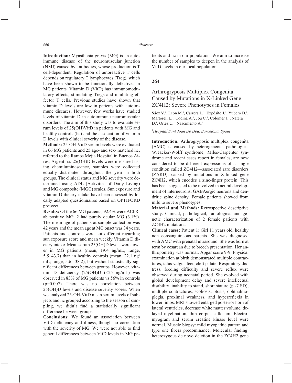**Introduction:** Myasthenia gravis (MG) is an autoimmune disease of the neuromuscular junction (NMJ) caused by antibodies, whose production is T cell-dependent. Regulation of autoreactive T cells depends on regulatory T lymphocytes (Treg), which have been shown to be functionally defectives in MG patients. Vitamin D (VitD) has immunomodulatory effects, stimulating Tregs and inhibiting effector T cells. Previous studies have shown that vitamin D levels are low in patients with autoimmune diseases. However, few works have studied levels of vitamin D in autoimmune neuromuscular disorders. The aim of this study was to evaluate serum levels of 25(OH)VitD in patients with MG and healthy controls (hc) and the association of vitamin D levels with clinical severity of the disease.

**Methods:** 25-OH-VitD serum levels were evaluated in 66 MG patients and 25 age- and sex- matched hc, referred to the Ramos Mejia Hospital in Buenos Aires, Argentina. 25(OH)D levels were measured using chemiluminescence, samples were collected equally distributed throughout the year in both groups. The clinical status and MG severity were determined using ADL (Activities of Daily Living) and MG composite (MGC) scales. Sun exposure and vitamin D dietary intake have been assessed by locally adapted questionnaires based on OPTIFORD projyect.

**Results:** Of the 66 MG patients, 92.4% were AChRab positive MG. 2 had purely ocular MG (3.1%). The mean age of patients at sample collection was 42 years and the mean age at MG onset was 34 years. Patients and controls were not different regarding sun exposure score and mean weekly Vitamin D dietary intake. Mean serum 25(OH)D levels were lower in MG patients (mean, 19.4 ng/mL; range, 5.5–43.7) than in healthy controls (mean, 22.1 ng/ mL; range, 5.6– 38.2), but without statistically significant differences between groups. However, vitamin D deficiency  $(25(OH)D \le 25 ng/mL)$  was observed in 83% of MG patients vs 56% in controls (p=0.007). There was no correlation between 25(OH)D levels and disease severity scores. When we analyzed 25-OH-VitD mean serum levels of subjects and hc grouped according to the season of sampling, we didn't find a statistically significant difference between groups.

**Conclusions:** We found an association between VitD deficiency and illness, though no correlation with the severity of MG. We were not able to find general differences between VitD levels in MG patients and hc in our population. We aim to increase the number of samples to deepen in the analysis of VitD levels in our local population.

## **264**

# Arthrogryposis Multiplex Congenita Caused by Mutations in X-Linked Gene ZC4H2: Severe Phenotypes in Females

Sáez V.<sup>1</sup>, León M.<sup>1</sup>, Carrera L.<sup>1</sup>, Expósito J.<sup>1</sup>, Yubero D.<sup>1</sup>, Martorell L.<sup>1</sup>, Codina A.<sup>1</sup>, Jou C.<sup>1</sup>, Colomer J.<sup>1</sup>, Natera D.<sup>1</sup>, Ortez C.<sup>1</sup>, Nascimento A.<sup>1</sup>

*1 Hospital Sant Joan De Deu, Barcelona, Spain*

**Introduction:** Arthrogryposis multiplex congenita (AMC) is caused by heterogeneous pathologies. Wieacker-Wolff syndrome, Miles-Carpenter syndrome and recent cases report in females, are now considered to be different expressions of a single condition called ZC4H2—associated rare disorders (ZARD), caused by mutations in X-linked gene ZC4H2, which encodes a zinc-finger protein. This has been suggested to be involved in neural development of interneurons, GABAergic neurons and dendritic spine density. Female patients showed from mild to severe phenotypes.

**Material and Methods:** Retrospective descriptive study. Clinical, pathological, radiological and genetic characterization of 2 female patients with ZC4H2 mutations.

**Clinical cases:** Patient 1: Girl 11 years old, healthy non consanguineous parents. She was diagnosed with AMC with prenatal ultrasound. She was born at term by cesarean due to breech presentation. Her anthropometry was normal. Apgar score 9-9. Physical examination at birth demonstrated multiple contractures, talus valgus feet, cleft palate. Respiratory distress, feeding difficulty and severe reflux were observed during neonatal period. She evolved with global development delay and severe intellectual disability, inability to stand, short stature (p -7 SD), multiple contractures, scoliosis, ptosis, ophthalmoplegia, proximal weakness, and hyperreflexia in lower limbs. MRI showed enlarged posterior horn of lateral ventricles, decrease white matter volume, delayed myelination, thin corpus callosum. Electromyogram and serum creatine kinase level were normal. Muscle biopsy: mild myopathic pattern and type one fibers predominance. Molecular finding: heterozygous de novo deletion in the ZC4H2 gene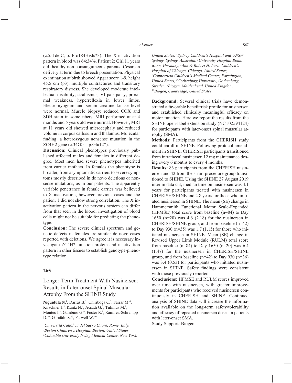(c.551delC, p. Pro184Hisfs\*3). The X-inactivation pattern in blood was 64:34%. Patient 2: Girl 11 years old, healthy non consanguineous parents. Cesarean delivery at term due to breech presentation. Physical examination at birth showed Apgar score 1-9, height 45.5 cm (p3), multiple contractures and transitory respiratory distress. She developed moderate intellectual disability, strabismus, VI pair palsy, proximal weakness, hyperreflexia in lower limbs. Electromyogram and serum creatine kinase level were normal. Muscle biopsy: reduced COX and SDH stain in some fibers. MRI performed at at 4 months and 5 years old were normal. However, MRI at 11 years old showed microcephaly and reduced volume in corpus callosum and thalamus. Molecular finding: a heterozygous nonsense mutation in the ZC4H2 gene (c.34G>T, p.Glu12\*).

**Discussion:** Clinical phenotypes previously published affected males and females in different degree. Most men had severe phenotypes inherited from carrier mothers. In females the phenotype is broader, from asymptomatic carriers to severe symptoms mostly described in de novo deletions or nonsense mutations, as in our patients. The apparently variable penetrance in female carries was believed to X inactivation, however previous cases and the patient 1 did not show strong correlation. The X inactivation pattern in the nervous system can differ from that seen in the blood, investigation of blood cells might not be suitable for predicting the phenotype.

**Conclusion:** The severe clinical spectrum and genetic defects in females are similar de novo cases reported with deletions. We agree it is necessary investigate ZC4H2 function protein and inactivation pattern in other tissues to establish genotype-phenotype relation.

#### **265**

Longer-Term Treatment With Nusinersen: Results in Later-onset Spinal Muscular Atrophy From the SHINE Study

Niguidula N.<sup>1</sup>, Darras B.<sup>2</sup>, Chiriboga C.<sup>3</sup>, Farrar M.<sup>4</sup>, Kirschner J.<sup>5</sup>, Kuntz N.<sup>6</sup>, Acsadi G.<sup>7</sup>, Tulinius M.<sup>8</sup>, Montes J.<sup>3</sup>, Gambino G.<sup>9</sup>, Foster R.<sup>9</sup>, Ramirez-Schrempp D.<sup>10</sup>, Garafalo S.<sup>10</sup>, Farwell W.<sup>10</sup>

*1 Università Cattolica del Sacro Cuore, Rome, Italy, 2 Boston Children's Hospital, Boston, United States, 3 Columbia University Irving Medical Center, New York,* 

*United States, 4 Sydney Children's Hospital and UNSW Sydney, Sydney, Australia, 5 University Hospital Bonn, Bonn, Germany, 6 Ann & Robert H. Lurie Children's Hospital of Chicago, Chicago, United States, 7 Connecticut Children's Medical Center, Farmington, United States, 8 Gothenburg University, Gothenburg, Sweden, 9 Biogen, Maidenhead, United Kingdom, 10Biogen, Cambridge, United States*

**Background:** Several clinical trials have demonstrated a favorable benefit:risk profile for nusinersen and established clinically meaningful efficacy on motor function. Here we report the results from the SHINE open-label extension study (NCT02594124) for participants with later-onset spinal muscular atrophy (SMA).

**Methods:** Participants from the CHERISH study could enroll in SHINE. Following protocol amendment in SHINE, CHERISH participants transitioned from intrathecal nusinersen 12 mg maintenance dosing every 6 months to every 4 months.

**Results:** 83 participants from the CHERISH nusinersen and 42 from the sham-procedure group transitioned to SHINE. Using the SHINE 27 August 2019 interim data cut, median time on nusinersen was 4.1 years for participants treated with nusinersen in CHERISH/SHINE and 2.8 years for those who initiated nusinersen in SHINE. The mean (SE) change in Hammersmith Functional Motor Scale-Expanded (HFMSE) total score from baseline (n=84) to Day 1650 (n=20) was 4.6 (2.18) for the nusinersen in CHERISH/SHINE group, and from baseline (n=42) to Day 930 (n=35) was 1.7 (1.15) for those who initiated nusinersen in SHINE. Mean (SE) change in Revised Upper Limb Module (RULM) total score from baseline (n=84) to Day 1650 (n=20) was 6.4 (1.47) for the nusinersen in CHERISH/SHINE group, and from baseline  $(n=42)$  to Day 930  $(n=36)$ was 3.4 (0.53) for participants who initiated nusinersen in SHINE. Safety findings were consistent with those previously reported.

**Conclusions:** HFMSE and RULM scores improved over time with nusinersen, with greater improvements for participants who received nusinersen continuously in CHERISH and SHINE. Continued analysis of SHINE data will increase the information available on the long-term safety/tolerability and efficacy of repeated nusinersen doses in patients with later-onset SMA.

Study Support: Biogen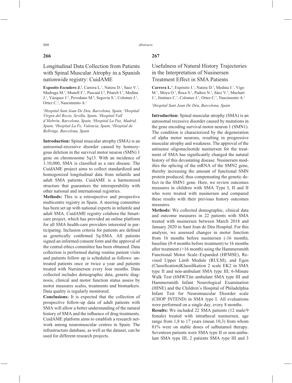## **266**

Longitudinal Data Collection from Patients with Spinal Muscular Atrophy in a Spanish nationwide registry: CuidAME

**Exposito Escudero J.<sup>1</sup>, Carrera L.<sup>1</sup>, Natera D.<sup>1</sup>, Saez V.<sup>1</sup>,** Madruga M.<sup>2</sup>, Munell F.<sup>3</sup>, Pascual I.<sup>4</sup>, Pitarch I.<sup>5</sup>, Medina J.<sup>1</sup>, Vázquez J.<sup>5</sup>, Povedano M.<sup>6</sup>, Segovia S.<sup>1</sup>, Colomer J.<sup>1</sup>, Ortez C.<sup>1</sup>, Nascimento A.<sup>1</sup>

*1 Hospital Sant Joan De Deu, Barcelona, Spain, 2 Hospital Virgen del Rocio, Sevilla, Spain, 3 Hospital Vall d'Hebrón, Barcelona, Spain, 4 Hospital La Paz, Madrid, Spain, 5 Hospital La Fe, Valencia, Spain, 6 Hospital de Bellvitge, Barcelona, Spain*

**Introduction:** Spinal muscular atrophy (SMA) is an autosomal-recessive disorder caused by homozygous deletion in the survival motor neuron (SMN) 1 gene on chromosome 5q13. With an incidence of  $1:10,000$ , SMA is classified as a rare disease. The CuidAME project aims to collect standardized and homogenized longitudinal data from infantile and adult SMA patients. CuidAME is a harmonized structure that guarantees the interoperability with other national and international registries.

**Methods:** This is a retrospective and prospective multicentre registry in Spain. A steering committee has been set up with national experts in infantile and adult SMA. CuidAME registry colabora the Smartcare project, which has provided an online platform for all SMA health-care providers interested in participating. Inclusion criteria for patients are defined as genetically confirmed 5q-SMA. All patients signed an informed consent form and the approval of the central ethics committee has been obtained. Data collection is performed during routine patient visits and patients follow up is scheduled as follows: untreated patients once or twice a year and patients treated with Nursinersen every four months. Data collected includes demographic data, genetic diagnosis, clinical and motor function status assess by motor measures scales, treatments and biomarkers. Data quality is regularly monitored.

**Conclusions:** It is expected that the collection of prospective follow-up data of adult patients with SMA will allow a better understanding of the natural history of SMA and the influence of drug treatments. CuidAME platform aims to establish a research network among neuromuscular centres in Spain. The infrastructure database, as well as the dataset, can be used for different research projects.

## **267**

# Usefulness of Natural History Trajectories in the Interpretation of Nusinersen Treatment Effect in SMA Patients

Carrera L.<sup>1</sup>, Expósito J.<sup>1</sup>, Natera D.<sup>1</sup>, Medina J.<sup>1</sup>, Vigo M.<sup>1</sup>, Moya O.<sup>1</sup>, Roca S.<sup>1</sup>, Padros N.<sup>1</sup>, Sáez V.<sup>1</sup>, Muchart J.<sup>1</sup>, Jiménez C.<sup>1</sup>, Colomer J.<sup>1</sup>, Ortez C.<sup>1</sup>, Nascimento A.<sup>1</sup>

#### *1 Hospital Sant Joan De Déu, Barcelona, Spain*

**Introduction:** Spinal muscular atrophy (SMA) is an autosomal recessive disorder caused by mutations in the gene encoding survival motor neuron 1 (SMN1). The condition is characterized by the degeneration of alpha motor neurons, resulting in progressive muscular atrophy and weakness. The approval of the antisense oligonucleotide nusinersen for the treatment of SMA has significantly changed the natural history of this devastating disease. Nusinersen modifies the splicing of the mRNA of the SMN2 gene, thereby increasing the amount of functional SMN protein produced, thus compensating the genetic defect in the SMN1 gene. Here, we review outcomes measures in children with SMA Type I, II and II who were treated with nusinersen and compared these results with their previous history outcomes measures.

**Methods:** We collected demographic, clinical data and outcome measures in 22 patients with SMA treated with nusinersen between March 2018 and January 2020 in Sant Joan de Déu Hospital. For this analysis, we assessed changes in motor function from 16 months before nusinersen (-16 month), baseline (0-4 months before treatment) to 16 months after treatment (+16 month) using the Hammersmith Functional Motor Scale–Expanded (HFMSE), Revised Upper Limb Module (RULM), and Egen (Classification)Klassifikation 2 scale EK2 in SMA type II and non-ambulant SMA type III; 6-Minute Walk Test (6MWT)in ambulant SMA type III and Hammersmith Infant Neurological Examination (HINE) and the Children's Hospital of Philadelphia Infant Test for Neuromuscular Disorder scale (CHOP INTEND) in SMA type I. All evaluations were performed on a single day, every 8 months.

**Results:** We included 22 SMA patients (12 male/9 female) treated with intrathecal nusinersen, age range from 1,8 to 17 years (mean 10,3) from whom 81% were on stable doses of salbutamol therapy. Seventeen patients were SMA type II or non-ambulant SMA type III, 2 patients SMA type III and 3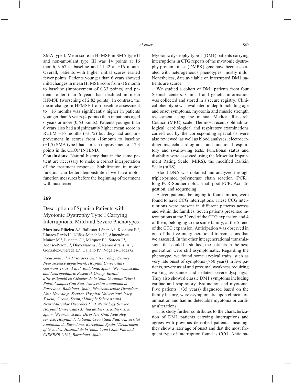SMA type I. Mean score in HFMSE in SMA type II and non-ambulant type III was 14 points at 16 month, 9.67 at baseline and 11.42 at +16 month. Overall, patients with higher initial scores earned fewer points. Patients younger than 6 years showed mild changes in mean HFMSE score from -16 month to baseline (improvement of 0.33 points) and patients older than 6 years had declined in mean HFMSE (worsening of 2.82 points). In contrast, the mean change in HFMSE from baseline assessment to  $+16$  months was significantly higher in patients younger than 6 years (4 points) than in patients aged 6 years or more (0,63 points). Patients younger than 6 years also had a significantly higher mean score in RULM  $+16$  months  $(+3,75)$  but they had and improvement in scores from -16month to baseline (+1,5) SMA type I had a mean improvement of 12.3 points in the CHOP INTEND.

**Conclusions:** Natural history data in the same patient are necessary to make a correct interpretation of the treatment response. Stabilization in motor function can better demonstrate if we have motor function measures before the beginning of treatment with nusinersen.

#### **269**

# Description of Spanish Patients with Myotonic Dystrophy Type I Carrying Interruptions: Mild and Severe Phenotypes

Martinez-Piñeiro A.<sup>1</sup>, Ballester-López A.<sup>2</sup>, Koehorst E.<sup>2</sup>, Linares-Pardo I.<sup>2</sup>, Núñez-Manchón J.<sup>2</sup>, Almendrote Muñoz M.<sup>1</sup>, Lucente G.<sup>1</sup>, Márquez F.<sup>3</sup>, Sotoca J.<sup>4</sup>, Alonso-Pérez J.<sup>5</sup>, Díaz-Manera J.<sup>5</sup>, Ramos-Fransi A.<sup>1</sup>, González-Quereda L.<sup>6</sup>, Gallano P.<sup>6</sup>, Nogales-Gadea G.<sup>2</sup>

*1 Neuromuscular Disorders Unit. Neurology Service. Neuroscience department, Hospital Universitari Germans Trias i Pujol, Badalona, Spain, 2 Neuromuscular and Neuropediatric Research Group, Institut d'Investigació en Ciències de la Salut Germans Trias i Pujol, Campus Can Ruti, Universitat Autònoma de Barcelona, Badalona, Spain, 3 Neuromuscular Disorders Unit. Neurology Service. Hospital Universitari Josep Trueta, Girona, Spain, 4 Multiple Sclerosis and NeuroMuscular Disorders Unit. Neurology Service. Hospital Universitari Mútua de Terrassa, Terrassa, Spain, 5 Neuromuscular Disorders Unit, Neurology service, Hospital de la Santa Creu i Sant Pau, Universitat Autònoma de Barcelona, Barcelona, Spain, 6 Department of Genetics, Hospital de la Santa Creu i Sant Pau and CIBERER U705, Barcelona, Spain*

Myotonic dystrophy type 1 (DM1) patients carrying interruptions in CTG repeats of the myotonic dystrophy protein kinase (DMPK) gene have been associated with heterogeneous phenotypes, mostly mild. Nonetheless, data available on interrupted DM1 patients are scarce.

We studied a cohort of DM1 patients from four Spanish centers. Clinical and genetic information was collected and stored in a secure registry. Clinical phenotype was evaluated in depth including age and onset symptoms, myotonia and muscle strength assessment using the manual Medical Research Council (MRC) scale. The most recent ophthalmological, cardiological and respiratory examinations carried out by the corresponding specialists were also reviewed, as well as blood analyses, electrocardiograms, echocardiograms, and functional respiratory and swallowing tests. Functional status and disability were assessed using the Muscular Impairment Rating Scale (MIRS), the modified Rankin Scale (mRS).

Blood DNA was obtained and analyzed through triplet-primed polymerase chain reaction (PCR), long PCR-Southern blot, small pool PCR, AciI digestion, and sequencing.

Eleven patients, belonging to four families, were found to have CCG interruptions. These CCG interruptions were present in different patterns across and within the families. Seven patients presented interruptions at the 3' end of the CTG expansion and 4 of them, belonging to the same family, at the 5' end of the CTG expansion. Anticipation was observed in one of the five intergenerational transmissions that we assessed. In the other intergenerational transmissions that could be studied, the patients in the next generation were still asymptomatic. Regarding the phenotype, we found some atypical traits, such as very late onset of symptoms  $($ >50 years) in five patients, severe axial and proximal weakness requiring walking assistance and isolated severe dysphagia. They also showed classic DM1 symptoms including cardiac and respiratory dysfunction and myotonia. Five patients (˂35 years) diagnosed based on the family history, were asymptomatic upon clinical examination and had no detectable myotonia or cardiac alterations.

This study further contributes to the characterization of DM1 patients carrying interruptions and agrees with previous described patients, meaning, they show a later age of onset and that the most frequent type of interruption found is CCG. Anticipa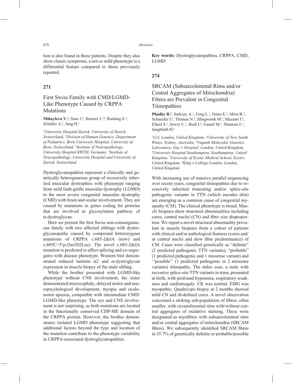tion is also found in these patients. Despite they also show classic symptoms, a not so mild phenotype is a differential feature compared to those previously reported.

## **271**

# First Swiss Family with CMD/LGMD-Like Phenotype Caused by CRPPA Mutations

**Mihaylova V.**<sup>1</sup>, Sanz J.<sup>2</sup>, Bremer J.<sup>3,4</sup>, Rushing E.<sup>4</sup>, Schaller A.<sup>2</sup>, Jung H.<sup>1</sup>

*1 University Hospital Zurich, University of Zurich, Switzerland, 2 Division of Human Genetics, Department of Pediatrics, Bern University Hospital, University of Bern, Switzerland, 3 Institute of Neuropathology, University Hospital RWTH, Germany, 4 Institute of Neuropathology, University Hospital and University of Zurich, Switzerland*

Dystroglycanopathies represent a clinically and genetically heterogeneous group of recessively inherited muscular dystrophies with phenotype ranging from mild limb-girdle muscular dystrophy (LGMD) to the most severe congenital muscular dystrophy (CMD) with brain and ocular involvement. They are caused by mutations in genes coding for proteins that are involved in glycosylation pathway of α-dystroglycan.

Here we present the first Swiss non-consanguineous family with two affected siblings with dystroglycanopathy caused by compound heterozygous mutations of CRPPA c.685-2delA (new) and c.605C>T/p.(Ser202Leu). The novel c.685-2delA mutation is predicted to affect splicing and co-segregates with disease phenotype. Western blot demonstrated reduced laminin  $\alpha$ 2 and  $\alpha$ -dystroglycan expression in muscle biopsy of the male sibling.

While the brother presented with LGMD-like phenotype without CNS involvement, the sister demonstrated microcephaly, delayed motor and neuropsychological development, myopia and oculomotor apraxia, compatible with intermediate CMD/ LGMD-like phenotype. The eye and CNS involvement is not surprising, as both mutations are located in the functionally conserved CDP-ME domain of the CRPPA protein. However, the brother demonstrates isolated LGMD phenotype suggesting that additional factors beyond the type and location of the mutation contribute to the phenotype variability in CRPPA-associated dystroglycanopathies.

**Key words:** Dystroglycanopathies, CRPPA, CMD, LGMD

#### **274**

# SRCAM (Subsarcolemmal Rims and/or Central Aggregates of Mitochondria) Fibres are Prevalent in Congenital Titinopathies

**Phadke R.<sup>1</sup>**, Sarkozy A.<sup>1</sup>, Feng L.<sup>1</sup>, Oates E.<sup>2</sup>, Mein R.<sup>3</sup>, Schneider I.<sup>1</sup>, Thomas N.<sup>4</sup>, Illingworth M.<sup>4</sup>, Mazanti I.<sup>4</sup>, Ellard S.<sup>5</sup>, Sewry C.<sup>1</sup>, Bodi I.<sup>6</sup>, Gautel M.<sup>6</sup>, Muntoni F.<sup>1</sup>, Jungbluth H.<sup>6</sup>

*1 Ucl, London, United Kingdom, 2 University of New South Wales, Sydney, Australia, 3 Viapath Molecular Genetics Laboratory, Guy's Hospital, London, United Kingdom, 4 University Hospital Southampton, Southampton, United Kingdom, 5 University of Exeter Medical School, Exeter, United Kingdom, 6 King's College London, London, United Kingdom*

With increasing use of massive parallel sequencing over recent years, congenital titinopathies due to recessively inherited truncating and/or splice-site pathogenic variants in TTN (which encodes titin) are emerging as a common cause of congenital myopathy (CM). The clinical phenotype is broad. Muscle biopsies show structural abnormalities including cores, central nuclei (CN) and fibre size disproportion. We report a novel structural abnormality prevalent in muscle biopsies from a cohort of patients with clinical and/or pathological features (cores and/ or central nuclei and slow fibre predominance) of CM. Cases were classified genetically as "definite" (2 predicted pathogenic TTN variants), "probable" (1 predicted pathogenic and 1 missense variant) and ''possible'' (1 predicted pathogenic or 2 missense variants) titinopathy. The index case, a male with recessive splice-site TTN variants in trans, presented at birth, with profound hypotonia, respiratory weakness and cardiomegaly. CK was normal. EMG was myopathic. Quadriceps biopsy at 2 months showed mild CN and ill-defined cores. A novel observation concerned a striking sub-population of fibres, often smaller, with circumferential rims with/without central aggregates of oxidative staining. These were designated as myofibres with subsarcolemmal rims and/or central aggregates of mitochondria (SRCAM fibres). We subsequently identified SRCAM fibres in 35.7% of genetically definite or probable/possible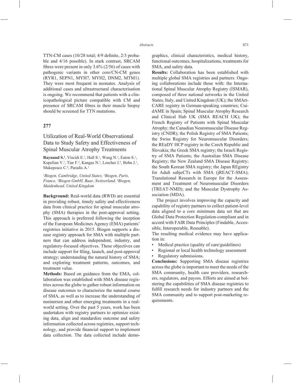TTN-CM cases  $(10/28 \text{ total}; 4/9 \text{ definite}, 2/3 \text{ proba}$ ble and 4/16 possible). In stark contrast, SRCAM fibres were present in only  $3.6\%$  ( $2/56$ ) of cases with pathogenic variants in other core/CN-CM genes (RYR1, SEPN1, MYH7, MYH2, DNM2, MTM1). They were most frequent in neonates. Analysis of additional cases and ultrastructural characterisation is ongoing. We recommend that patients with a clinicopathological picture compatible with CM and presence of SRCAM fibres in their muscle biopsy should be screened for TTN mutations.

## **277**

# Utilization of Real-World Observational Data to Study Safety and Effectiveness of Spinal Muscular Atrophy Treatments

**Raynaud S.<sup>1</sup>**, Viscidi E.<sup>1</sup>, Hall S.<sup>1</sup>, Wang N.<sup>1</sup>, Eaton S.<sup>1</sup>, Kupelian V.<sup>1</sup>, Tiar F.<sup>2</sup>, Kangas N.<sup>3</sup>, Loscher J.<sup>4</sup>, Bohn J.<sup>1</sup>, Makepeace C.<sup>4</sup>, Paradis A.<sup>1</sup>

*1 Biogen, Cambridge, United States, 2 Biogen, Paris, France, 3 Biogen GmbH, Baar, Switzerland, 4 Biogen, Maidenhead, United Kingdom*

**Background:** Real-world data (RWD) are essential in providing robust, timely safety and effectiveness data from clinical practice for spinal muscular atrophy (SMA) therapies in the post-approval setting. This approach is preferred following the inception of the European Medicines Agency (EMA) patients' registries initiative in 2015. Biogen supports a disease registry approach for SMA with multiple partners that can address independent, industry, and regulatory-focused objectives. These objectives can include support for filing, launch, and post-approval strategy; understanding the natural history of SMA; and exploring treatment patterns, outcomes, and treatment value.

**Methods:** Based on guidance from the EMA, collaboration was established with SMA disease registries across the globe to gather robust information on disease outcomes to characterize the natural course of SMA, as well as to increase the understanding of nusinersen and other emerging treatments in a realworld setting. Over the past 5 years, work has been undertaken with registry partners to optimize existing data, align and standardize outcome and safety information collected across registries, support technology, and provide financial support to implement data collection. The data collected include demographics, clinical characteristics, medical history, functional outcomes, hospitalizations, treatments for SMA, and safety data.

**Results:** Collaboration has been established with multiple global SMA registries and partners. Ongoing collaborations include those with: the International Spinal Muscular Atrophy Registry (ISMAR), composed of three national networks in the United States, Italy, and United Kingdom (UK); the SMArt-CARE registry in German-speaking countries; CuidAME in Spain; Spinal Muscular Atrophy Research and Clinical Hub UK (SMA REACH UK); the French Registry of Patients with Spinal Muscular Atrophy; the Canadian Neuromuscular Disease Registry (CNDR); the Polish Registry of SMA Patients; the Swiss Registry for Neuromuscular Disorders; the REaDY HCP registry in the Czech Republic and Slovakia; the Greek SMA registry; the Israeli Registry of SMA Patients; the Australian SMA Disease Registry; the New Zealand SMA Disease Registry; the South Korean SMA registry; the Japan REgistry for Adult subjeCTs with SMA (jREACT-SMA); Translational Research in Europe for the Assessment and Treatment of Neuromuscular Disorders (TREAT-NMD); and the Muscular Dystrophy Association (MDA).

The project involves improving the capacity and capability of registry partners to collect patient-level data aligned to a core minimum data set that are Global Data Protection Regulation-compliant and in accord with FAIR Data Principles (Findable, Accessible, Interoperable, Reusable).

The resulting medical evidence may have application in:

- Medical practice (quality of care/guidelines)
- Regional or local health technology assessment
- Regulatory submissions.

**Conclusions:** Supporting SMA disease registries across the globe is important to meet the needs of the SMA community, health care providers, researchers, regulators, and payors. Efforts are aimed at bolstering the capabilities of SMA disease registries to fulfill research needs for industry partners and the SMA community and to support post-marketing requirements.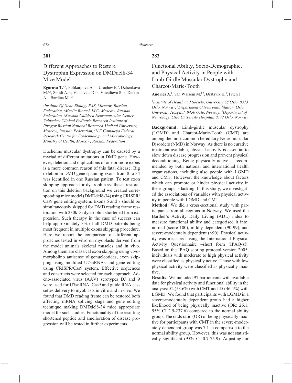## **281**

# Different Approaches to Restore Dystrophin Expression on DMDdel8-34 Mice Model

**Egorova T.<sup>1,2</sup>, Polikarpova A.**<sup>1,2</sup>, Usachev E.<sup>4</sup>, Dzhenkova M.<sup>1,2</sup>, Smidt A.<sup>1,2</sup>, Vlodavets D.<sup>3,2</sup>, Vassilieva S.<sup>1,2</sup>, Deikin A.<sup>1</sup>, Bardina M.<sup>1,2</sup>

*1 Institute Of Gene Biology RAS, Moscow, Russian Federation, 2 Marlin Biotech LLC, Moscow, Russian Federation, 3 Russian Children Neuromuscular Center, Veltischev Clinical Pediatric Research Institute of Pirogov Russian National Research Medical University, Moscow, Russian Federation, 4 N.F.Gamaleya Federal Research Centre for Epidemiology and Microbiology, Ministry of Health, Moscow, Russian Federation*

Duchenne muscular dystrophy can be caused by a myriad of different mutations in DMD gene. However, deletion and duplications of one or more exons is a more common reason of this fatal disease. Big deletion in DMD gene spanning exons from 8 to 34 was identified in one Russian patient. To test exon skipping approach for dystrophin synthesis restoration on this deletion background we created corresponding mice model (DMDdel8-34) using CRISPR/ Cas9 gene editing system. Exons 6 and 7 should be simultaneously skipped for DMD reading frame restoration with 230kDa dystrophin shortened form expression. Such therapy in the case of success can help approximately 3% of all DMD patients being most frequent in multiple exons skipping procedure. Here we report the comparison of different approaches tested in vitro on myoblasts derived from the model animals skeletal muscles and in vivo. Among them are classical exon skipping using vivomorpholino antisense oligonucleotides, exon skipping using modified U7snRNAs and gene editing using CRISPR/Cas9 system. Effective sequences and constructs were selected for each approach. Adeno-associated virus (AAV) serotypes DJ and 9 were used for U7snRNA, Cas9 and guide RNA cassettes delivery to myoblasts in vitro and in vivo. We found that DMD reading frame can be restored both affecting mRNA splicing stage and gene editing technique making DMDdel8-34 mice appropriate model for such studies. Functionality of the resulting shortened peptide and amelioration of disease progression will be tested in further experiments.

## **283**

# Functional Ability, Socio-Demographic, and Physical Activity in People with Limb-Girdle Muscular Dystrophy and Charcot-Marie-Tooth

**Andries A.<sup>1</sup>**, van Walsem M.<sup>1,2</sup>, Ørstavik K.<sup>3</sup>, Frich J.<sup>1</sup>

*1 Institute of Health and Society, University Of Oslo, 0373 Oslo, Norway, 2 Department of Neurohabilitation, Oslo University Hospital, 0450 Oslo, Norway, 3 Department of Neurology, Oslo University Hospital, 0372 Oslo, Norway*

**Background:** Limb-girdle muscular dystrophy (LGMD) and Charcot-Marie-Tooth (CMT) are among the most common hereditary Neuromuscular Disorders (NMD) in Norway. As there is no curative treatment available, physical activity is essential to slow down disease progression and prevent physical deconditioning. Being physically active is recommended by both national and international health organizations, including also people with LGMD and CMT. However, the knowledge about factors which can promote or hinder physical activity in these groups is lacking. In this study, we investigated the associations of variables with physical activity in people with LGMD and CMT.

**Method:** We did a cross-sectional study with participants from all regions in Norway. We used the Barthel's Activity Daily Living (ADL) index to measure functional ability and categorised it into: normal (score 100), mildly dependent (90-99), and severe-moderately dependent (<90). Physical activity was measured using the International Physical Activity Questionnaire –short form (IPAQ-sf). Based on the IPAQ scoring protocol version 2005, individuals with moderate to high physical activity were classified as physically active. Those with low physical activity were classified as physically inactive.

**Results:** We included 97 participants with available data for physical activity and functional ability in the analysis: 52 (53.6%) with CMT and 45 (46.4%) with LGMD. We found that participants with LGMD in a severe-moderately dependent group had a higher likelihood of being physically inactive (OR: 26.1; 95% CI 2.9-237.6) compared to the normal ability group. The odds ratio (OR) of being physically inactive for participants with CMT in the severe-moderately dependent group was 7.1 in comparison to the normal ability group. However, this was not statistically significant  $(95\% \text{ CI } 0.7-75.9)$ . Adjusting for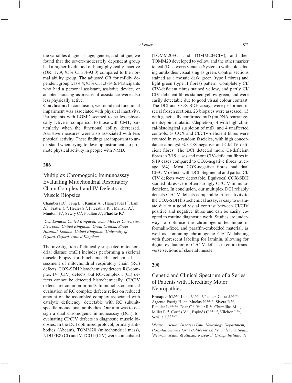the variables diagnosis, age, gender, and fatigue, we found that the severe-moderately dependent group had a higher likelihood of being physically inactive (OR: 17.9; 95% CI 3.4-93.0) compared to the normal ability group. The adjusted OR for mildly dependent group was 4.4; 95% CI 1.3-14.6. Participants who had a personal assistant, assistive device, or adapted housing as means of assistance were also less physically active.

**Conclusion:** In conclusion, we found that functional impairment was associated with physical inactivity. Participants with LGMD seemed to be less physically active in comparison to those with CMT, particularly when the functional ability decreased. Assistive measures were also associated with less physical activity. These findings are important to understand when trying to develop instruments to promote physical activity in people with NMD.

## **286**

# Multiplex Chromogenic Immunoassay Evaluating Mitochondrial Respiratory Chain Complex I and IV Defects in Muscle Biopsies

Chambers D.<sup>1</sup>, Feng L.<sup>1</sup>, Kumar A.<sup>1</sup>, Hargreaves I.<sup>2</sup>, Lam A.<sup>3</sup>, Fratter C.<sup>4</sup>, Heales S.<sup>3</sup>, Pitceathly R.<sup>1</sup>, Manzur A.<sup>3</sup>, Muntoni F.<sup>1</sup>, Sewry C.<sup>1</sup>, Poulton J.<sup>4</sup>, **Phadke R.<sup>1</sup>** 

*1 Ucl, London, United Kingdom, 2 John Moores University, Liverpool, United Kingdom, 3 Great Ormond Street Hospital, London, United Kingdom, 4 University of Oxford, Oxford, United Kingdom*

The investigation of clinically suspected mitochondrial disease (mtD) includes performing a skeletal muscle biopsy for biochemical/histochemical assessment of mitochondrial respiratory chain (RC) defects. COX-SDH histochemistry detects RC-complex IV (CIV) defects, but RC-complex I (CI) defects cannot be detected histochemically. CI/CIV defects are common in mtD. Immunohistochemical evaluation of RC complex defects relies on reduced amount of the assembled complex associated with catalytic deficiency, detectable with RC subunitspecific monoclonal antibodies. Our aim was to design a dual chromogenic immunoassay (DCI) for evaluating CI/CIV defects in diagnostic muscle biopsies. In the DCI optimised protocol, primary antibodies (Abcam), TOMM20 (mitochondrial mass), NDUFB8 (CI) and MTCO1 (CIV) were coincubated (TOMM20+CI and TOMM20+CIV), and then TOMM20 developed to yellow and the other marker to teal (Discovery/Ventana Systems) with colocalising antibodies visualising as green. Control sections stained as a mosaic dark green (type I fibres) and light green (type II fibres) pattern. Completely CI/ CIV-deficient fibres stained yellow, and partly CI/ CIV-deficient fibres stained yellow-green, and were easily detectable due to good visual colour contrast. The DCI and COX-SDH assays were performed in serial frozen sections. 23 biopsies were assessed: 15 with genetically confirmed mtD (mtDNA rearrangements/point mutations/depletion), 4 with high clinical/histological suspicion of mtD, and 4 unaffected controls. % COX and CI/CIV-deficient fibres were counted in two random fascicles, with high concordance amongst % COX-negative and CI/CIV deficient fibres. The DCI detected more CI-deficient fibres in 7/19 cases and more CIV-deficient fibres in  $5/19$  cases compared to COX-negative fibres (average 6%). Most COX-negative fibres had dual CI+CIV defects with DCI. Segmental and partial CI/ CIV defects were detectable. Equivocal COX-SDH stained fibres were often strongly CI/CIV-immunodeficient. In conclusion, our multiplex DCI reliably detects CI/CIV defects comparable in sensitivity to the COX-SDH histochemical assay, is easy to evaluate due to a good visual contrast between CI/CIV positive and negative fibres and can be easily coopted to routine diagnostic work. Studies are underway to optimise the chromogenic technique in formalin-fixed and paraffin-embedded material, as well as combining chromogenic CI/CIV labeling with fluorescent labeling for laminin, allowing for digital evaluation of CI/CIV defects in entire transverse sections of skeletal muscle.

### **290**

# Genetic and Clinical Spectrum of a Series of Patients with Hereditary Motor Neuropathies

**Frasquet M.1,2,3**, Lupo V.3,4,5, Vázquez-Costa J.1,2,3,6,7, Argente-Escrig H.<sup>1,2,3</sup>, Muelas N.<sup>1,2,3,6</sup>, Sivera R.<sup>6,8</sup>, Bataller L.<sup>1,2,3,6,7</sup>, Díaz C.<sup>9</sup>, Vilar R.<sup>10</sup>, Chumillas M.<sup>11</sup>, Millet E.<sup>11</sup>, Cortés V.<sup>11</sup>, Espinós C.<sup>3,4,5,12</sup>, Vílchez J.<sup>2,6</sup>, Sevilla T.<sup>1,2,3,6,7</sup>

*1 Neuromuscular Diseases Unit, Neurology Department, Hospital Universitari i Politècnic La Fe, Valencia, Spain, 2 Neuromuscular & Ataxias Research Group, Instituto de*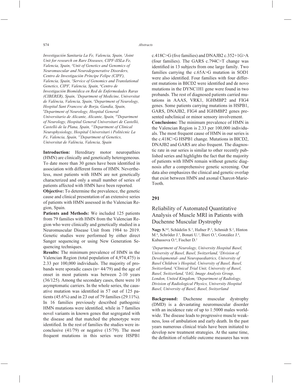*Investigación Sanitaria La Fe, Valencia, Spain, 3 Joint Unit for research on Rare Diseases, CIPF-IISLa Fe, Valencia, Spain, 4 Unit of Genetics and Genomics of Neuromuscular and Neurodegenerative Disorders, Centro de Investigación Príncipe Felipe (CIPF), Valencia, Spain, 5 Service of Genomics and Translational Genetics, CIPF, Valencia, Spain, 6 Centro de Investigación Biomédica en Red de Enfermedades Raras (CIBERER), Spain, 7 Department of Medicine, Universitat de València, Valencia, Spain, 8 Department of Neurology, Hospital Sant Francesc de Borja, Gandía, Spain, 9 Department of Neurology, Hospital General Universitario de Alicante, Alicante, Spain, 10Department of Neurology, Hospital General Universitari de Castelló, Castelló de la Plana, Spain, 11Department of Clinical Neurophysiology, Hospital Universitari i Politècnic La Fe, Valencia, Spain, 12Department of Genetics, Universitat de València, Valencia, Spain*

**Introduction:** Hereditary motor neuropathies (HMN) are clinically and genetically heterogeneous. To date more than 30 genes have been identified in association with different forms of HMN. Nevertheless, most patients with HMN are not genetically characterized and only a small number of series of patients affected with HMN have been reported.

**Objective:** To determine the prevalence, the genetic cause and clinical presentation of an extensive series of patients with HMN assessed in the Valencian Region, Spain.

**Patients and Methods:** We included 125 patients from 79 families with HMN from the Valencian Region who were clinically and genetically studied in a Neuromuscular Disease Unit from 1984 to 2019. Genetic studies were performed by either direct Sanger sequencing or using New Generation Sequencing techniques.

**Results:** The minimum prevalence of HMN in the Valencian Region (total population of 4,974,475) is 2.33 per 100,000 individuals. The majority of probands were sporadic cases (n= 44/79) and the age of onset in most patients was between 2-10 years (36/125). Among the secondary cases, there were 10 asymptomatic carriers. In the whole series, the causative mutation was identified in 57 out of 125 patients (45.6%) and in 23 out of 79 families (29.11%). In 16 families previously described pathogenic HMN mutations were identified, while in 7 families novel variants in known genes that segregated with the disease and that matched the phenotype were identified. In the rest of families the studies were inconclusive (41/79) or negative (15/79). The most frequent mutations in this series were HSPB1

c.418C $\geq$ G (five families) and DNAJB2 c.352+1G $\geq$ A (four families). The GARS c.794C>T change was identified in 13 subjects from one large family. Two families carrying the c.65A>G mutation in SOD1 were also identified. Four families with four different mutations in BICD2 were identified and de novo mutations in the DYNC1H1 gene were found in two probands. The rest of diagnosed patients carried mutations in AAAS, VRK1, IGHMBP2 and FIG4 genes. Some patients carrying mutations in HSPB1, GARS, DNAJB2, FIG4 and IGHMBP2 genes presented subclinical or minor sensory involvement. **Conclusions:** The minimum prevalence of HMN in the Valencian Region is 2.33 per 100,000 individuals. The most frequent cause of HMN in our series is the c.418C>G HSPB1 change. Mutations in BICD2, DNAJB2 and GARS are also frequent. The diagnostic rate in our series is similar to other recently published series and highlights the fact that the majority of patients with HMN remain without genetic diag-

nosis after a comprehensive genetic screening. Our data also emphasizes the clinical and genetic overlap that exist between HMN and axonal Charcot-Marie-Tooth.

### **291**

## Reliability of Automated Quantitative Analysis of Muscle MRI in Patients with Duchenne Muscular Dystrophy

Nagy S.<sup>1,2</sup>, Schädelin S.<sup>3</sup>, Hafner P.<sup>2</sup>, Schmidt S.<sup>2</sup>, Hinton M.<sup>4</sup>, Schröder J.<sup>5</sup>, Bonati U.<sup>2</sup>, Bieri O.<sup>5</sup>, González J.<sup>4</sup>, Kubassova O.4 , Fischer D.2

*1 Department of Neurology, University Hospital Basel, University of Basel, Basel, Switzerland, 2 Division of Developmental- and Neuropaediatrics, University of Basel Children's Hospital, University of Basel, Basel, Switzerland, 3 Clinical Trial Unit, University of Basel, Basel, Switzerland, 4 IAG, Image Analysis Group, London, United Kingdom, 5 Department of Radiology, Division of Radiological Physics, University Hospital Basel, University of Basel, Basel, Switzerland*

**Background:** Duchenne muscular dystrophy (DMD) is a devastating neuromuscular disorder with an incidence rate of up to 1:5000 males worldwide. The disease leads to progressive muscle weakness, loss of ambulation and early death. In the past years numerous clinical trials have been initiated to develop new treatment strategies. At the same time, the definition of reliable outcome measures has won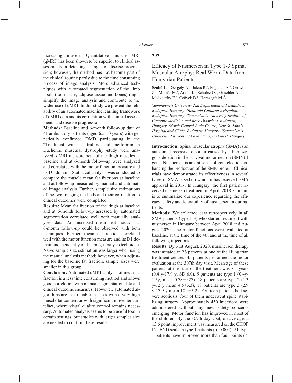the clinical routine partly due to the time consuming process of image analysis. More advanced techniques with automated segmentation of the limb pools (i.e muscle, adipose tissue and bones) might simplify the image analysis and contribute to the wider use of qMRI. In this study we present the reliability of an automated machine learning framework of qMRI data and its correlation with clinical assessments and disease progression.

**Methods:** Baseline and 6-month follow-up data of 41 ambulatory patients (aged 6.5-10 years) with genetically confirmed DMD participating in the "Treatment with L-citrulline and metformin in Duchenne muscular dystrophy"-study were analyzed. qMRI measurement of the thigh muscles at baseline and at 6-month follow-up were analyzed and correlated with the motor function measure and its D1 domain. Statistical analysis was conducted to compare the muscle mean fat fractions at baseline and at follow-up measured by manual and automated image analysis. Further, sample size estimations of the two imaging methods and their correlation to clinical outcomes were completed.

**Results:** Mean fat fraction of the thigh at baseline and at 6-month follow-up assessed by automated segmentation correlated well with manually analysed data. An increased mean feat fraction at 6-month follow-up could be observed with both techniques. Further, mean fat fraction correlated well with the motor function measure and its D1 domain independently of the image analysis technique. Naive sample size estimation was larger when using the manual analysis method; however, when adjusting for the baseline fat fraction, sample sizes were smaller in this group.

**Conclusion:** Automated qMRI analysis of mean fat fraction is a less time consuming method and shows good correlation with manual segmentation data and clinical outcome measures. However, automated algorithms are less reliable in cases with a very high muscle fat content or with significant movement artefact, where visual quality control remains necessary. Automated analysis seems to be a useful tool in certain settings, but studies with larger samples size are needed to confirm these results.

# Efficacy of Nusinersen in Type 1-3 Spinal Muscular Atrophy: Real World Data from Hungarian Patients

Szabó L<sup>1</sup>, Gergely A.<sup>2</sup>, Jakus R.<sup>2</sup>, Fogarasi A.<sup>2</sup>, Grosz Z.<sup>3</sup>, Molnár M.<sup>3</sup>, Andor I.<sup>1</sup>, Schulcz O.<sup>2</sup>, Goschler A.<sup>1</sup>, Medveczky E.<sup>4</sup>, Czövek D.<sup>5</sup>, Herczegfalvi Á.<sup>1</sup>

*1 Semmelweis University 2nd Department of Paediatrics, Budapest, Hungary, 2 Bethesda Children's Hospital, Budapest, Hungary, 3 Semmelweis University Institute of Genomic Medicine and Rare Disorders, Budapest, Hungary, 4 North-Central Buda Centre, New St. John's Hospital and Clinic, Budapest, Hungary, 5 Semmelweis University 1st Dept. of Paediatrics, Budapest, Hungary*

**Introduction:** Spinal muscular atrophy (SMA) is an autosomal recessive disorder caused by a homozygous deletion in the survival motor neuron (SMN) 1 gene. Nusinersen is an antisense oligonucleotide enhancing the production of the SMN protein. Clinical trials have demonstrated its effectiveness in several types of SMA based on which it has received EMA approval in 2017. In Hungary, the first patient received nusinersen treatment in April, 2018. Our aim is to summarize our experience regarding the efficacy, safety and tolerability of nusinersen in our patients.

**Methods:** We collected data retrospectively in all SMA patients (type 1-3) who started treatment with nusinersen in Hungary between April 2018 and August 2020. The motor functions were evaluated at baseline, at the time of the 4th and at the time of all following injections.

**Results:** By 31st August, 2020, nursinersen therapy was initiated in 76 patients at one of the Hungarian treatment centres. 45 patients performed the motor evaluation at the 307th day visit. Mean age of these patients at the start of the treatment was 8.1 years (0.4 y-17.9 y, SD 6.0). 9 patients are type 1 (0.4y-1.5y, mean 0.78±0.27), 18 patients are type 2 (1.3 y-12 y mean 4.5±3.3), 18 patients are type 3 (2.9  $y-17.9$  y mean  $10.9\pm5.2$ ). Fourteen patients had severe scoliosis, four of them underwent spine stabilizing surgery. Approximately 450 injections were administered without any new safety concerns emerging. Motor function has improved in most of the children. By the 307th day visit, on average, a 15.6 point improvement was measured on the CHOP INTEND scale in type 1 patients  $(p=0.004)$ . All type 1 patients have improved more than four points (7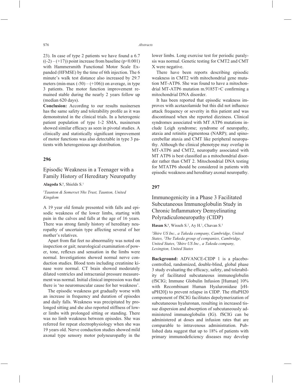23). In case of type 2 patients we have found a 6.7  $((-2) - (+17))$  point increase from baseline ( $p \le 0.001$ ) with Hammersmith Functional Motor Scale Expanded (HFMSE) by the time of 6th injection. The 6 minute's walk test distance also increased by 29.7 meters (min-max  $(-50) - (+106)$ ) on average, in type 3 patients. The motor function improvement remained stable during the nearly 2 years follow up (median 620 days).

**Conclusion:** According to our results nusinersen has the same safety and tolerability profile as it was demonstrated in the clinical trials. In a heterogenic patient population of type 1-2 SMA, nusinersen showed similar efficacy as seen in pivotal studies. A clinically and statistically significant improvement of motor functions was also detectable in type 3 patients with heterogenious age distribution.

#### **296**

# Episodic Weakness in a Teenager with a Family History of Hereditary Neuropathy

**Alagoda S.1** , Shields S.1

#### *1 Taunton & Somerset Nhs Trust, Taunton, United Kingdom*

A 19 year old female presented with falls and episodic weakness of the lower limbs, starting with pain in the calves and falls at the age of 16 years. There was strong family history of hereditary neuropathy of uncertain type affecting several of her mother's relatives.

Apart from flat feet no abnormality was noted on inspection or gait; neurological examination of power, tone, reflexes and sensation in the limbs were normal. Investigations showed normal nerve conduction studies. Blood tests including creatinine kinase were normal. CT brain showed moderately dilated ventricles and intracranial pressure measurement was normal. Initial clinical impression was that there is 'no neuromuscular cause for her weakness'.

The episodic weakness got gradually worse with an increase in frequency and duration of episodes and daily falls. Weakness was precipitated by prolonged sitting and she also reported stiffness of lower limbs with prolonged sitting or standing. There was no limb weakness between episodes. She was referred for repeat electrophysiology when she was 19 years old. Nerve conduction studies showed mild axonal type sensory motor polyneuropathy in the lower limbs. Long exercise test for periodic paralysis was normal. Genetic testing for CMT2 and CMT X were negative.

There have been reports describing episodic weakness in CMT2 with mitochondrial gene mutation MT-ATP6. She was found to have a mitochondrial MT-ATP6 mutation m.9185T>C confirming a mitochondrial DNA disorder.

It has been reported that episodic weakness improves with acetazolamide but this did not influence attack frequency or severity in this patient and was discontinued when she reported dizziness. Clinical syndromes associated with MT ATP6 mutations include Leigh syndrome; syndrome of neuropathy, ataxia and retinitis pigmentosa (NARP); and spinocerebellar ataxia and CMT like peripheral neuropathy. Although the clinical phenotype may overlap in MT-ATP6 and CMT2, neuropathy associated with MT ATP6 is best classified as a mitochondrial disorder rather than CMT 2. Mitochondrial DNA testing for MTATP6 should be considered in patients with episodic weakness and hereditary axonal neuropathy.

### **297**

# Immunogenicity in a Phase 3 Facilitated Subcutaneous Immunoglobulin Study in Chronic Inflammatory Demyelinating Polyradiculoneuropathy (CIDP)

Hasan S.<sup>1</sup>, Wisseh S.<sup>2</sup>, Ay H.<sup>1</sup>, Chavan S.<sup>3</sup>

*1 Shire US Inc., a Takeda company, Cambridge, United States, 2 The Takeda group of companies, Cambridge, United States, 3 Shire US Inc., a Takeda company, Lexington, United States*

**Background:** ADVANCE-CIDP 1 is a placebocontrolled, randomized, double-blind, global phase 3 study evaluating the efficacy, safety, and tolerability of facilitated subcutaneous immunoglobulin (fSCIG; Immune Globulin Infusion [Human] 10% with Recombinant Human Hyaluronidase [rHuPH20]) to prevent relapse in CIDP. The rHuPH20 component of fSCIG facilitates depolymerization of subcutaneous hyaluronan, resulting in increased tissue dispersion and absorption of subcutaneously administered immunoglobulin (IG). fSCIG can be administered at doses and infusion rates that are comparable to intravenous administration. Published data suggest that up to 18% of patients with primary immunodeficiency diseases may develop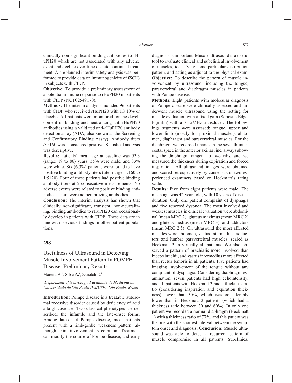clinically non-significant binding antibodies to rHuPH20 which are not associated with any adverse event and decline over time despite continued treatment. A preplanned interim safety analysis was performed to provide data on immunogenicity of fSCIG in subjects with CIDP.

**Objective:** To provide a preliminary assessment of a potential immune response to rHuPH20 in patients with CIDP (NCT02549170).

**Methods:** The interim analysis included 96 patients with CIDP who received rHuPH20 with IG 10% or placebo. All patients were monitored for the development of binding and neutralizing anti-rHuPH20 antibodies using a validated anti-rHuPH20 antibody detection assay (ADA, also known as the Screening and Confirmatory Binding Assay). Antibody titers  $\geq$ 1:160 were considered positive. Statistical analysis was descriptive.

**Results:** Patients' mean age at baseline was 53.3 (range: 19 to 86) years, 55% were male, and 83% were white. Six (6.3%) patients were found to have positive binding antibody titers (titer range: 1:160 to 1:5120). Four of these patients had positive binding antibody titers at 2 consecutive measurements. No adverse events were related to positive binding antibodies. There were no neutralizing antibodies.

**Conclusion:** The interim analysis has shown that clinically non-significant, transient, non-neutralizing, binding antibodies to rHuPH20 can occasionally develop in patients with CIDP. These data are in line with previous findings in other patient populations.

### **298**

## Usefulness of Ultrasound in Detecting Muscle Involvement Pattern In POMPE Disease: Preliminary Results

Moreira A.1 , **Silva A.1** , Zanoteli E.1

*1 Department of Neurology, Faculdade de Medicina da Universidade de São Paulo (FMUSP), São Paulo, Brazil*

**Introduction:** Pompe disease is a treatable autosomal recessive disorder caused by deficiency of acid alfa-glucosidase. Two classical phenotypes are described: the infantile and the late-onset forms. Among late-onset Pompe disease, most patients present with a limb-girdle weakness pattern, although axial involvement is common. Treatment can modify the course of Pompe disease, and early diagnosis is important. Muscle ultrasound is a useful tool to evaluate clinical and subclinical involvement of muscles, identifying some particular distribution pattern, and acting as adjunct to the physical exam. **Objective:** To describe the pattern of muscle involvement by ultrasound, including the tongue, paravertebral and diaphragm muscles in patients with Pompe disease.

**Methods:** Eight patients with molecular diagnosis of Pompe disease were clinically assessed and underwent muscle ultrasound using the setting for muscle evaluation with a fixed gain (Sonosite Edge, Fujifilm) with a 7-15MHz transducer. The followings segments were assessed: tongue, upper and lower limb (mostly for proximal muscles), abdomen, diaphragm and paravertebral muscles. For the diaphragm we recorded images in the seventh intercostal space in the anterior axillar line, always showing the diaphragm tangent to two ribs, and we measured the thickness during expiration and forced inspiration. All ultrasound images were obtained and scored retrospectively by consensus of two experienced examiners based on Heckmatt's rating scale.

**Results:** Five from eight patients were male. The mean age was 42 years old, with 10 years of disease duration. Only one patient complaint of dysphagia and five reported dyspnea. The most involved and weakest muscles in clinical evaluation were abdominal (mean MRC 2), gluteus maximus (mean MRC 2) and gluteus medius (mean MRC 3), and adductors (mean MRC 2.5). On ultrasound the most affected muscles were abdomen, vastus intermedius, adductors and lumbar paravertebral muscles, scaled as Heckmatt 3 in virtually all patients. We also observed a pattern of brachialis more involved than biceps brachii, and vastus intermedius more affected than rectus femoris in all patients. Five patients had imaging involvement of the tongue without any complaint of dysphagia. Considering diaphragm examination, seven patients had high echointensity, and all patients with Heckmatt 3 had a thickness ratio (considering inspiration and expiration thickness) lower than 30%, which was considerably lower than in Heckmatt 2 patients (which had a thickness ratio between 30 and 60%). In only one patient we recorded a normal diaphragm (Heckmatt 1) with a thickness ratio of 77%, and this patient was the one with the shortest interval between the symptom onset and diagnosis. **Conclusion:** Muscle ultrasound was able to detect a recurrent pattern of muscle compromise in all patients. Subclinical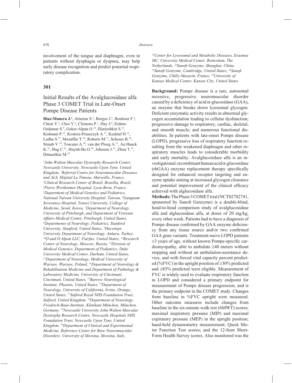involvement of the tongue and diaphragm, even in patients without dysphagia or dyspnea, may help early disease recognition and predict potential respiratory complication.

## **301**

# Initial Results of the Avalglucosidase alfa Phase 3 COMET Trial in Late-Onset Pompe Disease Patients

Diaz-Manera J.<sup>1</sup>, Attarian S.<sup>2</sup>, Borges J.<sup>3</sup>, Bouhour F.<sup>4</sup>, Chien Y.<sup>5</sup>, Choi Y.<sup>6</sup>, Clemens P.<sup>7</sup>, Day J.<sup>8</sup>, Erdem-Ozdamar S.9 , Goker-Alpan O.10, Illarioshkin S.11, Kishnani P.12, Kostera-Pruszczyk A.13, Kushlaf H.14, Ladha S.15, Mozaffar T.16, Roberts M.17, Schoser B.18, Straub V.19, Toscano A.20, van der Ploeg A.21, An Haack K.<sup>22</sup>, Hug C.<sup>23</sup>, Huynh-Ba O.<sup>24</sup>, Johnson J.<sup>23</sup>, Zhou T.<sup>23</sup>, Dimachkie M.25

*1 John Walton Muscular Dystrophy Research Center, Newcastle University, Newcastle Upon Tyne, United Kingdom, 2 Referral Centre for Neuromuscular Diseases and ALS, Hôpital La Timone, Marseille, France, 3 Clinical Research Center of Brazil, Brasilia, Brazil, 4 Pierre Wertheimer Hospital, Lyon-Bron, France, 5 Department of Medical Genetics and Pediatrics, National Taiwan University Hospital, Taiwan, 6 Gangnam Severance Hospital, Yonsei University, College of Medicine, Seoul, Korea, 7 Department of Neurology, University of Pittsburgh, and Department of Veterans Affairs Medical Center, Pittsburgh, United States, 8 Departments of Neurology, Pediatrics, Stanford University, Stanford, United States, 9 Hacettepe University Department of Neurology, Ankara, Turkey, 10O and O Alpan LLC, Fairfax, United States, 11Research Center of Neurology, Moscow, Russia, 12Division of Medical Genetics, Department of Pediatrics, Duke University Medical Center, Durham, United States, 13Department of Neurology, Medical University of Warsaw, Warsaw, Poland, 14Department of Neurology & Rehabilitation Medicine and Department of Pathology & Laboratory Medicine, University of Cincinnati, Cincinnati, United States, 15Barrow Neurological Institute, Phoenix, United States, 16Department of Neurology, University of California, Irvine, Orange, United States, 17Salford Royal NHS Foundation Trust, Salford, United Kingdom, 18Department of Neurology, Friedrich-Baur-Institute, Klinikum München, München, Germany, 19Newcastle University John Walton Muscular Dystrophy Research Centre, Newcastle Hospitals NHS Foundation Trust, Newcastle Upon Tyne, United Kingdom, 20Department of Clinical and Experimental Medicine, Reference Center for Rare Neuromuscular Disorders, University of Messina, Messina, Italy,* 

*21Center for Lysosomal and Metabolic Diseases, Erasmus MC, University Medical Center, Rotterdam, The Netherlands, 22Sanofi Genzyme, Shanghai, China, 23Sanofi Genzyme, Cambridge, United States, 24Sanofi Genzyme, Chilly-Mazarin, France, 25University of Kansas Medical Center, Kansas City, United States*

**Background:** Pompe disease is a rare, autosomal recessive, progressive neuromuscular disorder caused by a deficiency of acid  $\alpha$ -glucosidase (GAA), an enzyme that breaks down lysosomal glycogen. Deficient enzymatic activity results in abnormal glycogen accumulation leading to cellular dysfunction; progressive damage to respiratory, cardiac, skeletal, and smooth muscle; and numerous functional disabilities. In patients with late-onset Pompe disease (LOPD), progressive loss of respiratory function resulting from the weakened diaphragm and other respiratory muscles leads to considerable morbidity and early mortality. Avalglucosidase alfa is an investigational, recombinant human acid α-glucosidase  $(rhGAA)$  enzyme replacement therapy specifically designed for enhanced receptor targeting and enzyme uptake aiming at increased glycogen clearance and potential improvement of the clinical efficacy achieved with alglucosidase alfa.

**Methods:** The Phase 3 COMET trial (NCT02782741, sponsored by Sanofi Genzyme) is a double-blind, head-to-head comparison study of avalglucosidase alfa and alglucosidase alfa, at doses of 20 mg/kg, every other week. Patients had to have a diagnosis of Pompe disease confirmed by GAA enzyme deficiency from any tissue source and/or two confirmed GAA gene variants. Treatment-naive LOPD patients  $\geq$ 3 years of age, without known Pompe-specific cardiomyopathy, able to ambulate  $\geq 40$  meters without stopping and without an ambulation-assistance device, and with forced vital capacity percent predicted (%FVC) in the upright position of  $\geq$ 30% predicted and  $\leq$ 85% predicted were eligible. Measurement of FVC is widely used to evaluate respiratory function in LOPD and considered a primary endpoint for measurement of Pompe disease progression, and is the primary endpoint in the COMET study. Changes from baseline in %FVC upright were measured. Other outcome measures include changes from baseline in the six-minute walk test (6MWT) scores; maximal inspiratory pressure (MIP) and maximal expiratory pressure (MEP) in the upright position; hand-held dynamometry measurement; Quick Motor Function Test scores; and the 12-Item Short-Form Health Survey scores. Also monitored was the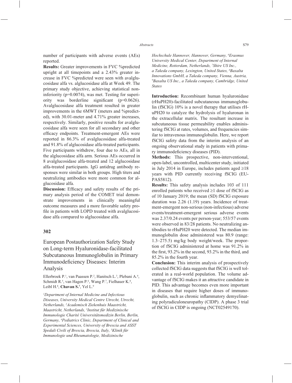number of participants with adverse events (AEs) reported.

**Results:** Greater improvements in FVC %predicted upright at all timepoints and a 2.43% greater increase in FVC %predicted were seen with avalglucosidase alfa vs. alglucosidase alfa at Week 49. The primary study objective, achieving statistical noninferiority (p=0.0074), was met. Testing for superiority was borderline significant  $(p=0.0626)$ . Avalglucosidase alfa treatment resulted in greater improvements in the 6MWT (meters and %predicted), with 30.01-meter and 4.71% greater increases, respectively. Similarly, positive results for avalglucosidase alfa were seen for all secondary and other efficacy endpoints. Treatment-emergent AEs were reported in 86.3% of avalglucosidase alfa-treated and 91.8% of alglucosidase alfa-treated participants. Five participants withdrew, four due to AEs, all in the alglucosidase alfa arm. Serious AEs occurred in 8 avalglucosidase alfa-treated and 12 alglucosidase alfa-treated participants. IgG antidrug antibody responses were similar in both groups. High titers and neutralizing antibodies were more common for alglucosidase alfa.

**Discussion:** Efficacy and safety results of the primary analysis period of the COMET trial demonstrate improvements in clinically meaningful outcome measures and a more favorable safety profile in patients with LOPD treated with avalglucosidase alfa compared to alglucosidase alfa.

#### **302**

European Postauthorization Safety Study on Long-term Hyaluronidase-facilitated Subcutaneous Immunoglobulin in Primary Immunodeficiency Diseases: Interim Analysis

Ellerbroek P.<sup>1</sup>, van Paassen P.<sup>2</sup>, Hanitsch L.<sup>3</sup>, Plebani A.<sup>4</sup>, Schmidt R.<sup>5</sup>, van Hagen P.<sup>6</sup>, Wang P.<sup>7</sup>, Fielhauer K.<sup>8</sup>, Leibl H.<sup>8</sup>, **Chavan S.<sup>7</sup>**, Yel L.<sup>9</sup>

*1 Department of Internal Medicine and Infectious Diseases, University Medical Centre Utrecht, Utrecht, Netherlands, 2 Academisch Ziekenhuis Maastricht, Maastricht, Netherlands, 3 Institut für Medizinische Immunologie Charité Universitätsmedizin Berlin, Berlin, Germany, 4 Pediatrics Clinic, Department of Clinical and Experimental Sciences, University of Brescia and ASST Spedali Civili of Brescia, Brescia, Italy, 5 Klinik für Immunologie und Rheumatologie, Medizinische* 

*Hochschule Hannover, Hannover, Germany, 6 Erasmus University Medical Center, Department of Internal Medicine, Rotterdam, Netherlands, 7 Shire US Inc., a Takeda company, Lexington, United States, 8 Baxalta Innovations GmbH, a Takeda company, Vienna, Austria, 9 Baxalta US Inc., a Takeda company, Cambridge, United States*

**Introduction:** Recombinant human hyaluronidase (rHuPH20)-facilitated subcutaneous immunoglobulin (fSCIG) 10% is a novel therapy that utilises rHuPH20 to catalyze the hydrolysis of hyaluronan in the extracellular matrix. The resultant increase in subcutaneous tissue permeability enables administering fSCIG at rates, volumes, and frequencies similar to intravenous immunoglobulin. Here, we report fSCIG safety data from the interim analysis of an ongoing observational study in patients with primary immunodeficiency diseases (PID).

**Methods:** This prospective, non-interventional, open-label, uncontrolled, multicenter study, initiated in July 2014 in Europe, includes patients aged  $\geq 18$ years with PID currently receiving fSCIG (EU-PAS5812).

**Results:** This safety analysis includes 103 of 111 enrolled patients who received  $\geq 1$  dose of fSCIG as of 10 January 2019; the mean (SD) fSCIG exposure duration was 2.26 (1.19) years. Incidence of treatment-emergent non-serious (non-infectious) adverse events/treatment-emergent serious adverse events was 2.37/0.24 events per person-year; 553/57 events were observed in 83/28 patients. No neutralizing antibodies to rHuPH20 were detected. The median immunoglobulin dose administered was 80.9 (range: 1.3–275.5) mg/kg body weight/week. The proportion of fSCIG administered at home was 91.2% in the first,  $93.2\%$  in the second,  $93.2\%$  in the third, and 85.2% in the fourth year.

**Conclusion:** This interim analysis of prospectively collected fSCIG data suggests that fSCIG is well tolerated in a real-world population. The volume advantage of fSCIG makes it an attractive candidate in PID. This advantage becomes even more important in diseases that require higher doses of immunoglobulin, such as chronic inflammatory demyelinating polyradiculoneuropathy (CIDP). A phase 3 trial of fSCIG in CIDP is ongoing (NCT02549170).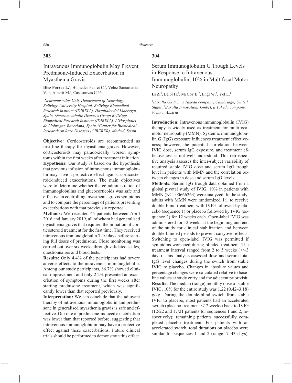## **303**

# Intravenous Immunoglobulin May Prevent Prednisone-Induced Exacerbation in Myasthenia Gravis

Diez Porras L.<sup>1</sup>, Homedes Pedret C.<sup>1</sup>, Vélez Santamaría V.<sup>1,2</sup>, Alberti M.<sup>1</sup>, Casasnovas C.<sup>1,2,3</sup>

*1 Neuromuscular Unit. Department of Neurology. Bellvitge University Hospital, Bellvitge Biomedical Research Institute (IDIBELL), Hospitalet del Llobregat, Spain, 2 Neurometabolic Diseases Group Bellvitge Biomedical Research Institute (IDIBELL), L'Hospitalet de Llobregat, Barcelona, Spain, 3 Center for Biomedical Research on Rare Diseases (CIBERER), Madrid, Spain*

**Objective:** Corticosteroids are recommended as first-line therapy for myasthenia gravis. However, corticosteroids may paradoxically worsen symptoms within the first weeks after treatment initiation. **Hypothesis:** Our study is based on the hypothesis that previous infusion of intravenous immunoglobulin may have a protective effect against corticosteroid-induced exacerbations. The main objectives were to determine whether the co-administration of immunoglobulins and glucocorticoids was safe and effective in controlling myasthenia gravis symptoms and to compare the percentage of patients presenting exacerbations with that previously reported.

**Methods:** We recruited 45 patients between April 2016 and January 2019, all of whom had generalised myasthenia gravis that required the initiation of corticosteroid treatment for the first time. They received intravenous immunoglobulin 7-10 days before starting full doses of prednisone. Close monitoring was carried out over six weeks through validated scales, questionnaires and blood tests.

**Results:** Only 4.4% of the participants had severe adverse effects to the intravenous immunoglobulin. Among our study participants, 86.7% showed clinical improvement and only 2.2% presented an exacerbation of symptoms during the first weeks after starting prednisone treatment, which was significantly lower than that reported previously.

**Interpretation:** We can conclude that the adjuvant therapy of intravenous immunoglobulin and prednisone in generalised myasthenia gravis is safe and effective. Our rate of prednisone-induced exacerbation was lower than that reported before, suggesting that intravenous immunoglobulin may have a protective effect against these exacerbations. Future clinical trials should be performed to demonstrate this effect.

## **304**

# Serum Immunoglobulin G Trough Levels in Response to Intravenous Immunoglobulin, 10% in Multifocal Motor Neuropathy

**Li Z.**<sup>1</sup>, Leibl H.<sup>2</sup>, McCoy B.<sup>2</sup>, Engl W.<sup>2</sup>, Yel L.<sup>1</sup>

*1 Baxalta US Inc., a Takeda company, Cambridge, United States, 2 Baxalta Innovations GmbH, a Takeda company, Vienna, Austria*

**Introduction:** Intravenous immunoglobulin (IVIG) therapy is widely used as treatment for multifocal motor neuropathy (MMN). Systemic immunoglobu- $\ln G$  (IgG) exposure influences treatment effectiveness; however, the potential correlation between IVIG dose, serum IgG exposure, and treatment effectiveness is not well understood. This retrospective analysis assesses the inter-subject variability of required stable IVIG dose and serum IgG trough level in patients with MMN and the correlation between changes in dose and serum IgG levels.

**Methods:** Serum IgG trough data obtained from a global pivotal study of IVIG, 10% in patients with MMN (NCT00666263) were analyzed. In the study, adults with MMN were randomized 1:1 to receive double-blind treatment with IVIG followed by placebo (sequence 1) or placebo followed by IVIG (sequence 2) for 12 weeks each. Open-label IVIG was administered for 12 weeks at the beginning and end of the study for clinical stabilization and between double-blinded periods to prevent carryover effects. Switching to open-label IVIG was permitted if symptoms worsened during blinded treatment. The treatment interval ranged from 2 to 5 weeks  $(+/-3)$ days). This analysis assessed dose and serum total IgG level changes during the switch from stable IVIG to placebo. Changes in absolute values and percentage changes were calculated relative to baseline values at study entry and the adjacent prior visit. **Results:** The median (range) monthly dose of stable IVIG, 10% for the entire study was 1.22 (0.42–3.18) g/kg. During the double-blind switch from stable IVIG to placebo, most patients had an accelerated switch (placebo treatment <12 weeks) back to IVIG (12/22 and 17/21 patients for sequences 1 and 2, respectively); remaining patients successfully completed placebo treatment. For patients with an accelerated switch, total durations on placebo were similar for sequences 1 and 2 (range:  $7-43$  days),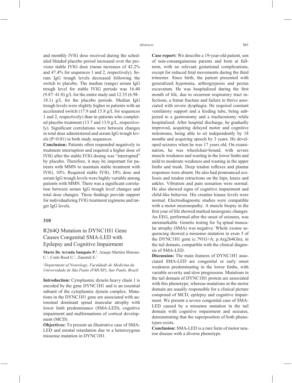and monthly IVIG dose received during the scheduled blinded placebo period increased over the previous stable IVIG dose (mean increases of 42.2% and 47.4% for sequences 1 and 2, respectively). Serum IgG trough levels decreased following the switch to placebo. The median (range) serum IgG trough level for stable IVIG periods was 16.40  $(9.87-41.0)$  g/L for the entire study and 12.35 (6.98– 18.1) g/L for the placebo periods. Median IgG trough levels were slightly higher in patients with an accelerated switch (17.9 and 15.8 g/L for sequences 1 and 2, respectively) than in patients who completed placebo treatment (13.7 and 13.0 g/L, respectively). Significant correlations were between changes in total dose administered and serum IgG trough levels (P<0.01) in both study sequences.

**Conclusion:** Patients often responded negatively to treatment interruption and required a higher dose of IVIG after the stable IVIG dosing was "interrupted" by placebo. Therefore, it may be important for patients with MMN to maintain stable treatment with IVIG, 10%. Required stable IVIG, 10% dose and serum IgG trough levels were highly variable among patients with MMN. There was a significant correlation between serum IgG trough level changes and total dose changes. These findings provide support for individualizing IVIG treatment regimens and target IgG levels.

### **310**

## R264Q Mutation in DYNC1H1 Gene Causes Congenital SMA-LED with Epilepsy and Cognitive Impairment

**Marte De Arruda Sampaio P.1** , Araujo Martins Moreno C.<sup>1</sup>, Conti Reed U.<sup>1</sup>, Zanoteli E.<sup>1</sup>

*1 Department of Neurology, Faculdade de Medicina da Universidade de São Paulo (FMUSP), Sao Paulo, Brazil*

**Introduction:** Cytoplasmic dynein heavy chain 1 is encoded by the gene DYNC1H1 and is an essential subunit of the cytoplasmic dynein complex. Mutations in the DYNC1H1 gene are associated with autosomal dominant spinal muscular atrophy with lower limb predominance (SMA-LED), cognitive impairment and malformations of cortical development (MCD).

**Objectives:** To present an illustrative case of SMA-LED and mental retardation due to a heterozygous missense mutation in DYNC1H1.

**Case report:** We describe a 19-year-old patient, son of non-consanguineous parents and born at fullterm, with no relevant gestational complications, except for reduced fetal movements during the third trimester. Since birth, the patient presented with generalized hypotonia, arthrogryposis and pectus excavatum. He was hospitalized during the first month of life, due to recurrent respiratory tract infections, a femur fracture and failure to thrive associated with severe dysphagia. He required constant ventilatory support and a feeding tube, being subjected to a gastrostomy and a tracheostomy while hospitalized. After hospital discharge, he gradually improved, acquiring delayed motor and cognitive milestones, being able to sit independently by 18 months and acquiring speech by 3 years. He developed seizures when he was 17 years old. On examination, he was wheelchair-bound, with severe muscle weakness and wasting in the lower limbs and mild to moderate weakness and wasting in the upper limbs and trunk. Deep tendon reflexes and plantar responses were absent. He also had pronounced scoliosis and tendon retractions on the hips, knees and ankles. Vibration and pain sensation were normal. He also showed signs of cognitive impairment and child-like behavior. His creatine kinase levels were normal. Electrodiagnostic studies were compatible with a motor neuronopathy. A muscle biopsy in the first year of life showed marked neurogenic changes. An EEG, performed after the onset of seizures, was unremarkable. Genetic testing for 5q spinal muscular atrophy (SMA) was negative. Whole exome sequencing showed a missense mutation in exon 5 of the DYNC1H1 gene (c.791G>A; p.Arg264Gln), in the tail domain, compatible with the clinical diagnosis of SMA-LED.

**Discussion:** The main features of DYNC1H1 associated SMA-LED are congenital or early onset weakness predominating in the lower limbs, with variable severity and slow progression. Mutations in the tail domain of DYNC1H1 protein are associated with this phenotype, whereas mutations in the motor domain are usually responsible for a clinical picture composed of MCD, epilepsy and cognitive impairment. We present a severe congenital case of SMA-LED caused by a missense mutation in the tail domain with cognitive impairment and seizures, demonstrating that the superposition of both phenotypes exists.

**Conclusion:** SMA-LED is a rare form of motor neuron disease with a diverse phenotype.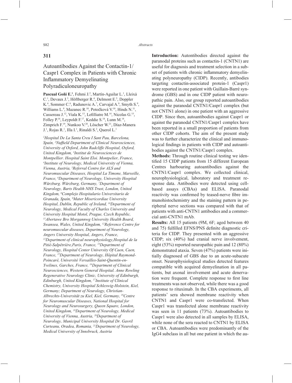## **311**

# Autoantibodies Against the Contactin-1/ Caspr1 Complex in Patients with Chronic Inflammatory Demyelinating Polyradiculoneuropathy

Pascual Goñi E.<sup>1</sup>, Fehmi J.<sup>2</sup>, Martín-Aguilar L.<sup>1</sup>, Lleixà C.<sup>1</sup>, Devaux J.<sup>3</sup>, Höftberger R.<sup>4</sup>, Delmont E.<sup>5</sup>, Doppler K.<sup>6</sup>, Sommer C.<sup>6</sup>, Radunovic A.<sup>7</sup>, Carvajal A.<sup>8</sup>, Smyth S.<sup>9</sup>, Williams L.<sup>9</sup>, Mazanec R.<sup>10</sup>, Potočková V.<sup>10</sup>, Hinds N.<sup>11</sup>, Cassereau J.<sup>12</sup>, Viala K.<sup>13</sup>, Lefilliatre M.<sup>14</sup>, Nicolas G.<sup>15</sup>, Folley P.16, Leypoldt F.17, Keddie S.18, Lunn M.18, Zimprich F.<sup>19</sup>, Nunkoo V.<sup>20</sup>, Löscher W.<sup>21</sup>, Díaz-Manera J.<sup>1</sup>, Rojas R.<sup>1</sup>, Illa I.<sup>1</sup>, Rinaldi S.<sup>2</sup>, Querol L.<sup>1</sup>

*1 Hospital De La Santa Creu I Sant Pau, Barcelona,*  Spain, <sup>2</sup>Nuffield Department of Clinical Neurosciences, *University of Oxford, John Radcliffe Hospital, Oxford, United Kingdom, 3 Institut de Neurosciences de Montpellier. Hospital Saint Eloi. Montpelier, France, 4 Institute of Neurology, Medical University of Vienna, Vienna, Austria, 5 Referral Centre for ALS and Neuromuscular Diseases, Hospital La Timone, Marseille, France, 6 Department of Neurology, University Hospital Würzburg. Würzburg, Germany, 7 Department of Neurology, Barts Health NHS Trust, London, United Kingdom, 8 Complejo Hospitalario Universitario de Granada, Spain, 9 Mater Misericordiae University Hospital, Dublin, Republic of Ireland, 10Department of Neurology, Medical Faculty of Charles University and University Hospital Motol, Prague, Czech Republic, 11Abertawe Bro Morgannwg University Health Board, Swansea, Wales, United Kingdom, 12Reference Centre for neuromuscular diseases, Department of Neurology, Angers University Hospital, Angers, France, 13Department of clinical neurophysiology,Hospital de la Pitié-Salpêtrière,Paris, France, 14Department of Neurology, Hospital Center University Of Caen, Caen, France, 15Department of Neurology, Hôpital Raymond-Poincaré, Université Versailles-Saint-Quentin-en-Yvelines, Garches, France, 16Department of Clinical Neurosciences, Western General Hospital. Anne Rowling Regenerative Neurology Clinic, University of Edinburgh, Edinburgh, United Kingdom, 17Institute of Clinical Chemistry, University Hospital Schleswig-Holstein, Kiel, Germany; Department of Neurology, Christian-Albrechts-Universität zu Kiel, Kiel, Germany, 18Centre for Neuromuscular Diseases, National Hospital for Neurology and Neurosurgery, Queen Square, London, United Kingdom, 19Department of Neurology, Medical University of Vienna, Austria, 20Department of Neurology, Municipal University Hospital Dr. Gavril Curteanu, Oradea, Romania, 21Department of Neurology, Medical University of Innsbruck, Austria* 

**Introduction:** Autontibodies directed against the paranodal proteins such as contactin-1 (CNTN1) are useful for diagnosis and treatment selection in a subset of patients with chronic inflammatory demyelinating polyneuropathy (CIDP). Recently, antibodies targeting contactin-associated protein-1 (Caspr1) were reported in one patient with Guillain-Barré syndrome (GBS) and in one CIDP patient with neuropathic pain. Also, our group reported autoantibodies against the paranodal CNTN1/Caspr1 complex (but not CNTN1 alone) in one patient with an aggressive CIDP. Since then, autoantibodies against Caspr1 or against the paranodal CNTN1/Caspr1 complex have been reported in a small proportion of patients from other CIDP cohorts. The aim of the present study was to further characterize the clinical and immunological findings in patients with CIDP and autoantibodies against the CNTN1/Caspr1 complex.

**Methods:** Through routine clinical testing we identified 15 CIDP patients from 15 different European Centres harbouring autoantibodies against the CNTN1/Caspr1 complex. We collected clinical, neurophysiological, laboratory and treatment response data. Antibodies were detected using cellbased assays (CBAs) and ELISA. Paranodal reactivity was confirmed by teased-nerve fibre immunohistochemistry and the staining pattern in peripheral nerve sections was compared with that of patients with anti-CNTN1 antibodies and a commercial anti-CNTN1 mAb.

**Results:** All 15 patients (9M, 6F; aged between 40 and 75) fulfilled EFNS/PNS definite diagnostic criteria for CIDP. They presented with an aggressive CIDP; six (40%) had cranial nerve involvement, eight (53%) reported neuropathic pain and 12 (80%) demonstrated ataxia. Seven (47%) patients were initially diagnosed of GBS due to an acute-subacute onset. Neurophysiological studies detected features compatible with acquired demyelination in all patients, but axonal involvement and acute denervation were frequent. Complete response to first line treatments was not observed, while there was a good response to rituximab. In the CBA experiments, all patients' sera showed membrane reactivity when CNTN1 and Caspr1 were co-transfected. When Caspr1 was transfected alone membrane reactivity was seen in 11 patients (73%). Autoantibodies to Caspr1 were also detected in all samples by ELISA, while none of the sera reacted to CNTN1 by ELISA or CBA. Autoantibodies were predominantly of the IgG4 subclass in all but one patient in which the au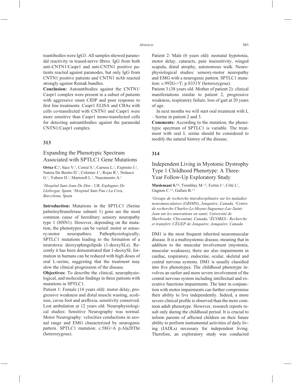toantibodies were IgG3. All samples showed paranodal reactivity in teased-nerve fibres. IgG from both anti-CNTN1/Caspr1 and anti-CNTN1 positive patients reacted against paranodes, but only IgG from CNTN1 positive patients and CNTN1 mAb reacted strongly against Remak bundles.

**Conclusion:** Autoantibodies against the CNTN1/ Caspr1 complex were present in a subset of patients with aggressive onset CIDP and poor response to first line treatments. Caspr1 ELISA and CBAs with cells co-transfected with CNTN1 and Caspr1 were more sensitive than Caspr1 mono-transfected cells for detecting autoantibodies against the paranodal CNTN1/Caspr1 complex.

## **313**

## Expanding the Phenotypic Spectrum Associated with SPTLC1 Gene Mutations

**Ortez C.<sup>1</sup>**, Sáez V.<sup>1</sup>, Corral S.<sup>1</sup>, Carrera L.<sup>1</sup>, Expósito J.<sup>1</sup>, Natera De Benito D.<sup>1</sup>, Colomer J.<sup>1</sup>, Rojas R.<sup>2</sup>, Nolasco G.<sup>1</sup>, Yubero D.<sup>1</sup>, Martorell L.<sup>1</sup>, Nascimento A.<sup>1</sup>

*1 Hospital Sant Joan De Déu - UB, Esplugues De Llobregat, Spain, 2 Hospital Sant Pau i La Creu, Barcelona, Spain*

**Introduction:** Mutations in the SPTLC1 (Serine palmitoyltransferase subunit 1) gene are the most common cause of hereditary sensory neuropathy type 1 (HSN1). However, depending on the mutation, the phenotypes can be varied: motor or sensory-motor neuropathies. Pathophysiologically, SPTLC1 mutations leading to the formation of a neurotoxic deoxysphingolipids (1-deoxySLs). Recently it has been demonstrated that 1-deoxySL formation in humans can be reduced with high doses of oral L-serine, suggesting that the treatment may slow the clinical progression of the disease.

**Objectives:** To describe the clinical, neurophysiological, and molecular findings in three patients with mutations in SPTLC1.

Patient 1: Female (14 years old): motor delay, progressive weakness and distal muscle wasting, scoliosis, cavus foot and areflexia, sensitivity conserved. Lost ambulation at 12 years old. Neurophysiological studies: Sensitive Neurography was normal. Motor Neurography: velocities conductions in axonal range and EMG characterized by neurogenic pattern. SPTLC1 mutation: c.58G>A p.Ala20Thr (heterozygous).

Patient 2: Male (6 years old): neonatal hypotonia, motor delay, cataracts, pain insensitivity, winged scapula, distal atrophy, autonomous walk. Neurophysiological studies: sensory-motor neuropathy and EMG with a neurogenic pattern. SPTLC1 mutation: c.992G->T; p.S331Y (heterozygous).

Patient 3 (38 years old. Mother of patient 2): clinical manifestations similar to patient 2, progressive weakness, respiratory failure, loss of gait at 20 years of age.

In next months we will start oral treatment with L – Serine in patient 2 and 3.

**Comments:** According to the mutation, the phenotypic spectrum of SPTLC1 is variable. The treatment with oral L serine should be considered to modify the natural history of the disease.

### **314**

## Independent Living in Myotonic Dystrophy Type 1 Childhood Phenotype: A Three-Year Follow-Up Exploratory Study

**Muslemani S.<sup>1,2</sup>**, Tremblay M.<sup>1,2</sup>, Fortin J.<sup>1</sup>, Côté I.<sup>1</sup>, Gagnon C.<sup>1,2</sup>, Gallais B.<sup>1,3</sup>

*1 Groupe de recherche interdisciplinaire sur les maladies neuromusculaires (GRIMN), Jonquière, Canada, 2 Centre de recherche Charles-Le-Moyne-Saguenay-Lac-Saint-Jean sur les innovations en santé, Université de Sherbrooke, Chicoutimi, Canada, 3 ÉCOBES - Recherche et transfert, CÉGEP de Jonquière, Jonquière, Canada*

DM1 is the most frequent inherited neuromuscular disease. It is a multisystemic disease, meaning that in addition to the muscular involvement (myotonia, muscular weakness), there are also impairments in cardiac, respiratory, endocrine, ocular, skeletal and central nervous systems. DM1 is usually classified into five phenotypes. The childhood phenotype involves an earlier and more severe involvement of the central nervous system including intellectual and executive functions impairments. The later in conjunction with motor impairments can further compromise their ability to live independently. Indeed, a more severe clinical profile is observed than the more common adult phenotype. However, research reports result only during the childhood period. It is crucial to inform parents of affected children on their future ability to perform instrumental activities of daily living (IADLs) necessary for independent living. Therefore, an exploratory study was conducted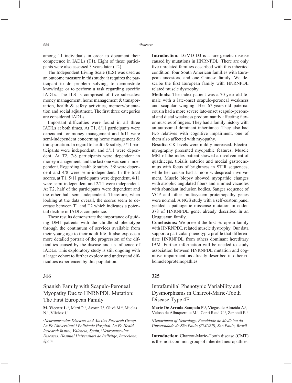among 11 individuals in order to document their competence in IADLs (T1). Eight of these participants were also assessed 3 years later (T2).

The Independent Living Scale (ILS) was used as an outcome measure in this study: it requires the participant to do problem solving, to demonstrate knowledge or to perform a task regarding specific IADLs. The ILS is comprised of five subscales: money management, home management & transportation, health & safety activities, memory/orientation and social adjustment. The first three categories are considered IADLs.

Important difficulties were found in all three IADLs at both times. At T1, 8/11 participants were dependent for money management and 6/11 were semi-independent concerning home management & transportation. In regard to health & safety, 5/11 participants were independent, and 5/11 were dependent. At T2, 7/8 participants were dependent in money management, and the last one was semi-independent. Regarding health & safety, 3/8 were dependent and 4/8 were semi-independent. In the total scores, at T1, 5/11 participants were dependent, 4/11 were semi-independent and 2/11 were independent. At T2, half of the participants were dependent and the other half semi-independent. Therefore, when looking at the data overall, the scores seem to decrease between T1 and T2 which indicates a potential decline in IADLs competence.

These results demonstrate the importance of guiding DM1 patients with the childhood phenotype through the continuum of services available from their young age to their adult life. It also exposes a more detailed portrait of the progression of the difficulties caused by the disease and its influence of IADLs. This exploratory study is still ongoing with a larger cohort to further explore and understand difficulties experienced by this population.

## **316**

Spanish Family with Scapulo-Peroneal Myopathy Due to HNRNPDL Mutation: The First European Family

**M. Vicente L.<sup>1</sup>**, Martí P.<sup>1</sup>, Azorín I.<sup>1</sup>, Olivé M.<sup>2</sup>, Muelas N.1 , Vilchez J.1

*1 Neuromuscular Diseases and Ataxias Research Group. La Fe Universitari i Politècnic Hospital. La Fe Health Research Institu, Valencia, Spain, 2 Neuromuscular Diseases. Hospital Universitari de Bellvitge, Barcelona, Spain*

**Introduction:** LGMD D3 is a rare genetic disease caused by mutations in HNRNPDL. There are only five unrelated families described with this inherited condition: four South American families with European ancestors, and one Chinese family. We describe the first European family with HNRNPDL related muscle dystrophy.

**Methods:** The index patient was a 70-year-old female with a late-onset scapulo-peroneal weakness and scapular winging. Her 67-years-old paternal cousin had a more severe late-onset scapulo-peroneal and distal weakness predominantly affecting flexor muscles of fingers. They had a family history with an autosomal dominant inheritance. They also had two relatives with cognitive impairment, one of them also affected with myopathy.

**Results:** CK levels were mildly increased. Electromyography presented myopathic features. Muscle MRI of the index patient showed a involvement of quadriceps, tibialis anterior and medial gastrocnemius with focus of brightness in STIR sequences, while her cousin had a more widespread involvement. Muscle biopsy showed myopathic changes with atrophic angulated fibers and rimmed vacuoles with abundant inclusion bodies. Sanger sequence of VCP and other multisystem proteinopathy genes were normal. A NGS study with a self-custom panel yielded a pathogenic missense mutation in codon 378 of HNRNPDL gene, already described in an Uruguayan family.

**Conclusions:** We present the first European family with HNRNPDL related muscle dystrophy. Our data support a particular phenotypic profile that differentiate HNRNPDL from others dominant hereditary IBM. Further information will be needed to study association between HNRNPDL mutation and cognitive impairment, as already described in other ribonucleoproteinopathies.

### **325**

# Intrafamilial Phenotypic Variability and Dysmorphisms in Charcot-Marie-Tooth Disease Type 4F

Marte De Arruda Sampaio P.<sup>1</sup>, Viegas de Almeida A.<sup>1</sup>, Veloso de Albuquerque M.<sup>1</sup>, Conti Reed U.<sup>1</sup>, Zanoteli E.<sup>1</sup>

*1 Department of Neurology, Faculdade de Medicina da Universidade de São Paulo (FMUSP), Sao Paulo, Brazil*

**Introduction:** Charcot-Marie-Tooth disease (CMT) is the most common group of inherited neuropathies.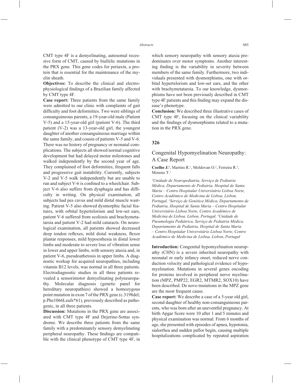CMT type 4F is a demyelinating, autosomal recessive form of CMT, caused by biallelic mutations in the PRX gene. This gene codes for periaxin, a protein that is essential for the maintenance of the myelin sheath.

**Objectives:** To describe the clinical and electrophysiological findings of a Brazilian family affected by CMT type 4F.

**Case report:** Three patients from the same family were admitted to our clinic with complaints of gait difficulty and foot deformities. Two were siblings of consanguineous parents, a 19-year-old male (Patient V-5) and a 15-year-old girl (patient V-6). The third patient (V-2) was a 13-year-old girl, the youngest daughter of another consanguineous marriage within the same family, and cousin of patients V-5 and V-6. There was no history of pregnancy or neonatal complications. The subjects all showed normal cognitive development but had delayed motor milestones and walked independently by the second year of age. They complained of foot deformities, frequent falls and progressive gait instability. Currently, subjects V-2 and V-5 walk independently but are unable to run and subject V-6 is confined to a wheelchair. Subject V-6 also suffers from dysphagia and has difficulty in writing. On physical examination, all subjects had pes cavus and mild distal muscle wasting. Patient V-5 also showed dysmorphic facial features, with orbital hypertelorism and low-set ears, patient V-6 suffered from scoliosis and brachymetatarsia and patient V-2 had mild cataracts. On neurological examination, all patients showed decreased deep tendon reflexes, mild distal weakness, flexor plantar responses, mild hypoesthesia in distal lower limbs and moderate to severe loss of vibration sense in lower and upper limbs, with sensory ataxia and, in patient V-6, pseudoathetosis in upper limbs. A diagnostic workup for acquired neuropathies, including vitamin B12 levels, was normal in all three patients. Electrodiagnostic studies in all three patients revealed a sensorimotor demyelinating polyneuropathy. Molecular diagnosis (genetic panel for hereditary neuropathies) showed a homozygous point mutation in exon 7 of the PRX gene (c.3198del; p.Phe1066Leufs\*61), previously described as pathogenic, in all three patients.

**Discussion:** Mutations in the PRX gene are associated with CMT type 4F and Dejerine-Sottas syndrome. We describe three patients from the same family with a predominately sensory demyelinating peripheral neuropathy. These findings are compatible with the clinical phenotype of CMT type 4F, in which sensory neuropathy with sensory ataxia predominates over motor symptoms. Another interesting finding is the variability in severity between members of the same family. Furthermore, two individuals presented with dysmorphisms, one with orbital hypertelorism and low-set ears, and the other with brachymetatarsia. To our knowledge, dysmorphisms have not been previously described in CMT type 4F patients and this finding may expand the disease's phenotype.

**Conclusion:** We described three illustrative cases of CMT type 4F, focusing on the clinical variability and the findings of dysmorphisms related to a mutation in the PRX gene.

### **326**

## Congenital Hypomyelination Neuropathy: A Case Report

Coelho J.<sup>1</sup>, Martins R.<sup>1</sup>, Moldovan O.<sup>2</sup>, Ferreira R.<sup>3</sup>, Moreno T.<sup>1</sup>

*1 Unidade de Neuropediatria, Serviço de Pediatria Médica, Departamento de Pediatria, Hospital de Santa Maria – Centro Hospitalar Universitário Lisboa Norte, Centro Académico de Medicina de Lisboa, Lisbon, Portugal, 2 Serviço de Genética Médica, Departamento de Pediatria, Hospital de Santa Maria – Centro Hospitalar Universitário Lisboa Norte, Centro Académico de Medicina de Lisboa, Lisbon, Portugal, 3 Unidade de Pneumologia Pediátrica, Serviço de Pediatria Médica, Departamento de Pediatria, Hospital de Santa Maria – Centro Hospitalar Universitário Lisboa Norte, Centro Académico de Medicina de Lisboa, Lisbon, Portugal*

**Introduction:** Congenital hypomyelination neuropathy (CHN) is a severe inherited neuropathy with neonatal or early infancy onset, reduced nerve conduction velocity and pathological evidence of hypomyelination. Mutations in several genes encoding for proteins involved in peripheral nerve myelination (MPZ, PMP22, EGR2, MTMR2, SOX10) have been described. De novo mutations in the MPZ gene are the most frequent cause.

**Case report:** We describe a case of a 5-year old girl, second daughter of healthy non-consanguineous parents, who was born after an uneventful pregnancy. At birth Apgar Score were 10 after 1 and 5 minutes and physical examination was normal. From 6 months of age, she presented with episodes of apnea, hypotonia, sialorrhea and sudden pallor begin, causing multiple hospitalizations complicated by repeated aspiration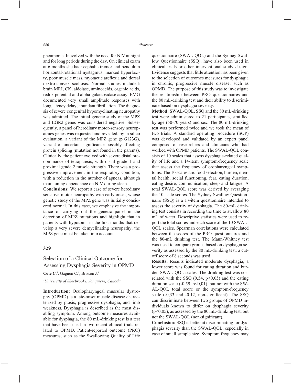pneumonia. It evolved with the need for NIV at night and for long periods during the day. On clinical exam at 6 months she had: cephalic tremor and pendulum horizontal-rotational nystagmus; marked hyperlaxity, poor muscle mass, myotactic areflexia and dorsal dextro-convex scoliosis. Normal studies included: brain MRI, CK, aldolase, aminoacids, organic acids, redox potential and alpha-galactosidase assay. EMG documented very small amplitude responses with long latency delay, abundant fibrillation. The diagnosis of severe congenital hypomyelinating neuropathy was admitted. The initial genetic study of the MPZ and EGR2 genes was considered negative. Subsequently, a panel of hereditary motor-sensory neuropathies genes was requested and revealed, by in silico evaluation, a variant of the MPZ gene (p.G123G), variant of uncertain significance possibly affecting protein splicing (mutation not found in the parents). Clinically, the patient evolved with severe distal predominance of tetraparesis, with distal grade 1 and proximal grade 2 muscle strength. There was a progressive improvement in the respiratory condition, with a reduction in the number of apneas, although maintaining dependence on NIV during sleep.

**Conclusions:** We report a case of severe hereditary sensitive-motor neuropathy with early onset, whose genetic study of the MPZ gene was initially considered normal. In this case, we emphasize the importance of carrying out the genetic panel in the detection of MPZ mutations and highlight that in patients with hypotonia in the first months that develop a very severe demyelinating neuropathy, the MPZ gene must be taken into account.

### **329**

## Selection of a Clinical Outcome for Assessing Dysphagia Severity in OPMD

Cote C.<sup>1</sup>, Gagnon C.<sup>1</sup>, Brisson J.<sup>1</sup>

#### *1 University of Sherbrooke, Jonquiere, Canada*

**Introduction:** Oculopharyngeal muscular dystrophy (OPMD) is a late-onset muscle disease characterized by ptosis, progressive dysphagia, and limb weakness. Dysphagia is described as the most disabling symptom. Among outcome measures available for dysphagia, the 80 mL-drinking test is a test that have been used in two recent clinical trials related to OPMD. Patient-reported outcome (PRO) measures, such as the Swallowing Quality of Life questionnaire (SWAL-QOL) and the Sydney Swallow Questionnaire (SSQ), have also been used in clinical trials or other interventional study design. Evidence suggests that little attention has been given to the selection of outcomes measures for dysphagia in chronic, progressive muscle disease, such as OPMD. The purpose of this study was to investigate the relationship between PRO questionnaires and the 80 mL-drinking test and their ability to discriminate based on dysphagia severity.

**Method:** SWAL-QOL, SSQ and the 80 mL-drinking test were administered to 21 participants, stratified by age (50-70 years) and sex. The 80 mL-drinking test was performed twice and we took the mean of two trials. A standard operating procedure (SOP) was developed and validated by an expert panel composed of researchers and clinicians who had worked with OPMD patients. The SWAL-QOL consists of 10 scales that assess dysphagia-related quality of life and a 14-item symptom-frequency scale that assess the frequency of oropharyngeal symptoms. The 10 scales are: food selection, burden, mental health, social functioning, fear, eating duration, eating desire, communication, sleep and fatigue. A total SWAL-QOL score was derived by averaging the 10 scale scores. The Sydney Swallow Questionnaire (SSQ) is a 17-item questionnaire intended to assess the severity of dysphagia. The 80-mL drinking test consists in recording the time to swallow 80 mL of water. Descriptive statistics were used to report the total scores and each score of the 10 SWAL-QOL scales. Spearman correlations were calculated between the scores of the PRO questionnaires and the 80-mL drinking test. The Mann-Whitney test was used to compare groups based on dysphagia severity as assessed by the 80 mL-drinking test; a cutoff score of 8 seconds was used.

**Results:** Results indicated moderate dysphagia; a lower score was found for eating duration and burden SWAL-QOL scales. The drinking test was correlated with the SSQ  $(0,54, p<0,05)$  and the eating duration scale  $(-0.59, p<0.01)$ , but not with the SW-AL-QOL total score or the symptom-frequency scale  $(-0,33$  and  $-0,12$ , non-significant). The SSQ can discriminate between two groups of OPMD individuals known to differ on dysphagia severity  $(p<0.05)$ , as assessed by the 80 mL-drinking test, but not the SWAL-OOL (non-significant).

**Conclusion:** SSQ is better at discriminating for dysphagia severity than the SWAL-QOL, especially in case of small sample size. Symptom frequency may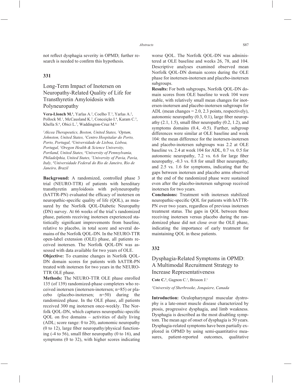not reflect dysphagia severity in OPMD; further research is needed to confirm this hypothesis.

## **331**

# Long-Term Impact of Inotersen on Neuropathy-Related Quality of Life for Transthyretin Amyloidosis with Polyneuropathy

**Vera-Llonch M.<sup>1</sup>**, Yarlas A.<sup>2</sup>, Coelho T.<sup>3</sup>, Yarlas A.<sup>2</sup>, Pollock M.<sup>1</sup>, McCausland K.<sup>2</sup>, Conceição I.<sup>4</sup>, Karam C.<sup>5</sup>, Khella S.<sup>6</sup>, Obici L.<sup>7</sup>, Waddington-Cruz M.<sup>8</sup>

*1 Akcea Therapeutics, Boston, United States, 2 Optum, Johnston, United States, 3 Centro Hospitalar do Porto, Porto, Portugal, 4 Universidade de Lisboa, Lisboa, Portugal, 5 Oregon Health & Science University, Portland, United States, 6 University of Pennsylvania, Philadelphia, United States, 7 University of Pavia, Pavia, Italy, 8 Universidade Federal do Rio de Janeiro, Rio de Janeiro, Brazil*

**Background:** A randomized, controlled phase 3 trial (NEURO-TTR) of patients with hereditary transthyretin amyloidosis with polyneuropathy (hATTR-PN) evaluated the efficacy of inotersen on neuropathic-specific quality of life (OOL), as measured by the Norfolk QOL-Diabetic Neuropathy (DN) survey. At 66 weeks of the trial's randomized phase, patients receiving inotersen experienced statistically significant improvements from baseline, relative to placebo, in total score and several domains of the Norfolk QOL-DN. In the NEURO-TTR open-label extension (OLE) phase, all patients received inotersen. The Norfolk QOL-DN was assessed with data available for two years of OLE.

**Objective:** To examine changes in Norfolk QOL-DN domain scores for patients with hATTR-PN treated with inotersen for two years in the NEURO-TTR OLE phase.

**Methods:** The NEURO-TTR OLE phase enrolled 135 (of 139) randomized-phase completers who received inotersen (inotersen-inotersen; n=85) or placebo (placebo-inotersen; n=50) during the randomized phase. In the OLE phase, all patients received 300 mg inotersen once-weekly. The Norfolk QOL-DN, which captures neuropathic-specific  $QOL$  on five domains – activities of daily living (ADL; score range: 0 to 20), autonomic neuropathy  $(0 to 12)$ , large fiber neuropathy/physical functioning  $(-4 \text{ to } 56)$ , small fiber neuropathy  $(0 \text{ to } 16)$ , and symptoms (0 to 32), with higher scores indicating worse QOL. The Norfolk QOL-DN was administered at OLE baseline and weeks 26, 78, and 104. Descriptive analyses examined observed mean Norfolk QOL-DN domain scores during the OLE phase for inotersen-inotersen and placebo-inotersen subgroups.

**Results:** For both subgroups, Norfolk QOL-DN domain scores from OLE baseline to week 104 were stable, with relatively small mean changes for inotersen-inotersen and placebo-inotersen subgroups for ADL (mean changes = 2.0, 2.3 points, respectively), autonomic neuropathy  $(0.3, 0.1)$ , large fiber neuropathy  $(2.1, 1.5)$ , small fiber neuropathy  $(0.2, 1.2)$ , and symptoms domains (0.4, -0.5). Further, subgroup differences were similar at OLE baseline and week 104: the mean difference for the inotersen-inotersen and placebo-inotersen subgroups was 2.2 at OLE baseline vs. 2.4 at week 104 for ADL, 0.7 vs. 0.5 for autonomic neuropathy,  $7.2$  vs.  $6.6$  for large fiber neuropathy,  $-0.3$  vs. 0.8 for small fiber neuropathy, and 2.5 vs. 1.6 for symptoms, indicating that the gaps between inotersen and placebo arms observed at the end of the randomized phase were sustained even after the placebo-inotersen subgroup received inotersen for two years.

**Conclusions:** Treatment with inotersen stabilized neuropathic-specific OOL for patients with hATTR-PN over two years, regardless of previous inotersen treatment status. The gaps in QOL between those receiving inotersen versus placebo during the randomized phase did not close over the OLE phase, indicating the importance of early treatment for maintaining QOL in these patients.

### **332**

## Dysphagia-Related Symptoms in OPMD: A Multimodal Recruitment Strategy to Increase Representativeness

Cote C.<sup>1</sup>, Gagnon C.<sup>1</sup>, Brisson J.<sup>1</sup>

#### *1 University of Sherbrooke, Jonquiere, Canada*

**Introduction:** Oculopharyngeal muscular dystrophy is a late-onset muscle disease characterized by ptosis, progressive dysphagia, and limb weakness. Dysphagia is described as the most disabling symptom. The mean age of onset of dysphagia is 50 years. Dysphagia-related symptoms have been partially explored in OPMD by using semi-quantitative measures, patient-reported outcomes, qualitative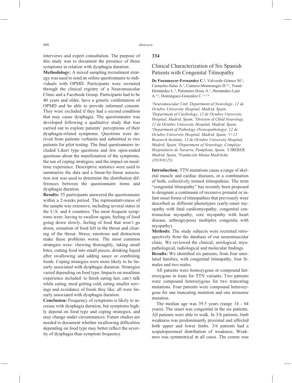interviews and expert consultation. The purpose of this study was to document the presence of those symptoms in relation with dysphagia duration.

**Methodology:** A mixed sampling recruitment strategy was used to send an online questionnaire to individuals with OPMD. Participants were recruited through the clinical registry of a Neuromuscular Clinic and a Facebook Group. Participants had to be 40 years and older, have a genetic confirmation of OPMD and be able to provide informed consent. They were excluded if they had a second condition that may cause dysphagia. The questionnaire was developed following a qualitative study that was carried out to explore patients' perceptions of their dysphagia-related symptoms. Questions were derived from patients verbatim and submitted to two patients for pilot testing. The final questionnaire included Likert type questions and few open-ended questions about the manifestation of the symptoms, the use of coping strategies, and the impact on mealtime experience. Descriptive statistics were used to summarize the data and a linear-by-linear association test was used to determine the distribution differences between the questionnaire items and dysphagia duration.

**Results:** 55 participants answered the questionnaire within a 2-weeks period. The representativeness of the sample was extensive, including several states in the U.S. and 6 countries. The most frequent symptoms were: having to swallow again, feeling of food going down slowly, feeling of food that won't go down, sensation of food left in the throat and clearing of the throat. Stress, emotions and distraction make these problems worse. The most common strategies were: chewing thoroughly, taking small bites, cutting food into small pieces, drinking liquid after swallowing and adding sauce or combining foods. Coping strategies were more likely to be linearly associated with dysphagia duration. Strategies varied depending on food type. Impacts on mealtime experience included: to finish eating last, can't talk while eating, meal getting cold, eating smaller servings and avoidance of foods they like; all were linearly associated with dysphagia duration.

**Conclusion:** Frequency of symptoms is likely to increase with dysphagia duration, but symptoms highly depend on food type and coping strategies, and may change under circumstances. Future studies are needed to document whether swallowing difficulties depending on food type may better reflect the severity of dysphagia than symptom frequency.

## **334**

## Clinical Characterization of Six Spanish Patients with Congenital Titinopathy

De Fuenmayor-Fernandez C.<sup>1</sup>, Valverde-Gómez M.<sup>2</sup>, Camacho-Salas A.<sup>3</sup>, Cantero-Montenegro D.<sup>4,5</sup>, Torné-Hernández L.<sup>6</sup>, Palomino-Doza A.<sup>2</sup>, Hernández-Laín A.4,5, Domínguez-González C.1,5,7,8

*1 Neuromuscular Unit, Department of Neurology, 12 de Octubre University Hospital, Madrid, Spain, 2 Department of Cardiology, 12 de Octubre University Hospital, Madrid, Spain, 3 Division of Child Neurology, 12 de Octubre University Hospital, Madrid, Spain, 4 Department of Pathology (Neuropathology), 12 de Octubre University Hospital, Madrid, Spain, 5 i+12 Research Institute, 12 de Octubre University Hospital, Madrid, Spain, 6 Department of Neurology, Complejo Hospitalario de Navarra, Pamplona, Spain, 7 CIBERER, Madrid, Spain, 8 Fundación Mutua Madrileña (2018/0125)* 

**Introduction:** TTN mutations cause a range of skeletal muscle and cardiac diseases, or a combination of both, collectively termed titinopathies. The term "congenital titinopathy" has recently been proposed to designate a continuum of recessive prenatal or infant onset forms of titinopathies that previously were described as different phenotypes (early-onset myopathy with fatal cardiomyopathy, congenital centronuclear myopathy, core myopathy with heart disease, arthrogryposis multiplex congenita with myopathy).

**Methods:** The study subjects were recruited retrospectively from the database of our neuromuscular clinic. We reviewed the clinical, serological, myopathological, radiological and molecular findings.

**Results:** We identified six patients, from four unrelated families, with congenital titinopathy, four females and two males.

All patients were homozygous or compound heterozygous in trans for TTN variants. Two patients were compound heterozygous for two truncating mutations. Four patients were compound heterozygous for one truncating mutation and one missense mutation.

The median age was 39.5 years (range 14 - 64 years). The onset was congenital in the six patients. All patients were able to walk. In 3/6 patients, limb weakness was predominantly proximal and affected both upper and lower limbs. 3/6 patients had a scapuloperoneal distribution of weakness. Weakness was symmetrical in all cases. The course was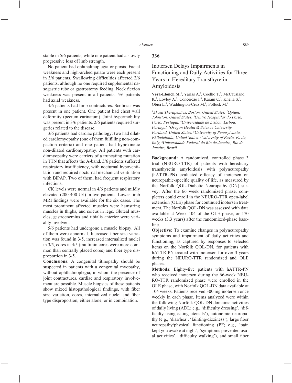stable in 5/6 patients, while one patient had a slowly progressive loss of limb strength.

No patient had ophthalmoplegia or ptosis. Facial weakness and high-arched palate were each present in  $3/6$  patients. Swallowing difficulties affected  $2/6$ patients, although no one required supplemental nasogastric tube or gastrostomy feeding. Neck flexion weakness was present in all patients. 5/6 patients had axial weakness.

4/6 patients had limb contractures. Scoliosis was present in one patient. One patient had chest wall deformity (pectum carinatum). Joint hypermobility was present in 3/6 patients. 2/6 patients required surgeries related to the disease.

3/6 patients had cardiac pathology: two had dilated cardiomyopathy (one of them fulfilling non-compaction criteria) and one patient had hypokinetic non-dilated cardiomyopathy. All patients with cardiomyopathy were carriers of a truncating mutation in TTN that affects the A-band. 3/6 patients suffered respiratory insufficiency, with nocturnal hypoventilation and required nocturnal mechanical ventilation with BiPAP. Two of them, had frequent respiratory infections.

CK levels were normal in 4/6 patients and mildly elevated (200-400 U/l) in two patients. Lower limb MRI findings were available for the six cases. The most prominent affected muscles were hamstring muscles in thighs, and soleus in legs. Gluteal muscles, gastrocnemius and tibialis anterior were variably involved.

5/6 patients had undergone a muscle biopsy. All of them were abnormal. Increased fiber size variation was found in 3/5, increased internalized nuclei in 3/5, cores in 4/5 (multiminicores were more common than centrally placed cores) and fiber type disproportion in 3/5.

**Conclusions:** A congenital titinopathy should be suspected in patients with a congenital myopathy, without ophthalmoplegia, in whom the presence of joint contractures, cardiac and respiratory involvement are possible. Muscle biopsies of these patients show mixed histopathological findings, with fiber size variation, cores, internalized nuclei and fiber type disproportion, either alone, or in combination.

## **336**

# Inotersen Delays Impairments in Functioning and Daily Activities for Three Years in Hereditary Transthyretin Amyloidosis

**Vera-Llonch M.<sup>1</sup>**, Yarlas A.<sup>2</sup>, Coelho T.<sup>3</sup>, McCausland K.<sup>2</sup>, Lovley A.<sup>2</sup>, Conceição I.<sup>4</sup>, Karam C.<sup>5</sup>, Khella S.<sup>6</sup>, Obici L.<sup>7</sup>, Waddington-Cruz M.<sup>8</sup>, Pollock M.<sup>1</sup>

*1 Akcea Therapeutics, Boston, United States, 2 Optum, Johnston, United States, 3 Centro Hospitalar do Porto, Porto, Portugal, 4 Universidade de Lisboa, Lisboa, Portugal, 5 Oregon Health & Science University, Portland, United States, 6 University of Pennsylvania, Philadelphia, United States, 7 University of Pavia, Pavia, Italy, 8 Universidade Federal do Rio de Janeiro, Rio de Janeiro, Brazil*

**Background:** A randomized, controlled phase 3 trial (NEURO-TTR) of patients with hereditary transthyretin amyloidosis with polyneuropathy (hATTR-PN) evaluated efficacy of inotersen on neuropathic-specific quality of life, as measured by the Norfolk QOL-Diabetic Neuropathy (DN) survey. After the 66 week randomized phase, completers could enroll in the NEURO-TTR open-label extension (OLE) phase for continued inotersen treatment. The Norfolk QOL-DN was assessed with data available at Week 104 of the OLE phase, or 170 weeks (3.3 years) after the randomized-phase baseline.

**Objective:** To examine changes in polyneuropathy symptoms and impairment of daily activities and functioning, as captured by responses to selected items on the Norfolk QOL-DN, for patients with hATTR-PN treated with inotersen for over 3 years during the NEURO-TTR randomized and OLE phases.

**Methods:** Eighty-five patients with hATTR-PN who received inotersen during the 66-week NEU-RO-TTR randomized phase were enrolled in the OLE phase, with Norfolk QOL-DN data available at 104 weeks. Patients received 300 mg inotersen once weekly in each phase. Items analyzed were within the following Norfolk QOL-DN domains: activities of daily living (ADL; e.g., 'difficulty dressing', 'difficulty using eating utensils'), autonomic neuropathy (e.g., 'diarrhea', 'fainting/dizziness'), large fiber neuropathy/physical functioning (PF; e.g., 'pain kept you awake at night', 'symptoms prevented usual activities', 'difficulty walking'), and small fiber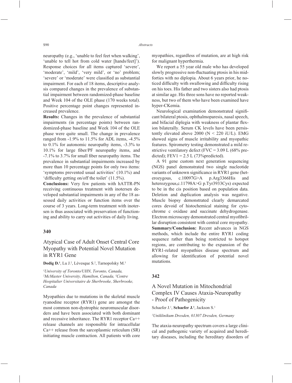neuropathy (e.g., 'unable to feel feet when walking', 'unable to tell hot from cold water [hands/feet]'). Response choices for all items captured 'severe', 'moderate', 'mild', 'very mild', or 'no' problem; 'severe' or 'moderate' were classified as substantial impairment. For each of 18 items, descriptive analysis compared changes in the prevalence of substantial impairment between randomized-phase baseline and Week 104 of the OLE phase (170 weeks total). Positive percentage point changes represented increased prevalence.

**Results:** Changes in the prevalence of substantial impairments (in percentage points) between randomized-phase baseline and Week 104 of the OLE phase were quite small. The change in prevalence ranged from -1.9% to 11.5% for ADL items, -4.5% to 0.1% for autonomic neuropathy items, -3.3% to 10.1% for large fiber/PF neuropathy items, and  $-7.1\%$  to 3.7% for small fiber neuropathy items. The prevalence in substantial impairments increased by more than 10 percentage points for only two items: 'symptoms prevented usual activities' (10.1%) and 'difficulty getting on/off the toilet'  $(11.5\%)$ .

**Conclusions:** Very few patients with hATTR-PN receiving continuous treatment with inotersen developed substantial impairments in any of the 18 assessed daily activities or function items over the course of 3 years. Long-term treatment with inotersen is thus associated with preservation of functioning and ability to carry out activities of daily living.

#### **340**

# Atypical Case of Adult Onset Central Core Myopathy with Potential Novel Mutation in RYR1 Gene

#### Dodig D.<sup>1</sup>, Lu J.<sup>2</sup>, Lévesque S.<sup>2</sup>, Tarnopolsky M.<sup>3</sup>

*1 University of Toronto/UHN, Toronto, Canada, 2 McMaster University, Hamilton, Canada, 3 Centre Hospitalier Universitaire de Sherbrooke, Sherbrooke, Canada*

Myopathies due to mutations in the skeletal muscle ryanodine receptor (RYR1) gene are amongst the most common non-dystrophic neuromuscular disorders and have been associated with both dominant and recessive inheritance. The RYR1 receptor Ca++ release channels are responsible for intracellular  $Ca++$  release from the sarcoplasmic reticulum  $(SR)$ initiating muscle contraction. All patients with core myopathies, regardless of mutation, are at high risk for malignant hyperthermia.

We report a 55 year old male who has developed slowly progressive non-fluctuating ptosis in his midforties with no diplopia. About 6 years prior, he noticed difficulty with swallowing and difficulty rising on his toes. His father and two sisters also had ptosis at similar age. His three sons have no reported weakness, but two of them who have been examined have hyper-CKemia.

Neurological examination demonstrated significant bilateral ptosis, ophthalmoparesis, nasal speech, and bifacial diplegia with weakness of plantar flexion bilaterally. Serum CK levels have been persistently elevated above 2000 ( $N < 220$  iU/L). EMG showed signs of muscle irritability and myopathic features. Spirometry testing demonstrated a mild restrictive ventilatory defect (FVC =  $3.09$  L (68% predicted); FEV1 =  $2.5$  L (73% predicted).

A 91 gene custom next generation sequencing (NGS) panel demonstrated two single nucleotide variants of unknown significance in RYR1 gene (heterozygous, c.10097G>A p.Arg3366His and heterozygous,c.11798A>G p.Tyr3933Cys) expected to be in the cis position based on population data. Deletion and duplication analysis was negative. Muscle biopsy demonstrated clearly demarcated cores devoid of histochemical staining for cytochrome c oxidase and succinate dehydrogenase. Electron microscopy demonstrated central myofibrillar disruption consistent with central core myopathy. **Summary/Conclusion:** Recent advances in NGS methods, which include the entire RYR1 coding sequence rather than being restricted to hotspot regions, are contributing to the expansion of the RYR1-related myopathies disease spectrum and allowing for identification of potential novel mutations.

### **342**

# A Novel Mutation in Mitochondrial Complex IV Causes Ataxia-Neuropathy - Proof of Pathogenicity

Schaefer J.<sup>1</sup>, Schaefer J.<sup>1</sup>, Jackson S.<sup>1</sup>

*1 Uniklinikum Dresden, 01307 Dresden, Germany*

The ataxia-neuropathy spectrum covers a large clinical and pathogenic variety of acquired and hereditary diseases, including the hereditary disorders of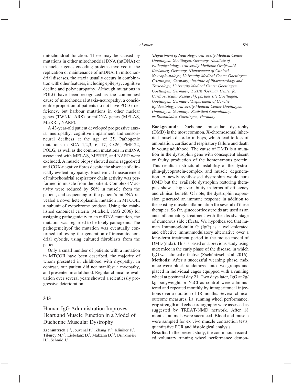mitochondrial function. These may be caused by mutations in either mitochondrial DNA (mtDNA) or in nuclear genes encoding proteins involved in the replication or maintenance of mtDNA. In mitochondrial diseases, the ataxia usually occurs in combination with other features, including epilepsy, cognitive decline and polyneuropathy. Although mutations in POLG have been recognized as the commonest cause of mitochondrial ataxia-neuropathy, a considerable proportion of patients do not have POLG-deficiency, but harbour mutations in other nuclear genes (TWNK, ARS) or mtDNA genes (MELAS, MERRF, NARP).

A 43-year-old patient developed progressive ataxia, neuropathy, cognitive impairment and sensorineural deafness at the age of 25. Pathogenic mutations in SCA 1,2,3, 6, 17, Cx26, PMP-22, POLG, as well as the common mutations in mtDNA associated with MELAS, MERRF, and NARP were excluded. A muscle biopsy showed some ragged-red and COX-negative fibres despite the absence of clinically evident myopathy. Biochemical measurement of mitochondrial respiratory chain activity was performed in muscle from the patient. Complex-IV activity were reduced by 50% in muscle from the patient, and sequencing of the patient's mtDNA revealed a novel heteroplasmic mutation in MTCOII, a subunit of cytochrome oxidase. Using the established canonical criteria (Mitchell, JMG 2006) for assigning pathogenicity to an mtDNA mutation, the mutation was regarded to be likely pathogenic. The pathogenicityof the mutation was eventually confirmed following the generation of transmitochondrial cybrids, using cultured fibroblasts from the patient.

Only a small number of patients with a mutation in MTCOII have been described, the majority of whom presented in childhood with myopathy. In contrast, our patient did not manifest a myopathy, and presented in adulthood. Regular clinical re-evaluation over several years showed a relentlessly progressive deterioration.

## **343**

## Human IgG Administration Improves Heart and Muscle Function in a Model of Duchenne Muscular Dystrophy

**Zschüntzsch J.<sup>1</sup>**, Jouvenal P.<sup>1</sup>, Zhang Y.<sup>2</sup>, Kliniker F.<sup>3</sup>, Tiburcy M.4,5, Liebetanz D.3 , Malzahn D.6,7, Brinkmeier H.2 , Schmid J.1

*1 Department of Neurology, University Medical Center Goettingen, Goettingen, Germany, 2 Institute of Pathophysiology, University Medicine Greifswald, Karlsburg, Germany, 3 Department of Clinical Neurophysiology, University Medical Center Goettingen, Goettingen, Germany, 4 Institute of Pharmacology and Toxicology, University Medical Center Goettingen, Goettingen, Germany, 5 DZHK (German Center for Cardiovascular Research), partner site Goettingen, Goettingen, Germany, 6 Department of Genetic Epidemiology, University Medical Center Goettingen, Goettingen, Germany, 7 Statistical Consultancy, mzBiostatistics, Goettingen, Germany* 

**Background:** Duchenne muscular dystrophy (DMD) is the most common, X-chromosomal inherited muscle disorder in boys, which lead to loss of ambulation, cardiac and respiratory failure and death in young adulthood. The cause of DMD is a mutation in the dystrophin gene with consequent absent or faulty production of the homonymous protein. This results in structural instability of the dystrophin-glycoprotein-complex and muscle degeneration. A newly synthesised dystrophin would cure DMD but the available dystrophin restoring therapies show a high variability in terms of efficiency and clinical benefit. Of note, the dystrophin expression generated an immune response in addition to the existing muscle inflammation for several of these therapies. So far, glucocorticosteroids are used as an anti-inflammatory treatment with the disadvantage of numerous side effects. We hypothesised that human Immunoglobulin G (IgG) is a well-tolerated and effective immunmodulatory alternative over a long-term treatment period in the mouse model of DMD (mdx). This is based on a previous study using mdx mice in the early phase of the disease, in which IgG was clinical effective (Zschüntzsch et al. 2016). **Methods:** After a successful weaning phase, mdx mice were block randomized into two groups and placed in individual cages equipped with a running wheel at postnatal day 21. Two days later, IgG at 2g/ kg bodyweight or NaCl as control were administered and repeated monthly by intraperitoneal injections over a duration of 18 months. Several clinical outcome measures, i.a. running wheel performance, grip strength and echocardiography were assessed as suggested by TREAT-NMD network. After 18 months, animals were sacrificed. Blood and muscle were sampled for ex vivo muscle contraction tests, quantitative PCR and histological analysis.

**Results:** In the present study, the continuous recorded voluntary running wheel performance demon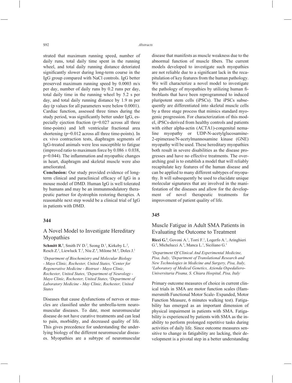strated that maximum running speed, number of daily runs, total daily time spent in the running wheel, and total daily running distance detoriated significantly slower during long-term course in the IgG group compared with NaCl controls. IgG better preserved maximum running speed by 0.0003 m/s per day, number of daily runs by 0.2 runs per day, total daily time in the running wheel by 5.2 s per day, and total daily running distance by 1.9 m per day (p values for all parameters were below 0.0001). Cardiac function, assessed three times during the study period, was significantly better under IgG, especially ejection fraction (p=0.027 across all three time-points) and left ventricular fractional area shortening (p=0.012 across all three time-points). In ex vivo contraction tests, diaphragm segments of IgG-treated animals were less susceptible to fatigue (improved ratio to maximum force by  $0.086 \pm 0.038$ ,  $p=0.044$ ). The inflammation and myopathic changes in heart, diaphragm and skeletal muscle were also ameliorated.

**Conclusion:** Our study provided evidence of longterm clinical and paraclinical efficacy of IgG in a mouse model of DMD. Human IgG is well tolerated by humans and may be an immunmodulatory therapeutic partner for dystrophin restoring therapies. A reasonable next step would be a clinical trial of IgG in patients with DMD.

### **344**

## A Novel Model to Investigate Hereditary Myopathies

**Schmitt R.<sup>1</sup>**, Smith IV D.<sup>2</sup>, Seong D.<sup>1</sup>, Kirkeby L.<sup>2</sup>, Resch Z.<sup>2</sup>, Liewluck T.<sup>3</sup>, Niu Z.<sup>4</sup>, Milone M.<sup>4</sup>, Doles J.<sup>1</sup>

*1 Department of Biochemistry and Molecular Biology - Mayo Clinic, Rochester, United States, 2 Center for Regenerative Medicine - Biotrust - Mayo Clinic, Rochester, United States, 3 Department of Neurology - Mayo Clinic, Rochester, United States, 4 Department of Laboratory Medicine - May Clinic, Rochester, United States*

Diseases that cause dysfunctions of nerves or muscles are classified under the umbrella-term neuromuscular diseases. To date, most neuromuscular disease do not have curative treatments and can lead to pain, morbidity, and decreased quality of life. This gives precedence for understanding the underlying biology of the different neuromuscular diseases. Myopathies are a subtype of neuromuscular disease that manifests as muscle weakness due to the abnormal function of muscle fibers. The current models developed to investigate such myopathies are not reliable due to a significant lack in the recapitulation of key features from the human pathology. We will characterize a novel model to investigate the pathology of myopathies by utilizing human fibroblasts that have been reprogrammed to induced pluripotent stem cells (iPSCs). The iPSCs subsequently are differentiated into skeletal muscle cells by a three stage process that mimics standard myogenic progression. For characterization of this model, iPSCs-derived from healthy controls and patients with either alpha-actin (ACTA1)-congenital nemaline myopathy or UDP-N-acetylglucosamine-2-epimerase/N-acetylmannosamine kinase (GNE) myopathy will be used. These hereditary myopathies both result in severe disabilities as the disease progresses and have no effective treatments. The overarching goal is to establish a model that will reliably recapitulate key features of the human disease and can be applied to many different subtypes of myopathy. It will subsequently be used to elucidate unique molecular signatures that are involved in the manifestation of the diseases and allow for the development of novel therapeutic treatments for improvement of patient quality of life.

## **345**

## Muscle Fatigue in Adult SMA Patients in Evaluating the Outcome to Treatment

Ricci G.<sup>1</sup>, Govoni A.<sup>1</sup>, Torri F.<sup>1</sup>, Logerfo A.<sup>1</sup>, Aringhieri G.<sup>2</sup>, Michelucci A.<sup>3</sup>, Manca L.<sup>1</sup>, Siciliano G.<sup>1</sup>

*1 Department Of Clinical And Experimental Medicine, Pisa, Italy, 2 Department of Translational Research and New Technologies in Medicine and Surgery, Pisa, Italy, 3 Laboratory of Medical Genetics, Azienda Ospedaliero-Universitaria Pisana, S. Chiara Hospital, Pisa, Italy*

Primary outcome measures of choice in current clinical trials in SMA are motor function scales (Hammersmith Functional Motor Scale- Expanded, Motor Function Measure, 6 minutes walking test). Fatigability has emerged as an important dimension of physical impairment in patients with SMA. Fatigability is experienced by patients with SMA as the inability to perform prolonged repetitive tasks during activities of daily life. Since outcome measures sensitive to change in fatigability are lacking, their development is a pivotal step in a better understanding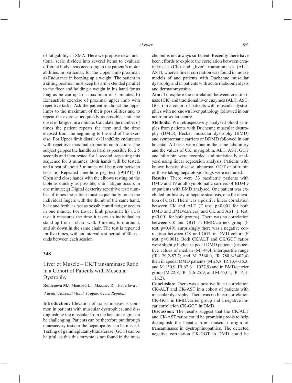of fatigability in SMA. Here we propose new functional scale divided into several items to evaluate different body areas according to the patient's motor abilities. In particular, for the Upper limb proximal: a) Endurance in keeping up a weight: The patient in a sitting position must keep his arm extended parallel to the floor and holding a weight in his hand for as long as he can up to a maximum of 3 minutes; b) Exhaustible exercise of proximal upper limb with repetitive tasks: Ask the patient to abduct the upper limbs to the maximum of their possibilities and to repeat the exercise as quickly as possible, until the onset of fatigue, in a minute. Calculate the number of times the patient repeats the item and the time elapsed from the beginning to the end of the exercise. For Upper limb distal: c) HandGrip endurance with repetitive maximal isometric contraction: The subject grippes the handle as hard as possible for 2.5 seconds and then rested for 1 second, repeating this sequence for 3 minutes. Both hands will be tested, and a rest of about 3 minutes will be given between tests; e) Repeated nine-hole peg test (r9HPT); f) Open and close hands with the elbows resting on the table as quickly as possible, until fatigue occurs in one minute; g) Digital dexterity repetitive test: number of times the patient must sequentially touch the individual fingers with the thumb of the same hand, back and forth, as fast as possible until fatigue occurs in one minute. For Lower limb proximal: h) TUG test: it measures the time it takes an individual to stand up from a chair, walk 3 meters, turn around, and sit down in the same chair. The test is repeated for five times, with an interval rest period of 30 seconds between each session.

### **348**

Liver or Muscle – CK/Transaminase Ratio in a Cohort of Patients with Muscular Dystrophy

Rohlenová M.<sup>1</sup>, Mensová L.<sup>1</sup>, Mazanec R.<sup>1</sup>, Haberlová J.<sup>1</sup>

#### *1 Faculty Hospital Motol, Prague, Czech Republic*

**Introduction:** Elevation of transaminases is common in patients with muscular dystrophies, and distinguishing the muscular from the hepatic origin can be challenging. Patients can be therefore put through unnesassary tests or the hepatopathy can be missed. Testing of gammaglutamyltransferase (GGT) can be helpful, as this this enzyme is not found in the muscle, but is not always sufficient. Recently there have been effords to explore the correlation between creatinkinase  $(CK)$  and  $N$ liver" transaminases  $(ALT)$ , AST), where a linear correlation was found in mouse models of and patients with Duchenne muscular dystrophy and in patients with acute rhabdomyolysis and dermatomyositis.

**Aim:** To explore the correlation between creatinkinase (CK) and traditional liver enzymes (ALT, AST, GGT) in a cohort of patients with muscular dystrophies with no known liver pathology followed in our neuromuscular centre.

**Methods:** We retrospectively analysed blood samples from patients with Duchenne muscular dystrophy (DMD), Becker muscular dystrophy (BMD) and symptomatic carriers of BDMD followed in our hospital. All tests were done in the same laboratory and the values of CK, myoglobin, ALT, AST, GGT and bilirubin were recorded and statistically analysed using linear regression analysis. Patients with known hepatic disease, abnormal GGT or bilirubin or those taking hepatotoxic drugs were excluded.

**Results:** There were 33 paediatric patients with DMD and 19 adult symptomatic carriers of BDMD or patients with BMD analysed. One patient was excluded for history of hepatic steatosis, one for elevation of GGT. There was a positive linear correlation between CK and ALT (F test, p<0,001 for both DMD and BMD/carriers) and CK and AST (F test, p<0,001 for both groups). There was no correlation between CK and GGT in BMD/carriers group (F test, p=0,49), surprisingly there was a negative correlation between CK and GGT in DMD cohort (F test, p<0,001). Both CK/ALT and CK/GGT ratios were slightly higher in pedal DMD patients (respective values of median (M) 44,4, interquartile range (IR) 29,2-57,7; and M 2568,0, IR 788,6-3402,4) then in apedal DMD patients (M 25,8, IR 13,4-36,3; and M 130,9, IR 62,6 – 1037,9) and in BMD/carrier group (M 22,8, IR 12,6-25,9; and M 65,05, IR 14,4- 116,2).

**Conclusion:** There was a positive linear correlation CK-ALT and CK-AST in a cohort of patients with muscular dystrophy. There was no linear correlation CK-GGT in BMD/carrier group and a negative linear correlation CK-GGT in DMD.

**Discussion:** The results suggest that the CK/ALT and CK/AST ratios could be promising tools to help distinguish the hepatic from muscular origin of transaminases in dystrophinopathies. The detected negative correlation CK-GGT in DMD could be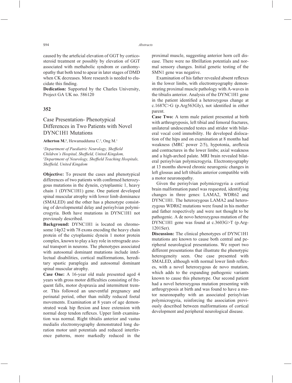caused by the arteficial elevation of GGT by corticosteroid treatment or possibly by elevation of GGT associated with methabolic syndrom or cardiomyopathy that both tend to apear in later stages of DMD when CK decreases. More research is needed to elucidate this finding.

**Dedication:** Supported by the Charles University, Project GA UK no. 586120

## **352**

# Case Presentation- Phenotypical Differences in Two Patients with Novel DYNC1H1 Mutations

#### Atherton M.<sup>1</sup>, Hewamadduma C.<sup>2</sup>, Ong M.<sup>1</sup>

<sup>1</sup>Department of Paediatric Neurology, Sheffield *Children's Hospital, Sheffield, United Kingdom,* <sup>2</sup>Department of Neurology, Sheffield Teaching Hospitals, *Sheffi eld, United Kingdom*

**Objective:** To present the cases and phenotypical differences of two patients with confirmed heterozygous mutations in the dynein, cytoplasmic 1, heavy chain 1 (DYNC1H1) gene. One patient developed spinal muscular atrophy with lower limb dominance (SMALED) and the other has a phenotype consisting of developmental delay and perisylvian polymicrogyria. Both have mutations in DYNC1H1 not previously described.

**Background:** DYNC1H1 is located on chromosome 14p32 with 78 exons encoding the heavy chain protein of the cytoplasmic dynein 1 motor protein complex, known to play a key role in retrograde axonal transport in neurons. The phenotypes associated with autosomal dominant mutations include intellectual disabilities, cortical malformations, hereditary spastic paraplegia and autosomal dominant spinal muscular atrophy.

**Case One:** A 16-year old male presented aged 4 years with gross motor difficulties consisting of frequent falls, motor dyspraxia and intermittent tremor. This followed an uneventful pregnancy and perinatal period, other than mildly reduced foetal movements. Examination at 8 years of age demonstrated weak hip flexion and knee extension with normal deep tendon reflexes. Upper limb examination was normal. Right tibialis anterior and vastus medialis electromyography demonstrated long duration motor unit potentials and reduced interference patterns, more markedly reduced in the proximal muscle, suggesting anterior horn cell disease. There were no fibrillation potentials and normal sensory changes. Initial genetic testing of the SMN1 gene was negative.

Examination of his father revealed absent reflexes in the lower limbs, with electromyography demonstrating proximal muscle pathology with A-waves in the tibialis anterior. Analysis of the DYNC1H1 gene in the patient identified a heterozygous change at c.1687C $>$ G (p.Arg563Gly), not identified in either parent.

**Case Two:** A term male patient presented at birth with arthrogryposis, left tibial and femoral fractures, unilateral undescended testes and stridor with bilateral vocal cord immobility. He developed dislocation of the hips and on examination at 8 months had weakness (MRC power 2/5), hypotonia, areflexia and contractures in the lower limbs; axial weakness and a high-arched palate. MRI brain revealed bilateral perisylvian polymicrogyria. Electromyography at 13 months showed chronic neurogenic changes in left glossus and left tibialis anterior compatible with a motor neuronopathy.

Given the perisylvian polymicrogyria a cortical brain malformation panel was requested, identifying changes in three genes: LAMA2, WDR62 and DYNC1H1. The heterozygous LAMA2 and heterozygous WDR62 mutations were found in his mother and father respectively and were not thought to be pathogenic. A de novo heterozygous mutation of the DYNC1H1 gene was found at c.3603G>T (p.Arg-1201Ser).

**Discussion:** The clinical phenotypes of DYNC1H1 mutations are known to cause both central and peripheral neurological presentations. We report two different presentations that illustrate the phenotypic heterogeneity seen. One case presented with SMALED, although with normal lower limb reflexes, with a novel heterozygous de novo mutation, which adds to the expanding pathogenic variants known to cause this phenotype. Our second patient had a novel heterozygous mutation presenting with arthrogryposis at birth and was found to have a motor neuronopathy with an associated perisylvian polymicrogyria, reinforcing the association previously described between malformations of cortical development and peripheral neurological disease.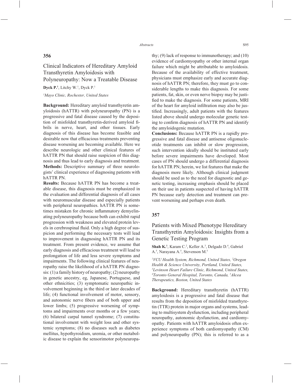## **356**

# Clinical Indicators of Hereditary Amyloid Transthyretin Amyloidosis with Polyneuropathy: Now a Treatable Disease

Dyck P.<sup>1</sup>, Litchy W.<sup>1</sup>, Dyck P.<sup>1</sup>

#### *1 Mayo Clinic, Rochester, United States*

**Background:** Hereditary amyloid transthyretin amyloidosis (hATTR) with polyneuropathy (PN) is a progressive and fatal disease caused by the deposition of misfolded transthyretin-derived amyloid fibrils in nerve, heart, and other tissues. Early diagnosis of this disease has become feasible and desirable now that efficacious treatments preventing disease worsening are becoming available. Here we describe neurologic and other clinical features of hATTR PN that should raise suspicion of this diagnosis and thus lead to early diagnosis and treatment. **Methods:** Descriptive summary of three neurologists' clinical experience of diagnosing patients with hATTR PN.

**Results:** Because hATTR PN has become a treatable disease, this diagnosis must be emphasized in the evaluation and differential diagnosis of all cases with neuromuscular disease and especially patients with peripheral neuropathies. hATTR PN is sometimes mistaken for chronic inflammatory demyelinating polyneuropathy because both can exhibit rapid progression with weakness and elevated protein levels in cerebrospinal fluid. Only a high degree of suspicion and performing the necessary tests will lead to improvement in diagnosing hATTR PN and its treatment. From present evidence, we assume that early diagnosis and efficacious treatment will lead to prolongation of life and less severe symptoms and impairments. The following clinical features of neuropathy raise the likelihood of a hATTR PN diagnosis: (1) a family history of neuropathy; (2) neuropathy in genetic ancestry, eg, Japanese, Portuguese, and other ethnicities; (3) symptomatic neuropathic involvement beginning in the third or later decades of life; (4) functional involvement of motor, sensory, and autonomic nerve fibers and of both upper and lower limbs; (5) progressive worsening of symptoms and impairments over months or a few years; (6) bilateral carpal tunnel syndrome; (7) constitutional involvement with weight loss and other systemic symptoms; (8) no diseases such as diabetes mellitus, hypothyroidism, uremia, or other metabolic disease to explain the sensorimotor polyneuropathy; (9) lack of response to immunotherapy; and (10) evidence of cardiomyopathy or other internal organ failure which might be attributable to amyloidosis. Because of the availability of effective treatment, physicians must emphasize early and accurate diagnosis of hATTR PN; therefore, they must go to considerable lengths to make this diagnosis. For some patients, fat, skin, or even nerve biopsy may be justified to make the diagnosis. For some patients, MRI of the heart for amyloid infiltration may also be justified. Increasingly, adult patients with the features listed above should undergo molecular genetic testing to confirm diagnosis of hATTR PN and identify the amyloidogenic mutation.

**Conclusions:** Because hATTR PN is a rapidly progressive and fatal disease and antisense oligonucleotide treatments can inhibit or slow progression, such intervention ideally should be instituted early before severe impairments have developed. Most cases of PN should undergo a differential diagnosis for hATTR PN; herein, we list features that make the diagnosis more likely. Although clinical judgment should be used as to the need for diagnostic and genetic testing, increasing emphasis should be placed on their use in patients suspected of having hATTR PN because early detection and treatment can prevent worsening and perhaps even death.

## **357**

# Patients with Mixed Phenotype Hereditary Transthyretin Amyloidosis: Insights from a Genetic Testing Program

Shah K.<sup>1</sup>, Karam C.<sup>2</sup>, Keller A.<sup>3</sup>, Delgado D.<sup>4</sup>, Gabriel A.<sup>5</sup>, Narayana A.<sup>5</sup>, Stevenson M.<sup>5</sup>

*1 VCU Health System, Richmond, United States, 2 Oregon Health & Science University, Portland, United States, 3 Levinson Heart Failure Clinic, Richmond, United States, 4 Toronto General Hospital, Toronto, Canada, 5 Akcea Therapeutics, Boston, United States*

**Background:** Hereditary transthyretin (hATTR) amyloidosis is a progressive and fatal disease that results from the deposition of misfolded transthyretin (TTR) protein in major organs and systems, leading to multisystem dysfunction, including peripheral neuropathy, autonomic dysfunction, and cardiomyopathy. Patients with hATTR amyloidosis often experience symptoms of both cardiomyopathy (CM) and polyneuropathy (PN); this is referred to as a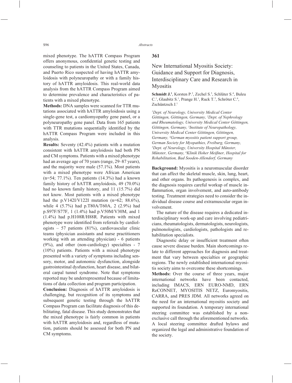mixed phenotype. The hATTR Compass Program offers anonymous, confidential genetic testing and counseling to patients in the United States, Canada, and Puerto Rico suspected of having hATTR amyloidosis with polyneuropathy or with a family history of hATTR amyloidosis. This real-world data analysis from the hATTR Compass Program aimed to determine prevalence and characteristics of patients with a mixed phenotype.

**Methods:** DNA samples were scanned for TTR mutations associated with hATTR amyloidosis using a single-gene test, a cardiomyopathy gene panel, or a polyneuropathy gene panel. Data from 165 patients with TTR mutations sequentially identified by the hATTR Compass Program were included in this analysis.

**Results:** Seventy (42.4%) patients with a mutation consistent with hATTR amyloidosis had both PN and CM symptoms. Patients with a mixed phenotype had an average age of 70 years (range, 29–87 years), and the majority were male (57.1%). Most patients with a mixed phenotype were African American (n=54; 77.1%). Ten patients (14.3%) had a known family history of hATTR amyloidosis, 49 (70.0%) had no known family history, and 11 (15.7%) did not know. Most patients with a mixed phenotype had the p.V142I/V122I mutation  $(n=62; 88.6\%)$ , while 4 (5.7%) had p.T80A/T60A, 2 (2.9%) had p.S97F/S77F, 1 (1.4%) had p.V50M/V30M, and 1 (1.4%) had p.H108R/H88R. Patients with mixed phenotype were identified from referrals by cardiologists – 57 patients (81%), cardiovascular clinic teams (physician assistants and nurse practitioners working with an attending physician) - 6 patients (9%), and other (non-cardiology) specialties - 7 (10%) patients. Patients with a mixed phenotype presented with a variety of symptoms including sensory, motor, and autonomic dysfunction, alongside gastrointestinal dysfunction, heart disease, and bilateral carpal tunnel syndrome. Note that symptoms reported may be underrepresented because of limitations of data collection and program participation.

**Conclusion:** Diagnosis of hATTR amyloidosis is challenging, but recognition of its symptoms and subsequent genetic testing through the hATTR Compass Program can facilitate diagnosis of this debilitating, fatal disease. This study demonstrates that the mixed phenotype is fairly common in patients with hATTR amyloidosis and, regardless of mutation, patients should be assessed for both PN and CM symptoms.

## **361**

# New International Myositis Society: Guidance and Support for Diagnosis, Interdisciplinary Care and Research in Myositis

**Schmidt J.<sup>1</sup>**, Korsten P.<sup>2</sup>, Zechel S.<sup>3</sup>, Schlüter S.<sup>4</sup>, Buleu C.<sup>1</sup>, Glaubitz S.<sup>1</sup>, Prange H.<sup>1</sup>, Ruck T.<sup>5</sup>, Schröter C.<sup>6</sup>, Zschüntzsch J.<sup>1</sup>

*1 Dept. of Neurology, University Medical Center Göttingen, Göttingen, Germany, 2 Dept. of Nephrology and Rheumatology, University Medical Center Göttingen, Göttingen, Germany, 3 Institute of Neuropathology, University Medical Center Göttingen, Göttingen,*  Germany, <sup>4</sup>German myositis patient support group, *German Society for Myopathies, Freiburg, Germany, 5 Dept. of Neurology, University Hospital Münster, Münster, Germany, 6 Klinik Hoher Meißner, Hospital for Rehabilitation, Bad Sooden-Allendorf, Germany*

**Background:** Myositis is a neuromuscular disorder that can affect the skeletal muscle, skin, lung, heart, and other organs. Its pathogenesis is complex, and the diagnosis requires careful workup of muscle inflammation, organ involvement, and auto-antibody testing. Treatment strategies need to consider the individual disease course and extramuscular organ involvement.

The nature of the disease requires a dedicated interdisciplinary work-up and care involving pediatricians, rheumatologists, dermatologists, neurologists, pulmonologists, cardiologists, pathologists and rehabilitation specialists.

Diagnostic delay or insufficient treatment often cause severe disease burden. Main shortcomings relate to different approaches for diagnosis and treatment that vary between specialties or geographic regions. The newly established international myositis society aims to overcome these shortcomings.

**Methods:** Over the course of three years, major international networks have been contacted, including IMACS, ERN EURO-NMD, ERN ReCONNET, MYOSITIS NETZ, Euromyositis, CARRA, and PRES JDM. All networks agreed on the need for an international myositis society and supported its foundation. A temporary international steering committee was established by a nonexclusive call through the aforementioned networks. A local steering committee drafted bylaws and organized the legal and administrative foundation of the society.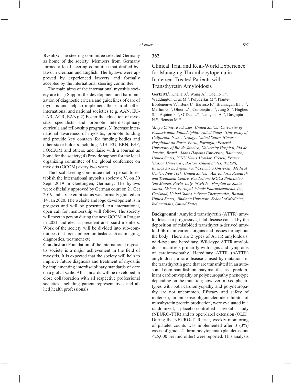**Results:** The steering committee selected Germany as home of the society. Members from Germany formed a local steering committee that drafted bylaws in German and English. The bylaws were approved by experienced lawyers and formally accepted by the international steering committee.

The main aims of the international myositis society are to 1) Support the development and harmonization of diagnostic criteria and guidelines of care of myositis and help to implement those in all other international and national societies (e.g. AAN, EU-LAR, ACR, EAN); 2) Foster the education of myositis specialists and promote interdisciplinary curricula and fellowship programs; 3) Increase international awareness of myositis, promote funding and provide key contacts for funding bodies and other stake holders including NIH, EU, ERN, ESF, FOREUM and others, and liaise with a Journal as home for the society; 4) Provide support for the local organizing committee of the global conference on myositis (GCOM) every two years.

The local steering committee met in person to establish the international myositis society e.V. on 30 Sept. 2019 in Goettingen, Germany. The bylaws were officially approved by German court on 21 Oct 2019 and tax-exempt status was formally granted on 14 Jan 2020. The website and logo development is in progress and will be presented. An international, open call for membership will follow. The society will meet in person during the next GCOM in Prague in 2021 and elect a president and board members. Work of the society will be divided into sub-committees that focus on certain tasks such as imaging, diagnostics, treatment etc.

**Conclusion:** Foundation of the international myositis society is a major achievement in the field of myositis. It is expected that the society will help to improve future diagnosis and treatment of myositis by implementing interdisciplinary standards of care on a global scale. All standards will be developed in close collaboration with all respective professional societies, including patient representatives and allied health professionals.

#### **362**

# Clinical Trial and Real-World Experience for Managing Thrombocytopenia in Inotersen-Treated Patients with Transthyretin Amyloidosis

**Gertz M.<sup>1</sup>**, Khella S.<sup>2</sup>, Wang A.<sup>3</sup>, Coelho T.<sup>4</sup>, Waddington Cruz M.<sup>5</sup>, Polydefkis M.<sup>6</sup>, Plante-Bordeneuve V.<sup>7</sup>, Berk J.<sup>8</sup>, Barroso F.<sup>9</sup>, Brannagan III T.<sup>10</sup>, Merlini G.<sup>11</sup>, Obici L.<sup>11</sup>, Conceição I.<sup>12</sup>, Jung S.<sup>13</sup>, Hughes S.13, Aquino P.14, O'Dea L.14, Narayana A.14, Dasgupta N.<sup>15</sup>, Benson M.<sup>15</sup>

*1 Mayo Clinic, Rochester, United States, 2 University of Pennsylvania, Philadelphia, United States, 3 University of California, Irvine, Orange, United States, 4 Centro Hospitalar do Porto, Porto, Portugal, 5 Federal University of Rio de Janeiro, University Hospital, Rio de Janeiro, Brazil, 6 Johns Hopkins University, Baltimore, United States, 7 CHU Henri Mondor, Creteil, France, 8 Boston University, Boston, United States, 9 FLENI, Buenos Aires, Argentina, 10Columbia University Medical Center, New York, United States, 11Amyloidosis Research and Treatment Centre, Fondazione IRCCS Policlinico San Matteo, Pavia, Italy, 12CHLN—Hospital de Santa Maria, Lisbon, Portugal, 13Ionis Pharmaceuticals, Inc, Carlsbad, United States, 14Akcea Therapeutics, Boston, United States, 15Indiana University School of Medicine, Indianapolis, United States*

**Background:** Amyloid transthyretin (ATTR) amyloidosis is a progressive, fatal disease caused by the deposition of misfolded transthyretin-derived amyloid fibrils in various organs and tissues throughout the body. There are 2 types of ATTR amyloidosis: wild-type and hereditary. Wild-type ATTR amyloidosis manifests primarily with signs and symptoms of cardiomyopathy. Hereditary ATTR (hATTR) amyloidosis, a rare disease caused by mutations in the transthyretin gene that are transmitted in an autosomal dominant fashion, may manifest as a predominant cardiomyopathy or polyneuropathy phenotype depending on the mutation; however, mixed phenotypes with both cardiomyopathy and polyneuropathy are not uncommon. Efficacy and safety of inotersen, an antisense oligonucleotide inhibitor of transthyretin protein production, were evaluated in a randomized, placebo-controlled pivotal study (NEURO-TTR) and its open-label extension (OLE). During the NEURO-TTR trial, weekly monitoring of platelet counts was implemented after 3 (3%) cases of grade 4 thrombocytopenia (platelet count <25,000 per microliter) were reported. This analysis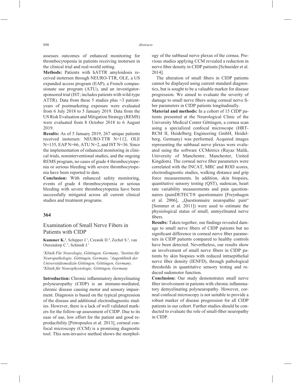assesses outcomes of enhanced monitoring for thrombocytopenia in patients receiving inotersen in the clinical trial and real-world setting.

**Methods:** Patients with hATTR amyloidosis received inotersen through NEURO-TTR, OLE, a US expanded access program (EAP), a French compassionate use program (ATU), and an investigatorsponsored trial (IST; includes patients with wild-type ATTR). Data from these 5 studies plus  $\sim$ 3 patientyears of postmarketing exposure were evaluated from 6 July 2018 to 5 January 2019. Data from the US Risk Evaluation and Mitigation Strategy (REMS) were evaluated from 8 October 2018 to 6 August 2019.

**Results:** As of 5 January 2019, 267 unique patients received inotersen: NEURO-TTR N=112, OLE N=135, EAP N=66, ATU N=2, and IST N=36. Since the implementation of enhanced monitoring in clinical trials, noninterventional studies, and the ongoing REMS program, no cases of grade 4 thrombocytopenia or serious bleeding with severe thrombocytopenia have been reported to date.

**Conclusion:** With enhanced safety monitoring, events of grade 4 thrombocytopenia or serious bleeding with severe thrombocytopenia have been successfully mitigated across all current clinical studies and treatment programs.

## **364**

## Examination of Small Nerve Fibers in Patients with CIDP

**Kummer K.<sup>1</sup>**, Schipper J.<sup>1</sup>, Czesnik D.<sup>4</sup>, Zechel S.<sup>2</sup>, van Oterendorp C.3 , Schmidt J.1

*1 Klinik Für Neurologie, Göttingen, Germany, 2 Institut für Neuropathologie, Göttingen, Germany, 3 Augenklinik der Universitätsmedizin Göttingen, Göttingen, Germany, 4 Klinik für Neurophysiologie, Göttingen, Germany*

**Introduction:** Chronic inflammatory demyelinating polyneuropathy (CIDP) is an immune-mediated, chronic disease causing motor and sensory impairment. Diagnosis is based on the typical progression of the disease and additional electrodiagnostic studies. However, there is a lack of well validated markers for the follow-up assessment of CIDP. Due to its ease of use, low effort for the patient and good reproducibility [Petropoulos et al. 2013], corneal confocal microscopy (CCM) is a promising diagnostic tool. This non-invasive method shows the morphology of the subbasal nerve plexus of the cornea. Previous studies applying CCM revealed a reduction in nerve fiber density in CIDP patients [Schneider et al. 2014].

The alteration of small fibers in CIDP patients cannot be displayed using current standard diagnostics, but is sought to be a valuable marker for disease progression. We aimed to evaluate the severity of damage to small nerve fibers using corneal nerve fiber parameters in CIDP patients longitudinally.

**Material and methods:** In a cohort of 15 CIDP patients presented at the Neurological Clinic of the University Medical Center Göttingen, a cornea scan using a specialized confocal microscope (HRT-RCM II, Heidelberg Engineering GmbH, Heidelberg, Germany) was performed. Acquired images representing the subbasal nerve plexus were evaluated using the software CCMetrics (Rayaz Malik, University of Manchester, Manchester, United Kingdom). The corneal nerve fiber parameters were correlated with the INCAT, MRC and ROD scores, electrodiagnostic studies, walking distance and grip force measurements. In addition, skin biopsies, quantitative sensory testing (QST), sudoscan, heart rate variability measurements and pain questionnaires (painDETECT® questionnaire [Freynhagen et al. 2006], "Ouestionnaire neuropathic pain" [Sommer et al. 2011]) were used to estimate the physiological status of small, unmyelinated nerve fibers.

**Results:** Taken together, our findings revealed damage to small nerve fibers of CIDP patients but no significant difference in corneal nerve fiber parameters in CIDP patients compared to healthy controls have been detected. Nevertheless, our results show an involvement of small nerve fibers in CIDP patients by skin biopsies with reduced intraepithelial nerve fiber density (IENFD), through pathological thresholds in quantitative sensory testing and reduced sudomotor function.

**Conclusion:** Our study demonstrates small nerve fiber involvement in patients with chronic inflammatory demyelinating polyneuropathy. However, corneal confocal microscopy is not suitable to provide a robust marker of disease progression for all CIDP patients in our cohort. Further studies should be conducted to evaluate the role of small-fiber neuropathy in CIDP.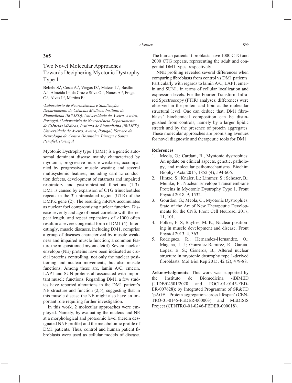# Two Novel Molecular Approaches Towards Deciphering Myotonic Dystrophy Type 1

**Rebelo S.<sup>1</sup>**, Costa A.<sup>1</sup>, Viegas D.<sup>1</sup>, Mateus T.<sup>1</sup>, Basílio A.<sup>1</sup>, Almeida I.<sup>2</sup>, da Cruz e Silva O.<sup>1</sup>, Nunes A.<sup>2</sup>, Fraga C.<sup>3</sup>, Alves I.<sup>3</sup>, Martins F.<sup>1</sup>

*1 Laboratório de Neurociências e Sinalização, Departamento de Ciências Médicas, Instituto de Biomedicina (iBiMED), Universidade de Aveiro, Aveiro, Portugal, 2 Laboratório de Neurociência Departamento de Ciências Médicas, Instituto de Biomedicina (iBiMED), Universidade de Aveiro, Aveiro, Potugal, 3 Serviço de Neurologia do Centro Hospitalar Tâmega e Sousa,*  Penafiel, Portugal

Myotonic Dystrophy type 1(DM1) is a genetic autosomal dominant disease mainly characterized by myotonia, progressive muscle weakness, accompanied by progressive muscle wasting and several multisystemic features, including cardiac conduction defects, development of cataracts and impaired respiratory and gastrointestinal functions (1-3). DM1 is caused by expansion of CTG trinucleotides repeats in the 3′ untranslated region (UTR) of the DMPK gene (2). The resulting mRNA accumulates as nuclear foci compromising nuclear function. Disease severity and age of onset correlate with the repeat length, and repeat expansions of >1000 often result in a severe congenital form of DM1 (4). Interestingly, muscle diseases, including DM1, comprise a group of diseases characterized by muscle weakness and impaired muscle function; a common feature the mispositioned myonuclei(4). Several nuclear envelope (NE) proteins have been indicated as crucial proteins controlling, not only the nuclear positioning and nuclear movements, but also muscle functions. Among these are, lamin A/C, emerin, LAP1 and SUN proteins all associated with important muscle functions. Regarding DM1, a few studies have reported alterations in the DM1 patient's NE structure and function (2,5), suggesting that in this muscle disease the NE might also have an important role requiring further investigation.

In this work, 2 molecular approaches were employed. Namely, by evaluating the nucleus and NE at a morphological and proteomic level (herein designated NNE profile) and the metabolomic profile of DM1 patients. Thus, control and human patient fibroblasts were used as cellular models of disease.

The human patients' fibroblasts have 1000 CTG and 2000 CTG repeats, representing the adult and congenital DM1 types, respectively.

NNE profiling revealed several differences when comparing fibroblasts from control vs DM1 patients. Particularly with regards to lamin A/C, LAP1, emerin and SUN1, in terms of cellular localization and expression levels. For the Fourier Transform Infrared Spectroscopy (FTIR) analyses; differences were observed in the protein and lipid at the molecular structural level. One can deduce that, DM1 fibroblasts' biochemical composition can be distinguished from controls, namely by a larger lipidic stretch and by the presence of protein aggregates. These molecular approaches are promising avenues for novel diagnostic and therapeutic tools for DM1.

#### **References**

- 1. Meola, G.; Cardani, R., Myotonic dystrophies: An update on clinical aspects, genetic, pathology, and molecular pathomechanisms. Biochim Biophys Acta 2015, 1852 (4), 594-606.
- 2. Hintze, S.; Knaier, L.; Limmer, S.; Schoser, B.; Meinke, P., Nuclear Envelope Transmembrane Proteins in Myotonic Dystrophy Type 1. Front Physiol 2018, 9, 1532.
- 3. Gourdon, G.; Meola, G., Myotonic Dystrophies: State of the Art of New Therapeutic Developments for the CNS. Front Cell Neurosci 2017, 11, 101.
- 4. Folker, E. S; Baylies, M. K., Nuclear positioning in muscle development and disease. Front Physiol 2013, 4, 363.
- 5. Rodriguez, R.; Hernandez-Hernandez, O.; Magana, J. J.; Gonzalez-Ramirez, R.; Garcia-Lopez, E. S.; Cisneros, B., Altered nuclear structure in myotonic dystrophy type 1-derived fibroblasts. Mol Biol Rep 2015, 42 (2), 479-88.

**Acknowledgments:** This work was supported by the Instituto de Biomedicina -iBiMED (UIDB/04501/2020 and POCI-01-0145-FED-ER-007628); by Integrated Programme of SR&TD 'pAGE – Protein aggregation across lifespan' (CEN-TRO-01-0145-FEDER-000003) and MEDISIS Project (CENTRO-01-0246-FEDER-000018).

## **365**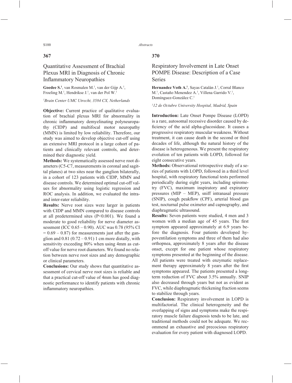## **367**

# Quantitative Assessment of Brachial Plexus MRI in Diagnosis of Chronic **Inflammatory Neuropathies**

Goedee S<sup>1</sup>, van Rosmalen M<sup>1</sup>, van der Gijp A<sup>1</sup>, Froeling M.<sup>1</sup>, Hendrikse J.<sup>1</sup>, van der Pol W.<sup>1</sup>

### *1 Brain Center UMC Utrecht, 3584 CX, Netherlands*

**Objective:** Current practice of qualitative evaluation of brachial plexus MRI for abnormality in chronic inflammatory demyelinating polyneuropathy (CIDP) and multifocal motor neuropathy (MMN) is limited by low reliability. Therefore, our study was aimed to develop objective cut-off using an extensive MRI protocol in a large cohort of patients and clinically relevant controls, and determined their diagnostic yield.

**Methods:** We systematically assessed nerve root diameters (C5-C7, measurements in coronal and sagittal planes) at two sites near the ganglion bilaterally, in a cohort of 123 patients with CIDP, MMN and disease controls. We determined optimal cut-off values for abnormality using logistic regression and ROC analysis. In addition, we evaluated the intraand inter-rater reliability.

**Results:** Nerve root sizes were larger in patients with CIDP and MMN compared to disease controls at all predetermined sites (P<0.001). We found a moderate to good reliability for nerve diameter assessment (ICC 0.65 – 0.90). AUC was 0.78 (95% CI  $= 0.69 - 0.87$ ) for measurements just after the ganglion and  $0.81$  ( $0.72 - 0.91$ ) 1 cm more distally, with sensitivity exceeding 80% when using 4mm as cutoff value for nerve root diameters. We found no relation between nerve root sizes and any demographic or clinical parameters.

**Conclusions:** Our study shows that quantitative assessment of cervical nerve root sizes is reliable and that a practical cut-off value of 4mm has good diagnostic performance to identify patients with chronic inflammatory neuropathies.

## **370**

# Respiratory Involvement in Late Onset POMPE Disease: Description of a Case Series

Hernandez Voth A.<sup>1</sup>, Sayas Catalán J.<sup>1</sup>, Corral Blanco M.<sup>1</sup>, Castaño Menendez A.<sup>1</sup>, Villena Garrido V.<sup>1</sup>, Domínguez-González C.1

### *1 12 de Octubre University Hospital, Madrid, Spain*

**Introduction:** Late Onset Pompe Disease (LOPD) is a rare, autosomal recessive disorder caused by deficiency of the acid alpha-glucosidase. It causes a progressive respiratory muscular weakness. Without treatment, it can cause death in the second or third decades of life, although the natural history of the disease is heterogeneous. We present the respiratory evolution of ten patients with LOPD, followed for eight consecutive years.

**Methods:** Observational retrospective study of a series of patients with LOPD, followed in a third level hospital, with respiratory functional tests performed periodically during eight years, including spirometry (FVC), maximum inspiratory and expiratory pressures (MIP – MEP), sniff intranasal pressure (SNIP), cough peakflow (CPF), arterial blood gas test, nocturnal pulse oximeter and capnography, and diaphragmatic ultrasound.

**Results:** Seven patients were studied, 4 men and 3 women with a median age of 45 years. The first symptom appeared approximately at 6.9 years before the diagnosis. Four patients developed hypoventilation symptoms and three of them had also orthopnea, approximately 8 years after the disease onset, except for one patient whose respiratory symptoms presented at the beginning of the disease. All patients were treated with enzymatic replacement therapy approximately 8 years after the first symptoms appeared. The patients presented a longterm reduction of FVC about 3.5% annually. SNIP also decreased through years but not as evident as FVC, while diaphragmatic thickening fraction seems to stabilize through years.

**Conclusion:** Respiratory involvement in LOPD is multifactorial. The clinical heterogeneity and the overlapping of signs and symptoms make the respiratory muscle failure diagnosis tends to be late, and traditional methods could not be adequate. We recommend an exhaustive and precocious respiratory evaluation for every patient with diagnosed LOPD.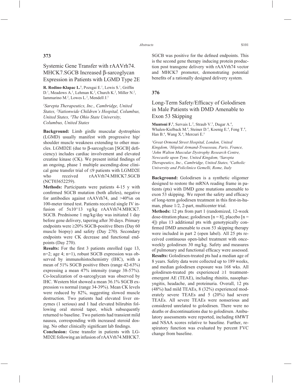## **373**

# Systemic Gene Transfer with rAAVrh74. MHCK7.SGCB Increased β-sarcoglycan Expression in Patients with LGMD Type 2E

**R. Rodino-Klapac L.<sup>1</sup>**, Pozsgai E.<sup>1</sup>, Lewis S.<sup>1</sup>, Griffin D.<sup>1</sup>, Meadows A.<sup>1</sup>, Lehman K.<sup>2</sup>, Church K.<sup>2</sup>, Miller N.<sup>2</sup>, Iammarino M.<sup>2</sup>, Lowes L.<sup>2</sup>, Mendell J.<sup>3</sup>

*1 Sarepta Therapeutics, Inc., Cambridge, United States, 2 Nationwide Children's Hospital, Columbus, United States, 3 The Ohio State University, Columbus, United States*

**Background:** Limb girdle muscular dystrophies (LGMD) usually manifest with progressive hip/ shoulder muscle weakness extending to other muscles. LGMD2E (due to β-sarcoglycan [SGCB] deficiency) includes cardiac involvement and elevated creatine kinase  $(CK)$ . We present initial findings of an ongoing, phase 1 multiple ascending-dose clinical gene transfer trial of  $\leq$ 9 patients with LGMD2E who received rAAVrh74.MHCK7.SGCB (NCT03652259).

**Methods:** Participants were patients 4-15 y with confirmed SGCB mutation (both alleles), negative for antibodies against rAAVrh74, and >40%n on 100-meter timed test. Patients received single IV infusion of 5x10^13 vg/kg rAAVrh74.MHCK7. SGCB. Prednisone 1 mg/kg/day was initiated 1 day before gene delivery, tapering after 30 days. Primary endpoints were  $\geq$ 20% SGCB-positive fibers (Day 60 muscle biopsy) and safety (Day 270). Secondary endpoints were CK decrease and functional endpoints (Day 270).

**Results:** For the first 3 patients enrolled (age 13, n=2; age 4; n=1), robust SGCB expression was observed by immunohistochemistry (IHC), with a mean of  $51\%$  SGCB positive fibers (range  $42-63\%$ ) expressing a mean 47% intensity (range 38-57%). Co-localization of α-sarcoglycan was observed by IHC. Western blot showed a mean 36.1% SGCB expression vs normal (range 34-39%). Mean CK levels were reduced by 82%, suggesting slowed muscle destruction. Two patients had elevated liver enzymes (1 serious) and 1 had elevated bilirubin following oral steroid taper, which subsequently returned to baseline. Two patients had transient mild nausea, corresponding with increased steroid dosing. No other clinically significant lab findings.

**Conclusion:** Gene transfer in patients with LG-MD2E following an infusion of rAAVrh74.MHCK7. SGCB was positive for the defined endpoints. This is the second gene therapy inducing protein production post transgene delivery with rAAVrh74 vector and MHCK7 promoter, demonstrating potential benefits of a rationally designed delivery system.

## **376**

# Long-Term Safety/Efficacy of Golodirsen in Male Patients with DMD Amenable to Exon 53 Skipping

Muntoni F.<sup>1</sup>, Servais L.<sup>2</sup>, Straub V.<sup>3</sup>, Dugar A.<sup>4</sup>, Whalen-Kielback M.<sup>4</sup>, Steiner D.<sup>4</sup>, Koenig E.<sup>4</sup>, Feng T.<sup>4</sup>, Han B.4 , Wang X.4 , Mercuri E.5

*1 Great Ormond Street Hospital, London, United Kingdom, 2 Hôpital Armand-Trousseau, Paris, France, 3 John Walton Muscular Dystrophy Research Centre, Newcastle upon Tyne, United Kingdom, 4 Sarepta Therapeutics, Inc., Cambridge, United States, 5 Catholic University and Policlinico Gemelli, Rome, Italy*

**Background:** Golodirsen is a synthetic oligomer designed to restore the mRNA reading frame in patients (pts) with DMD gene mutations amenable to exon 53 skipping. We report the safety and efficacy of long-term golodirsen treatment in this first-in-human, phase 1/2, 2-part, multicenter trial.

**Methods:** 12 pts from part 1 (randomized, 12-week dose-titration phase; golodirsen  $[n = 8]$ , placebo  $[n = 1]$ 4]) plus 13 additional pts with genotypically confirmed DMD amenable to exon 53 skipping therapy were included in part 2 (open label). All 25 pts received continuous open-label treatment with onceweekly golodirsen 30 mg/kg. Safety and measures of pulmonary and functional efficacy were assessed. **Results:** Golodirsen-treated pts had a median age of 8 years. Safety data were collected up to 189 weeks, and median golodirsen exposure was 168 wks. All golodirsen-treated pts experienced  $\geq 1$  treatmentemergent AE (TEAE), including rhinitis, nasopharyngitis, headache, and proteinuria. Overall, 12 pts (48%) had mild TEAEs, 8 (32%) experienced moderately severe TEAEs and 5 (20%) had severe TEAEs. All severe TEAEs were nonserious and considered unrelated to golodirsen. There were no deaths or discontinuations due to golodirsen. Ambulatory assessments were reported, including 6MWT and NSAA scores relative to baseline. Further, respiratory function was evaluated by percent FVC change from baseline.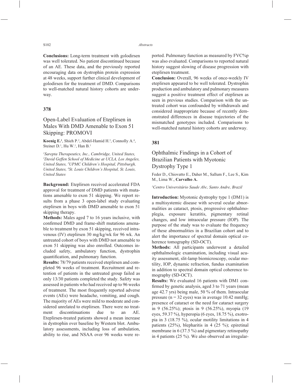#### S102 *Abstracts*

**Conclusions:** Long-term treatment with golodirsen was well tolerated. No patient discontinued because of an AE. These data, and the previously reported encouraging data on dystrophin protein expression at 48 weeks, support further clinical development of golodirsen for the treatment of DMD. Comparisons to well-matched natural history cohorts are underway.

## **378**

# Open-Label Evaluation of Eteplirsen in Males With DMD Amenable to Exon 51 Skipping: PROMOVI

**Koenig E.**<sup>1</sup>, Shieh P.<sup>2</sup>, Abdel-Hamid H.<sup>3</sup>, Connolly A.<sup>4</sup>, Steiner  $D^1$ , Hu W.<sup>1</sup>, Han B.<sup>1</sup>

*1 Sarepta Therapeutics, Inc., Cambridge, United States, 2 David Geffen School of Medicine at UCLA, Los Angeles, United States, 3 UPMC Children's Hospital, Pittsburgh, United States, 4 St. Louis Children's Hospital, St. Louis, United States*

**Background:** Eteplirsen received accelerated FDA approval for treatment of DMD patients with mutations amenable to exon 51 skipping. We report results from a phase 3 open-label study evaluating eteplirsen in boys with DMD amenable to exon 51 skipping therapy.

**Methods:** Males aged 7 to 16 years inclusive, with confirmed DMD and frame-shift mutations amenable to treatment by exon 51 skipping, received intravenous (IV) eteplirsen 30 mg/kg/wk for 96 wk. An untreated cohort of boys with DMD not amenable to exon 51 skipping was also enrolled. Outcomes included safety, ambulatory function, dystrophin quantification, and pulmonary function.

**Results:** 78/79 patients received eteplirsen and completed 96 weeks of treatment. Recruitment and retention of patients in the untreated group failed as only 13/30 patients completed the study. Safety was assessed in patients who had received up to 96 weeks of treatment. The most frequently reported adverse events (AEs) were headache, vomiting, and cough. The majority of AEs were mild to moderate and considered unrelated to eteplirsen. There were no treatment discontinuations due to an AE. Eteplirsen-treated patients showed a mean increase in dystrophin over baseline by Western blot. Ambulatory assessments, including loss of ambulation, ability to rise, and NSAA over 96 weeks were reported. Pulmonary function as measured by FVC%p was also evaluated. Comparisons to reported natural history suggest slowing of disease progression with eteplirsen treatment.

**Conclusion:** Overall, 96 weeks of once-weekly IV eteplirsen appeared to be well tolerated. Dystrophin production and ambulatory and pulmonary measures suggest a positive treatment effect of eteplirsen as seen in previous studies. Comparison with the untreated cohort was confounded by withdrawals and considered inappropriate because of recently demonstrated differences in disease trajectories of the mismatched genotypes included. Comparisons to well-matched natural history cohorts are underway.

### **381**

## Ophthalmic Findings in a Cohort of Brazilian Patients with Myotonic Dystrophy Type 1

Feder D., Chiovatto E., Daher M., Sallum F., Lee S., Kim M., Lima W., **Carvalho A.**

*1 Centro Universitário Saude Abc, Santo Andre, Brazil*

**Introduction:** Myotonic dystrophy type 1 (DM1) is a multisystemic disease with several ocular abnormalities as cataract, ptosis, progressive ophthalmoplegia, exposure keratitis, pigmentary retinal changes, and low intraocular pressure (IOP). The purpose of the study was to evaluate the frequency of these abnormalities in a Brazilian cohort and to alert the importance of spectral domain optical coherence tomography (SD-OCT).

**Methods:** All participants underwent a detailed ophthalmologic examination, including visual acuity assessment, slit-lamp biomicroscopy, ocular motility, IOP, dynamic refraction, fundus examination in addition to spectral domain optical coherence tomography (SD-OCT).

**Results:** We evaluated 16 patients with DM1 confirmed by genetic analysis, aged 3 to 71 years (mean age 42.7 yrs) being male, 50 % of them. Intraocular pressure ( $n = 32$  eyes) was in average 10.42 mmHg; presence of cataract or the need for cataract surgery in 9 (56.25%); ptosis in 9 (56.25%), myopia (19 eyes, 59.37 %), hyperopia (6 eyes, 18.75 %), exotropia in 3 (18.75 %), ocular motility limitations in 4 patients (25%), blepharitis in 4 (25 %); epiretinal membrane in 6 (37.5 %) and pigmentary retinopathy in 4 patients (25 %). We also observed an irregular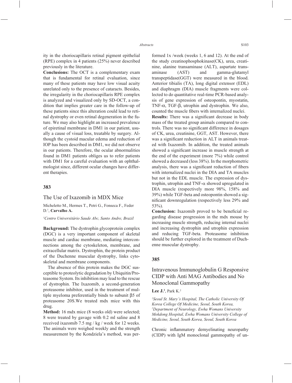ity in the choriocapillaris retinal pigment epithelial (RPE) complex in 4 patients (25%) never described previously in the literature.

**Conclusions:** The OCT is a complementary exam that is fundamental for retinal evaluation, since many of these patients may have low visual acuity unrelated only to the presence of cataracts. Besides, the irregularity in the choriocapillaris RPE complex is analyzed and visualized only by SD-OCT, a condition that implies greater care in the follow-up of these patients since this alteration could lead to retinal dystrophy or even retinal degeneration in the future. We may also highlight an increased prevalence of epiretinal membrane in DM1 in our patient, usually a cause of visual loss, treatable by surgery. Although the cystoid macular edema and reduction of IOP has been described in DM1, we did not observe in our patients. Therefore, the ocular abnormalities found in DM1 patients obliges us to refer patients with DM1 for a careful evaluation with an ophthalmologist since, different ocular changes have different therapies.

## **383**

### The Use of Ixazomib in MDX Mice

Micheletto M., Hermes T., Petri G., Fonseca F., Feder D.1 , **Carvalho A.**

#### *1 Centro Universitário Saude Abc, Santo Andre, Brazil*

**Background:** The dystrophin glycoprotein complex (DGC) is a very important component of skeletal muscle and cardiac membrane, mediating interconnections among the cytoskeleton, membrane, and extracellular matrix. Dystrophin, the protein product of the Duchenne muscular dystrophy, links cytoskeletal and membrane components.

The absence of this protein makes the DGC susceptible to proteolytic degradation by Ubiquitin/Proteasome System. Its inhibition may lead to the rescue of dystrophin. The Ixazomib, a second-generation proteasome inhibitor, used in the treatment of multiple myeloma preferentially binds to subunit β5 of proteasome 20S.We treated mdx mice with this drug.

**Method:** 16 mdx mice (8 weeks old) were selected; 8 were treated by gavage with 0.2 ml saline and 8 received ixazomib 7.5 mg / kg / week for 12 weeks. The animals were weighed weekly and the strength measurement by the Kondziela's method, was performed 1x /week (weeks 1, 6 and 12). At the end of the study creatinophosphokinase(CK), urea, creatinine, alanine transaminase (ALT), aspartate transaminase (AST) and gamma-glutamyl transpeptidase(GGT) were measured in the blood. Anterior tibialis (TA), long digital extensor (EDL) and diaphragm (DIA) muscle fragments were collected to do quantitative real-time PCR-based analysis of gene expression of osteopontin, myostatin, TNF-α, TGF-β, utrophin and dystrophin. We also, counted the muscle fibers with internalized nuclei. **Results:** There was a significant decrease in body mass of the treated group animals compared to controls. There was no significant difference in dosages of CK, urea, creatinine, GGT, AST. However, there was a significant reduction in ALT in animals treated with Ixazomib. In addition, the treated animals showed a significant increase in muscle strength at the end of the experiment (more 7%) while control

showed a decreased (less 38%). In the morphometric analysis, there was a significant reduction of fibers with internalized nuclei in the DIA and TA muscles but not in the EDL muscle. The expression of dystrophin, utrophin and TNF- $\alpha$  showed upregulated in DIA muscle (respectively more 98%, 158% and 39%) while TGF-beta and osteopontin showed a significant downregulation (respectively less 29% and 53%).

**Conclusion:** Ixazomib proved to be beneficial regarding disease progression in the mdx mouse by increasing muscle strength, reducing internal nuclei and increasing dystrophin and utrophin expression and reducing TGF-beta. Proteasome inhibition should be further explored in the treatment of Duchenne muscular dystrophy.

#### **385**

## Intravenous Immunoglobulin G Responsive CIDP with Anti MAG Antibodies and No Monoclonal Gammopathy

#### **Lee J.1** , Park K.2

*1 Seoul St. Mary's Hospital, The Catholic University Of Korea College Of Medicine, Seoul, South Korea, 2 Department of Neurology, Ewha Womans University Mokdong Hospital, Ewha Womans University College of Medicine, Seoul, South Korea, Seoul, South Korea*

Chronic inflammatory demyelinating neuropathy (CIDP) with IgM monoclonal gammopathy of un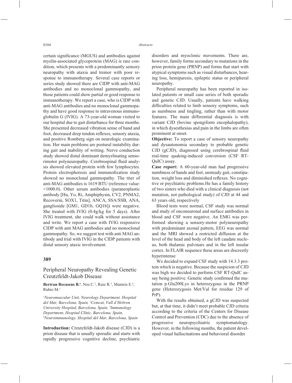certain significance (MGUS) and antibodies against myelin-associated glycoprotein (MAG) is rare condition, which presents with a predominantly sensory neuropathy with ataxia and tremor with poor response to immunotherapy. Several case reports or series study showed there are CIDP with anti-MAG antibodies and no monoclonal gammopathy, and those patients could show partial or good response to immunotherapy. We report a case, who is CIDP with anti-MAG antibodies and no monoclonal gammopathy and have good response to intravenous immunoglobulin G (IVIG). A 73-year-old woman visited to our hospital due to gait disturbance for three months. She presented decreased vibration sense of hand and foot, decreased deep tendon reflexes, sensory ataxia, and positive Romberg sign on neurologic examination. Her main problems are postural instability during gait and inability of writing. Nerve conduction study showed distal dominant demyelinating sensorimotor polyneuropathy. Cerebrospinal fluid analysis showed elevated protein with few lymphocytes. Protein electrophoresis and immunofixation study showed no monoclonal gammopathy. The titer of anti-MAG antibodies is 1619 BTU (reference value: <1000.0). Other serum antibodies (paraneoplastic antibody [Hu, Yo, Ri, Amphiphysin, CV2, PNMA2, Recoverin, SOX1, Titin], ANCA, SSA/SSB, ANA, ganglioside [GM1, GD1b, GQ1b]) were negative. She treated with IVIG (0.4g/kg for 5 days). After IVIG treatment, she could walk without assistance and write. We report a case with IVIG responsive CIDP with anti MAG antibodies and no monoclonal gammopathy. So, we suggest test with anti MAG antibody and trial with IVIG in the CIDP patients with distal sensory ataxic involvement.

#### **389**

## Peripheral Neuropathy Revealing Genetic Creutzfeldt-Jakob Disease

**Bertran Recasens B.**<sup>1</sup>, Nos C.<sup>2</sup>, Ruiz R.<sup>3</sup>, Munteis E.<sup>4</sup>, Rubio M.1

*1 Neuromuscular Unit, Neurology Department, Hospital del Mar, Barcelona, Spain, 2 Cemcat, Vall d'Hebron University Hospital, Barcelona, Spain, 3 Immunology Department, Hospital Clínic, Barcelona, Spain, 4 Neuroimmunology, Hospital del Mar, Barcelona, Spain*

**Introduction:** Creutzfeldt-Jakob disease (CJD) is a prion disease that is usually sporadic and starts with rapidly progressive cognitive decline, psychiatric disorders and myoclonic movements. There are, however, family forms secondary to mutations in the prion protein gene (PRNP) and forms that start with atypical symptoms such as visual disturbances, hearing loss, hemiparesis, epileptic status or peripheral neuropathy.

Peripheral neuropathy has been reported in isolated patients or small case series of both sporadic and genetic CJD. Usually, patients have walking difficulties related to limb sensory symptoms, such as numbness and tingling, rather than with motor features. The main differential diagnosis is with variant CJD (bovine spongiform encephalopathy), in which dysesthesias and pain in the limbs are often prominent at onset.

**Objective:** To report a case of sensory neuropathy and dysautonomia secondary to probable genetic CJD (gCJD), diagnosed using cerebrospinal fluid real-time quaking-induced conversion (CSF RT-QuIC) assay.

**Case report:** A 60-year-old man had progressive numbness of hands and feet, unsteady gait, constipation, weight loss and diminished reflexes. No cognitive or psychiatric problems.He has a family history of two sisters who died with a clinical diagnosis (not mutation, not pathological study) of CJD at 44 and 63 years old, respectively

Blood tests were normal, CSF study was normal and study of onconeuronal and surface antibodies in blood and CSF were negative. An EMG was performed showing a sensory-motor polyneuropathy with predominant axonal pattern, EEG was normal and the MRI showed a restricted diffusion at the level of the head and body of the left caudate nucleus, both thalamic pulvinars and in the left insular cortex. In FLAIR sequence these areas are discreetly hyperintense

We decided to expand CSF study with 14.3.3 protein which is negative. Because the suspicion of CJD was high we decided to perform CSF RT-QuIC assay being positive. Genetic study confirmed the mutation p.Glu200Lys in heterozygous in the PRNP gene (Heterozygosis Met/Val for residue 129 of PrP).

With the results obtained, a gCJD was suspected but, at that time, it didn't meet probable CJD criteria according to the criteria of the Centers for Disease Control and Prevention (CDC) due to the absence of progressive neuropsychiatric symptomatology. However, in the following months, the patient developed visual hallucinations and behavioral disorder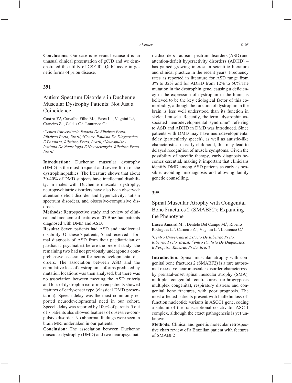**Conclusions:** Our case is relevant because it is an unusual clinical presentation of gCJD and we demonstrated the utility of CSF RT-QuIC assay in genetic forms of prion disease.

## **391**

## Autism Spectrum Disorders in Duchenne Muscular Dystrophy Patients: Not Just a Coincidence

Castro F.<sup>1</sup>, Carvalho Filho M.<sup>1</sup>, Perea L.<sup>1</sup>, Vagnini L.<sup>2</sup>, Carneiro Z.<sup>1</sup>, Caldas C.<sup>3</sup>, Lourenco C.<sup>1</sup>

*1 Centro Universitario Estacio De Ribeirao Preto, Ribeirao Preto, Brazil, 2 Centro Paulista De Diagnostico E Pesquisa, Ribeirao Preto, Brazil, 3 Neuropulse - Instituto De Neurologia E Neurocirurgia, Ribeirao Preto, Brazil*

**Introduction:** Duchenne muscular dystrophy (DMD) is the most frequent and severe form of the dystrophinopathies. The literature shows that about 30-40% of DMD subjects have intellectual disability. In males with Duchenne muscular dystrophy, neuropsychiatric disorders have also been observed: attention deficit disorder and hyperactivity, autism spectrum disorders, and obsessive-compulsive disorder.

**Methods:** Retrospective study and review of clinical and biochemical features of 07 Brazilian patients diagnosed with DMD and ASD.

**Results:** Seven patients had ASD and intellectual disability. Of these 7 patients, 5 had received a formal diagnosis of ASD from their paediatrician or paediatric psychiatrist before the present study; the remaining two had not previously undergone a comprehensive assessment for neurodevelopmental disorders. The association between ASD and the cumulative loss of dystrophin isoforms predicted by mutation locations was then analysed, but there was no association between meeting the ASD criteria and loss of dystrophin isoform even patients showed features of early-onset type (classical DMD presentation). Speech delay was the most commonly reported neurodevelopmental need in our cohort. Speech delay was reported by 100% of parents. 5 out of 7 patients also showed features of obsessive-compulsive disorder. No abnormal findings were seen in brain MRI undertaken in our patients.

**Conclusion:** The association between Duchenne muscular dystrophy (DMD) and two neuropsychiatric disorders – autism spectrum disorders (ASD) and attention-deficit hyperactivity disorders  $(ADHD)$  – has gained growing interest in scientific literature and clinical practice in the recent years. Frequency rates as reported in literature for ASD range from 3% to 32% and for ADHD from 12% to 50%.The mutation in the dystrophin gene, causing a deficiency in the expression of dystrophin in the brain, is believed to be the key etiological factor of this comorbidity, although the function of dystrophin in the brain is less well understood than its function in skeletal muscle. Recently, the term "dystrophin associated neurodevelopmental syndrome" referring to ASD and ADHD in DMD was introduced. Since patients with DMD may have neurodevelopmental delay (particularly speech), as well as autistic-like characteristics in early childhood, this may lead to delayed recognition of muscle symptoms. Given the possibility of specific therapy, early diagnosis becomes essential, making it important that clinicians identify DMD among ASD patients as early as possible, avoiding misdiagnosis and allowing family genetic counselling.

### **395**

# Spinal Muscular Atrophy with Congenital Bone Fractures 2 (SMABF2): Expanding the Phenotype

Lucca Amaral M.<sup>1</sup>, Dentelo Del Campo M.<sup>1</sup>, Ribeiro Rodrigues L.<sup>1</sup>, Carneiro Z.<sup>1</sup>, Vagnini L.<sup>2</sup>, Lourenco C.<sup>1</sup>

*1 Centro Universitario Estacio De Ribeirao Preto, Ribeirao Preto, Brazil, 2Centro Paulista De Diagnostico E Pesquisa, Ribeirao Preto, Brazil*

**Introduction:** Spinal muscular atrophy with congenital bone fractures 2 (SMABF2) is a rare autosomal recessive neuromuscular disorder characterized by prenatal-onset spinal muscular atrophy (SMA), multiple congenital contractures (arthrogryposis multiplex congenita), respiratory distress and congenital bone fractures, with poor prognosis. The most affected patients present with biallelic loss-offunction nucleotide variants in ASCC1 gene, coding a subunit of the transcriptional coactivator ASC-1 complex, although the exact pathogenesis is yet unknown

**Methods:** Clinical and genetic molecular retrospective chart review of a Brazilian patient with features of SMABF2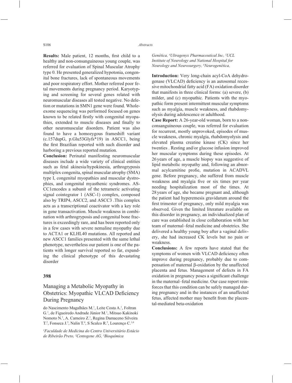**Results:** Male patient, 12 months, first child to a healthy and non-consanguineous young couple, was referred for evaluation of Spinal Muscular Atrophy type 0. He presented generalized hypotonia, congenital bone fractures, lack of spontaneous movements and poor respiratory effort. Mother referred poor fetal movements during pregnancy period. Karyotyping and screening for several genes related with neuromuscular diseases all tested negative. No deletion or mutations in SMN1 gene were found. Wholeexome sequencing was performed focused on genes known to be related firstly with congenital myopathies, extended to muscle diseases and finally to other neuromuscular disorders. Patient was also found to have a homozygous frameshift variant (c.157dupG, p.Glu53Glyfs\*19) in ASCC1, being the first Brazilian reported with such disorder and harboring a previous reported mutation.

**Conclusion:** Perinatal manifesting neuromuscular diseases include a wide variety of clinical entities such as fetal akinesia/hypokinesia, arthrogryposis multiplex congenita, spinal muscular atrophy (SMA) type I, congenital myopathies and muscular dystrophies, and congenital myasthenic syndromes. AS-CC1encodes a subunit of the tetrameric activating signal cointegrator 1 (ASC-1) complex, composed also by TRIP4, ASCC2, and ASCC3 .This complex acts as a transcriptional coactivator with a key role in gene transactivation. Muscle weakness in combination with arthrogryposis and congenital bone fractures is exceedingly rare, and has been reported only in a few cases with severe nemaline myopathy due to ACTA1 or KLHL40 mutations. All reported and new ASCC1 families presented with the same lethal phenotype, nevertheless our patient is one of the patients with longer survival reported so far, expanding the clinical phenotype of this devastating disorder

## **398**

# Managing a Metabolic Myopathy in Obstetrics: Myopathic VLCAD Deficiency During Pregnancy

do Nascimento Magalhães M.1 , Leite Costa A.1 , Foltran G.<sup>1</sup>, de Figueiredo Andrade Júnior M.<sup>1</sup>, Mitsuo Kakinoki Nomoto N.<sup>1</sup>, A. Carneiro Z.<sup>1</sup>, Regina Damaceno Silveira T.<sup>2</sup>, Fonseca J.<sup>3</sup>, Nalin T.<sup>4</sup>, S Scalco R.<sup>5</sup>, Lourenço C.<sup>1,6</sup>

*1 Faculdade de Medicina do Centro Universitário Estácio de Ribeirão Preto, 2 Centogene AG, 3 Bioquímica* 

*Genética, 4 Ultragenyx Pharmaceutical Inc, 5 UCL Institute of Neurology and National Hospital for Neurology and Neurosurgery, 6 Neurogenética,* 

**Introduction:** Very long-chain acyl-CoA dehydrogenase (VLCAD) deficiency is an autosomal recessive mitochondrial fatty acid (FA) oxidation disorder that manifests in three clinical forms: (a) severe, (b) milder, and (c) myopathic. Patients with the myopathic form present intermittent muscular symptoms such as myalgia, muscle weakness, and rhabdomyolysis during adolescence or adulthood.

**Case Report:** A 26-year-old woman, born to a nonconsanguineous couple, was referred for evaluation for recurrent, mostly unprovoked, episodes of muscle weakness, chronic myalgia, rhabdomyolysis and elevated plasma creatine kinase (CK) since her twenties . Resting and/or glucose infusion improved her muscular symptoms during these episodes. At 26 years of age, a muscle biopsy was suggestive of lipid metabolic myopathy and, following an abnormal acylcarnitine profie, mutation in ACADVL gene. Before pregnancy, she suffered from muscle weakness and myalgia five or six times per year needing hospitalization most of the times. At 28 years of age, she became pregnant and, although the patient had hyperemesis gravidarum around the first trimester of pregnancy, only mild myalgia was observed. Given the limited literature available on this disorder in pregnancy, an individualized plan of care was established in close collaboration with her team of maternal–fetal medicine and obstetrics. She delivered a healthy young boy after a vaginal delivery, she had increased CK levels but no pain or weakness.

**Conclusions:** A few reports have stated that the symptoms of women with VLCAD deficiency often improve during pregnancy, probably due to compensation of maternal  $\beta$ -oxidation by the unaffected placenta and fetus. Management of defects in FA oxidation in pregnancy poses a significant challenge in the maternal–fetal medicine. Our case report reinforces that this condition can be safely managed during pregnancy and in the instances of an unaffected fetus, affected mother may benefit from the placental-mediated beta-oxidation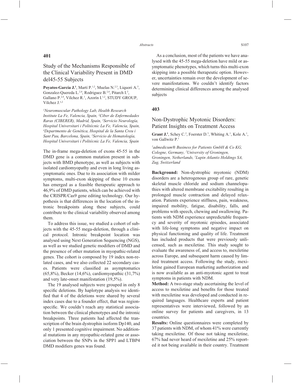# Study of the Mechanisms Responsible of the Clinical Variability Present in DMD del45-55 Subjects

Poyatos-García J.<sup>1</sup>, Martí P.<sup>1,2</sup>, Muelas N.<sup>2,3</sup>, Liquori A.<sup>5</sup>, Gonzalez-Quereda L. $^{2,4}$ , Rodriguez B. $^{2,4}$ , Pitarch I.<sup>3</sup>, Gallano P.<sup>2,4</sup>, Vilchez R.<sup>1</sup>, Azorín I.<sup>1,2</sup>, STUDY GROUP, Vilchez J.1,2

*1 Neuromuscular Pathology Lab, Health Research Institute La Fe, Valencia, Spain, 2 Ciber de Enfermedades Raras (CIBERER), Madrid, Spain, 3 Servicio Neurología, Hospital Universitari i Politècnic La Fe, Valencia, Spain, 4 Departmento de Genética, Hospital de la Santa Creu i Sant Pau, Barcelona, Spain, 5 Servicio de Hematología, Hospital Universitari i Politècnic La Fe, Valencia, Spain*

The in-frame mega-deletion of exons 45-55 in the DMD gene is a common mutation present in subjects with BMD phenotype, as well as subjects with isolated cardiomyopathy and even in long living asymptomatic ones. Due to its association with milder symptoms, multi-exon skipping of these 10 exons has emerged as a feasible therapeutic approach to 46,9% of DMD patients, which can be achieved with the CRISPR/Cas9 gene editing technology. Our hypothesis is that differences in the location of the intronic breakpoints along these subjects, could contribute to the clinical variability observed among them.

To address this issue, we studied a cohort of subjects with the 45-55 mega-deletion, through a clinical protocol. Intronic breakpoint location was analysed using Next Generation Sequencing (NGS), as well as we studied genetic modifiers of DMD and the presence of other mutation in myopathic-related genes. The cohort is composed by 19 index non-related cases, and we also collected 22 secondary cases. Patients were classified as asymptomatics (65,8%), Becker (14,6%), cardiomyopathic (31,7%) and very late-onset manifestation (19,5%).

The 19 analysed subjects were grouped in only 8 specific deletions. By haplotype analysis we identified that 4 of the deletions were shared by several index cases due to a founder effect, that was regionspecific. We couldn't reach any statistical association between the clinical phenotypes and the intronic breakpoints. Three patients had affected the transcription of the brain dystrophin isoform Dp140, and only 1 presented cognitive impairment. No additional mutations in any myopathic-related gene or association between the SNPs in the SPP1 and LTBP4 DMD modifiers genes was found.

As a conclusion, most of the patients we have analysed with the 45-55 mega-deletion have mild or asymptomatic phenotypes, which turns this multi-exon skipping into a possible therapeutic option. However, uncertainties remain over the development of severe manifestations. We couldn't identify factors determining clinical differences among the analysed subjects

## **403**

## Non-Dystrophic Myotonic Disorders: Patient Insights on Treatment Access

**Grant J.<sup>1</sup>**, Schey C.<sup>2</sup>, Foerster D.<sup>3</sup>, Whiting A.<sup>1</sup>, Kole A.<sup>1</sup>, von Gallwitz P.1

*1 admedicum® Business for Patients GmbH & Co KG, Cologne, Germany, 2 University of Groningen, Groningen, Netherlands, 3 Lupin Atlantis Holdings SA, Zug, Switzerland*

**Background:** Non-dystrophic myotonic (NDM) disorders are a heterogenous group of rare, genetic skeletal muscle chloride and sodium channelopathies with altered membrane excitability resulting in prolonged muscle contraction and delayed relaxation. Patients experience stiffness, pain, weakness, impaired mobility, fatigue, disability, falls, and problems with speech, chewing and swallowing. Patients with NDM experience unpredictable frequency and severity of myotonic episodes, associated with life-long symptoms and negative impact on physical functioning and quality of life. Treatment has included products that were previously unlicensed, such as mexiletine. This study sought to evaluate the awareness of, and access to, mexiletine across Europe, and subsequent harm caused by limited treatment access. Following the study, mexiletine gained European marketing authorization and is now available as an anti-myotonic agent to treat symptoms in patients with NDM.

**Method:** A two-stage study ascertaining the level of access to mexiletine and benefits for those treated with mexiletine was developed and conducted in required languages. Healthcare experts and patient representatives were interviewed, followed by an online survey for patients and caregivers, in 13 countries.

**Results:** Online questionnaires were completed by 37 patients with NDM, of whom 41% were currently taking mexiletine. Of those not taking mexiletine, 67% had never heard of mexiletine and 25% reported it not being available in their country. Treatment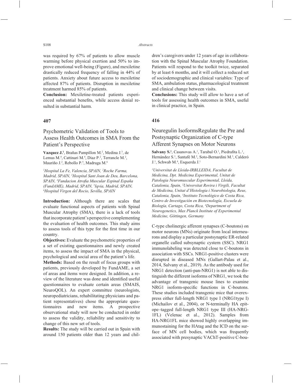was required by 67% of patients to allow muscle warming before physical exertion and 50% to improve emotional well-being (Figure), and mexiletine drastically reduced frequency of falling in 44% of patients. Anxiety about future access to mexiletine affected 87% of patients. Disruption in mexiletine treatment harmed 85% of patients.

**Conclusion:** Mexiletine-treated patients experienced substantial benefits, while access denial resulted in substantial harm.

## **407**

# Psychometric Validation of Tools to Assess Health Outcomes in SMA From the Patient's Perspective

Vazquez J.<sup>1</sup>, Brañas Pampillon M.<sup>2</sup>, Medina J.<sup>3</sup>, de Lemus M.<sup>4</sup>, Cattinari M.<sup>4</sup>, Diaz P.<sup>2</sup>, Terrancle M.<sup>2</sup>, Mauriño J.<sup>2</sup>, Rebollo P.<sup>5</sup>, Madruga M.<sup>6</sup>

*1 Hospital La Fe, Valencia, SPAIN, 2 Roche Farma, Madrid, SPAIN, 3 Hospital Sant Joan de Deu, Barcelona, SPAIN, 4 Fundacion Atrofi a Muscular Espinal España (FundAME), Madrid, SPAIN, <sup>5</sup>Iqvia, Madrid, SPAIN,* 66<br><sup>6</sup>Hosnital Virgen del Rocio, Sevilla, SPAIN *Hospital Virgen del Rocio, Sevilla, SPAIN*

**Introduction:** Although there are scales that evaluate functional aspects of patients with Spinal Muscular Atrophy (SMA), there is a lack of tools that incorporate patient's perspective complementing the evaluation of health outcomes. This study aims to assess tools of this type for the first time in our country.

**Objectives:** Evaluate the psychometric properties of a set of existing questionnaires and newly created items, to assess the impact of SMA in the physical, psychological and social area of the patient's life.

**Methods:** Based on the result of focus groups with patients, previously developed by FundAME, a set of areas and items were designed. In addition, a review of the literature was done and identified useful questionnaires to evaluate certain areas (SMAIS, NeuroQOL). An expert committee (neurologists, neuropediatricians, rehabilitating physicians and patient representatives) chose the appropriate questionnaires and new items. A prospective observational study will now be conducted in order to assess the validity, reliability and sensitivity to change of this new set of tools.

**Results:** The study will be carried out in Spain with around 150 patients older than 12 years and children's caregivers under 12 years of age in collaboration with the Spinal Muscular Atrophy Foundation. Patients will respond to the toolkit twice, separated by at least 6 months, and it will collect a reduced set of sociodemographic and clinical variables: Type of SMA, ambulation status, pharmacological treatment and clinical change between visits.

**Conclusions:** This study will allow to have a set of tools for assessing health outcomes in SMA, useful in clinical practice, in Spain.

## **416**

# Neuregulin IsoformsRegulate the Pre and Postsynaptic Organization of C-type Afferent Synapses on Motor Neurons

Salvany S.<sup>1</sup>, Casanovas A.<sup>1</sup>, Tarabal O.<sup>1</sup>, Piedrafita L.<sup>1</sup>, Hernández S.<sup>1</sup>, Santafé M.<sup>2</sup>, Soto-Bernardini M.<sup>3</sup>, Calderó J.1 , Schwab M.4 , Esquerda J.1

*1 Universitat de Lleida-IRBLLEIDA, Facultat de Medicina, Dpt. Medicina Experimental, Unitat de Patologia Neuromuscular Experimental, Lleida, Catalonia, Spain, 2 Universitat Rovira i Virgili, Facultat de Medicina, Unitat d'Histologia i Neurobiologia, Reus, Catalonia, Spain, 3 Instituto Tecnológico de Costa Rica, Centro de Investigación en Biotecnología, Escuela de Biología, Cartago, Costa Rica, 4 Department of Neurogenetics, Max Planck Institute of Experimental Medicine, Göttingen, Germany*

C-type cholinergic afferent synapses (C-boutons) on motor neurons (MNs) originate from local interneurons and display a particular postsynaptic ER-related organelle called subsynaptic cystern (SSC). NRG1 immunolabeling was detected close to C-boutons in association with SSCs. NRG1-positive clusters were disrupted in diseased MNs (Gallart-Palau et al., 2014, Salvany et al., 2019). As the antibody used for NRG1 detection (anti-pan-NRG1) is not able to distinguish the different isoforms of NRG1, we took the advantage of transgenic mouse lines to examine NRG1 isoform-specific functions in C-boutons. These studies included transgenic mice that overexpress either full-length NRG1 type I (NRG1type I) (Michailov et al., 2004), or N-terminally HA epitope–tagged full-length NRG1 type III (HA-NRG-1FL) (Velenac et al., 2012). Samples from HA-NRG1FL mice showed highly overlapping immunostaining for the HAtag and the ICD on the surface of MN cell bodies, which was frequently associated with presynaptic VAChT-positive C-bou-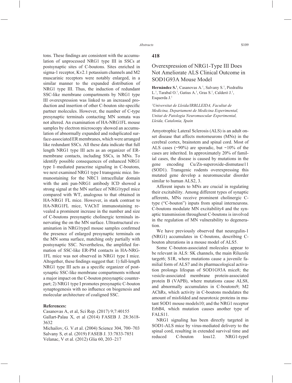tons. These findings are consistent with the accumulation of unprocessed NRG1 type III in SSCs at postsynaptic sites of C-boutons. Sites enriched in sigma-1 receptor, Kv2.1 potassium channels and M2 muscarinic receptors were notably enlarged, in a similar manner to the expanded distribution of NRG1 type III. Thus, the induction of redundant SSC-like membrane compartments by NRG1 type III overexpression was linked to an increased production and insertion of other C-bouton site-specific partner molecules. However, the number of C-type presynaptic terminals contacting MN somata was not altered. An examination of HA-NRG1FL mouse samples by electron microscopy showed an accumulation of abnormally expanded and reduplicated surface-associated ER membranes, which were arranged like redundant SSCs. All these data indicate that full length NRG1 type III acts as an organizer of ERmembrane contacts, including SSCs, in MNs. To identify possible consequences of enhanced NRG1 type I–mediated paracrine signaling in C-boutons, we next examined NRG1 type I transgenic mice. Immunostaining for the NRC1 intracellular domain with the anti pan-NRG1 antibody ICD showed a strong signal at the MN surface of NRG1typeI mice compared with WT, analogous to that obtained in HA-NRG1 FL mice. However, in stark contrast to HA-NRG1FL mice, VAChT immunostaining revealed a prominent increase in the number and size of C-boutons presynaptic cholinergic terminals innervating the on the MN surface. Ultrastructural examination in NRG1typeI mouse samples confirmed the presence of enlarged presynaptic terminals on the MN soma surface, matching only partially with postsynaptic SSC. Nevertheless, the amplified formation of SSC-like ER-PM contacts in HA-NRG-1FL mice was not observed in NRG1 type I mice. Altogether, these findings suggest that: 1) full-length NRG1 type III acts as a specific organizer of postsynaptic SSC-like membrane compartments without a major impact on the C-bouton presynaptic counterpart; 2) NRG1 type I promotes presynaptic C-bouton synaptogenesis with no influence on biogenesis and molecular architecture of coaligned SSC.

#### **References:**

Casanovas A, et al, Sci Rep. (2017) 9;7:40155 Gallart-Palau X, et al (2014) FASEB J. 28:3618- 3632

Michailov, G. V.et al. (2004) Science 304, 700–703 Salvany S, et al. (2019) FASEB J. 33:7833-7851 Velanac, V et al. (2012) Glia 60, 203–217

#### **418**

# Overexpression of NRG1-Type III Does Not Ameliorate ALS Clinical Outcome in SOD1G93A Mouse Model

Hernández S.<sup>1</sup>, Casanovas A.<sup>1</sup>, Salvany S.<sup>1</sup>, Piedrafita L.<sup>1</sup>, Tarabal O.<sup>1</sup>, Gatius A.<sup>1</sup>, Gras S.<sup>1</sup>, Calderó J.<sup>1</sup>, Esquerda J.1

*1 Universitat de Lleida/IRBLLEIDA, Facultat de Medicina, Departament de Medicina Experimental, Unitat de Patologia Neuromuscular Experimental, Lleida, Catalonia, Spain*

Amyotrophic Lateral Sclerosis (ALS) is an adult onset disease that affects motorneurons (MNs) in the cerebral cortex, brainstem and spinal cord. Most of ALS cases ( $\sim$ 90%) are sporadic, but  $\sim$ 10% of the cases are inherited. In approximately 20% of familial cases, the disease is caused by mutations in the gene encoding Cu/Zn-superoxide-dismutase11 (SOD1). Transgenic rodents overexpressing this mutated gene develop a neuromuscular disorder similar to human ALS2, 3.

Afferent inputs to MNs are crucial in regulating their excitability. Among different types of synaptic afferents, MNs receive prominent cholinergic Ctype ("C-bouton") inputs from spinal interneurons. C-boutons modulate MN excitability4 and the synaptic transmission throughout C-boutons is involved in the regulation of MN vulnerability to degeneration.

We have previously observed that neuregulin-1 (NRG1) accumulates in C-boutons, describing Cbouton alterations in a mouse model of ALS5.

Some C-bouton-associated molecules appear to be relevant in ALS: SK channels, the main Riluzole target6; S1R, where mutations cause a juvenile familial form of ALS7 and its pharmacological activation prolongs lifespan of SOD1G93A mice8; the vesicle-associated membrane protein-associated protein B (VAPB), where mutations cause ALS8, and abnormally accumulates in C-boutons9; M2 AChRs, which activity in C-boutons modulates the amount of misfolded and neurotoxic proteins in mutant SOD1 mouse models10; and the NRG1 receptor ErbB4, which mutation causes another type of FALS11.

NRG1 signaling has been directly targeted in SOD1-ALS mice by virus-mediated delivery to the spinal cord, resulting in extended survival time and reduced C-bouton loss12. NRG1-typeI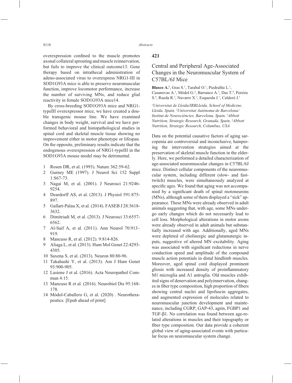overexpression confined to the muscle promotes axonal collateral sprouting and muscle reinnervation, but fails to improve the clinical outcome13. Gene therapy based on intrathecal administration of adeno-associated virus to overexpress NRG1-III in SOD1G93A mice is able to preserve neuromuscular function, improve locomotor performance, increase the number of surviving MNs, and reduce glial reactivity in female SOD1G93A mice14.

By cross-breeding SOD1G93A mice and NRG1 typeIII overexpressor mice, we have created a double transgenic mouse line. We have examined changes in body weight, survival and we have performed behavioral and histopathological studies in spinal cord and skeletal muscle tissue showing no improvement either in motor phenotype or lifespan. On the opposite, preliminary results indicate that the endogenous overexpression of NRG1-typeIII in the SOD1G93A mouse model may be detrimental.

- 1 Rosen DR, et al. (1993). Nature 362:59-62.
- 2 Gurney ME (1997). J Neurol Sci 152 Suppl 1:S67-73.
- 3 Nagai M, et al. (2001). J Neurosci 21:9246- 9254.
- 4 Deardorff AS, et al. (2013). J Physiol 591:875- 897.
- 5 Gallart-Palau X, et al. (2014). FASEB J 28:3618- 3632.
- 6 Dimitriadi M, et al. (2013). J Neurosci 33:6557- 6562.
- 7 Al-Saif A, et al. (2011). Ann Neurol 70:913– 919.
- 8 Mancuso R, et al. (2012). 9:814-826.
- 9 Aliaga L, et al. (2013). Hum Mol Genet 22:4293- 4305.
- 10 Saxena S, et al. (2013). Neuron 80:80-96.
- 11 Takahashi Y, et al. (2013). Am J Hum Genet 93:900-905.
- 12 Lasiene J et al. (2016). Acta Neuropathol Commun 4:15.
- 13 Mancuso R et al. (2016). Neurobiol Dis 95:168- 178.
- 14 Mòdol-Caballero G, et al. (2020) . Neurotherapeutics. [Epub ahead of print]

## **421**

# Central and Peripheral Age-Associated Changes in the Neuromuscular System of C57BL/6J Mice

**Blasco A.<sup>1</sup>**, Gras S.<sup>1</sup>, Tarabal O.<sup>1</sup>, Piedrafita L.<sup>1</sup>, Casanovas A.<sup>1</sup>, Mòdol G.<sup>2</sup>, Barranco A.<sup>3</sup>, Das T.<sup>4</sup>, Pereira S.<sup>4</sup>, Rueda R.<sup>3</sup>, Navarro X.<sup>2</sup>, Esquerda J.<sup>1</sup>, Calderó J.<sup>1</sup>

*1 Universitat de Lleida/IRBLleida, School of Medicine, Lleida, Spain, 2 Universitat Autònoma de Barcelona/ Institut de Neurociències, Barcelona, Spain, 3 Abbott Nutrition, Strategic Research, Granada, Spain, 4 Abbott Nutrition, Strategic Research, Columbus, USA*

Data on the potential causative factors of aging sarcopenia are controversial and inconclusive, hampering the intervention strategies aimed at the preservation of skeletal muscle function in the elderly. Here, we performed a detailed characterization of age-associated neuromuscular changes in C57BL/6J mice. Distinct cellular components of the neuromuscular system, including different (slow- and fasttwitch) muscles, were simultaneously analyzed at specific ages. We found that aging was not accompanied by a significant death of spinal motoneurons (MNs), although some of them displayed a "sick" appearance. These MNs were already observed in adult animals suggesting that, with age, some MNs undergo early changes which do not necessarily lead to cell loss. Morphological alterations in motor axons were already observed in adult animals but substantially increased with age. Additionally, aged MNs were depleted of cholinergic and glutamatergic inputs, suggestive of altered MN excitability. Aging was associated with significant reductions in nerve conduction speed and amplitude of the compound muscle action potentials in distal hindlimb muscles. Moreover, aged spinal cord displayed prominent gliosis with increased density of proinflammatory M1 microglia and A1 astroglia. Old muscles exhibited signs of denervation and polyinnervation, changes in fiber type composition, high proportion of fibers showing central nuclei and lipofuscin aggregates, and augmented expression of molecules related to neuromuscular junction development and maintenance, including CGRP, GAP-43, agrin, FGBP1 and TGF-β1. No correlation was found between age-related alterations in muscles and their topography or fiber type composition. Our data provide a coherent global view of aging-associated events with particular focus on neuromuscular system change.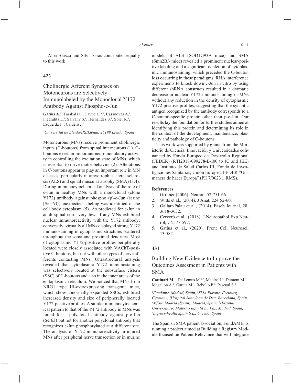Alba Blasco and Sílvia Gras contributed equally to this work.

## **422**

# Cholinergic Afferent Synapses on Motoneurons are Selectively Immunolabeled by the Monoclonal Y172 Antibody Against Phospho-c-Jun

Gatius A.<sup>1</sup>, Tarabal O.<sup>1</sup>, Cayuela P.<sup>1</sup>, Casanovas A.<sup>1</sup>, Piedrafita L.<sup>1</sup>, Salvany S.<sup>1</sup>, Hernández S.<sup>1</sup>, Soler R.<sup>1</sup>, Esquerda J.<sup>1</sup>, Calderó J.<sup>1</sup>

*1 Universitat de Lleida/IRBLleida, 25199 Lleida, Spain*

Motoneurons (MNs) receive prominent cholinergic inputs (C-boutons) from spinal interneurons (1). Cboutons exert an important neuromodulatory activity in controlling the excitation state of MNs, which is essential to drive motor behavior (2). Alterations in C-boutons appear to play an important role in MN diseases, particularly in amyotrophic lateral sclerosis (ALS) and spinal muscular atrophy (SMA) (3,4). During immunocytochemical analysis of the role of c-Jun in healthy MNs with a monoclonal (clone Y172) antibody against phospho (p)-c-Jun (serine [Ser]63), unexpected labeling was identified in the cell body cytoplasm (5). As predicted for c-Jun in adult spinal cord, very few, if any MNs exhibited nuclear immunoreactivity with the Y172 antibody; conversely, virtually all MNs displayed strong Y172 immunostaining in cytoplasmic structures scattered throughout the soma and proximal dendrites. Most of cytoplasmic Y172-positive profiles peripherally located were closely associated with VAChT-positive C-boutons, but not with other types of nerve afferents contacting MNs. Ultrastructural analysis revealed that cytoplasmic Y172 immunostaining was selectively located at the subsurface cistern (SSC) of C-boutons and also in the inner areas of the endoplasmic reticulum. We noticed that MNs from NRG1 type III-overexpressing transgenic mice, which show abnormally expanded SSCs, exhibited increased density and size of peripherally located Y172-positive profiles. A similar immunocytochemical pattern to that of the Y172 antibody in MNs was found for a polyclonal antibody against p-c-Jun (Ser63) but not for another polyclonal antibody that recognizes c-Jun phosphorylated at a different site. The analysis of Y172 immunoreactivity in injured MNs after peripheral nerve transection or in murine models of ALS (SOD1G93A mice) and SMA (Smn2B/- mice) revealed a prominent nuclear-positive labeling and a significant depletion of cytoplasmic immunostaining, which preceded the C-bouton loss occurring in these paradigms. RNA interference experiments to knock down c-Jun in vitro by using different shRNA constructs resulted in a dramatic decrease in nuclear Y172 immunostaining in MNs without any reduction in the density of cytoplasmic Y172-positive profiles, suggesting that the synaptic antigen recognized by the antibody corresponds to a C-bouton-specific protein other than p-c-Jun. Our results lay the foundation for further studies aimed at identifying this protein and determining its role in the context of the development, maintenance, plasticity and pathology of C-boutons.

This work was supported by grants from the Ministerio de Ciencia, Innovación y Universidades cofinanced by Fondo Europeo de Desarrollo Regional (FEDER) (RTI2018-099278-B-I00 to JC and JEE) and Instituto de Salud Carlos III, Fondo de Investigaciones Sanitarias, Unión Europea, FEDER "Una manera de hacer Europa" (PI17/00231, RMS).

#### **References**

- 1. Grillner (2006). Neuron, 52:751-66.
- 2. Witts et al., (2014). J Anat, 224:52-60.
- 3. Gallart-Palau et al., (2014). Faseb Journal, 28: 3618-3632.
- 4. Cerveró et al., (2018). J Neuropathol Exp Neurol, 77:577-597.
- 5. Gatius et al., (2020). Front Cell Neurosci, 13:582.

## **431**

# Building New Evidence to Improve the Outcomes Assesment in Patients with SMA

**Cattinari M.<sup>1</sup>**, De Lemus M.<sup>1,2</sup>, Medina J.<sup>3</sup>, Dumont M.<sup>1</sup>, Magallon A.<sup>4</sup>, Garcia M.<sup>5</sup>, Rebollo P.<sup>6</sup>, Pascual S.<sup>5</sup>

*1 Fundame, Madrid, Spain, 2 SMA Europe, Freiburg, Germany, 3 Hospital Sant Joan de Deu, Barcelona, Spain, 4 Mfi sio Madrid (Spain), Madrid, Spain, 5 Hospital Universitario Materno Infantil La Paz, Madrid, Spain, 6 Ingress-health Spain S.L., Oviedo, Spain*

The Spanish SMA patient association, FundAME, is running a project aimed at Building a Registry Module focused on Patient Relevance that will integrate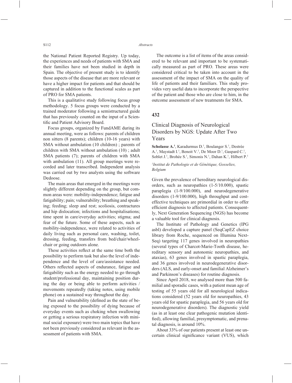the National Patient Reported Registry. Up today, the experiences and needs of patients with SMA and their families have not been studied in depth in Spain. The objective of present study is to identify those aspects of the disease that are more relevant or have a higher impact for patients and that should be captured in addition to the functional scales as part of PRO for SMA patients.

This is a qualitative study following focus group methodology. 5 focus groups were conducted by a trained moderator following a semistructured guide that has previously counted on the input of a Scientific and Patient Advisory Board.

Focus groups, organized by FundAME during its annual meeting, were as follows: parents of children non sitters (8 parents); children (10-16 years) with SMA without ambulation (10 children) ; parents of children with SMA without ambulation (10) ; adult SMA patients (7); parents of children with SMA with ambulation (11). All group meetings were recorded and later transcribed. Independent analysis was carried out by two analysts using the software Dedoose.

The main areas that emerged in the meetings were slightly different depending on the group, but common areas were: mobility-independence; fatigue and fatigability; pain; vulnerability; breathing and speaking; feeding; sleep and rest; scoliosis, contractures and hip dislocation; infections and hospitalisations; time spent in care/everyday activities; stigma; and fear of the future. Some of these aspects, such as mobility-independence, were related to activities of daily living such as personal care, washing, toilet, dressing, feeding, transfers from bed/chair/wheelchair or going outdoors alone.

These activities reflect at the same time both the possibility to perform task but also the level of independence and the level of care/assistance needed. Others reflected aspects of endurance, fatigue and fatigability such as the energy needed to go through student/professional day, maintaining position during the day or being able to perform activities / movements repeatedly (taking notes, using mobile phone) on a sustained way throughout the day.

Pain and vulnerability (defined as the state of being exposed to the possibility of dying because of everyday events such as choking when swallowing or getting a serious respiratory infection with minimal social exposure) were two main topics that have not been previously considered as relevant in the assessment of patients with SMA.

The outcome is a list of items of the areas considered to be relevant and important to be systematically measured as part of PRO. These areas were considered critical to be taken into account in the assessment of the impact of SMA on the quality of life of patients and their familiars. This study provides very useful data to incorporate the perspective of the patient and those who are close to him, in the outcome assessment of new treatments for SMA.

#### **432**

# Clinical Diagnosis of Neurological Disorders by NGS: Update After Two Years

Scholasse A.<sup>1</sup>, Karadurmus D.<sup>1</sup>, Boulanger S.<sup>1</sup>, Destrée A.<sup>1</sup>, Maystadt I.<sup>1</sup>, Benoit V.<sup>1</sup>, De Moor D.<sup>1</sup>, Gaspard C.<sup>1</sup>, Soblet J.<sup>1</sup>, Brohée S.<sup>1</sup>, Simonis N.<sup>1</sup>, Dahan K.<sup>1</sup>, Hilbert P.<sup>1</sup>

#### *1 Institut de Pathologie et de Génétique, Gosselies, Belgium*

Given the prevalence of hereditary neurological disorders, such as neuropathies (1-5/10.000), spastic paraplegia (1-9/100.000), and neurodegenerative disorders (1-9/100.000), high throughput and costeffective techniques are primordial in order to offer efficient diagnosis to affected patients. Consequently, Next Generation Sequencing (NGS) has become a valuable tool for clinical diagnosis.

The Institute of Pathology and Genetics (IPG asbl) developed a capture panel (SeqCapEZ choice library from Roche, sequenced on Illumina Next-Seq) targeting 117 genes involved in neuropathies (several types of Charcot-Marie-Tooth disease, hereditary sensory and autonomic neuropathies, and ataxias), 63 genes involved in spastic paraplegia, and 36 genes involved in neurodegenerative disorders (ALS, and early-onset and familial Alzheimer's and Parkinson's diseases) for routine diagnosis.

Since April 2018, we analysed more than 500 familial and sporadic cases, with a patient mean age of testing of 55 years old for all neurological indications considered (52 years old for neuropathies, 43 years old for spastic paraplegia, and 56 years old for neurodegenerative disorders). The diagnostic yield (as in at least one clear pathogenic mutation identified), allowing familial, presymptomatic, and prenatal diagnosis, is around 10%.

About 33% of our patients present at least one uncertain clinical significance variant (VUS), which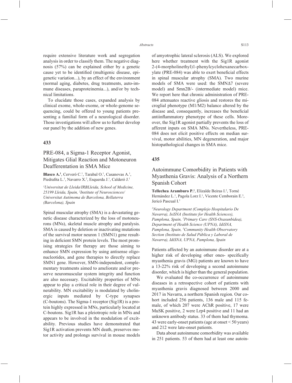require extensive literature work and segregation analysis in order to classify them. The negative diagnosis (57%) can be explained either by a genetic cause yet to be identified (multigenic disease, epigenetic variation...), by an effect of the environment (normal aging, diabetes, drug treatments, auto-immune diseases, paraproteinemia...), and/or by technical limitations.

To elucidate those cases, expanded analysis by clinical exome, whole-exome, or whole-genome sequencing, could be offered to young patients presenting a familial form of a neurological disorder. Those investigations will allow us to further develop our panel by the addition of new genes.

### **433**

# PRE-084, a Sigma-1 Receptor Agonist, Mitigates Glial Reaction and Motoneuron Deafferentation in SMA Mice

**Blasco A.<sup>1</sup>**, Cerveró C.<sup>1</sup>, Tarabal O.<sup>1</sup>, Casanovas A.<sup>1</sup>, Piedrafita L.<sup>1</sup>, Navarro X.<sup>2</sup>, Esquerda J.<sup>1</sup>, Calderó J.<sup>1</sup>

*1 Universitat de Lleida/IRBLleida, School of Medicine, 25199 Lleida, Spain, 2 Institute of Neurosciences/ Universitat Autònoma de Barcelona, Bellaterra (Barcelona), Spain*

Spinal muscular atrophy (SMA) is a devastating genetic disease characterized by the loss of motoneurons (MNs), skeletal muscle atrophy and paralysis. SMA is caused by deletion or inactivating mutations of the survival motor neuron 1 (SMN1) gene resulting in deficient SMN protein levels. The most promising strategies for therapy are those aiming to enhance SMN expression by using antisense oligonucleotides, and gene therapies to directly replace SMN1 gene. However, SMN-independent, complementary treatments aimed to ameliorate and/or preserve neuromuscular system integrity and function are also necessary. Excitability properties of MNs appear to play a critical role in their degree of vulnerability. MN excitability is modulated by cholinergic inputs mediated by C-type synapses (C-boutons). The Sigma-1 receptor (Sig1R) is a protein highly expressed in MNs, particularly located at C-boutons. Sig1R has a pleiotropic role in MNs and appears to be involved in the modulation of excitability. Previous studies have demonstrated that Sig1R activation prevents MN death, preserves motor activity and prolongs survival in mouse models of amyotrophic lateral sclerosis (ALS). We explored here whether treatment with the Sig1R agonist 2-(4-morpholinethyl)1-phenylcyclohexanecarboxylate (PRE-084) was able to exert beneficial effects in spinal muscular atrophy (SMA). Two murine models of SMA were used: the SMNΔ7 (severe model) and Smn2B/- (intermediate model) mice. We report here that chronic administration of PRE-084 attenuates reactive gliosis and restores the microglial phenotype (M1/M2) balance altered by the disease and, consequently, increases the beneficial antiinflammatory phenotype of these cells. Moreover, the Sig1R agonist partially prevents the loss of afferent inputs on SMA MNs. Nevertheless, PRE-084 does not elicit positive effects on median survival, motor abilities, MN degeneration, and major histopathological changes in SMA mice.

#### **435**

Autoimmune Comorbidity in Patients with Myasthenia Gravis: Analysis of a Northern Spanish Cohort

Tellechea Aramburo P.<sup>1</sup>, Elizalde Beiras I.<sup>2</sup>, Torné Hernández L.<sup>1</sup>, Pagola Lorz I.<sup>1</sup>, Vicente Cemborain E.<sup>3</sup>, Jericó Pascual I.1

*1 Neurology Department (Complejo Hospitalario De Navarra), IsiSNA (Institute for Health Sciences), Pamplona, Spain, 2 Primary Care (SNS-Osasunbidea), Department of Health Science (UPNA), IdiSNA, Pamplona, Spain, 3 Community Health Observatory Section (Instituto de Salud Pública y Laboral de Navarra), IdiSNA, UPNA, Pamplona, Spain*

Patients affected by an autoinmune disorder are at a higher risk of developing other ones- specifically myasthenia gravis (MG) patients are known to have a 13-22% risk of developing a second autoinmune disorder, which is higher than the general population.

We evaluated the co-occurrence of autoinmune diseases in a retrospective cohort of patients with myasthenia gravis diagnosed between 2000 and 2017 in Navarra, a northern Spanish region. Our cohort included 256 patients, 136 male and 115 female, of which 207 were AChR positive, 17 were MuSK positive, 2 were Lrp4 positive and 11 had an unknown antibody status. 33 of them had thymoma. 43 were early-onset patients (age at onset < 50 years) and 212 were late-onset patients.

Data about autoinmune comorbidity was available in 251 patients. 53 of them had at least one autoin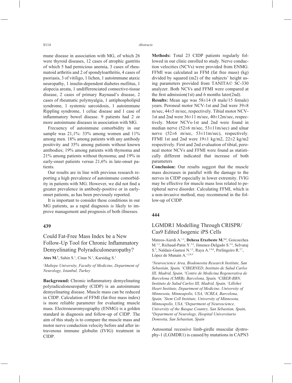mune disease in association with MG, of which 26 were thyroid diseases, 12 cases of atrophic gastritis of which 5 had pernicious anemia, 3 cases of rheumatoid arthritis and 2 of spondyloarthritis, 4 cases of psoriasis, 3 of vitiligo, 1 lichen, 1 autoimmune ataxic neuropathy, 1 insulin-dependent diabetes mellitus, 1 alopecia areata, 1 undifferenciated connective-tissue disease, 2 cases of primary Raynaud's disease, 2 cases of rheumatic polymyalgia, 1 antiphospholipid syndrome, 1 systemic sarcoidosis, 1 autoimmune Rippling syndrome, 1 celiac disease and 1 case of inflammatory bowel disease. 9 patients had 2 or more autoinmune diseases in association with MG.

Frecuency of autoinmune comorbidity in our sample was 21,1%: 33% among women and 11% among men. 18% among patients with any antibody positivity and 35% among patients without known antibodies; 19% among patients with thymoma and 21% among patients without thymoma; and 19% in early-onset patients versus 21,6% in late-onset patients.

Our results are in line with previous research reporting a high prevalence of autoinmune comorbidity in patients with MG. However, we did not find a greater prevalence in antibody-positive or in earlyonset patients, as has been previously reported.

It is important to consider these conditions in our MG patients, as a rapid diagnosis is likely to improve management and prognosis of both illnesses.

#### **439**

# Could Fat-Free Mass Index be a New Follow-Up Tool for Chronic Inflammatory Demyelinating Polyradiculoneuropathy?

Ates M.<sup>1</sup>, Sahin S.<sup>1</sup>, Cinar N.<sup>1</sup>, Karsidag S.<sup>1</sup>

*1 Maltepe University, Faculty of Medicine, Department of Neurology, Istanbul, Turkey*

**Background:** Chronic inflammatory demyelinating polyradiculoneuropathy (CIDP) is an autoimmune demyelinating disease. Muscle mass can be reduced in CIDP. Calculation of FFMI (fat-free mass index) is more reliable parameter for evaluating muscle mass. Electroneuromyography (ENMG) is a golden standard in diagnosis and follow-up of CIDP. The aim of this study is to compare the muscle mass and motor nerve conduction velocity before and after intravenous immune globulin (IVIG) treatment in CIDP.

**Methods:** Total 23 CIDP patients regularly followed in our clinic enrolled to study. Nerve conduction velocities (NCVs) were provided from ENMG. FFMI was calculated as FFM (fat free mass) (kg) divided by squared (m2) of the subjects' height using parameters provided from TANITA© SC-330 analyzer. Both NCVs and FFMI were compared at the first admission(1st) and 6 months later(2nd).

**Results:** Mean age was 58±14 (8 male/15 female) years. Peroneal motor NCV-1st and 2nd were 39±8 m/sec, 44±5 m/sec, respectively. Tibial motor NCV-1st and 2nd were 36±11 m/sec, 40±12m/sec, respectively. Motor NCVs-1st and 2nd were found in median nerve (52±6 m/sec, 53±11m/sec) and ulnar nerve (52±6 m/sec, 53±11m/sec), respectively. FFMI 1st and 2nd were  $19\pm1$  kg/m2,  $22\pm2$  kg/m2 respectively. First and 2nd evaluation of tibial, peroneal motor NCVs and FFMI were found as statistically different indicated that increase of both parameters

**Conclusion:** Our results suggest that the muscle mass decreases in parallel with the damage to the nerves in CIDP especially in lower extremity. IVIG may be effective for muscle mass loss related to peripheral nerve disorder. Calculating FFMI, which is a non-invasive method, may recommend in the follow-up of CIDP.

#### **444**

## LGMDR1 Modelling Through CRISPR/ Cas9 Edited Isogenic iPS Cells

Mateos-Aierdi A.<sup>1,2</sup>, Dehesa Etxebeste M.<sup>1,2</sup>, Goicoechea M.1,2, Richaud-Patin Y.3,4, Jimenez-Delgado S.3,4, Selvaraj S.<sup>5</sup>, Naldaiz-Gastesi N.<sup>1,2</sup>, Raya A.<sup>3,4,6</sup>, Perlingeiro R.<sup>5,7</sup>, López de Munain A.<sup>1,2,8,9</sup>

*1 Neuroscience Area, Biodonostia Research Institute, San Sebastián, Spain, 2 CIBERNED, Instituto de Salud Carlos III, Madrid, Spain, 3 Centre de Medicina Regenerativa de Barcelona (CMRB), Barcelona, Spain, 4 CIBER-BBN, Instituto de Salud Carlos III, Madrid, Spain, 5 Lillehei Heart Institute, Department of Medicine, University of Minnesota, Minneapolis, USA, 6 ICREA, Barcelona, Spain, 7 Stem Cell Institute, University of Minnesota, Minneapolis, USA, 8 Department of Neuroscience, University of the Basque Country, San Sebastian, Spain, 9 Department of Neurology, Hospital Universitario Donostia, San Sebastian, Spain*

Autosomal recessive limb-girdle muscular dystrophy-1 (LGMDR1) is caused by mutations in CAPN3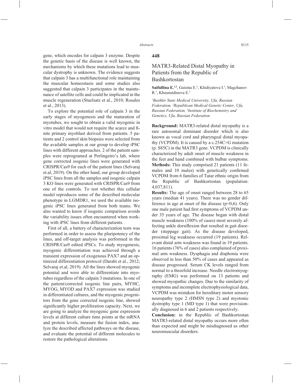gene, which encodes for calpain 3 enzyme. Despite the genetic basis of the disease is well known, the mechanisms by which these mutations lead to muscular dystrophy is unknown. The evidence suggests that calpain 3 has a multifunctional role maintaining the muscular homeostasis and some studies also suggested that calpain 3 participates in the maintenance of satellite cells and could be implicated in the muscle regeneration (Stuelsatz et al., 2010; Rosales et al., 2013).

To explore the potential role of calpain 3 in the early stages of myogenesis and the maturation of myotubes, we sought to obtain a valid myogenic in vitro model that would not require the scarce and finite primary myoblast derived from patients. 5 patients and 2 control skin biopsies were selected from the available samples at our group to develop iPSC lines with different approaches. 2 of the patient samples were reprogramed at Perlingeiro's lab, where gene corrected isogenic lines were generated with CRISPR/Cas9 for each of the patient lines (Selvaraj et.al, 2019). On the other hand, our group developed iPSC lines from all the samples and isogenic calpain 3 KO lines were generated with CRISPR/Cas9 from one of the controls. To test whether this cellular model reproduces some of the described molecular phenotype in LGMDR1, we used the available isogenic iPSC lines generated from both teams. We also wanted to know if isogenic comparison avoids the variability issues often encountered when working with iPSC lines from different patients.

First of all, a battery of characterization tests was performed in order to assess the pluripotency of the lines, and off-target analysis was performed in the CRISPR/Cas9 edited iPSCs. To study myogenesis, myogenic differentiation was achieved through a transient expression of exogenous PAX7 and an optimized differentiation protocol (Darabi et al., 2012; Selvaraj et.al, 2019). All the lines showed myogenic potential and were able to differentiate into myotubes regardless of the calpain 3 mutations. In one of the patient/corrected isogenic line pairs, MYHC, MYOG, MYOD and PAX7 expression was studied in differentiated cultures, and the myogenic progenitors from the gene corrected isogenic line, showed significantly higher proliferation capacity. Next, we are going to analyze the myogenic gene expression levels at different culture time points at the mRNA and protein levels, measure the fusion index, analyze the described affected pathways on the disease, and evaluate the potential of different molecules to restore the pathological alterations.

#### **448**

## MATR3-Related Distal Myopathy in Patients from the Republic of Bashkortostan

Saifullina E.<sup>1,2</sup>, Gaisina E.<sup>2</sup>, Khidiyatova I.<sup>3</sup>, Magzhanov R.<sup>1</sup>, Khusnutdinova E.<sup>3</sup>

*1 Bashkir State Medical University, Ufa, Russian Federation, 2 Republican Medical Genetic Center, Ufa, Russian Federation, 3 Institute of Biochemistry and Genetics, Ufa, Russian Federation*

**Background:** MATR3-related distal myopathy is a rare autosomal dominant disorder which is also known as vocal cord and pharyngeal distal myopathy (VCPDM). It is caused by a c.254C>G mutation (p. S85C) in the MATR3 gene. VCPDM is clinically characterized by adult onset of muscle weakness in the feet and hand combined with bulbar symptoms. **Methods:** This study comprised 21 patients (11 females and 10 males) with genetically confirmed VCPDM from 6 families of Tatar ethnic origin from the Republic of Bashkortostan (population: 4,037,811).

**Results:** The age of onset ranged between 28 to 65 years (median 41 years). There was no gender difference in age at onset of the disease  $(p=0,6)$ . Only one male patient had first symptoms of VCPDM under 35 years of age. The disease began with distal muscle weakness (100% of cases) most severely affecting ankle dorsiflexion that resulted in gait disorder (steppage gait). As the disease developed, proximal leg weakness occurred (19 patients). Relevant distal arm weakness was found in 19 patients. 16 patients (76% of cases) also complained of proximal arm weakness. Dysphagia and disphonia were observed in less than 50% of cases and appeared as disease progressed. Serum CK levels ranged from normal to a threefold increase. Needle electromyography (EMG) was performed on 13 patients and showed myopathic changes. Due to the similarity of symptoms and incomplete electrophysiological data, VCPDM was mistaken for hereditary motor sensory neuropathy type 2 (HMSN type 2) and myotonic dystrophy type 1 (MD type 1) that were provisionally diagnosed in 6 and 2 patients respectively.

**Conclusion:** in the Republic of Bashkortostan MATR3-related distal myopathy occurs more often than expected and might be misdiagnosed as other neuromuscular disorders.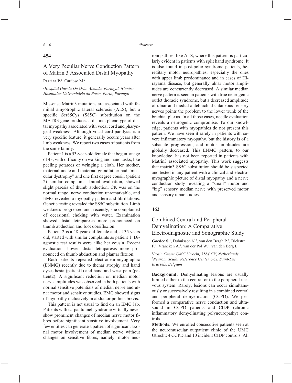#### **454**

# A Very Peculiar Nerve Conduction Pattern of Matrin 3 Associated Distal Myopathy

Pereira P.<sup>1</sup>, Cardoso M.<sup>2</sup>

#### *1 Hospital Garcia De Orta, Almada, Portugal, 2 Centro Hospitalar Universitário do Porto, Porto, Portugal*

Missense Matrin3 mutations are associated with familial amyotrophic lateral sclerosis (ALS), but a specific Ser85Cys (S85C) substitution on the MATR3 gene produces a distinct phenotype of distal myopathy associated with vocal cord and pharyngeal weakness. Although vocal cord paralysis is a very specific feature, it generally occurs years after limb weakness. We report two cases of patients from the same family.

Patient 1 is a 53-year-old female that begun, at age of 43, with difficulty on walking and hand tasks, like peeling potatoes or wringing a cloth. Her mother, maternal uncle and maternal grandfather had "muscular dystrophy" and one first degree cousin (patient 2) similar complaints. Initial evaluation, showed slight paresis of thumb abduction. CK was on the normal range, nerve conduction unremarkable, and EMG revealed a myopathy pattern and fibrillations. Genetic testing revealed the S85C substitution. Limb weakness progressed and, recently, she complained of occasional choking with water. Examination showed distal tetraparesis more pronounced on thumb abduction and foot dorsiflexion.

Patient 2 is a 48-year-old female and, at 35 years old, started with similar complaints as patient 1. Diagnostic test results were alike her cousin. Recent evaluation showed distal tetraparesis more pronounced on thumb abduction and plantar flexion.

Both patients repeated electroneuromyographic (ENMG) recently due to thenar atrophy and hand dysesthesia (patient1) and hand and wrist pain (patient2). A significant reduction on median motor nerve amplitudes was observed in both patients with normal sensitive potentials of median nerve and ulnar motor and sensitive studies. EMG showed signs of myopathy inclusively in abductor pollicis brevis.

This pattern is not usual to find on an EMG lab. Patients with carpal tunnel syndrome virtually never show prominent changes of median nerve motor fibres before significant sensitive involvement. Very few entities can generate a pattern of significant axonal motor involvement of median nerve without changes on sensitive fibres, namely, motor neuronopathies, like ALS, where this pattern is particularly evident in patients with split hand syndrome. It is also found in post-polio syndrome patients, hereditary motor neuropathies, especially the ones with upper limb predominance and in cases of Hirayama disease, but generally ulnar motor amplitudes are concurrently decreased. A similar median nerve pattern is seen in patients with true neurogenic outlet thoracic syndrome, but a decreased amplitude of ulnar and medial antebrachial cutaneous sensory nerves points the problem to the lower trunk of the brachial plexus. In all those cases, needle evaluation reveals a neurogenic compromise. To our knowledge, patients with myopathies do not present this pattern. We have seen it rarely in patients with severe inflammatory myopathy, but the history is of a subacute progression, and motor amplitudes are globally decreased. This ENMG pattern, to our knowledge, has not been reported in patients with Matrin3 associated myopathy. This work suggests that matrin3 S85C substitution should be suspected and tested in any patient with a clinical and electromyographic picture of distal myopathy and a nerve conduction study revealing a "small" motor and "big" sensory median nerve with preserved motor and sensory ulnar studies.

## **462**

# Combined Central and Peripheral Demyelination: A Comparative Electrodiagnostic and Sonographic Study

Goedee S.<sup>1</sup>, Dubuisson N.<sup>2</sup>, van den Bergh P.<sup>2</sup>, Diekstra F.<sup>1</sup>, Vrancken A.<sup>1</sup>, van der Pol W.<sup>1</sup>, van den Berg L.<sup>1</sup>

*1 Brain Center UMC Utrecht, 3584 CX, Netherlands, 2 Neuromuscular Reference Center UCL Saint-Luc, Brussels, Belgium*

**Background:** Demyelinating lesions are usually limited either to the central or to the peripheral nervous system. Rarely, lesions can occur simultaneously or successively resulting in a combined central and peripheral demyelination (CCPD). We performed a comparative nerve conduction and ultrasound in CCPD patients and CIDP (chronic inflammatory demyelinating polyneuropathy) controls.

**Methods:** We enrolled consecutive patients seen at the neuromuscular outpatient clinic of the UMC Utrecht: 4 CCPD and 10 incident CIDP controls. All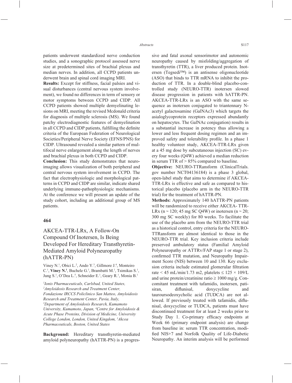patients underwent standardized nerve conduction studies, and a sonographic protocol assessed nerve size at predetermined sites of brachial plexus and median nerves. In addition, all CCPD patients underwent brain and spinal cord imaging MRI.

**Results:** Except for stiffness, facial palsies and visual disturbances (central nervous system involvement), we found no differences in term of sensory or motor symptoms between CCPD and CIDP. All CCPD patients showed multiple demyelinating lesions on MRI, meeting the revised Mcdonald criteria for diagnosis of multiple sclerosis (MS). We found patchy electrodiagnostic features of demyelination in all CCPD and CIDP patients, fulfilling the definite criteria of the European Federation of Neurological Societies/Peripheral Nerve Society (EFNS/PNS) for CIDP. Ultrasound revealed a similar pattern of multifocal nerve enlargement along the length of nerves and brachial plexus in both CCPD and CIDP.

**Conclusion:** This study demonstrates that neuroimaging allows visualization of both peripheral and central nervous system involvement in CCPD. The fact that electrophysiologic and morphological patterns in CCPD and CIDP are similar, indicate shared underlying immune-pathophysiologic mechanisms. At the conference we will present an update of the study cohort, including an additional group of MS patients.

#### **464**

# AKCEA-TTR-LRx, A Follow-On Compound Of Inotersen, Is Being Developed For Hereditary Transthyretin-Mediated Amyloid Polyneuropathy (hATTR-PN)

Viney N.1 , Obici L.2 , Ando Y.3 , Gillmore J.4 , Monteiro C.<sup>1</sup>, **Viney N.<sup>1</sup>**, Buchele G.<sup>1</sup>, Brambatti M.<sup>1</sup>, Tsimikas S.<sup>1</sup>, Jung S.<sup>1</sup>, O'Dea L.<sup>5</sup>, Schneider E.<sup>1</sup>, Geary R.<sup>1</sup>, Monia B.<sup>1</sup>

*1 Ionis Pharmaceuticals, Carlsbad, United States, 2 Amyloidosis Research and Treatment Center, Fondazione IRCCS Policlinico San Matteo, Amyloidosis Research and Treatment Center, Pavia, Italy, 3 Department of Amyloidosis Research, Kumamoto University, Kumamoto, Japan, 4 Centre for Amyloidosis & Acute Phase Proteins, Division of Medicine, University College London, London, United Kingdom, 5 Akcea Pharmaceuticals, Boston, United States*

**Background:** Hereditary transthyretin-mediated amyloid polyneuropathy (hATTR-PN) is a progressive and fatal axonal sensorimotor and autonomic neuropathy caused by misfolding/aggregation of transthyretin (TTR), a liver produced protein. Inotersen (Tegsedi™) is an antisense oligonucleotide (ASO) that binds to TTR mRNA to inhibit the production of TTR. In a double-blind placebo-controlled study (NEURO-TTR) inotersen slowed disease progression in patients with hATTR-PN. AKCEA-TTR-LRx is an ASO with the same sequence as inotersen conjugated to triantennary Nacetyl galactosamine (GalNAc3) which targets the asialoglycoprotein receptors expressed abundantly on hepatocytes. The GalNAc conjugation) results in a substantial increase in potency thus allowing a lower and less frequent dosing regimen and an improved safety and tolerability profile. In a phase 1 healthy volunteer study, AKCEA-TTR-LRx given at a 45 mg dose by subcutaneous injection (SC) every four weeks (Q4W) achieved a median reduction in serum TTR of > 85% compared to baseline.

**Objective:** NEURO-TTRansform (ClinicalTrials. gov number NCT04136184) is a phase 3 global, open-label study that aims to determine if AKCEA-TTR-LRx is effective and safe as compared to historical placebo (placebo arm in the NEURO-TTR trial) for the treatment of hATTR-PN.

**Methods:** Approximately 140 hATTR-PN patients will be randomized to receive either AKCEA- TTR-LRx (n ~ 120; 45 mg SC Q4W) or inotersen (n ~ 20; 300 mg SC weekly) for 80 weeks. To facilitate the use of the placebo arm from the NEURO-TTR trial as a historical control, entry criteria for the NEURO-TTRansform are almost identical to those in the NEURO-TTR trial. Key inclusion criteria include preserved ambulatory status (Familial Amyloid Polyneuropathy or ATTRv/FAP stage 1 or stage 2), confirmed TTR mutation, and Neuropathy Impairment Score (NIS) between 10 and 130. Key exclusion criteria include estimated glomerular filtration rate < 45 mL/min/1.73 m2, platelets  $\leq 125 \times 109$ /L and urine protein/creatinine ratio  $\geq 1000$  mg/g. Concomitant treatment with tafamidis, inotersen, patisiran, diflunisal, doxycycline and tauroursodeoxycholic acid (TUDCA) are not allowed. If previously treated with tafamidis, diflunisal, doxycycline or TUDCA, patients must have discontinued treatment for at least 2 weeks prior to Study Day 1. Co-primary efficacy endpoints at Week 66 (primary endpoint analysis) are change from baseline in: serum TTR concentration, modified NIS+7 and Norfolk Quality of Life-Diabetic Neuropathy. An interim analysis will be performed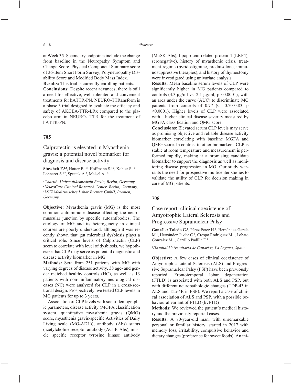at Week 35. Secondary endpoints include the change from baseline in the Neuropathy Symptom and Change Score, Physical Component Summary score of 36-Item Short Form Survey, Polyneuropathy Disability Score and Modified Body Mass Index.

**Results:** This trial is currently enrolling patients.

**Conclusions:** Despite recent advances, there is still a need for effective, well-tolerated and convenient treatments for hATTR-PN. NEURO-TTRansform is a phase 3 trial designed to evaluate the efficacy and safety of AKCEA-TTR-LRx compared to the placebo arm in NEURO- TTR for the treatment of hATTR-PN.

## **705**

Calprotectin is elevated in Myasthenia gravis: a potential novel biomarker for diagnosis and disease activity

Stascheit F.<sup>1,2</sup>, Hotter B.<sup>1,2</sup>, Hoffmann S.<sup>1,2</sup>, Kohler S.<sup>1,2</sup>, Lehnerer S.<sup>1,2</sup>, Sputtek A.<sup>3</sup>, Meisel A.<sup>1,2</sup>

 *Charité- Universitätsmedizin Berlin, Berlin, Germany, NeuroCure Clinical Research Center, Berlin, Germany, MVZ Medizinisches Labor Bremen GmbH, Bremen, Germany* 

**Objective:** Myasthenia gravis (MG) is the most common autoimmune disease affecting the neuromuscular junction by specific autoantibodies. The etiology of MG and its heterogeneity in clinical courses are poorly understood, although it was recently shown that gut microbial dysbiosis plays a critical role. Since levels of Calprotectin (CLP) seem to correlate with level of dysbiosis, we hypothesize that CLP may serve as potential diagnostic and disease activity biomarker in MG.

**Methods:** Sera from 251 patients with MG with varying degrees of disease activity, 38 age- and gender matched healthy controls (HC), as well as 13 patients with non- inflammatory neurological diseases (NC) were analyzed for CLP in a cross-sectional design. Prospectively, we tested CLP levels in MG patients for up to 3 years.

Association of CLP levels with socio-demographic parameters, disease activity (MGFA classification system, quantitative myasthenia gravis (QMG) score, myasthenia gravis-specific Activities of Daily Living scale (MG-ADL)), antibody (Abs) status (acetylcholine receptor antibody (AChR-Abs), muscle specific receptor tyrosine kinase antibody (MuSK-Abs), lipoprotein-related protein 4 (LRP4), seronegative), history of myasthenic crisis, treatment regime (pyridostigmine, prednisolone, immunosuppressive therapies), and history of thymectomy were investigated using univariate analysis.

**Results:** Mean baseline serum levels of CLP were significantly higher in MG patients compared to controls (4.3  $\mu$ g/ml vs. 2.1  $\mu$ g/ml; p <0.0001), with an area under the curve (AUC) to discriminate MG patients from controls of 0.77 (CI 0.70-0.83, p <0.0001). Higher levels of CLP were associated with a higher clinical disease severity measured by MGFA classification and OMG score.

**Conclusions:** Elevated serum CLP levels may serve as promising objective and reliable disease activity biomarker correlating with baseline MGFA and QMG score. In contrast to other biomarkers, CLP is stable at room temperature and measurement is performed rapidly, making it a promising candidate biomarker to support the diagnosis as well as monitoring disease progression in MG. Our study warrants the need for prospective multicenter studies to validate the utility of CLP for decision making in care of MG patients.

#### **708**

# Case report: clinical coexistence of Amyotrophic Lateral Sclerosis and Progressive Supranuclear Palsy

**González Toledo G.1** , Pérez Pérez H.1 , Hernández García M.<sup>1</sup>, Hernández Javier C.<sup>1</sup>, Crespo Rodríguez M.<sup>1</sup>, Lobato González M.1 , Carrillo Padilla F.1

*1 Hospital Universitario de Canarias, La Laguna, Spain*

**Objective:** A few cases of clinical coexistence of Amyotrophic Lateral Sclerosis (ALS) and Progressive Supranuclear Palsy (PSP) have been previously reported. Frontotemporal lobar degeneration (FTLD) is associated with both ALS and PSP, but with different neuropathologic changes (TDP-43 in ALS and Tau-4R in PSP). We report a case of clinical association of ALS and PSP, with a possible behavioural variant of FTLD (bvFTD)

**Methods:** We reviewed the patient's medical history and the previously reported cases.

**Results:** A 70-year-old man, with unremarkable personal or familiar history, started in 2017 with memory loss, irritability, compulsive behavior and dietary changes (preference for sweet foods). An ini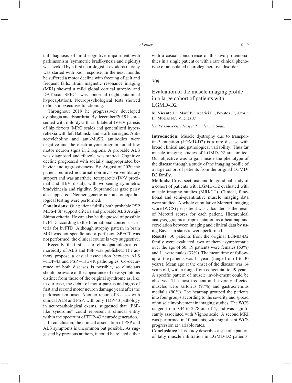tial diagnosis of mild cognitive impairment with parkinsonism (symmetric bradikynesia and rigidity) was evoked by a first neurologist. Levodopa therapy was started with poor response. In the next months he suffered a motor decline with freezing of gait and frequent falls. Brain magnetic resonance imaging (MRI) showed a mild global cortical atrophy and DAT-scan SPECT was abnormal (right putaminal hypocaptation). Neuropsychological tests showed deficits in executive functioning.

Throughout 2019 he progressively developed dysphagia and dysarthria. By december/2019 he presented with mild dysarthria, bilateral IV+/V paresis of hip flexors (MRC scale) and generalized hyperreflexia with left Babinski and Hoffman signs. Antiacetylcholine and anti-MuSK antibodies were negative and the electromyoneurogram found low motor neuron signs in 2 regions. A probable ALS was diagnosed and riluzole was started. Cognitive decline progressed with socially inappropriated behavior and aggressiveness. By August of 2020 the patient required nocturnal non-invasive ventilatory support and was anarthric, tetraparetic (IV/V proximal and III/V distal), with worsening symmetric bradykinesia and rigidity. Supranuclear gaze palsy also appeared. Neither genetic nor anatomopathological testing were performed.

**Conclusions:** Our patient fulfills both probable PSP MDS-PSP support criteria and probable ALS Awaji-Shima criteria. He can also be diagnosed of possible bvFTD according to the International consensus criteria for bvFTD. Although atrophy pattern in brain MRI was not specific and a perfusión SPECT was not performed, the clinical course is very suggestive.

Recently, the first case of clinicopathological comorbidity of ALS and PSP was published. The authors propose a casual association between ALS –TDP-43 and PSP –Tau 4R pathologies. Co-occurrence of both diseases is possible, so clinicians should be aware of the appearance of new symptoms distinct from those of the original syndrome as, like in our case, the debut of motor paresis and signs of first and second motor neuron damage years after the parkinsonism onset. Another report of 3 cases with clinical ALS and PSP, with only TDP-43 pathology in neuropathological exams, suggested that "PSPlike syndrome" could represent a clinical entity within the spectrum of TDP-43 neurodegeneration.

In conclusion, the clinical association of PSP and ALS symptoms is uncommon but possible. As suggested by previous authors, it could be related either with a casual concurrence of this two proteinopathies in a single patient or with a rare clinical phenotype of an isolated neurodegenerative disorder.

### **709**

# Evaluation of the muscle imaging profile in a large cohort of patients with LGMD-D2

**M. Vicente L.<sup>1</sup>**, Martí P.<sup>1</sup>, Aparici F.<sup>1</sup>, Poyatos J.<sup>1</sup>, Azorin I.<sup>1</sup>, Muelas N.<sup>1</sup>, Vilchez J.<sup>1</sup>

#### *1 La Fe University Hospital, Valencia, Spain*

**Introduction:** Muscle dystrophy due to transportin-3 mutation (LGMD-D2) is a rare disease with broad clinical and pathological variability. Thus far muscle imaging studies of LGMD-D2 are limited. Our objective was to gain inside the phenotype of the disease through a study of the imaging profile of a large cohort of patients from the original LGMD-D2 family.

**Methods:** Cross-sectional and longitudinal study of a cohort of patients with LGMD-D2 evaluated with muscle imaging studies (MRI/CT). Clinical, functional and semi-quantitative muscle imaging data were studied. A whole cumulative Mercuri imaging score (WCS) per patient was calculated as the mean of Mercuri scores for each patient. Hierarchical analysis, graphical representation as a heatmap and correlation between imaging and clinical data by using Bayesian statistic were performed.

**Results:** 30 patients from the original LGMD-D2 family were evaluated, two of them asymptomatic over the age of 60. 19 patients were females (63%) and 11 were males (37%). The mean time of followup of the patients was 11 years (range from 1 to 30 years). Mean age at the onset of the disease was 14 years old, with a range from congenital to 49 years. A specific pattern of muscle involvement could be observed. The most frequent and severely affected muscles were sartorius (97%) and gastrocnemius medialis (90%). The heatmap grouped the patients into four groups according to the severity and spread of muscle involvement in imaging studies. The WCS ranged from  $0.44$  to  $2.78$  out of 4, and was significantly associated with Vignos scale. A second MRI was performed in 10 patients, with significant WCS progression at variable rates.

**Conclusions:** This study describes a specific pattern of fatty muscle infiltration in LGMD-D2 patients.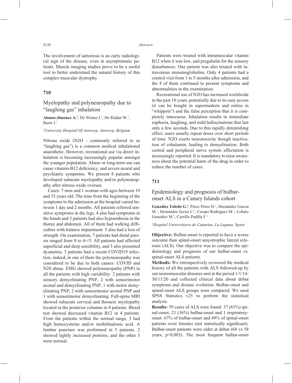The involvement of sartorious is an early radiological sign of the disease, even in asymptomatic patients. Muscle imaging studies prove to be a useful tool to better understand the natural history of this complex muscular dystrophy.

## **710**

## Myelopathy and polyneuropathy due to "laughing gas" inhalation

Alonso-Jimenez  $A^{-1}$ , De Winter J.<sup>1</sup>, De Ridder W.<sup>1</sup>, Baets J.1

*1 University Hospital Of Antwerp, Antwerp, Belgium*

Nitrous oxide (N2O - commonly referred to as "laughing gas") is a common medical inhalational anaesthetic. However, recreational use via direct inhalation is becoming increasingly popular amongst the younger population. Abuse or long-term use can cause vitamin-B12 deficiency, and severe neural and psychiatric symptoms. We present 8 patients who developed subacute myelopathy and/or polyneuropathy after nitrous oxide overuse.

Cases: 7 men and 1 woman with ages between 19 and 35 years old. The time from the beginning of the symptoms to the admission at the hospital varied between 1 day and 2 months. All patients referred sensitive symptoms in the legs, 4 also had symptoms in the hands and 3 patients had also hypoesthesia in the thorax and abdomen. All of them had walking difficulties with balance impairment. 5 also had a loss of strength. On examination, 7 patients had distal paresis ranged from 0 to 4+/5. All patients had affected superficial and deep sensibility, and 3 also presented dysmetria. 3 patients had a recent COVID19 infection, indeed, in one of them the polyneuropathy was considered to be due to both causes: COVID and N20 abuse. EMG showed polyneuropathy (PNP) in all the patients with high variability: 2 patients with sensory demyelinating PNP, 2 with sensorimotor axonal and demyelinating PNP, 1 with motor demyelinating PNP, 2 with sensorimotor axonal PNP and 1 with sensorimotor demyelinating. Full-spine MRI showed subacute cervical and thoracic myelopathy located in the posterior columns in 4 patients. Blood test showed decreased vitamin B12 in 4 patients. From the patients within the normal range, 3 had high homocysteine and/or methilmalonic acid. A lumbar puncture was performed in 5 patients. 2 showed lightly increased proteins, and the other 3 were normal.

Patients were treated with intramuscular vitamin B12 when it was low, and pregabalin for the sensory disturbances. One patient was also treated with intravenous immunoglobulins. Only 4 patients had a control visit from 1 to 5 months after admission, and the 4 of them continued to present symptoms and abnormalities in the examination.

Recreational use of N2O has increased worldwide in the past 10 years, potentially due to its easy access (it can be bought in supermarkets and online in "whippets") and the false perception that it is completely innocuous. Inhalation results in immediate euphoria, laughing, and mild hallucinations that last only a few seconds. Due to this rapidly diminishing effect, users usually repeat doses over short periods of time. N2O exerts neurotoxicity though inactivation of cobalamin, leading to demyelination. Both central and peripheral nerve system affectation is increasingly reported. It is mandatory to raise awareness about the potential harm of the drug in order to reduce the number of cases.

## **711**

# Epidemiology and prognosis of bulbaronset ALS in a Canary Islands cohort

González Toledo G.<sup>1</sup>, Pérez Pérez H.<sup>1</sup>, Hernández García M.<sup>1</sup>, Hernández Javier C.<sup>1</sup>, Crespo Rodríguez M.<sup>1</sup>, Lobato González M.1 , Carrillo Padilla F.1

#### *1 Hospital Universitario de Canarias, La Laguna, Spain*

**Objective:** Bulbar-onset is reported to have a worse outcome than spinal-onset amyotrophic lateral sclerosis (ALS). Our objective was to compare the epidemiology and prognosis of our bulbar-onset vs. spinal-onset ALS patients.

**Methods:** We retrospectively reviewed the medical history of all the patients with ALS followed-up by our neuromuscular diseases unit in the period 1/1/14- 30/11/20 and collected clinical data about debut symptoms and disease evolution. Bulbar-onset and spinal-onset ALS groups were compared. We used SPSS Statistics v25 to perform the statistical analysis.

**Results:** 59 cases of ALS were found: 37 (63%) spinal-onset, 21 (36%) bulbar-onset and 1 respiratoryonset. 67% of bulbar-onset and 49% of spinal-onset patients were females (not statistically significant). Bulbar-onset patients were older at debut (68 vs 58 years, p=0,003). The most frequent bulbar-onset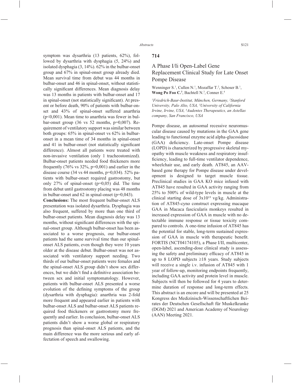symptom was dysarthria (13 patients, 62%), followed by dysarthria with dysphagia (5, 24%) and isolated dysphagia (3, 14%). 62% in the bulbar-onset group and 67% in spinal-onset group already died. Mean survival time from debut was 44 months in bulbar-onset and 46 in spinal-onset, without statistically significant differences. Mean diagnosis delay was 13 months in patients with bulbar-onset and 17 in spinal-onset (not statistically significant). At present or before death, 90% of patients with bulbar-onset and 43% of spinal-onset suffered anarthria  $(p<0.001)$ . Mean time to anarthria was fewer in bulbar-onset group (36 vs 52 months, p=0,007). Requirement of ventilatory support was similar between both groups: 65% in spinal-onset vs 62% in bulbaronset in a mean time of 34 months in spinal-onset and 41 in bulbar-onset (not statistically significant difference). Almost all patients were treated with non-invasive ventilation (only 1 tracheostomized). Bulbar-onset patients needed food thickeners more frequently  $(76\% \text{ vs } 32\%, \text{ p=0,001})$  and earlier in the disease course (34 vs 44 months, p=0,034). 52% patients with bulbar-onset required gastrostomy, but only 27% of spinal-onset (p=0,05) did. The time from debut until gastrostomy placing was 48 months in bulbar-onset and  $62$  in spinal-onset ( $p=0,043$ ).

**Conclusions:** The most frequent bulbar-onset ALS presentation was isolated dysarthria. Dysphagia was also frequent, suffered by more than one third of bulbar-onset patients. Mean diagnosis delay was 13 months, without significant differences with the spinal-onset group. Although bulbar-onset has been associated to a worse prognosis, our bulbar-onset patients had the same survival time than our spinalonset ALS patients, even though they were 10 years older at the disease debut. Bulbar-onset was not associated with ventilatory support needing. Two thirds of our bulbar-onset patients were females and the spinal-onset ALS group didn't show sex differences, but we didn't find a definitive association between sex and initial symptomatology. However, patients with bulbar-onset ALS presented a worse evolution of the defining symptoms of the group (dysarthria with dysphagia): anarthria was 2-fold more frequent and appeared earlier in patients with bulbar-onset ALS and bulbar-onset ALS patients required food thickeners or gastrostomy more frequently and earlier. In conclusion, bulbar-onset ALS patients didn't show a worse global or respiratory prognosis than spinal-onset ALS patients, and the main difference was the more serious and early affectation of speech and swallowing.

#### **714**

## A Phase I/Ii Open-Label Gene Replacement Clinical Study for Late Onset Pompe Disease

Wenninger S.<sup>1</sup>, Cullen N.<sup>1</sup>, Mozaffar T.<sup>2</sup>, Schoser B.<sup>1</sup>, Wong Po Foo C<sup>3</sup>, Bachtell N.<sup>3</sup>, Conner E.<sup>4</sup>

*1 Friedrich-Baur-Institut, München, Germany, 2 Stanford University, Palo Alto, USA, 3 University of California Irvine, Irvine, USA, 4 Audentes Therapeutics, an Astellas company, San Francisco, USA*

Pompe disease, an autosomal recessive neuromuscular disease caused by mutations in the GAA gene leading to functional enzyme acid alpha-glucosidase (GAA) deficiency. Late-onset Pompe disease (LOPD) is characterized by progressive skeletal myopathy with muscle weakness and respiratory insufficiency, leading to full-time ventilator dependence, wheelchair use, and early death. AT845, an AAVbased gene therapy for Pompe disease under development is designed to target muscle tissue. Preclinical studies in GAA KO mice infused with AT845 have resulted in GAA activity ranging from 25% to 500% of wild-type levels in muscle at the clinical starting dose of  $3x10^{13}$  vg/kg. Administration of AT845-cyno construct expressing macaque GAA in Macaca fascicularis monkeys resulted in increased expression of GAA in muscle with no detectable immune response or tissue toxicity compared to controls. A one-time infusion of AT845 has the potential for stable, long-term sustained expression of GAA in muscle with therapeutic benefit. FORTIS (NCT04174105), a Phase I/II, multicenter, open-label, ascending-dose clinical study is assessing the safety and preliminary efficacy of AT845 in up to 8 LOPD subjects  $\geq 18$  years. Study subjects will receive a single i.v. infusion of AT845 with 1 year of follow-up, monitoring endpoints frequently, including GAA activity and protein level in muscle. Subjects will then be followed for 4 years to determine duration of response and long-term effects. This abstract is an encore and will be presented at 25 Kongress des Medizinisch-Wissenschaftlichen Beirates der Deutschen Gesellschaft für Muskelkranke (DGM) 2021 and American Academy of Neurology (AAN) Meeting 2021.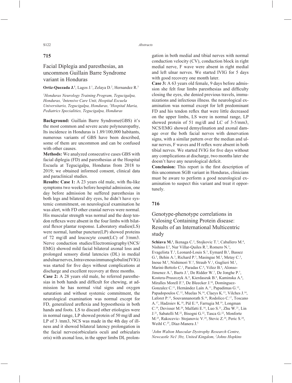## **715**

# Facial Diplegia and paresthesias, an uncommon Guillain Barre Syndrome variant in Honduras

#### **Ortiz-Quezada J.<sup>1</sup>**, Lagos J.<sup>1</sup>, Zelaya D.<sup>2</sup>, Hernandez R.<sup>3</sup>

*1 Honduras Neurology Training Program, Tegucigalpa, Honduras, 2 Intensive Care Unit, Hospital Escuela Universitario, Tegucigalpa, Honduras, 3 Hospital Maria, Pediatrics Specialities, Tegucigalpa, Honduras*

**Background:** Guillain Barre Syndrome(GBS) it's the most common and severe acute polyneuropathy, Its incidence in Honduras is 1.89/100,000 habitants, numerous variants of GBS have been described, some of them are uncommon and can be confused with other causes

**Methods:** We analyzed consecutive cases GBS with facial diplegia (FD) and paresthesias at the Hospital Escuela at Tegucigalpa, Honduras from 2018 to 2019; we obtained informed consent, clinical data and paraclinical studies.

**Results: Case 1:** A 23 years old male, with flu-like symptoms two weeks before hospital admission, one day before admission he suffered paresthesias in both legs and bilateral dry eyes, he didn't have systemic commitment, on neurological examination he was alert, with FD other cranial nerves were normal. His muscular strength was normal and the deep tendon reflexes were absent in the four limbs with bilateral flexor plantar response. Laboratory studies(LS) were normal, lumbar puncture(LP) showed proteins of 72 mg/dl and leucocyte count(LC) of 3/mm3. Nerve conduction studies/Electromiography/(NCS/ EMG) showed mild facial bilateral axonal loss and prolonged sensory distal latencies (DL) in medial and ulnar nerves, Intravenous immunoglobulin(IVIG) was started for five days without complications at discharge and excellent recovery at three months.

**Case 2:** A 28 years old male, he referred paresthesias in both hands and difficult for chewing, at admission he has normal vital signs and oxygen saturation and without systemic commitment, the neurological examination was normal except for FD, generalized areflexia and hypoesthesia in both hands and foots. LS to discard other etiologies were in normal range, LP showed protein of 50 mg/dl and LP of 3 /mm3, NCS was made in the 4th day of illness and it showed bilateral latency prolongation in the facial nerves(orbicularis oculi and orbicularis oris) with axonal loss, in the upper limbs DL prolongation in both medial and tibial nerves with normal conduction velocity (CV), conduction block in right medial nerve, F wave were absent in right medial and left ulnar nerves. We started IVIG for 5 days with good recovery one month later.

**Case 3:** A 63 years old female, 9 days before admission she felt four limbs paresthesias and difficulty closing the eyes, she denied previous travels, immunizations and infectious illness. the neurological examination was normal except for left predominant FD and his tendon reflex that were little decreased on the upper limbs, LS were in normal range, LP showed protein of 51 mg/dl and LC of 3-5/mm3, NCS/EMG showed demyelination and axonal damage over the both facial nerves with denervation signs, with a similar pattern over the median and ulnar nerves, F waves and H reflex were absent in both tibial nerves. We started IVIG for five days without any complications at discharge, two months later she doesn't have any neurological deficit.

**Conclusion:** This report is the first description of this uncommon SGB variant in Honduras, clinicians must be aware to perform a good neurological examination to suspect this variant and treat it opportunely.

## **716**

# Genotype-phenotype correlations in Valosing Containing Protein disease: Results of an International Multicentric study

Schiava M.<sup>1</sup>, Ikenaga C.<sup>2</sup>, Stojkovic T.<sup>3</sup>, Caballero M.<sup>4</sup>, Nishino I.<sup>5</sup>, Nur Villar-Quiles R.<sup>3</sup>, Romero N.<sup>3</sup>, Evagelista T.<sup>3</sup>, Leonard-Louis S.<sup>3</sup>, Eymard B.<sup>3</sup>, Bassez G.<sup>3</sup>, Behin A.<sup>3</sup>, Richard P.<sup>3</sup>, Masingue M.<sup>3</sup>, Metay C.<sup>3</sup>, Inoue M.<sup>5</sup>, Nishimori Y.<sup>5</sup>, Straub V.<sup>1</sup>, Guglieri M.<sup>1</sup>, Marini-Bettolo C.<sup>1</sup>, Paradas C.<sup>6</sup>, Vélez B.<sup>6</sup>, Alonso-Jimenez A.<sup>7</sup>, Baets J.<sup>7</sup>, De Ridder W.<sup>7</sup>, De Jonghe P.<sup>7</sup>, Kostera-Pruszczyk A.<sup>8</sup>, Kierdaszuk B.<sup>8</sup>, Kaminska A.<sup>8</sup>, Miralles Morell F.<sup>9</sup>, De Bleecker J.<sup>10</sup>, Domínguez-Gonzalez C.<sup>11</sup>, Hernández Laín A.<sup>11</sup>, Papadimas G.<sup>12</sup>, Papadopoulos C.<sup>12</sup>, Muelas N.<sup>14</sup>, Claeys K.<sup>13</sup>, Vilches J.<sup>14</sup>, Laforet P.<sup>15</sup>, Souvannanorath S.<sup>16</sup>, Rodolico C.<sup>17</sup>, Toscano A.17, Hadzsiev K.18, Pál E.18, Farrugia M.19, Longman C.<sup>19</sup>, Devisser M.<sup>20</sup>, Malfatti E.<sup>16</sup>, Luo S.<sup>21</sup>, Zhu W.<sup>21</sup>, Lin J.21, Sabatelli M.22, Bisogni G.22, Tasca G.22, Monforte M.<sup>23</sup>, Rakocevic- Stojanovic V.<sup>24</sup>, Stevic Z.<sup>24</sup>, Peric S.<sup>24</sup>, Weihl C.<sup>25</sup>, Díaz-Manera J.<sup>1</sup>

*1 John Walton Muscular Dystrophy Research Centre, Newcastle Ne1 3bz, United Kingdom, 2 Johns Hopkins*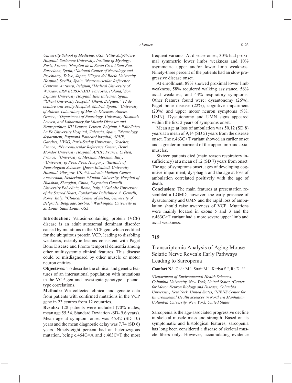*University School of Medicine, USA, 3 Pitié-Salpêtrière Hospital, Sorbonne University, Institute of Myology, Paris, France, 4 Hospital de la Santa Creu i Sant Pau, Barcelona, Spain, 5 National Center of Neurology and Psychiatry, Tokyo, Japan, 6 Virgen del Rocío University Hospital, Sevilla, Spain, 7 Neuromuscular Reference Centrum, Antwerp, Belgium, 8 Medical University of Warsaw, ERN EURO-NMD, Varsovia, Poland, 9 Son Espases University Hospital, Illes Baleares, Spain, 10Ghent University Hospital, Ghent, Belgium, 1112 de octubre University Hospital, Madrid, Spain, 12University of Athens, Laboratory of Muscle Diseases, Athens, Greece, 13Department of Neurology, University Hospitals Leuven, and Laboratory for Muscle Diseases and Neuropathies, KU Leuven, Leuven, Belgium, 14Policlínico La Fe University Hospital, Valencia, Spain, 15Neurology department, Raymond-Poincaré hospital, APHP, Garches, UVSQ, Paris-Saclay University, Graches, France, 16Neuromuscular Reference Center, Henri Mondor University Hospital, APHP, France, Créteil, France, 17University of Messina, Messina, Italy, 18University of Pécs, Pécs, Hungary, 19Institute of Neurological Sciences, Queen Elizabeth University Hospital, Glasgow, UK, 20Academic Medical Centre, Amsterdam, Netherlands, 21Fudan University, Hospital of Huashan, Shanghai, China, 22Agostino Gemelli University Polyclinic, Rome, Italy, 23Catholic University of the Sacred Heart, Fondazione Policlinico A. Gemelli, Rome, Italy, 24Clinical Center of Serbia, University of Belgrade, Belgrade, Serbia, 25Washington University in St. Louis, Saint Louis, USA*

**Introduction:** Valosin-containing protein (VCP) disease is an adult autosomal dominant disorder caused by mutations in the VCP gen, which codified for the ubiquitous protein VCP, leading to disabling weakness, osteolytic lesions consistent with Paget Bone Disease and Fronto temporal dementia among other multisystemic clinical features. This disease could be misdiagnosed by other muscle or motor neuron entities.

**Objectives:** To describe the clinical and genetic features of an international population with mutations in the VCP gen and investigate genotype - phenotype correlations.

**Methods:** We collected clinical and genetic data from patients with confirmed mutations in the VCP gene in 23 centres from 12 countries.

**Results:** 128 patients were included (70% males, mean age 55.54, Standard Deviation -SD- 9.6 years). Mean age at symptom onset was 45.42 (SD 10) years and the mean diagnostic delay was 7.74 (SD 6) years. Ninety-eight percent had an heterozygous mutation, being c.464G>A and c.463C>T the most

frequent variants. At disease onset, 30% had proximal symmetric lower limbs weakness and 10% asymmetric upper and/or lower limb weakness. Ninety-three percent of the patients had an slow progressive disease onset.

At enrollment, 89% showed proximal lower limb weakness, 58% requiered walking assistance, 56% axial weakness, and 44% respiratory symptoms. Other features found were: dysautonomy (26%), Paget bone disease (22%), cognitive impairment (20%) and upper motor neuron symptoms (9%, UMN). Dysautonomy and UMN signs appeared within the first 2 years of symptoms onset.

Mean age at loss of ambulation was 50,12 (SD 8) years at a mean of 9,14 (SD 5) years from the disease onset. The c.463C>T variant showed an earlier onset and a greater impairment of the upper limb and axial muscles.

Sixteen patients died (main reason respiratory insufficiency) at a mean of  $12 (SD 7)$  years from onset. The age of symptoms onset, ages of developing cognitive impairment, dysphagia and the age at loss of ambulation correlated positively with the age of death.

**Conclusion:** The main features at presentation resembled a LGMD, however, the early presence of dysautonomy and UMN and the rapid loss of ambulation should raise awareness of VCP. Mutations were mainly located in exons 5 and 3 and the c.463C>T variant had a more severe upper limb and axial weakness.

#### **719**

# Transcriptomic Analysis of Aging Mouse Sciatic Nerve Reveals Early Pathways Leading to Sarcopenia

**Comfort N.<sup>1</sup>**, Gade M.<sup>1</sup>, Strait M.<sup>1</sup>, Kariya S.<sup>2</sup>, Re D.<sup>1,2,3</sup>

*1 Department of Environmental Health Sciences, Columbia University, New York, United States, 2 Center for Motor Neuron Biology and Disease, Columbia University, New York, United States, 3 NIEHS Center for Environmental Health Sciences in Northern Manhattan, Columbia University, New York, United States*

Sarcopenia is the age-associated progressive decline in skeletal muscle mass and strength. Based on its symptomatic and histological features, sarcopenia has long been considered a disease of skeletal muscle fibers only. However, accumulating evidence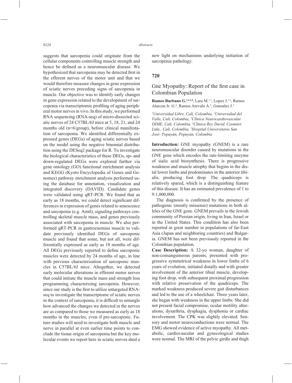suggests that sarcopenia could originate from the cellular components controlling muscle strength and hence be defined as a neuromuscular disease. We hypothesized that sarcopenia may be detected first in the efferent nerves of the motor unit and that we would therefore measure changes in gene expression of sciatic nerves preceding signs of sarcopenia in muscle. Our objective was to identify early changes in gene expression related to the development of sarcopenia via transcriptomic profiling of aging peripheral motor nerves in vivo. In this study, we performed RNA sequencing (RNA-seq) of micro-dissected sciatic nerves of 24 C57BL/6J mice at 5, 18, 21, and 24 months old (n=6/group), before clinical manifestation of sarcopenia. We identified differentially expressed genes (DEGs) of aging sciatic nerves based on the model using the negative binomial distribution using the DESeq2 package for R. To investigate the biological characteristics of these DEGs, up- and down-regulated DEGs were explored further via gene ontology (GO) functional enrichment analysis and KEGG (Kyoto Encyclopedia of Genes and Genomes) pathway enrichment analysis performed using the database for annotation, visualization and integrated discovery (DAVID). Candidate genes were validated using qRT-PCR. We found that as early as 18 months, we could detect significant differences in expression of genes related to senescence and sarcopenia (e.g. Arntl), signaling pathways controlling skeletal muscle mass, and genes previously associated with sarcopenia in muscle. We also performed qRT-PCR in gastrocnemius muscle to validate previously identified DEGs of sarcopenic muscle and found that some, but not all, were differentially expressed as early as 18 months of age. All DEGs previously reported to define sarcopenic muscles were detected by 24 months of age, in line with previous characterization of sarcopenic muscles in C57BL/6J mice. Altogether, we detected early molecular alterations in efferent motor nerves that could initiate the muscle mass and strength loss programming characterizing sarcopenia. However, since our study is the first to utilize untargeted RNAseq to investigate the transcriptome of sciatic nerves in the context of sarcopenia, it is difficult to untangle how advanced the changes we detected in the nerves are as compared to those we measured as early as 18 months in the muscles, even if pre-sarcopenic. Future studies will need to investigate both muscle and nerve in parallel at even earlier time points to conclude the tissue origin of sarcopenia but the key molecular events we report here in sciatic nerves shed a new light on mechanisms underlying initiation of sarcopenia pathology.

#### **720**

## Gne Myopathy: Report of the first case in Colombian Population

Ramos Burbano G.<sup>1,2,3,4</sup>, Lara M.<sup>1,3</sup>, Lopez J.<sup>1,3</sup>, Ramos Alarcon Jr. G.4 , Ramos Arevalo A.5 , Gonzalez J.3

*1 Universidad Libre, Cali, Colombia, 2 Universidad del Valle, Cali, Colombia, 3 Clínica Neurocardiovascular DIME, Cali, Colombia, 4 Clinica Rey David, Cosmitet Ltda., Cali, Colombia, 5 Hospital Universitario San José- Popayán, Popayán, Colombia*

**Introduction:** GNE myopathy (GNEM) is a rare neuromuscular disorder caused by mutations in the GNE gene which encodes the rate-limiting enzyme of sialic acid biosynthesis. There is progressive weakness and muscle atrophy that begins in the distal lower limbs and predominates in the anterior tibialis, producing foot drop. The quadriceps is relatively spared, which is a distinguishing feature of this disease. It has an estimated prevalence of 1 to 9:1,000,000.

The diagnosis is confirmed by the presence of pathogenic (mostly missense) mutations in both alleles of the GNE gene. GNEM prevails in the Jewish community of Persian origin, living in Iran, Israel or in the United States. This condition has also been reported in great number in populations of far-East Asia (Japan and neighboring countries) and Bulgaria. GNEM has not been previously reported in the Colombian population.

**Case Description:** A 32-yo woman, daughter of non-consanguineous parents, presented with progressive symmetrical weakness in lower limbs of 6 years of evolution, initiated distally and with greater involvement of the anterior tibial muscle, developing foot drop, with subsequent proximal progression with relative preservation of the quadriceps. The marked weakness produced severe gait disturbances and led to the use of a wheelchair. Three years later, she began with weakness in the upper limbs. She did not present facial compromise, ocular motility alterations, dysarthria, dysphagia, dysphonia or cardiac involvement. The CPK was slightly elevated. Sensory and motor neuroconductions were normal. The EMG showed evidence of active myopathy. All metabolic, cardiovascular and gynecological studies were normal. The MRI of the pelvic girdle and thigh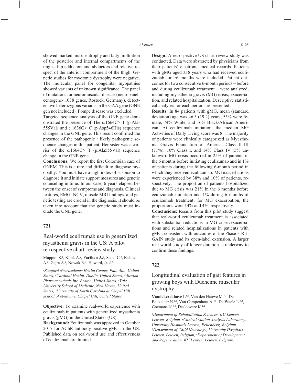showed marked muscle atrophy and fatty infiltration of the posterior and internal compartments of the thighs, hip adductors and abductors and relative respect of the anterior compartment of the thigh. Genetic studies for myotonic dystrophy were negative. The molecular panel for congenital myopathies showed variants of unknown significance. The panel of mutations for neuromuscular disease (neuropanelcentogene- 1038 genes, Rostock, Germany), detected two heterozygous variants in the GAA gene (GNE gen not included). Pompe disease was excluded.

Targeted sequence analysis of the GNE gene demonstrated the presence of The c.1664C> T (p.Ala-555Val) and c.1636G> C (p.Asp546His) sequence changes in the GNE gene. This result confirmed the presence of the pathogenic / likely pathogenic sequence changes in this patient. Her sister was a carrier of the c.1664C> T (p.Ala555Val) sequence change in the GNE gene.

**Conclusions:** We report the first Colombian case of GNEM. This is a rare and difficult to diagnose myopathy. You must have a high index of suspicion to diagnose it and initiate support measures and genetic counseling in time. In our case, 6 years elapsed between the onset of symptoms and diagnosis. Clinical features, EMG- NCV, muscle MRI findings, and genetic testing are crucial in the diagnosis. It should be taken into account that the genetic study must include the GNE gene.

#### **721**

Real-world eculizumab use in generalized myasthenia gravis in the US: A pilot retrospective chart-review study

Muppidi S.<sup>1</sup>, Klink A.<sup>2</sup>, **Parthan A.<sup>3</sup>**, Sader C.<sup>3</sup>, Balanean A.<sup>2</sup>, Gajra A.<sup>2</sup>, Nowak R.<sup>4</sup>, Howard, Jr. J.<sup>5</sup>

*1 Stanford Neuroscience Health Center, Palo Alto, United States, 2 Cardinal Health, Dublin, United States, 3 Alexion Pharmaceuticals Inc, Boston, United States, 4 Yale University School of Medicine, New Haven, United States, 5 University of North Carolina at Chapel Hill School of Medicine, Chapel Hill, United States*

**Objective:** To examine real-world experience with eculizumab in patients with generalized myasthenia gravis (gMG) in the United States (US).

**Background:** Eculizumab was approved in October 2017 for AChR antibody-positive gMG in the US. Published data on real-world use and effectiveness of eculizumab are limited.

**Design:** A retrospective US chart-review study was conducted. Data were abstracted by physicians from their patients' electronic medical records. Patients with gMG aged  $\geq$ 18 years who had received eculizumab for  $\geq 6$  months were included. Patient outcomes for two consecutive 6-month periods – before and during eculizumab treatment – were analyzed, including myasthenia gravis (MG) crisis, exacerbation, and related hospitalization. Descriptive statistical analyses for each period are presented.

**Results:** In 84 patients with gMG, mean (standard deviation) age was 46.3 (19.2) years, 55% were female, 74% White, and 16% Black/African American. At eculizumab initiation, the median MG Activities of Daily Living score was 8. The majority of patients were clinically categorized as Myasthenia Gravis Foundation of America Class II–III (71%), 10% Class I, and 14% Class IV (5% unknown). MG crisis occurred in 25% of patients in the 6 months before initiating eculizumab and in 1% of patients during the following 6-month period in which they received eculizumab. MG exacerbations were experienced by 38% and 10% of patients, respectively. The proportion of patients hospitalized due to MG crisis was 21% in the 6 months before eculizumab initiation and 1% during 6 months of eculizumab treatment; for MG exacerbation, the proportions were 14% and 4%, respectively.

**Conclusions:** Results from this pilot study suggest that real-world eculizumab treatment is associated with substantial reductions in MG crises/exacerbations and related hospitalizations in patients with gMG, consistent with outcomes of the Phase 3 RE-GAIN study and its open-label extension. A larger real-world study of longer duration is underway to confirm these findings.

### **722**

Longitudinal evaluation of gait features in growing boys with Duchenne muscular dystrophy

Vandekerckhove I.<sup>1,2</sup>, Van den Hauwe M.<sup>1,3</sup>, De Beukelaer N.<sup>1,2</sup>, Van Campenhout A.<sup>4,5</sup>, De Waele L.<sup>3,4</sup>, Goemans N.<sup>3,4</sup>, Desloovere K.<sup>1,2</sup>

*1 Department of Rehabilitation Sciences, KU Leuven, Leuven, Belgium, 2 Clinical Motion Analysis Laboratory, University Hospitals Leuven, Pellenberg, Belgium, 3 Department of Child Neurology, University Hospitals Leuven, Leuven, Belgium, 4 Department of Development and Regeneration, KU Leuven, Leuven, Belgium,*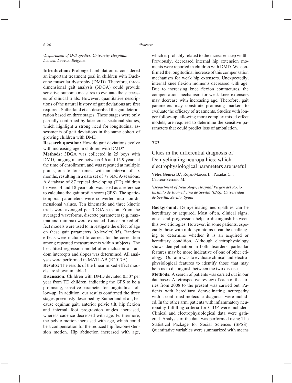*5 Department of Orthopedics, University Hospitals Leuven, Leuven, Belgium*

**Introduction:** Prolonged ambulation is considered an important treatment goal in children with Duchenne muscular dystrophy (DMD). Therefore, threedimensional gait analysis (3DGA) could provide sensitive outcome measures to evaluate the successes of clinical trials. However, quantitative descriptions of the natural history of gait deviations are first required. Sutherland et al. described the gait deterioration based on three stages. These stages were only partially confirmed by later cross-sectional studies, which highlight a strong need for longitudinal assessments of gait deviations in the same cohort of growing children with DMD.

**Research question:** How do gait deviations evolve with increasing age in children with DMD?

**Methods:** 3DGA was collected in 25 boys with DMD, ranging in age between 4.6 and 15.9 years at the time of enrollment, and was repeated at multiple points, one to four times, with an interval of six months, resulting in a data set of 77 3DGA-sessions. A database of 87 typical developing (TD) children between 4 and 18 years old was used as a reference to calculate the gait profile score (GPS). The spatiotemporal parameters were converted into non-dimensional values. Ten kinematic and three kinetic trials were averaged per 3DGA-session. From the averaged waveforms, discrete parameters (e.g. maxima and minima) were extracted. Linear mixed effect models were used to investigate the effect of age on these gait parameters ( $\alpha$ -level=0.05). Random effects were included to correct for the correlation among repeated measurements within subjects. The best fitted regression model after inclusion of random intercepts and slopes was determined. All analyses were performed in MATLAB (R2017A).

**Results:** The results of the linear mixed effect models are shown in table 1.

**Discussion:** Children with DMD deviated 0.50° per year from TD children, indicating the GPS to be a promising, sensitive parameter for longitudinal follow-up. In addition, our results confirmed the three stages previously described by Sutherland et al., because equinus gait, anterior pelvic tilt, hip flexion and internal foot progression angles increased, whereas cadence decreased with age. Furthermore, the pelvic motion increased with age, which could be a compensation for the reduced hip flexion/extension motion. Hip abduction increased with age,

which is probably related to the increased step width. Previously, decreased internal hip extension moments were reported in children with DMD. We confirmed the longitudinal increase of this compensation mechanism for weak hip extensors. Unexpectedly, internal knee flexion moments decreased with age. Due to increasing knee flexion contractures, the compensation mechanism for weak knee extensors may decrease with increasing age. Therefore, gait parameters may constitute promising markers to evaluate the efficacy of treatments. Studies with longer follow-up, allowing more complex mixed effect models, are required to determine the sensitive parameters that could predict loss of ambulation.

### **723**

# Clues in the differential diagnosis of Demyelinating neuropathies: which electrophysiological parameters are useful

Vélez Gómez B.<sup>1</sup>, Rojas-Marcos I.<sup>1</sup>, Paradas C.<sup>1</sup>, Cabrera-Serrano M.1

*1 Department of Neurology, Hospital Virgen del Rocío, Instituto de Biomedicina de Sevilla (IBiS), Universidad de Sevilla, Sevilla, Spain*

**Background:** Demyelinating neuropathies can be hereditary or acquired. Most often, clinical signs, onset and progression help to distinguish between this two etiologies. However, in some patients, especially those with mild symptoms it can be challenging to determine whether it is an acquired or hereditary condition. Although electrophysiology shows demyelination in both disorders, particular features may be more indicative of one of other etiology. Our aim was to evaluate clinical and electrophysiological features to identify those that may help us to distinguish between the two diseases.

**Methods:** A search of patients was carried out in our databases. A retrospective review of each of the stories from 2008 to the present was carried out. Patients with hereditary demyelinating neuropathy with a confirmed molecular diagnosis were included. In the other arm, patients with inflammatory neuropathy fulfilling criteria for CIDP were included. Clinical and electrophysiological data were gathered. Analysis of the data was performed using The Statistical Package for Social Sciences (SPSS). Quantitative variables were summarized with means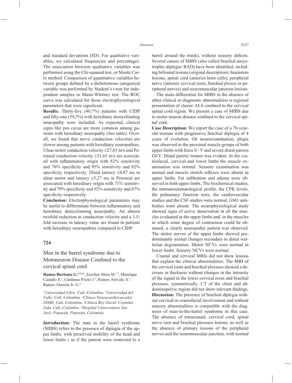and standard deviations (SD). For qualitative variables, we calculated frequencies and percentages. The association between qualitative variables was performed using the Chi-squared test, or Monte Carlo method. Comparison of quantitative variables between groups defined by a dichotomous categorical variable was performed by Student's t-test for independent samples or Mann-Whitney test. The ROC curve was calculated for those electrophysiological parameters that were significant.

**Results:** Thirty-five (40,7%) patients with CIDP and fifty-one  $(59,3\%)$  with hereditary demyelinating neuropathy were included. As expected, clinical signs like pes cavus are more common among patients with hereditary neuropathy (See table). Overall, we found that nerve conduction velocities are slower among patients with hereditary neuropathies. Ulnar motor conduction velocity  $\geq$ 27,65 m/s and Peroneal conduction velocity  $\geq 31,65$  m/s are associated with inflammatory origin with 82% sensitivity and  $76\%$  specificity and  $95\%$  sensitivity and  $82\%$ specificity respectively. Distal latency  $\geq 4.87$  ms in ulnar motor and latency  $\geq 5,27$  ms in Peroneal are associated with hereditary origin with 71% sensitivity and  $79\%$  specificity and  $92\%$  sensitivity and  $87\%$ specificity respectively.

**Conclusion:** Electrophysiological parameters may be useful to differentiate between inflammatory and hereditary demyelinating neuropathy. An almost twofold reduction in conduction velocity and a 1.5 fold increase in latency value are found in patients with hereditary neuropathies compared to CIDP.

#### **724**

## Man in the barrel syndrome due to Motoneuron Disease Confined to the cervical spinal cord

**Ramos Burbano G.1,2,3,4**, Escobar Mera M.1,3, Manrique Castaño S.<sup>2</sup>, Cárdenas Prieto J.<sup>2</sup>, Ramos Arévalo A.<sup>5</sup>, Ramos Alarcón Jr. G.4

*1 Universidad Libre, Cali, Colombia, 2 Universidad del Valle, Cali, Colombia, 3 Clínica Neurocardiovascular DIME, Cali, Colombia, 4 Clínica Rey David- Cosmitet Ltda, Cali, Colombia, 5 Hospital Universitario San José- Popayán, Popayán, Colombia*

**Introduction:** The man in the barrel syndrome (MIBS) refers to the presence of diplegia of the upper limbs, with preserved mobility of the head and lower limbs ( as if the patient were restricted to a barrel around the trunk), without sensory deficits. Several causes of MIBS (also called brachial amyotrophic diplegia/ BAD) have been identified, including bifrontal lesions (original description), brainstem lesions, spinal cord (anterior horn cells), peripheral nerve (anterior cervical roots, brachial plexus or peripheral nerves) and neuromuscular junction lesions.

The main differential for MIBS in the absence of other clinical or diagnostic abnormalities is regional presentation of classic ALS confined to the cervical spinal cord region. We present a case of MIBS due to motor neuron disease confined to the cervical spinal cord.

**Case Description:** We report the case of a 76-yearold woman with progressive brachial diplegia of 4 years of evolution. On neuroexamination, plegia was observed in the proximal muscle groups of both upper limbs with force 0 / V and severe distal paresis GI/V. Distal paretic tremor was evident. In the craniofacial, cervical and lower limbs the muscle examination was normal. Sensory examination was normal and muscle stretch reflexes were absent in upper limbs. Fat infiltration and edema were observed in both upper limbs. The biochemical studies, the immunoreumatological profile, the CPK levels, the pulmonary function tests, the cardiovascular studies and the CSF studies were normal. GM1 antibodies were absent. The neurophysiological study showed signs of active denervation in all the muscles evaluated in the upper limbs and, in the muscles in which some degree of contraction could be obtained, a clearly neuropathic pattern was observed. The motor nerves of the upper limbs showed predominantly axonal changes secondary to distal wallerian degeneration. Motor NCVs were normal in lower limbs. Sensory NCVs were normal.

Cranial and cervical MRIs did not show lesions that explain the clinical abnormalities. The MRI of the cervical roots and brachial plexuses showed a decrease in thickness without changes in the intensity of the signal in the lower cervical roots and brachial plexuses, symmetrically. CT of the chest and abdominopelvic region did not show relevant findings. **Discussion:** The presence of brachial diplegia without cervical or craniofacial involvement and without sensory abnormalities is compatible with the diagnosis of man-in-the-barrel syndrome in this case. The absence of intracranial, cervical cord, spinal nerve root and brachial plexuses lesions, as well as the absence of primary lesions of the peripheral nerves and the neuromuscular junction, with normal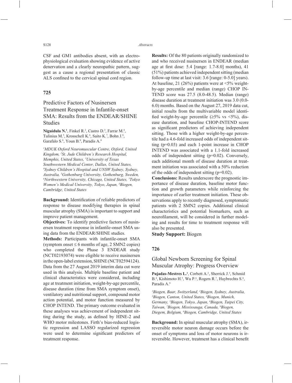CSF and GM1 antibodies absent, with an electrophysiological evaluation showing evidence of active denervation and a clearly neuropathic pattern, suggest as a cause a regional presentation of classic ALS confined to the cervical spinal cord region.

## **725**

# Predictive Factors of Nusinersen Treatment Response in Infantile-onset SMA: Results from the ENDEAR/SHINE Studies

Niguidula N.<sup>1</sup>, Finkel R.<sup>2</sup>, Castro D.<sup>3</sup>, Farrar M.<sup>4</sup>, Tulinius M.<sup>5</sup>, Krosschell K.<sup>6</sup>, Saito K.<sup>7</sup>, Bohn J.<sup>8</sup>, Garafalo S.<sup>8</sup>, Youn B.<sup>8</sup>, Paradis A.<sup>8</sup>

*1 MDUK Oxford Neuromuscular Centre, Oxford, United Kingdom, 2 St. Jude Children's Research Hospital, Memphis, United States, 3 University of Texas Southwestern Medical Center, Dallas, United States, 4 Sydney Children's Hospital and UNSW Sydney, Sydney, Australia, 5 Gothenburg University, Gothenburg, Sweden, 6 Northwestern University, Chicago, United States, 7 Tokyo Women's Medical University, Tokyo, Japan, 8 Biogen, Cambridge, United States*

**Background:** Identification of reliable predictors of response to disease modifying therapies in spinal muscular atrophy (SMA) is important to support and improve patient management.

**Objectives:** To identify predictive factors of nusinersen treatment response in infantile-onset SMA using data from the ENDEAR/SHINE studies.

**Methods:** Participants with infantile-onset SMA (symptom onset  $\leq 6$  months of age, 2 SMN2 copies) who completed the Phase 3 ENDEAR study (NCT02193074) were eligible to receive nusinersen in the open-label extension, SHINE (NCT02594124). Data from the 27 August 2019 interim data cut were used in this analysis. Multiple baseline patient and clinical characteristics were considered, including age at treatment initiation, weight-by-age percentile, disease duration (time from SMA symptom onset), ventilatory and nutritional support, compound motor action potential, and motor function measured by CHOP INTEND. The primary outcome evaluated in these analyses was achievement of independent sitting during the study, as defined by HINE-2 and WHO motor milestones. Firth's bias-reduced logistic regression and LASSO regularized regression were used to determine significant predictors of treatment response.

**Results:** Of the 80 patients originally randomized to and who received nusinersen in ENDEAR (median age at first dose:  $5.4$  [range:  $1.7-8.0$ ] months),  $41$ (51%) patients achieved independent sitting (median follow-up time at last visit: 3.6 [range: 0-5.0] years). At baseline, 21 (26%) patients were at  $\langle 5\%$  weightby-age percentile and median (range) CHOP IN-TEND score was 27.5 (8.0-48.5). Median (range) disease duration at treatment initiation was 3.0 (0.0- 6.0) months. Based on the August 27, 2019 data cut, initial results from the multivariable model identified weight-by-age percentile  $(\geq 5\% \text{ vs } \leq 5\%)$ , disease duration, and baseline CHOP-INTEND score as significant predictors of achieving independent sitting. Those with a higher weight-by-age percentile had a 4.6-fold increased odds of independent sitting (p=0.03) and each 1-point increase in CHOP INTEND was associated with a 1.1-fold increased odds of independent sitting (p=0.02). Conversely, each additional month of disease duration at treatment initiation was associated with a 50% reduction of the odds of independent sitting (p=0.02).

**Conclusions:** Results underscore the prognostic importance of disease duration, baseline motor function and growth parameters while reinforcing the importance of earlier treatment initiation. These observations apply to recently diagnosed, symptomatic patients with 2 SMN2 copies. Additional clinical characteristics and potential biomarkers, such as neurofilament, will be considered in further modeling and results for time to treatment response will also be presented.

**Study Support:** Biogen

#### **726**

## Global Newborn Screening for Spinal Muscular Atrophy: Progress Overview

Pujadas-Mestres L.<sup>1</sup>, Corbett A.<sup>2</sup>, Sherrick J.<sup>3</sup>, Schmid B.<sup>4</sup>, Kishimoto H.<sup>5</sup>, Wu P.<sup>6</sup>, Rogers R.<sup>7</sup>, Huybrechts S.<sup>8</sup>, Paradis A.9

<sup>1</sup> Biogen, Baar, Switzerland, <sup>2</sup> Biogen, Sydney, Australia, <sup>3</sup> Biogen, Canton, United States, <sup>4</sup> Biogen, Munich *Biogen, Canton, United States, 4 Biogen, Munich, Germany, 5 Biogen, Tokyo, Japan, 6 Biogen, Taipei City, Taiwan, 7 Biogen, Mississauga, Canada, 8 Biogen, Diegem, Belgium, 9 Biogen, Cambridge, United States*

**Background:** In spinal muscular atrophy (SMA), irreversible motor neuron damage occurs before the onset of symptoms and loss of motor neurons is irreversible. However, treatment has a clinical benefit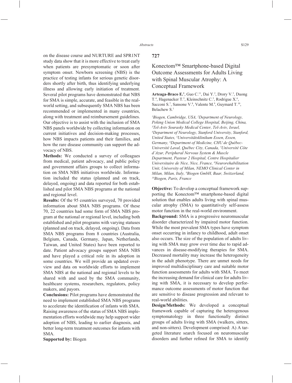on the disease course and NURTURE and SPR1NT study data show that it is more effective to treat early when patients are presymptomatic or soon after symptom onset. Newborn screening (NBS) is the practice of testing infants for serious genetic disorders shortly after birth, thus identifying underlying illness and allowing early initiation of treatment. Several pilot programs have demonstrated that NBS for SMA is simple, accurate, and feasible in the realworld setting, and subsequently SMA NBS has been recommended or implemented in many countries, along with treatment and reimbursement guidelines. Our objective is to assist with the inclusion of SMA NBS panels worldwide by collecting information on current initiatives and decision-making processes, how NBS impacts patients and their families, and how the rare disease community can support the advocacy of NBS.

**Methods:** We conducted a survey of colleagues from medical, patient advocacy, and public policy and government affairs groups to collect information on SMA NBS initiatives worldwide. Information included the status (planned and on track, delayed, ongoing) and data reported for both established and pilot SMA NBS programs at the national and regional level.

**Results:** Of the 95 countries surveyed, 70 provided information about SMA NBS programs. Of these 70, 22 countries had some form of SMA NBS program at the national or regional level, including both established and pilot programs with varying statuses (planned and on track, delayed, ongoing). Data from SMA NBS programs from 8 countries (Australia, Belgium, Canada, Germany, Japan, Netherlands, Taiwan, and United States) have been reported to date. Patient advocacy groups support SMA NBS and have played a critical role in its adoption in some countries. We will provide an updated overview and data on worldwide efforts to implement SMA NBS at the national and regional levels to be shared with and used by the SMA community, healthcare systems, researchers, regulators, policy makers, and payors.

**Conclusions:** Pilot programs have demonstrated the need to implement established SMA NBS programs to accelerate the identification of infants with SMA. Raising awareness of the status of SMA NBS implementation efforts worldwide may help support wider adoption of NBS, leading to earlier diagnosis, and better long-term treatment outcomes for infants with SMA.

**Supported by:** Biogen

### **727**

# Konectom™ Smartphone-based Digital Outcome Assessments for Adults Living with Spinal Muscular Atrophy: A Conceptual Framework

Arteaga-Braco E.<sup>1</sup>, Guo C.<sup>11</sup>, Dai Y.<sup>2</sup>, Drory V.<sup>3</sup>, Duong T.<sup>4</sup>, Hagenacker T.<sup>5</sup>, Kleinschnitz C.<sup>5</sup>, Rodrigue X.<sup>6</sup>, Sacconi S.<sup>7</sup>, Sansone V.<sup>8</sup>, Valente M.<sup>9</sup>, Guymard T.<sup>10</sup>, Belachew S.1

*1 Biogen, Cambridge, USA, 2 Department of Neurology, Peking Union Medical College Hospital, Beijing, China, 3 Tel-Aviv Sourasky Medical Center, Tel-Aviv, Israel, 4 Department of Neurology, Stanford University, Stanford, United States, 5 Universitätsklinikum Essen, Essen, Germany, 6 Department of Medicine, CHU de Québec-Université Laval, Québec City, Canada, 7 Université Côte d'Azur, Peripheral Nervous System & Muscle Department, Pasteur 2 Hospital, Centre Hospitalier Universitaire de Nice, Nice, France, 8 Neurorehabilitation Unit, University of Milan, NEMO Clinical Center in Milan, Milan, Italy, 9 Biogen GmbH, Baar, Switzerland, 10Biogen, Paris, France*

**Objective:** To develop a conceptual framework supporting the Konectom™ smartphone-based digital solution that enables adults living with spinal muscular atrophy (SMA) to quantitatively self-assess motor function in the real-world environment.

**Background:** SMA is a progressive neuromuscular disorder characterized by impaired motor function. While the most prevalent SMA types have symptom onset occurring in infancy to childhood, adult onset also occurs. The size of the population of adults living with SMA may grow over time due to rapid advances in disease-modifying therapies for SMA. Decreased mortality may increase the heterogeneity in the adult phenotype. There are unmet needs for improved multidisciplinary care and suitable motor function assessments for adults with SMA. To meet the increasing demand for clinical care for adults living with SMA, it is necessary to develop performance outcome assessments of motor function that are sensitive to disease progression and relevant to real-world abilities.

**Design/Methods:** We developed a conceptual framework capable of capturing the heterogenous symptomatology in three functionally distinct groups of adults living with SMA (walkers, sitters, and non-sitters). Development comprised: A) A targeted literature search focused on neuromuscular disorders and further refined for SMA to identify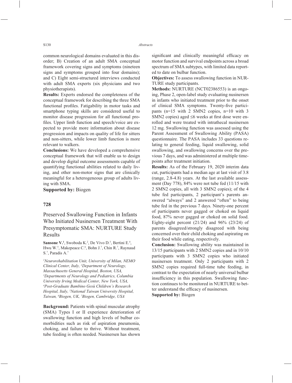common neurological domains evaluated in this disorder; B) Creation of an adult SMA conceptual framework covering signs and symptoms (nineteen signs and symptoms grouped into four domains); and C) Eight semi-structured interviews conducted with adult SMA experts (six physicians and two physiotherapists).

**Results:** Experts endorsed the completeness of the conceptual framework for describing the three SMA functional profiles. Fatigability in motor tasks and smartphone typing skills are considered useful to monitor disease progression for all functional profiles. Upper limb function and speech/voice are expected to provide more information about disease progression and impacts on quality of life for sitters and non-sitters, while lower limb function is more relevant to walkers.

**Conclusions:** We have developed a comprehensive conceptual framework that will enable us to design and develop digital outcome assessments capable of quantifying functional abilities related to daily living, and other non-motor signs that are clinically meaningful for a heterogeneous group of adults living with SMA.

**Supported by:** Biogen

#### **728**

Preserved Swallowing Function in Infants Who Initiated Nusinersen Treatment With Presymptomatic SMA: NURTURE Study Results

**Sansone V.<sup>1</sup>**, Swoboda K.<sup>2</sup>, De Vivo D.<sup>3</sup>, Bertini E.<sup>4</sup>, Hwu W.<sup>5</sup>, Makepeace C.<sup>6</sup>, Bohn J.<sup>7</sup>, Chin R.<sup>7</sup>, Raynaud S.7 , Paradis A.7

*1 Neurorehabilitation Unit, University of Milan, NEMO Clinical Center, Italy, 2 Department of Neurology, Massachusetts General Hospital, Boston, USA, 3 Departments of Neurology and Pediatrics, Columbia University Irving Medical Center, New York, USA, 4 Post-Graduate Bambino Gesù Children's Research Hospital, Italy, 5 National Taiwan University Hospital, Taiwan, 6 Biogen, UK, 7 Biogen, Cambridge, USA*

**Background:** Patients with spinal muscular atrophy (SMA) Types I or II experience deterioration of swallowing function and high levels of bulbar comorbidities such as risk of aspiration pneumonia, choking, and failure to thrive. Without treatment, tube feeding is often needed. Nusinersen has shown

significant and clinically meaningful efficacy on motor function and survival endpoints across a broad spectrum of SMA subtypes, with limited data reported to date on bulbar function.

**Objectives:** To assess swallowing function in NUR-TURE study participants.

**Methods:** NURTURE (NCT02386553) is an ongoing, Phase 2, open-label study evaluating nusinersen in infants who initiated treatment prior to the onset of clinical SMA symptoms. Twenty-five participants (n=15 with 2 SMN2 copies, n=10 with 3 SMN2 copies) aged  $\leq 6$  weeks at first dose were enrolled and were treated with intrathecal nusinersen 12 mg. Swallowing function was assessed using the Parent Assessment of Swallowing Ability (PASA) questionnaire. The PASA includes 33 questions relating to general feeding, liquid swallowing, solid swallowing, and swallowing concerns over the previous 7 days, and was administered at multiple timepoints after treatment initiation.

**Results:** As of the February 19, 2020 interim data cut, participants had a median age at last visit of 3.8 (range, 2.8-4.8) years. At the last available assessment (Day 778), 84% were not tube fed (11/15 with 2 SMN2 copies, all with 3 SMN2 copies); of the 4 tube fed participants, 2 participant's parents answered "always" and 2 answered "often" to being tube fed in the previous 7 days. Ninety-one percent of participants never gagged or choked on liquid food, 87% never gagged or choked on solid food. Eighty-eight percent (21/24) and 96% (23/24) of parents disagreed/strongly disagreed with being concerned over their child choking and aspirating on their food while eating, respectively.

**Conclusion:** Swallowing ability was maintained in 13/15 participants with 2 SMN2 copies and in 10/10 participants with 3 SMN2 copies who initiated nusinersen treatment. Only 2 participants with 2 SMN2 copies required full-time tube feeding, in contrast to the expectation of nearly universal bulbar insufficiency in this population. Swallowing function continues to be monitored in NURTURE to better understand the efficacy of nusinersen.

**Supported by:** Biogen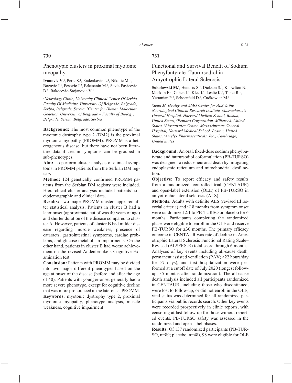## **730**

Phenotypic clusters in proximal myotonic myopathy

**Ivanovic V.<sup>1</sup>**, Peric S.<sup>1</sup>, Radenkovic L.<sup>1</sup>, Nikolic M.<sup>1</sup>, Bozovic I.<sup>1</sup>, Pesovic J.<sup>2</sup>, Brkusanin M.<sup>2</sup>, Savic-Pavicevic D.2 , Rakocevic-Stojanovic V.1

*1 Neurology Clinic, University Clinical Center Of Serbia, Faculty Of Medicine, University Of Belgrade, Belgrade, Serbia, Belgrade, Serbia, 2 Center for Human Molecular Genetics, University of Belgrade – Faculty of Biology, Belgrade, Serbia, Belgrade, Serbia*

**Background:** The most common phenotype of the myotonic dystrophy type 2 (DM2) is the proximal myotonic myopathy (PROMM). PROMM is a heterogeneous disease, but there have not been literature data if certain symptoms can be grouped in sub-phenotypes.

**Aim:** To perform cluster analysis of clinical symptoms in PROMM patients from the Serbian DM registry.

Method: 124 genetically confirmed PROMM patients from the Serbian DM registry were included. Hierarchical cluster analysis included patients' sociodemographic and clinical data.

**Results:** Two major PROMM clusters appeared after statistical analysis. Patients in cluster B had a later onset (approximate cut of was 40 years of age) and shorter duration of the disease compared to cluster A. However, patients of cluster B had milder disease regarding muscle weakness, presence of cataracts, gastrointestinal symptoms, cardiac problems, and glucose metabolism impairments. On the other hand, patients in cluster B had worse achievement on the revised Addenbrooke's Cognitive Examination test.

**Conclusion:** Patients with PROMM may be divided into two major different phenotypes based on the age at onset of the disease (before and after the age of 40). Patients with younger-onset generally had a more severe phenotype, except for cognitive decline that was more pronounced in the late-onset PROMM. **Keywords:** myotonic dystrophy type 2, proximal myotonic myopathy, phenotype analysis, muscle weakness, cognitive impairment

## **731**

# Functional and Survival Benefit of Sodium Phenylbutyrate–Taurursodiol in Amyotrophic Lateral Sclerosis

Sokolowski M.<sup>1</sup>, Hendrix S.<sup>2</sup>, Dickson S.<sup>2</sup>, Knowlton N.<sup>2</sup>, Macklin E.<sup>3</sup>, Cohen J.<sup>4</sup>, Klee J.<sup>4</sup>, Leslie K.<sup>4</sup>, Tanzi R.<sup>1</sup>, Yeramian P.<sup>4</sup>, Schoenfeld D.<sup>3</sup>, Cudkowicz M.<sup>1</sup>

*1 Sean M. Healey and AMG Center for ALS & the Neurological Clinical Research Institute, Massachusetts General Hospital, Harvard Medical School, Boston, United States, 2 Pentara Corporation, Millcreek, United States, 3 Biostatistics Center, Massachusetts General Hospital, Harvard Medical School, Boston, United States, 4 Amylyx Pharmaceuticals, Inc., Cambridge, United States*

**Background:** An oral, fixed-dose sodium phenylbutyrate and taurursodiol coformulation (PB-TURSO) was designed to reduce neuronal death by mitigating endoplasmic reticulum and mitochondrial dysfunction.

**Objective:** To report efficacy and safety results from a randomized, controlled trial (CENTAUR) and open-label extension (OLE) of PB-TURSO in amyotrophic lateral sclerosis (ALS).

**Methods:** Adults with definite ALS (revised El Escorial criteria) and  $\leq 18$  months from symptom onset were randomized 2:1 to PB-TURSO or placebo for 6 months. Participants completing the randomized phase were eligible to enroll in the OLE and receive PB-TURSO for  $\leq 30$  months. The primary efficacy outcome in CENTAUR was rate of decline in Amyotrophic Lateral Sclerosis Functional Rating Scale– Revised (ALSFRS-R) total score through 6 months. Analyses of key events including all-cause death, permanent assisted ventilation (PAV; >22 hours/day for  $>7$  days), and first hospitalization were performed at a cutoff date of July 2020 (longest followup, 35 months after randomization). The all-cause death analysis included all participants randomized in CENTAUR, including those who discontinued, were lost to follow-up, or did not enroll in the OLE; vital status was determined for all randomized participants via public records search. Other key events were recorded prospectively in clinic reports, with censoring at last follow-up for those without reported events. PB-TURSO safety was assessed in the randomized and open-label phases.

**Results:** Of 137 randomized participants (PB-TUR-SO, n=89; placebo, n=48), 98 were eligible for OLE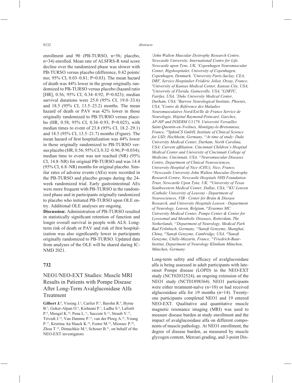enrollment and 90 (PB-TURSO, n=56; placebo, n=34) enrolled. Mean rate of ALSFRS-R total score decline over the randomized phase was slower with PB-TURSO versus placebo (difference, 0.42 points/ mo; 95% CI, 0.03–0.81; P=0.03). The mean hazard of death was 44% lower in the group originally randomized to PB-TURSO versus placebo (hazard ratio [HR], 0.56; 95% CI, 0.34–0.92; P=0.023); median survival durations were 25.0 (95% CI, 19.0–33.6) and 18.5 (95% CI, 13.5–23.2) months. The mean hazard of death or PAV was 42% lower in those originally randomized to PB-TURSO versus placebo (HR, 0.58; 95% CI, 0.36–0.93; P=0.025), with median times to event of 23.8 (95% CI, 18.2–29.1) and 18.5 (95% CI, 13.5–21.7) months (Figure). The mean hazard of first hospitalization was 44% lower in those originally randomized to PB-TURSO versus placebo (HR, 0.56; 95% CI, 0.32–0.96; P=0.034); median time to event was not reached (NR) (95% CI, 14.8–NR) for original PB-TURSO and was 14.4 (95% CI, 6.8–NR) months for original placebo. Similar rates of adverse events (AEs) were recorded in the PB-TURSO and placebo groups during the 24 week randomized trial. Early gastrointestinal AEs were more frequent with PB-TURSO in the randomized phase and in participants originally randomized to placebo who initiated PB-TURSO upon OLE entry. Additional OLE analyses are ongoing.

**Discussion:** Administration of PB-TURSO resulted in statistically significant retention of function and longer overall survival in people with ALS. Longterm risk of death or PAV and risk of first hospitalization was also significantly lower in participants originally randomized to PB-TURSO. Updated data from analyses of the OLE will be shared during IC-NMD 2021.

### **732**

# NEO1/NEO-EXT Studies: Muscle MRI Results in Patients with Pompe Disease After Long-Term Avalglucosidase Alfa Treatment

Gilbert J.<sup>1</sup>, Vissing J.<sup>2</sup>, Carlier P.<sup>3</sup>, Barohn R.<sup>4</sup>, Byrne B.<sup>5</sup>, Goker-Alpan O.<sup>6</sup>, Kishnani P.<sup>7</sup>, Ladha S.<sup>8</sup>, Laforêt P.<sup>9</sup>, Mengel K.<sup>10</sup>, Pena L.<sup>11</sup>, Sacconi S.<sup>12</sup>, Straub V.<sup>13</sup>, Trivedi J.14, Van Damme P.15, van der Ploeg A.16, Young P.<sup>17</sup>, Kristina An Haack K.<sup>18</sup>, Foster M.<sup>19</sup>, Miossec P.<sup>20</sup>, Zhou T.<sup>19</sup>, Dimachkie M.<sup>4</sup>, Schoser B.<sup>21</sup>, on behalf of the NEO-EXT investigators

*1 John Walton Muscular Dystrophy Research Centre, Newcastle University, International Centre for Life, Newcastle upon Tyne, UK, 2 Copenhagen Neuromuscular Center, Rigshospitalet, University of Copenhagen, Copenhagen, Denmark, 3 University Paris-Saclay, CEA, DRF, Service Hospitalier Frédéric Joliot, Orsay, France, 4 University of Kansas Medical Center, Kansas City, USA, 5 University of Florida, Gainesville, USA, 6 LDRTC, Fairfax, USA, 7 Duke University Medical Center, Durham, USA, 8 Barrow Neurological Institute, Phoenix, USA, 9 Centre de Référence des Maladies Neuromusculaires Nord/Est/Ile de France Service de Neurologie, Hôpital Raymond-Poincaré, Garches, AP-HP and INSERM U1179, Université Versailles Saint-Quentin-en-Yvelines, Montigny-le-Bretonneux, France, 10SphinCS GmbH, Institute of Clinical Science for LSD, Hochheim, Germany, 11At time of study: Duke University Medical Center, Durham, North Carolina,*  USA; Current affiliation: Cincinnati Children's Hospital *Medical Center and University of Cincinnati College of Medicine, Cincinnati, USA, 12Neuromuscular Diseases Centre, Department of Clinical Neurosciences, University Hospital of Nice (CHU), Nice, France, 13Newcastle University John Walton Muscular Dystrophy Research Centre, Newcastle Hospitals NHS Foundation Trust, Newcastle Upon Tyne, UK, 14University of Texas Southwestern Medical Center, Dallas, USA, 15KU Leuven (Catholic University of Leuven) - Department of Neurosciences, VIB - Center for Brain & Disease Research, and University Hospitals Leuven - Department of Neurology, Leuven, Belgium, 16Erasmus MC University Medical Center, Pompe Center & Center for Lysosomal and Metabolic Diseases, Rotterdam, The Netherlands, 17Department of Neurology, Medical Park Bad Feilnbach, Germany, 18Sanofi Genzyme, Shanghai, China, 19Sanofi Genzyme, Cambridge, USA, 20Sanofi Genzyme, Chilly-Mazarin, France, 21Friedrich-Baur-Institut, Department of Neurology Klinikum München, München, Germany*

Long-term safety and efficacy of avalglucosidase alfa is being assessed in adult participants with lateonset Pompe disease (LOPD) in the NEO-EXT study (NCT02032524), an ongoing extension of the NEO1 study (NCT01898364). NEO1 participants were either treatment-naïve (n=10) or had received alglucosidase alfa for  $\geq 9$  months (n=14). Twentyone participants completed NEO1 and 19 entered NEO-EXT. Qualitative and quantitative muscle magnetic resonance imaging (MRI) was used to measure disease burden at study enrollment and the impact of avalglucosidase alfa on different components of muscle pathology. At NEO1 enrollment, the degree of disease burden, as measured by muscle glycogen content, Mercuri grading, and 3-point Dix-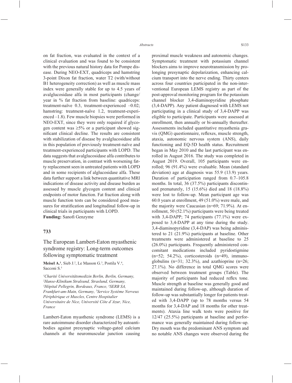on fat fraction, was evaluated in the context of a clinical evaluation and was found to be consistent with the previous natural history data for Pompe disease. During NEO-EXT, quadriceps and hamstring 3-point Dixon fat fraction, water T2 (with/without B1 heterogeneity correction) as well as muscle mass index were generally stable for up to 4.5 years of avalglucosidase alfa in most participants (change/ year in % fat fraction from baseline: quadriceps: treatment-naïve 0.3, treatment-experienced –0.02; hamstring: treatment-naïve 1.2, treatment-experienced –1.8). Few muscle biopsies were performed in NEO-EXT, since they were only required if glycogen content was  $\geq 5\%$  or a participant showed significant clinical decline. The results are consistent with stabilization of disease by avalglucosidase alfa in this population of previously treatment-naïve and treatment-experienced participants with LOPD. The data suggests that avalglucosidase alfa contributes to muscle preservation, in contrast with worsening fatty replacement seen in untreated patients with LOPD and in some recipients of alglucosidase alfa. These data further support a link between quantitative MRI indications of disease activity and disease burden as assessed by muscle glycogen content and clinical endpoints of motor function. Fat fraction along with muscle function tests can be considered good measures for stratification and longitudinal follow-up in clinical trials in participants with LOPD. **Funding:** Sanofi Genzyme

#### **733**

The European Lambert-Eaton myasthenic syndrome registry: Long-term outcomes following symptomatic treatment

**Meisel A.<sup>1</sup>**, Sieb J.<sup>2</sup>, Le Masson G.<sup>3</sup>, Postila V.<sup>4</sup>, Sacconi S.<sup>5</sup>

*1 Charité Universitätsmedizin Berlin, Berlin, Germany, 2 Hanse-Klinikum Stralsund, Straslund, Germany, 3 Hôpital Pellegrin, Bordeaux, France, 4 SERB SA, Frankfurt-am-Main, Germany, 5 Service Système Nerveux Périphérique et Muscles, Centre Hospitalier Universitaire de Nice, Université Côte d'Azur, Nice, France*

Lambert-Eaton myasthenic syndrome (LEMS) is a rare autoimmune disorder characterized by autoantibodies against presynaptic voltage-gated calcium channels at the neuromuscular junction causing proximal muscle weakness and autonomic changes. Symptomatic treatment with potassium channel blockers aims to improve neurotransmission by prolonging presynaptic depolarization, enhancing calcium transport into the nerve ending. Thirty centers across four countries participated in the non-interventional European LEMS registry as part of the post-approval monitoring program for the potassium channel blocker 3,4-diaminopyridine phosphate (3,4-DAPP). Any patient diagnosed with LEMS not participating in a clinical study of 3,4-DAPP was eligible to participate. Participants were assessed at enrollment, then annually or bi-annually thereafter. Assessments included quantitative myasthenia gravis (QMG) questionnaire, reflexes, muscle strength, ataxia, autonomic nervous system (ANS), daily functioning and EQ-5D health status. Recruitment began in May 2010 and the last participant was enrolled in August 2016. The study was completed in August 2019. Overall, 105 participants were enrolled; 96 (91.4%) were evaluable. Mean (standard deviation) age at diagnosis was 55.9 (13.9) years. Duration of participation ranged from 0.7–105.8 months. In total, 36 (37.5%) participants discontinued prematurely, 15 (15.6%) died and 18 (18.8%) were lost to follow-up. Mean participant age was 60.0 years at enrollment, 49 (51.0%) were male, and the majority were Caucasian (n=69; 71.9%). At enrollment, 50 (52.1%) participants were being treated with 3,4-DAPP; 74 participants (77.1%) were exposed to 3,4-DAPP at any time during the study. 3,4-diaminopyridine (3,4-DAP) was being administered to 21 (21.9%) participants at baseline. Other treatments were administered at baseline to 25 (26.0%) participants. Frequently administered concomitant medications included pyridostigmine (n=52; 54.2%), corticosteroids (n=49), immunoglobulins ( $n=31$ ; 32.3%), and azathioprine ( $n=26$ ; 27.1%). No difference in total QMG scores were observed between treatment groups (Table). The majority of participants had reduced reflex tone. Muscle strength at baseline was generally good and maintained during follow-up, although duration of follow-up was substantially longer for patients treated with 3,4-DAPP (up to 78 months versus 54 months for 3,4-DAP and 18 months for other treatments). Ataxia line walk tests were positive for 12/47 (25.5%) participants at baseline and performance was generally maintained during follow-up. Dry mouth was the predominant ANS symptom and no notable ANS changes were observed during the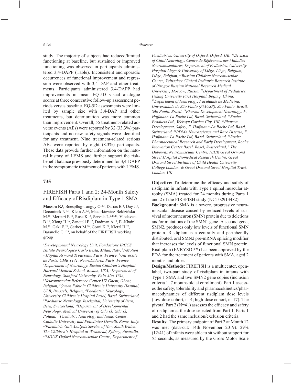study. The majority of subjects had reduced/limited functioning at baseline, but sustained or improved functioning was observed in participants administered 3,4-DAPP (Table). Inconsistent and sporadic occurrences of functional improvement and regression were observed with 3,4-DAP and other treatments. Participants administered 3,4-DAPP had improvements in mean EQ-5D visual analogue scores at three consecutive follow-up assessment periods versus baseline. EQ-5D assessments were limited by sample size with 3,4-DAP and other treatments, but deterioration was more common than improvement. Overall, 55 treatment-related adverse events (AEs) were reported by 32 (33.3%) participants and no new safety signals were identified for any treatment. Nine treatment-related serious AEs were reported by eight (8.3%) participants. These data provide further information on the natural history of LEMS and further support the riskbenefit balance previously determined for 3,4-DAPP in the symptomatic treatment of patients with LEMS.

#### **735**

## FIREFISH Parts 1 and 2: 24-Month Safety and Efficacy of Risdiplam in Type 1 SMA

**Masson R.<sup>1</sup>**, Boespflug-Tanguy  $O^{2,3}$ , Darras B.<sup>4</sup>, Day J.<sup>5</sup>, Deconinck N.<sup>6,7</sup>, Klein A.<sup>8,9</sup>, Mazurkiewicz-Bełdzińska M.10, Mercuri E.11, Rose K.12, Servais L.2,13,14, Vlodavets D.15, Xiong H.16, Zanoteli E.17, Dodman A.18, El-Khairi M.19, Gaki E.19, Gerber M.20, Gorni K.21, Kletzl H.22, Baranello G.<sup>1,23</sup>, on behalf of the FIREFISH working group

*1 Developmental Neurology Unit, Fondazione IRCCS Istituto Neurologico Carlo Besta, Milan, Italy, 2 I-Motion - Hôpital Armand Trousseau, Paris, France, 3 Université de Paris, UMR 1141, NeuroDiderot, Paris, France, 4 Department of Neurology, Boston Children's Hospital, Harvard Medical School, Boston, USA, 5 Department of Neurology, Stanford University, Palo Alto, USA, 6 Neuromuscular Reference Center UZ Ghent, Ghent, Belgium, 7 Queen Fabiola Children's University Hospital, ULB, Brussels, Belgium, 8 Paediatric Neurology, University Children's Hospital Basel, Basel, Switzerland, 9 Paediatric Neurology, Inselspital, University of Bern, Bern, Switzerland, 10Department of Developmental Neurology, Medical University of Gda sk, Gda sk, Poland, 11Paediatric Neurology and Nemo Center, Catholic University and Policlinico Gemelli, Rome, Italy, 12Paediatric Gait Analysis Service of New South Wales, The Children's Hospital at Westmead, Sydney, Australia, 13MDUK Oxford Neuromuscular Centre, Department of* 

*Paediatrics, University of Oxford, Oxford, UK, 14Division of Child Neurology, Centre de Références des Maladies Neuromusculaires, Department of Pediatrics, University Hospital Liège & University of Liège, Liège, Belgium, Liège, Belgium, 15Russian Children Neuromuscular Center, Veltischev Clinical Pediatric Research Institute of Pirogov Russian National Research Medical University, Moscow, Russia, 16Department of Pediatrics, Peking University First Hospital, Beijing, China, 17Department of Neurology, Faculdade de Medicina, Universidade de São Paulo (FMUSP), São Paulo, Brazil, São Paulo, Brazil, 18Pharma Development Neurology, F. Hoffmann-La Roche Ltd, Basel, Switzerland, 19Roche Products Ltd., Welwyn Garden City, UK, 20Pharma Development, Safety, F. Hoffmann-La Roche Ltd, Basel, Switzerland, 21PDMA Neuroscience and Rare Disease, F. Hoffmann-La Roche Ltd, Basel, Switzerland, 22Roche Pharmaceutical Research and Early Development, Roche Innovation Center Basel, Basel, Switzerland, 23The Dubowitz Neuromuscular Centre, NIHR Great Ormond Street Hospital Biomedical Research Centre, Great Ormond Street Institute of Child Health University College London, & Great Ormond Street Hospital Trust, London, UK*

**Objective:** To determine the efficacy and safety of risdiplam in infants with Type 1 spinal muscular atrophy (SMA) treated for 24 months during Parts 1 and 2 of the FIREFISH study (NCT02913482).

**Background:** SMA is a severe, progressive neuromuscular disease caused by reduced levels of survival of motor neuron (SMN) protein due to deletions and/or mutations of the SMN1 gene. A second gene, SMN2, produces only low levels of functional SMN protein. Risdiplam is a centrally and peripherally distributed, oral SMN2 pre-mRNA splicing modifier that increases the levels of functional SMN protein. Risdiplam (EVRYSDI™) has been approved by the FDA for the treatment of patients with SMA, aged 2 months and older.

**Design/Methods:** FIREFISH is a multicenter, openlabel, two-part study of risdiplam in infants with Type 1 SMA and two SMN2 gene copies (inclusion criteria 1–7 months old at enrollment). Part 1 assesses the safety, tolerability and pharmacokinetics/pharmacodynamics of different risdiplam dose levels (low-dose cohort, n=4; high-dose cohort, n=17). The pivotal Part  $2(N=41)$  assesses the efficacy and safety of risdiplam at the dose selected from Part 1. Parts 1 and 2 had the same inclusion/exclusion criteria.

**Results:** The primary endpoint of Part 2 at Month 12 was met (data-cut: 14th November 2019): 29% (12/41) of infants were able to sit without support for  $\geq$ 5 seconds, as measured by the Gross Motor Scale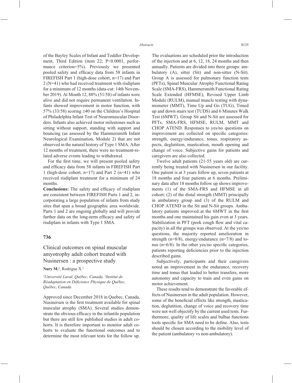of the Bayley Scales of Infant and Toddler Development, Third Edition (item 22; P<0.0001, performance criterion=5%). Previously we presented pooled safety and efficacy data from 58 infants in FIREFISH Part 1 (high-dose cohort, n=17) and Part 2 (N=41) who had received treatment with risdiplam for a minimum of 12 months (data-cut: 14th November 2019). At Month 12, 88% (51/58) of infants were alive and did not require permanent ventilation. Infants showed improvement in motor function, with 57% (33/58) scoring  $\geq$ 40 on the Children's Hospital of Philadelphia Infant Test of Neuromuscular Disorders. Infants also achieved motor milestones such as sitting without support, standing with support and bouncing (as assessed by the Hammersmith Infant Neurological Examination, Module 2) that are not observed in the natural history of Type 1 SMA. After 12 months of treatment, there were no treatment-related adverse events leading to withdrawal.

For the first time, we will present pooled safety and efficacy data from 58 infants in FIREFISH Part 1 (high-dose cohort,  $n=17$ ) and Part 2 ( $n=41$ ) who received risdiplam treatment for a minimum of 24 months.

**Conclusions:** The safety and efficacy of risdiplam are consistent between FIREFISH Parts 1 and 2, incorporating a large population of infants from study sites that span a broad geographic area worldwide. Parts 1 and 2 are ongoing globally and will provide further data on the long-term efficacy and safety of risdiplam in infants with Type 1 SMA.

#### **736**

# Clinical outcomes on spinal muscular amyotrophy adult cohort treated with Nusinersen : a prospective study

Nury M.<sup>1</sup>, Rodrigue X.<sup>2</sup>

*1 Université Laval, Québec, Canada, 2 Institut de Réadaptation en Défi cience Physique de Québec, Québec, Canada*

Approved since December 2018 in Quebec, Canada, Nusinersen is the first treatment available for spinal muscular atrophy (SMA). Several studies demonstrate the obvious efficacy in the infantile population but there are still few published studies in adult cohorts. It is therefore important to monitor adult cohorts to evaluate the functional outcomes and to determine the most relevant tests for the follow up. The evaluations are scheduled prior the introduction of the injection and at 6, 12, 18, 24 months and then annually. Patients are divided into three groups: ambulatory (A), sitter (Sit) and non-sitter (N-Sit). Group A is assessed for pulmonary function tests (PFTs), Spinal Muscular Atrophy Functional Rating Scale (SMA-FRS), Hammersmith Functional Rating Scale Extended (HFMSE), Revised Upper Limb Module (RULM), manual muscle testing with dynamometer (MMT), Time Up and Go (TUG), Timed up and down stairs test (TUDS) and 6 Minutes Walk Test (6MWT). Group Sit and N-Sit are assessed for PFTs, SMA-FRS, HFMSE, RULM, MMT and CHOP ATEND. Responses to yes/no questions on improvement are collected on specific categories: strength, energy/endurance, tonus, respiratory aspects, deglutition, mastication, mouth opening and change of voice. Subjective gains for patients and caregivers are also collected.

Twelve adult patients (21-55 years old) are currently being treated with Nusinersen in our facility. One patient is at 3 years follow up, seven patients at 18 months and four patients at 6 months. Preliminary data after 18 months follow up shows improvements (1) of the SMA-FRS and HFMSE in all cohort; (2) of the distal strength (MMT) principally in ambulatory group and (3) of the RULM and CHOP ATEND in the Sit and N-Sit groups. Ambulatory patients improved at the 6MWT in the first months and one maintained his gain even at 3 years. Stabilization in PFT (peek cough flow and vital capacity) in all the groups was observed. At the yes/no questions, the majority reported amelioration in strength (n=8/8), energy/endurance (n=7/8) and tonus ( $n=6/8$ ). In the other yes/no specific categories, patients reporting deficiencies prior to the injection described gains.

Subjectively, participants and their caregivers noted an improvement in the endurance, recovery time and tonus that leaded to better transfers, more autonomy and capacity to train and even gains on motor achievement.

These results tend to demonstrate the favorable effects of Nusinersen in the adult population. However, some of the beneficial effects like strength, mastication, deglutition, change of voice and recovery time were not well objectify by the current used tests. Furthermore, quality of life scales and bulbar functions tools specific for SMA need to be define. Also, tests should be chosen according to the mobility level of the patient (ambulatory vs non-ambulatory).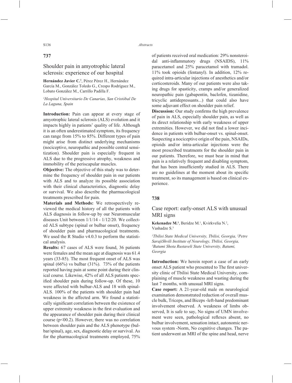## **737**

## Shoulder pain in amyotrophic lateral sclerosis: experience of our hospital

**Hernández Javier C.1** , Pérez Pérez H., Hernández García M., González Toledo G., Crespo Rodríguez M., Lobato González M., Carrillo Padilla F.

#### *1 Hospital Universitario De Canarias, San Cristóbal De La Laguna, Spain*

**Introduction:** Pain can appear at every stage of amyotrophic lateral sclerosis (ALS) evolution and it impacts highly in patients' quality of life. Although it is an often underestimated symptom, its frequency can range from 15% to 85%. Different types of pain might arise from distinct underlying mechanisms (nociceptive, neuropathic and possible central sensitization). Shoulder pain is especially frequent in ALS due to the progressive atrophy, weakness and immobility of the periscapular muscles.

**Objective:** The objective of this study was to determine the frequency of shoulder pain in our patients with ALS and to analyze its possible association with their clinical characteristics, diagnostic delay or survival. We also describe the pharmacological treatments prescribed for pain.

**Materials and Methods:** We retrospectively reviewed the medical history of all the patients with ALS diagnosis in follow-up by our Neuromuscular diseases Unit between 1/1/14 - 1/12/20. We collected ALS subtype (spinal or bulbar onset), frequency of shoulder pain and pharmacological treatments. We used the R Studio v4.0.3 to perform the statistical analysis.

**Results:** 67 cases of ALS were found, 36 patients were females and the mean age at diagnosis was 61.4 years (33-85). The most frequent onset of ALS was spinal  $(66\%)$  vs bulbar  $(31\%)$ . 73% of the patients reported having pain at some point during their clinical course. Likewise, 42% of all ALS patients specified shoulder pain during follow-up. Of these, 10 were affected with bulbar-ALS and 18 with spinal-ALS. 100% of the patients with shoulder pain had weakness in the affected arm. We found a statistically significant correlation between the existence of upper extremity weakness in the first evaluation and the appearance of shoulder pain during their clinical course ( $p \le 00.2$ ). However, there was no correlation between shoulder pain and the ALS phenotype (bulbar/spinal), age, sex, diagnostic delay or survival. As for the pharmacological treatments employed, 75%

of patients received oral medication: 29% nonsteroidal anti-inflammatory drugs (NSAIDS), 11% paracetamol and 25% paracetamol with tramadol. 11% took opioids (fentanyl). In addition, 12% required intra-articular injections of anesthetics and/or corticosteroids. Many of our patients were also taking drugs for spasticity, cramps and/or generalized neuropathic pain (gabapentin, baclofen, tizanidine, tricyclic antidepressants...) that could also have some adjuvant effect on shoulder pain relief.

**Discussion:** Our study confirms the high prevalence of pain in ALS, especially shoulder pain, as well as its direct relationship with early weakness of upper extremities. However, we did not find a lower incidence in patients with bulbar-onset vs. spinal-onset. Suspecting a nociceptive origin of the pain, NSAIDs, opioids and/or intra-articular injections were the most prescribed treatments for the shoulder pain in our patients. Therefore, we must bear in mind that pain is a relatively frequent and disabling symptom, that has been insufficiently studied in ALS. There are no guidelines at the moment about its specific treatment, so its management is based on clinical experience.

## **738**

## Case report: early-onset ALS with unusual MRI signs

Kekenadze M.<sup>1</sup>, Beridze M.<sup>1</sup>, Kvirkvelia N.<sup>2</sup>, Vashadze S.3

*1 Tbilisi State Medical University, Tbilisi, Georgia, 2 Petre SarajiShvili Institute of Neurology, Tbilisi, Georgia, 3 Batumi Shota Rustaveli State University, Batumi, Georgia*

**Introduction:** We herein report a case of an early onset ALS patient who presented to The first university clinic of Tbilisi State Medical University, complaining of muscle weakness and wasting during the last 7 months, with unusual MRI signs.

**Case report:** A 21-year-old male on neurological examination demonstrated reduction of overall muscle bulk, Triceps, and Biceps -left-hand predominant involvement observed. A weakness of limbs observed, It is safe to say, No signs of UMN involvement were seen, pathological reflexes absent, no bulbar involvement, sensation intact, autonomic nervous system -Norm, No cognitive changes. The patient underwent an MRI of the spine and head, nerve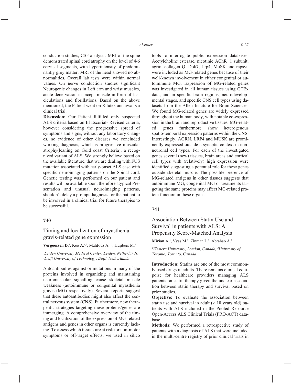conduction studies, CSF analysis. MRI of the spine demonstrated spinal cord atrophy on the level of 4-6 cervical segments, with hyperintensity of predominantly grey matter, MRI of the head showed no abnormalities. Overall lab tests were within normal values. On nerve conduction studies significant Neurogenic changes in Left arm and wrist muscles, acute denervation in biceps muscle in form of fasciculations and fibrillations. Based on the above mentioned, the Patient went on Rilutek and awaits a clinical trial.

Discussion: Our Patient fulfilled only suspected ALS criteria based on El Escorial- Revised criteria, however considering the progressive spread of symptoms and signs, without any laboratory changes, no evidence of other diseases we concluded working diagnosis, which is progressive muscular atrophy(leaning on Gold coast Criteria), a recognized variant of ALS. We strongly believe based on the available literature, that we are dealing with FUS mutation associated with early-onset ALS case with specific neuroimaging patterns on the Spinal cord. Genetic testing was performed on our patient and results will be available soon, therefore atypical Presentation and unusual neuroimaging patterns, shouldn't delay a prompt diagnosis for the patient to be involved in a clinical trial for future therapies to be successful.

#### **740**

## Timing and localization of myasthenia gravis-related gene expression

#### **Vergoossen D.<sup>1</sup>**, Keo A.<sup>1,2</sup>, Mahfouz A.<sup>1,2</sup>, Huijbers M.<sup>1</sup>

*1 Leiden University Medical Center, Leiden, Netherlands, 2 Delft University of Technology, Delft, Netherlands*

Autoantibodies against or mutations in many of the proteins involved in organizing and maintaining neuromuscular signalling cause skeletal muscle weakness (autoimmune or congenital myasthenia gravis (MG) respectively). Several reports suggest that these autoantibodies might also affect the central nervous system (CNS). Furthermore, new therapeutic strategies targeting these proteins/genes are immerging. A comprehensive overview of the timing and localization of the expression of MG-related antigens and genes in other organs is currently lacking. To assess which tissues are at risk for non-motor symptoms or off-target effects, we used in silico tools to interrogate public expression databases. Acetylcholine esterase, nicotinic AChR 1 subunit, agrin, collagen Q, Dok7, Lrp4, MuSK and rapsyn were included as MG-related genes because of their well-known involvement in either congenital or autoimmune MG. Expression of MG-related genes was investigated in all human tissues using GTEx data, and in specific brain regions, neurodevelopmental stages, and specific CNS cell types using datasets from the Allen Institute for Brain Sciences. We found MG-related genes are widely expressed throughout the human body, with notable co-expression in the brain and reproductive tissues. MG-related genes furthermore show heterogenous spatio-temporal expression patterns within the CNS. Interestingly, AGRN, LRP4 and MUSK are prominently expressed outside a synaptic context in nonneuronal cell types. For each of the investigated genes several (new) tissues, brain areas and cortical cell types with (relatively) high expression were identified suggesting a potential role for these genes outside skeletal muscle. The possible presence of MG-related antigens in other tissues suggests that autoimmune MG, congenital MG or treatments targeting the same proteins may affect MG-related protein function in these organs.

## **741**

Association Between Statin Use and Survival in patients with ALS: A Propensity Score-Matched Analysis

Mirian A.<sup>1</sup>, Vyas M.<sup>2</sup>, Zinman L.<sup>2</sup>, Abrahao A.<sup>2</sup>

*1 Western University, London, Canada, 2 University of Toronto, Toronto, Canada*

**Introduction:** Statins are one of the most commonly used drugs in adults. There remains clinical equipoise for healthcare providers managing ALS patients on statin therapy given the unclear association between statin therapy and survival based on prior studies.

**Objective:** To evaluate the association between statin use and survival in adult  $(> 18$  years old) patients with ALS included in the Pooled Resource Open-Access ALS Clinical Trials (PRO-ACT) database.

**Methods:** We performed a retrospective study of patients with a diagnosis of ALS that were included in the multi-centre registry of prior clinical trials in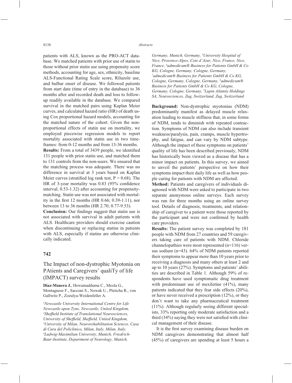patients with ALS, known as the PRO-ACT database. We matched patients with prior use of statin to those without prior statin use using propensity score methods, accounting for age, sex, ethnicity, baseline ALS-Functional Rating Scale score, Riluzole use, and bulbar onset of disease. We followed patients from start date (time of entry in the database) to 36 months after and recorded death and loss to followup readily available in the database. We compared survival in the matched pairs using Kaplan Meier curves, and calculated hazard ratio (HR) of death using Cox proportional hazard models, accounting for the matched nature of the cohort. Given the nonproportional effects of statin use on mortality, we employed piecewise regression models to report mortality associated with statin use in two timeframes: from 0-12 months and from 13-36 months.

**Results:** From a total of 3439 people, we identified 131 people with prior statin use, and matched them to 131 controls from the non-users. We ensured that the matching process was adequate. There was no difference in survival at 3 years based on Kaplan Meier curves (stratified log rank test,  $P = 0.68$ ). The HR of 3-year mortality was  $0.83$  (95% confidence interval, 0.53-1.32) after accounting for propensitymatching. Statin use was not associated with mortality in the first 12 months (HR  $0.66$ ;  $0.39-1.11$ ), nor between 13 to 36 months (HR 2.70; 0.77-9.53).

**Conclusion:** Our findings suggest that statin use is not associated with survival in adult patients with ALS. Healthcare providers should exercise caution when discontinuing or replacing statins in patients with ALS, especially if statins are otherwise clinically indicated.

#### **742**

# The Impact of non-dystrophic Myotonia on PAtients and Caregivers' qualiTy of life (IMPACT) survey results

**Diaz-Manera J.**, Hewamadduma C., Meola G., Montagnese F., Sacconi S., Nowak U., Pleticha R., von Gallwitz P., Zozulya-Weidenfeller A.

*1 Newcastle University International Centre for Life Newcastle upon Tyne, Newcastle, United Kingdom,*  <sup>2</sup>Sheffield Institute of Translational Neurosciences, *University of Sheffield, Sheffield, United Kingdom, University of Milan, Neurorehabilitation Sciences, Casa di Cura del Policlinico, Milan, Italy, Milan, Italy, 4 Ludwig-Maximilian University, Munich, Friedrich-Baur-Institute, Department of Neurology, Munich,* 

*Germany, Munich, Germany, 5 University Hospital of Nice, Provence-Alpes, Cote d'Azur, Nice, France, Nice, France, 6 admedicum® Business for Patients GmbH & Co KG, Cologne, Germany, Cologne, Germany, 7 admedicum® Business for Patients GmbH & Co KG, Cologne, Germany, Cologne, Germany, 8 admedicum® Business for Patients GmbH & Co KG, Cologne, Germany, Cologne, Germany, 9 Lupin Atlantis Holdings SA, Neurosciences, Zug, Switzerland, Zug, Switzerland* 

**Background:** Non-dystrophic myotonias (NDM) predominantly manifest as delayed muscle relaxation leading to muscle stiffness that, in some forms of NDM, tends to diminish with repeated contraction. Symptoms of NDM can also include transient weakness/paralysis, pain, cramps, muscle hypertrophy, and fatigue, and can vary by NDM subtype. Although the impact of these symptoms on patients' quality of life has been described previously, NDM has historically been viewed as a disease that has a minor impact on patients. In this survey, we aimed to unveil the patients' perspective on how their symptoms impact their daily life as well as how people caring for patients with NDM are affected.

**Method:** Patients and caregivers of individuals diagnosed with NDM were asked to participate in two separate anonymous online surveys. Each survey was run for three months using an online survey tool. Details of diagnosis, treatments, and relationship of caregiver to a patient were those reported by the participant and were not confirmed by health care providers.

**Results:** The patient survey was completed by 181 people with NDM from 27 countries and 59 caregivers taking care of patients with NDM. Chloride channelopathies were most represented (n=116) versus sodium (n=43). 64% of NDM patients reported their symptoms to appear more than 10 years prior to receiving a diagnosis and many others at least 2 and up to 10 years (27%). Symptoms and patients' abilities are described in Table 1. Although 59% of respondents have used symptomatic drug treatment with predominant use of mexiletine  $(41\%)$ , many patients indicated that they fear side effects (20%), or have never received a prescription (12%), or they don't want to take any pharmaceutical treatment (11%). Although regularly seeing different specialists, 33% reporting only moderate satisfaction and a third  $(34\%)$  saying they were not satisfied with clinical management of their disease.

It is the first survey examining disease burden on NDM caregivers demonstrating that almost half (45%) of caregivers are spending at least 5 hours a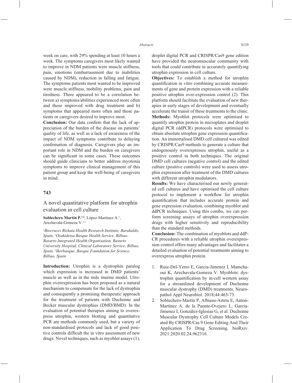week on care, with 29% spending at least 10 hours a week. The symptoms caregivers most likely wanted to improve in NDM patients were muscle stiffness, pain, emotions (embarrassment due to inabilities caused by NDM), reduction in falling and fatigue. The symptoms patients most wanted to be improved were muscle stiffness, mobility problems, pain and tiredness. There appeared to be a correlation between a) symptoms/abilities experienced more often and those improved with drug treatment and b) symptoms that appeared more often and those patients or caregivers desired to improve most.

**Conclusion:** Our data confirm that the lack of appreciation of the burden of the disease on patients' quality of life, as well as a lack of awareness of the impact of NDM symptoms contribute to delaying confirmation of diagnosis. Caregivers play an important role in NDM and the burden on caregivers can be significant in some cases. These outcomes should guide clinicians to better address myotonia symptoms to improve clinical management of this patient group and keep the well-being of caregivers in mind.

#### **743**

## A novel quantitative platform for utrophin evaluation in cell culture

Soblechero Martin P.<sup>1,2</sup>, López-Martinez A.<sup>1</sup>, Arechavala-Gomeza V.1,3

*1 Biocruces Bizkaia Health Research Institute, Barakaldo, Spain, 2 Osakidetza Basque Health Service, Bilbao-Basurto Integrated Health Organisation, Basurto University Hospital, Clinical Laboratory Service, Bilbao, Spain, 3 Ikerbasque, Basque Foundation for Science, Bilbao, Spain*

**Introduction:** Utrophin is a dystrophin paralog which expression is increased in DMD patients' muscle as well as in the mdx murine model. Utrophin overexpression has been proposed as a natural mechanism to compensate for the lack of dystrophin and consequently a promising therapeutic approach for the treatment of patients with Duchenne and Becker muscular dystrophies (DMD/BMD). In the evaluation of potential therapies aiming to overexpress utrophin, western blotting and quantitative PCR are methods commonly used, but a variety of non-standardised protocols and lack of good positive controls difficult the in vitro assessment of new drugs. Novel techniques, such as myoblot assays (1),

droplet digital PCR and CRISPR/Cas9 gene edition have provided the neuromuscular community with tools that could contribute in accurately quantifying utrophin expression in cell culture.

**Objectives:** To establish a method for utrophin quantification in vitro combining accurate measurements of gene and protein expression with a reliable positive utrophin over-expression control (2). This platform should facilitate the evaluation of new therapies in early stages of development and eventually accelerate the transit of these treatments to the clinic. **Methods:** Myoblot protocols were optimised to quantify utrophin protein in microplates and droplet digital PCR (ddPCR) protocols were optimised to obtain absolute utrophin gene expression quantification. An immortalised DMD cell cultured was edited by CRISPR/Cas9 methods to generate a culture that endogenously overexpresses utrophin, useful as a positive control in both techniques. The original DMD cell cultures (negative control) and the edited culture (positive controls) were used to assess utrophin expression after treatment of the DMD cultures with different utrophin modulators.

**Results:** We have characterised our newly generated cell cultures and have optimised the cell culture protocol to implement a workflow for utrophin quantification that includes accurate protein and gene expression evaluation, combining myoblot and ddPCR techniques. Using this combo, we can perform screening assays of utrophin overexpression drugs with higher sensitivity and reproducibility than the standard methods.

**Conclusion:** The combination of myoblots and ddP-CR procedures with a reliable utrophin overexpression control offers many advantages and facilitates a detailed evaluation of potential treatments aiming to overexpress utrophin protein.

- 1. Ruiz-Del-Yerro E, Garcia-Jimenez I, Mamchaoui K, Arechavala-Gomeza V. Myoblots: dystrophin quantification by in-cell western assay for a streamlined development of Duchenne muscular dystrophy (DMD) treatments. Neuropathol Appl Neurobiol. 2018;44:463-73.
- 2. Soblechero-Martín P, Albiasu-Arteta E, Anton-Martinez A, de la Puente-Ovejero L, Garcia-Jimenez I, González-Iglesias G, et al. Duchenne Muscular Dystrophy Cell Culture Models Created By CRISPR/Cas 9 Gene Editing And Their Application To Drug Screening. bioRxiv. 2021:2020.02.24.962316.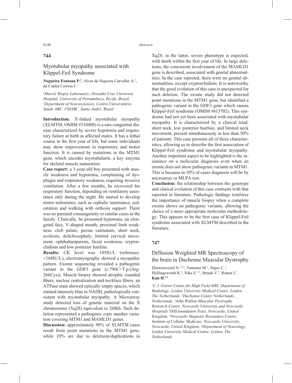## **744**

# Myotubular myopathy associated with Klippel-Feil Syndrome

**Nogueira Fontana P.1** , Alves de Siqueira Carvalho A.2 , da Cunha Correia C.1

*1 Muscle Biopsy Laboratory, Oswaldo Cruz University Hospital, University of Pernambuco, Recife, Brazil, 2 Department of Neurosciences, Centro Universitário Saúde ABC, FMABC, Santo André, Brazil*

**Introduction:** X-linked myotubular myopathy (XLMTM; OMIM #310400) is a rare congenital disease characterized by severe hypotonia and respiratory failure at birth in affected males. It has a lethal course in the first year of life, but some individuals may show improvement in respiratory and motor function. It is caused by mutations in the MTM1 gene, which encodes myotubularin, a key enzyme for skeletal muscle maturation.

**Case report:** a 1-year-old boy presented with muscle weakness and hypotonia, complaining of dysphagia and respiratory weakness, requiring invasive ventilation. After a few months, he recovered his respiratory function, depending on ventilatory assistance only during the night. He started to develop motor milestones, such as cephalic sustenance, sedestation and walking with orthosis support. There was no parental consanguinity or similar cases in the family. Clinically, he presented hypotonia, an elongated face, V-shaped mouth, proximal limb weakness, cleft palate, pectus carinatum, short neck, scoliosis, dolichocephaly, limited cervical movement, ophthalmoparesis, facial weakness, cryptorchidism and low posterior hairline.

**Results:** CK level was 105IU/L (reference: <168IU/L); electromyography showed a myopathic pattern. Exome sequencing revealed a pathogenic variant in the GDF3 gene (c.796C>T,p.(Arg-266Cys)). Muscle biopsy showed atrophic rounded fibers, nuclear centralization and necklace fibers; an ATPase stain showed optically empty spaces, which stained intensely blue in NADH, pathologically consistent with myotubular myopathy. A Microarray study detected loss of genetic material on the X chromosome (Xq28) equivalent to 268kb. Such deletion represented a pathogenic copy number variation covering MTM1 and MAMLD1 genes.

**Discussion:** approximately 90% of XLMTM cases result from point mutations in the MTM1 gene, while 10% are due to deletions/duplications in Xq28; in the latter, severe phenotype is expected, with death within the first year of life. In large deletions, the concurrent involvement of the MAMLD1 gene is described, associated with genital abnormalities. In the case reported, there were no genital abnormalities, except cryptorchidism. It is noteworthy that the good evolution of this case is unexpected for such deletion. The exome study did not detected point mutations in the MTM1 gene, but identified a pathogenic variant in the GDF3 gene which causes Klippel-Feil syndrome (OMIM #613702). This syndrome had not yet been associated with myotubular myopathy. It is characterized by a clinical triad: short neck, low posterior hairline, and limited neck movement, present simultaneously in less than 50% of patients. This case presents all of these characteristics, allowing us to describe the first association of Klippel-Feil syndrome and myotubular myopathy. Another important aspect to be highlighted is the insistence on a molecular diagnosis even when an exome does not show pathogenic variants in MTM1. This is because in 10% of cases diagnosis will be by microarray or MLPA test.

**Conclusion:** the relationship between the genotype and clinical evolution of this case contrasts with that reported in literature. Pathologic findings reinforce the importance of muscle biopsy when a complete exome shows no pathogenic variants, allowing the choice of a more appropriate molecular methodology. This appears to be the first case of Klippel-Feil syndrome associated with XLMTM described in the literature.

## **747**

## Diffusion Weighted MR Spectroscopy of the brain in Duchenne Muscular Dystrophy

Doorenweerd N.<sup>1,2,3</sup>, Tamsma M.<sup>1</sup>, Najac C.<sup>1</sup>, Hollingsworth K.<sup>4</sup>, Niks E.<sup>2,5</sup>, Straub V.<sup>3</sup>, Ronen I.<sup>1</sup>, **Kan H.1,2**

*1 C.J. Gorter Center for High Field MRI, Department of Radiology, Leiden University Medical Center, Leiden, The Netherlands, 2 Duchenne Center Netherlands, Netherlands, 3 John Walton Muscular Dystrophy Research Center, Newcastle University and Newcastle Hospitals NHS foundation Trust, Newcastle, United Kingdom, 4 Newcastle Magnetic Resonance Centre, Institute of Cellular Medicine, Newcastle University, Newcastle, United Kingdom, 5 Department of Neurology, Leiden University Medical Centre, Leiden, The Netherlands*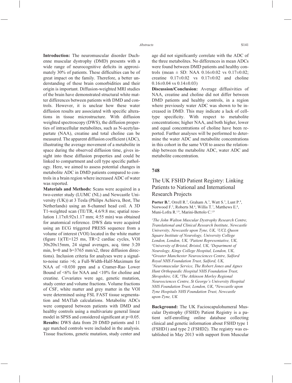**Introduction:** The neuromuscular disorder Duchenne muscular dystrophy (DMD) presents with a wide range of neurocognitive deficits in approximately 30% of patients. These difficulties can be of great impact on the family. Therefore, a better understanding of these brain comorbidities and their origin is important. Diffusion-weighted MRI studies of the brain have demonstrated structural white matter differences between patients with DMD and controls. However, it is unclear how these water diffusion results are associated with specific alterations in tissue microstructure. With diffusion weighted spectroscopy (DWS), the diffusion properties of intracellular metabolites, such as N-acetylaspartate (NAA), creatine and total choline can be measured. The apparent diffusion coefficient (ADC), illustrating the average movement of a metabolite in space during the observed diffusion time, gives insight into these diffusion properties and could be linked to compartment and cell type specific pathology. Here, we aimed to assess potential changes in metabolite ADC in DMD patients compared to controls in a brain region where increased ADC of water was reported.

**Materials and Methods:** Scans were acquired in a two-center study (LUMC (NL) and Newcastle University (UK)) at 3 Tesla (Philips Achieva, Best, The Netherlands) using an 8-channel head coil. A 3D T1-weighted scan (TE/TR, 4.6/9.8 ms; spatial resolution 1.17x0.92x1.17 mm; 4:55 min) was obtained for anatomical reference. DWS data were acquired using an ECG triggered PRESS sequence from a volume of interest (VOI) located in the white matter (figure 1)(TE=125 ms, TR=2 cardiac cycles, VOI 30x20x15mm, 24 signal averages, acq. time 3:20 min,  $b=0$  and  $b=3765$  mm/s2, three diffusion directions). Inclusion criteria for analyses were a signalto-noise ratio >6; a Full-Width-Half-Maximum for NAA of <0.030 ppm and a Cramer-Rao Lower Bound of <6% for NAA and <10% for choline and creatine. Covariates were age, genetic mutation, study center and volume fractions. Volume fractions of CSF, white matter and grey matter in the VOI were determined using FSL FAST tissue segmentation and MATlab calculations. Metabolite ADCs were compared between patients with DMD and healthy controls using a multivariate general linear model in SPSS and considered significant at  $p<0.05$ . **Results:** DWS data from 20 DMD patients and 11 age matched controls were included in the analysis. Tissue fractions, genetic mutation, study center and age did not significantly correlate with the ADC of the three metabolites. No differences in mean ADCs were found between DMD patients and healthy controls (mean  $\pm$  SD: NAA 0.16 $\pm$ 0.02 vs 0.17 $\pm$ 0.02: creatine  $0.17\pm0.02$  vs  $0.17\pm0.02$  and choline  $0.16\pm0.04$  vs  $0.14\pm0.03$ 

**Discussion/Conclusion:** Average diffusivities of NAA, creatine and choline did not differ between DMD patients and healthy controls, in a region where previously water ADC was shown to be increased in DMD. This may indicate a lack of celltype specificity. With respect to metabolite concentrations; higher NAA, and both higher, lower and equal concentrations of choline have been reported. Further analyses will be performed to determine the water ADC and metabolite concentrations in this cohort in the same VOI to assess the relationship between the metabolite ADC, water ADC and metabolite concentration.

#### **748**

# The UK FSHD Patient Registry: Linking Patients to National and International Research Projects

**Porter B.**<sup>1</sup>, Orrell R.<sup>2</sup>, Graham A.<sup>3</sup>, Watt S.<sup>3</sup>, Lunt P.<sup>4</sup>, Norwood F.<sup>5</sup>, Roberts M.<sup>6</sup>, Willis T.<sup>7</sup>, Matthews E.<sup>8</sup>, Muni-Lofra R.1,9, Marini-Bettolo C.1,9

*1 The John Walton Muscular Dystrophy Research Centre, Translational and Clinical Research Institute, Newcastle University, Newcastle upon Tyne, UK, 2 UCL Queen Square Institute of Neurology, University College London, London, UK, <sup>3</sup>Patient Representative, UK,*<br><sup>4</sup>University of Bristol, Bristol, UK, <sup>5</sup>Denartment of *University of Bristol, Bristol, UK, 5 Department of Neurology, Kings College Hospital, London, UK, 6 Greater Manchester Neurosciences Centre, Salford Royal NHS Foundation Trust, Salford, UK, 7 Neuromuscular Service, The Robert Jones and Agnes Hunt Orthopaedic Hospital NHS Foundation Trust, Shropshire, UK, 8 The Atkinson Morley Regional Neurosciences Centre, St George's University Hospital NHS Foundation Trust, London, UK, 9 Newcastle upon Tyne Hospitals NHS Foundation Trust, Newcastle upon-Tyne, UK*

**Background:** The UK Facioscapulohumeral Muscular Dystrophy (FSHD) Patient Registry is a patient self-enrolling online database collecting clinical and genetic information about FSHD type 1 (FSHD1) and type 2 (FSHD2). The registry was established in May 2013 with support from Muscular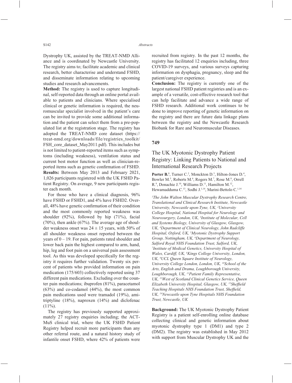Dystrophy UK, assisted by the TREAT-NMD Alliance and is coordinated by Newcastle University. The registry aims to; facilitate academic and clinical research, better characterise and understand FSHD, and disseminate information relating to upcoming studies and research advancements.

**Method:** The registry is used to capture longitudinal, self-reported data through an online portal available to patients and clinicians. Where specialised clinical or genetic information is required, the neuromuscular specialist involved in the patient's care can be invited to provide some additional information and the patient can select them from a pre-populated list at the registration stage. The registry has adopted the TREAT-NMD core dataset (https:// treat-nmd.org/downloads/file/registries\_toolkit/ FSH\_core\_dataset\_May2011.pdf). This includes but is not limited to patient-reported items such as symptoms (including weakness), ventilation status and current best motor function as well as clinician-reported items such as genetic confirmation of FSHD. **Results:** Between May 2013 and February 2021, 1,026 participants registered with the UK FSHD Patient Registry. On average, 9 new participants register each month.

For those who have a clinical diagnosis, 96% have FSHD or FSHD1, and 4% have FSHD2. Overall, 48% have genetic confirmation of their condition and the most commonly reported weakness was shoulder (92%), followed by hip (71%), facial (70%), then ankle (67%). The average age of shoulder weakness onset was  $24 \pm 15$  years, with 50% of all shoulder weakness onset reported between the years of  $0 - 19$ . For pain, patients rated shoulder and lower back pain the highest compared to arm, hand, hip, leg and foot pain on a universal pain assessment tool. As this was developed specifically for the registry it requires further validation. Twenty six percent of patients who provided information on pain medication (175/603) collectively reported using 37 different pain medications. Excluding over the counter pain medications; ibuprofen (81%), paracetamol (63%) and co-codamol (44%), the most common pain medications used were tramadol (19%), amitriptyline (18%), naproxen (14%) and diclofenac  $(11\%)$ .

The registry has previously supported approximately 27 registry enquiries including; the ACT-MuS clinical trial, where the UK FSHD Patient Registry helped recruit more participants than any other referral route, and a natural history study of infantile onset FSHD, where 42% of patients were

recruited from registry. In the past 12 months, the registry has facilitated 12 enquiries including, three COVID-19 surveys, and various surveys capturing information on dysphagia, pregnancy, sleep and the patient/caregiver experience.

**Conclusion:** The registry is currently one of the largest national FSHD patient registries and is an example of a versatile, cost-effective research tool that can help facilitate and advance a wide range of FSHD research. Additional work continues to be done to improve reporting of genetic information on the registry and there are future data linkage plans between the registry and the Newcastle Research Biobank for Rare and Neuromuscular Diseases.

#### **749**

# The UK Myotonic Dystrophy Patient Registry: Linking Patients to National and International Research Projects

Porter B.<sup>1</sup>, Turner C.<sup>2</sup>, Monckton D.<sup>3</sup>, Hilton-Jones D.<sup>4</sup>, Bowler M.<sup>5</sup>, Roberts M.<sup>6</sup>, Rogers M.<sup>7</sup>, Rose M.<sup>8</sup>, Orrell R.<sup>9</sup>, Donachie J.<sup>10</sup>, Williams D.<sup>11</sup>, Hamilton M.<sup>12</sup>, Hewamadduma C.13, Sodhi J.1,14, Marini-Bettolo C.1,14

*1 The John Walton Muscular Dystrophy Research Centre, Translational and Clinical Research Institute, Newcastle University, Newcastle upon-Tyne, UK, 2 University College Hospital, National Hospital for Neurology and Neurosurgery, London, UK, 3 Institute of Molecular, Cell and Systems Biology, University of Glasgow, Glasgow, UK, 4 Department of Clinical Neurology, John Radcliffe Hospital, Oxford, UK, 5 Myotonic Dystrophy Support Group, Nottingham, UK, 6 Department of Neurology, Salford Royal NHS Foundation Trust, Salford, UK, 7 Institute of Medical Genetics, University Hospital of Wales, Cardiff, UK, 8 Kings College University, London, UK, 9 UCL Queen Square Institute of Neurology, University College London, London, UK, 10School of the Arts, English and Drama, Loughborough University, Loughborough, UK, 11Patient Family Representative, UK, 12West of Scotland Clinical Genetics Service, Queen Elizabeth University Hospital, Glasgow, UK, <sup>13</sup>Sheffield* **Teaching Hospitals NHS Foundation Trust, Sheffield,** *UK, 14Newcastle upon Tyne Hospitals NHS Foundation Trust, Newcastle, UK*

**Background:** The UK Myotonic Dystrophy Patient Registry is a patient self-enrolling online database collecting clinical and genetic information about myotonic dystrophy type 1 (DM1) and type 2 (DM2). The registry was established in May 2012 with support from Muscular Dystrophy UK and the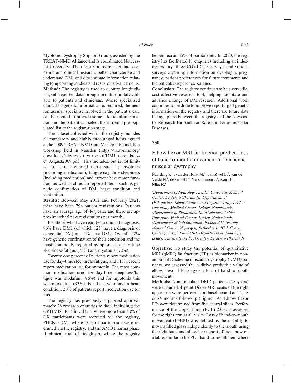Myotonic Dystrophy Support Group, assisted by the TREAT-NMD Alliance and is coordinated Newcastle University. The registry aims to; facilitate academic and clinical research, better characterise and understand DM, and disseminate information relating to upcoming studies and research advancements. **Method:** The registry is used to capture longitudinal, self-reported data through an online portal available to patients and clinicians. Where specialised clinical or genetic information is required, the neuromuscular specialist involved in the patient's care can be invited to provide some additional information and the patient can select them from a pre-populated list at the registration stage.

The dataset collected within the registry includes all mandatory and highly encouraged items agreed at the 2009 TREAT-NMD and Marigold Foundation workshop held in Naarden (https://treat-nmd.org/ downloads/file/registries\_toolkit/DM1\_core\_dataset\_August2009.pdf). This includes, but is not limited to, patient-reported items such as myotonia (including medication), fatigue/day-time sleepiness (including medication) and current best motor function, as well as clinician-reported items such as genetic confirmation of DM, heart condition and ventilation.

**Results:** Between May 2012 and February 2021, there have been 796 patient registrations. Patients have an average age of 44 years, and there are approximately 5 new registrations per month.

For those who have reported a clinical diagnosis, 96% have DM1 (of which 12% have a diagnosis of congenital DM) and 4% have DM2. Overall, 42% have genetic confirmation of their condition and the most commonly reported symptoms are day-time sleepiness/fatigue (75%) and myotonia (72%).

Twenty one percent of patients report medication use for day-time sleepiness/fatigue, and 11% percent report medication use for myotonia. The most common medication used for day-time sleepiness/fatigue was modafinil  $(86%)$  and for myotonia this was mexiletine (33%). For those who have a heart condition, 20% of patients report medication use for this.

The registry has previously supported approximately 28 research enquiries to date, including; the OPTIMISTIC clinical trial where more than 50% of UK participants were recruited via the registry, PHENO-DM1 where 40% of participants were recruited via the registry, and the AMO Pharma phase II clinical trial of tideglusib, where the registry helped recruit 35% of participants. In 2020, the registry has facilitated 11 enquiries including an industry enquiry, three COVID-19 surveys, and various surveys capturing information on dysphagia, pregnancy, patient preferences for future treatments and the patient/caregiver experience.

**Conclusion:** The registry continues to be a versatile, cost-effective research tool, helping facilitate and advance a range of DM research. Additional work continues to be done to improve reporting of genetic information on the registry and there are future data linkage plans between the registry and the Newcastle Research Biobank for Rare and Neuromuscular Diseases.

#### **750**

# Elbow flexor MRI fat fraction predicts loss of hand-to-mouth movement in Duchenne muscular dystrophy

Naarding K.<sup>1</sup>, van der Holst M.<sup>2</sup>, van Zwet E.<sup>3</sup>, van de Velde N.<sup>1</sup>, de Groot I.<sup>4</sup>, Verschuuren J.<sup>1</sup>, Kan H.<sup>5</sup>, **Niks E.1**

*1 Department of Neurology, Leiden University Medical Center, Leiden, Netherlands, 2 Department of Orthopedics, Rehabilitation and Physiotherapy, Leiden University Medical Center, Leiden, Netherlands, 3 Department of Biomedical Data Sciences, Leiden University Medical Center, Leiden, Netherlands, 4 Department of Rehabilitation, Radboud University Medical Center, Nijmegen, Netherlands, 5 C.J. Gorter Center for High Field MRI, Department of Radiology, Leiden University medical Center, Leiden, Netherlands*

**Objective:** To study the potential of quantitative MRI (qMRI) fat fraction (FF) as biomarker in nonambulant Duchenne muscular dystrophy (DMD) patients, we assessed the additive predictive value of elbow flexor FF to age on loss of hand-to-mouth movement.

**Methods:** Non-ambulant DMD patients  $(≥8 \text{ years})$ were included. 4-point Dixon MRI scans of the right upper arm were performed at baseline and at 12, 18 or 24 months follow-up (Figure 1A). Elbow flexor FFs were determined from five central slices. Performance of the Upper Limb (PUL) 2.0 was assessed for the right arm at all visits. Loss of hand-to-mouth movement (LoHM) was defined as the inability to move a filled glass independently to the mouth using the right hand and allowing support of the elbow on a table, similar to the PUL hand-to-mouth item where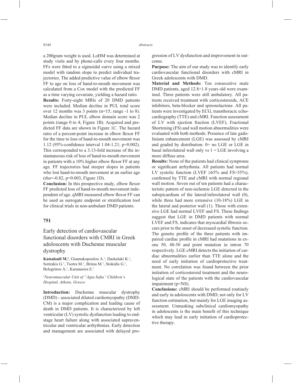a 200gram weight is used. LoHM was determined at study visits and by phone-calls every four months. FFs were fitted to a sigmoidal curve using a mixed model with random slope to predict individual trajectories. The added predictive value of elbow flexor FF to age on loss of hand-to-mouth movement was calculated from a Cox model with the predicted FF as a time varying covariate, yielding a hazard ratio.

**Results:** Forty-eight MRIs of 20 DMD patients were included. Median decline in PUL total score over 12 months was 3 points (n=15; range -1 to 8). Median decline in PUL elbow domain score was 2 points (range 0 to 4; Figure 1B). Acquired and predicted FF data are shown in Figure 1C. The hazard ratio of a percent-point increase in elbow flexor FF for the time to loss of hand-to-mouth movement was 1.12 (95%-confidence interval 1.04-1.21;  $p=0.002$ ). This corresponded to a 3.13-fold increase of the instantaneous risk of loss of hand-to-mouth movement in patients with a  $10\%$  higher elbow flexor FF at any age. FF trajectories had steeper slopes in patients who lost hand-to-mouth movement at an earlier age (rho=-0.82, p=0.003, Figure 1D).

**Conclusion:** In this prospective study, elbow flexor FF predicted loss of hand-to-mouth movement independent of age. qMRI measured elbow flexor FF can be used as surrogate endpoint or stratification tool for clinical trials in non-ambulant DMD patients.

#### **751**

# Early detection of cardiovascular functional disorders with CMRI in Greek adoloscents with Duchenne muscular dystrophy

Katsalouli M.<sup>1</sup>, Giannakopoulou A.<sup>1</sup>, Daskalaki K.<sup>1</sup>, Sotirakis G.<sup>1</sup>, Tsotra M.<sup>1</sup>, Brinia M.<sup>1</sup>, Stokidis G.<sup>1</sup>, Belegrinos A.<sup>1</sup>, Karanasios E.<sup>1</sup>

<sup>1</sup>Neuromuscular Unit of "Agia Sofia" Children's *Hospital, Athens, Greece*

**Introduction:** Duchenne muscular dystrophy (DMD) - associated dilated cardiomyopathy (DMD-CM) is a major complication and leading cause of death in DMD patients. It is characterized by left ventricular (LV) systolic dysfunction leading to endstage heart failure along with associated supraventricular and ventricular arrhythmias. Early detection and management are associated with delayed progression of LV dysfunction and improvement in outcome.

**Purpose:** The aim of our study was to identify early cardiovascular functional disorders with cMRI in Greek adolescents with DMD.

**Material and Methods:** Ten consecutive male DMD patients, aged 12.8+1.8 years old were examined. Three patients were still ambulatory. All patients received treatment with corticosteroids, ACE inhibitors, beta-blocker and spironolactone. All patients were investigated by ECG, transthoracic echocardiography (TTE) and cMRI. Function assessment of LV with ejection fraction (LVEF), Fractional Shortening (FS) and wall motion abnormalities were evaluated with both methods. Presence of late gadolinium enhancement (LGE) was assessed by cMRI and graded by distribution: 0= no LGE or LGE in basal inferolateral wall only vs  $1 = LGE$  involving a more diffuse area.

**Results:** None of the patients had clinical symptoms or significant arrhythmia. All patients had normal LV systolic function (LVEF  $\geq 65\%$  and FS>35%), confirmed by TTE and cMRI with normal regional wall motion. Seven out of ten patients had a characteristic pattern of non-ischemic LGE detected in the subepicardium of the lateral/inferolateral wall (0), while three had more extensive (10-18%) LGE in the lateral and posterior wall (1). Those with extensive LGE had normal LVEF and FS. These findings suggest that LGE in DMD patients with normal LVEF and FS, indicates that myocardial fibrosis occurs prior to the onset of decreased systolic function. The genetic profile of the three patients with impaired cardiac profile in cMRI had mutations in exons 50, 48-50 and point mutation in intron 70 respectively. LGE cMRI detects the initiation of cardiac abnormalities earlier than TTE alone and the need of early initiation of cardioprotective treatment. No correlation was found between the prior initiation of corticosteroid treatment and the neurological state of the patients with the cardiovascular impairment (p=NS).

**Conclusions:** cMRI should be performed routinely and early in adoloscents with DMD, not only for LV function estimation, but mainly for LGE imaging assessment. Unmasking subclinical cardiomyopathy in adolescents is the main benefit of this technique which may lead in early initiation of cardioprotective therapy.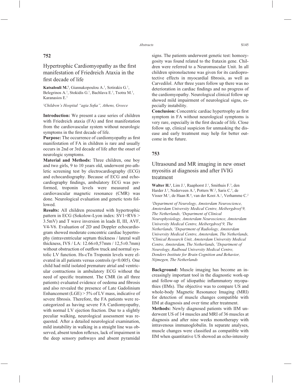### **752**

# Hypertrophic Cardiomyopathy as the first manifestation of Friedreich Ataxia in the first decade of life

Katsalouli M.<sup>1</sup>, Giannakopoulou A.<sup>1</sup>, Sotirakis G.<sup>1</sup>, Belegrinos A.<sup>1</sup>, Stokidis G.<sup>1</sup>, Bachlava E.<sup>1</sup>, Tsotra M.<sup>1</sup>, Karanasios E.1

#### <sup>1</sup>Children's Hospital "agia Sofia", Athens, Greece

**Introduction:** We present a case series of children with Friedreich ataxia (FA) and first manifestation from the cardiovascular system without neurologic symptoms in the first decade of life.

**Purpose:** The occurrence of cardiomyopathy as first manifestation of FA in children is rare and usually occurs in 2nd or 3rd decade of life after the onset of neurologic symptoms.

**Material and Methods:** Three children, one boy and two girls, 9 to 10 years old, underwent pre-athletic screening test by electrocardiography (ECG) and echocardiography. Because of ECG and echocardiography findings, ambulatory ECG was performed, troponin levels were measured and cardiovascular magnetic resonance (CMR) was done. Neurological evaluation and genetic tests followed.

**Results:** All children presented with hypertrophic pattern in ECG (Sokolow-Lyon index: SV1+RV6 > 3.5mV) and T wave inversion in leads II, III, AVF, V4-V6. Evaluation of 2D and Doppler echocardiogram showed moderate concentric cardiac hypertrophy (intraventricular septum thickness / lateral wall thickness, IVS / LA: 12.66±0,57mm / 12,5±0.7mm) without obstruction of outflow truck and normal systolic LV function. Hs-cTn Troponin levels were elevated in all patients versus controls ( $p<0.005$ ). One child had mild isolated premature atrial and ventricular contractions in ambulatory ECG without the need of specific treatment. The CMR (in all three patients) evaluated evidence of oedema and fibrosis and also revealed the presence of Late Gadolinium Enhancement (LGE)  $> 5\%$  of LV mass, indicative of severe fibrosis. Therefore, the FA patients were recategorized as having severe FA Cardiomyopathy, with normal LV ejection fraction. Due to a slightly peculiar walking, neurological assessment was requested. After a detailed neurological examination, mild instability in walking in a straight line was observed, absent tendon reflexes, lack of impairment in the deep sensory pathways and absent pyramidal

signs. The patients underwent genetic test: homozygosity was found related to the frataxin gene. Children were referred to a Neuromuscular Unit. In all children spironolactone was given for its cardioprotective effects in myocardial fibrosis, as well as Carvedilol. After three years follow up there was no deterioration in cardiac findings and no progress of the cardiomyopathy. Neurological clinical follow up showed mild impairment of neurological signs, especially instability.

**Conclusion:** Concentric cardiac hypertrophy as first symptom in FA without neurological symptoms is very rare, especially in the first decade of life. Close follow up, clinical suspicion for unmasking the disease and early treatment may help for better outcome in the future.

### **753**

Ultrasound and MR imaging in new onset myositis at diagnosis and after IVIG treatment

Walter H.<sup>1</sup>, Lim J.<sup>1</sup>, Raaphorst J.<sup>1</sup>, Smithuis F.<sup>3</sup>, den Harder J.<sup>3</sup>, Nederveen A.<sup>3</sup>, Potters W.<sup>2</sup>, Saris C.<sup>5</sup>, de Visser M.<sup>1</sup>, de Haan R.<sup>4</sup>, van der Kooi A.<sup>1</sup>, Verhamme C.<sup>2</sup>

*1 Department of Neurology, Amsterdam Neuroscience, Amsterdam University Medical Centre, Meibergdreef 9, The Netherlands, 2 Department of Clinical Neurophysiology, Amsterdam Neuroscience, Amsterdam University Medical Centre, Meibergdreef 9, The Netherlands, 3 Department of Radiology, Amsterdam University Medical Centre, Amsterdam, The Netherlands, 4 Clinical Research Unit, Amsterdam University Medical Centre, Amsterdam, The Netherlands, 5 Department of Neurology, Radboud University Medical Centre, Donders Institute for Brain Cognition and Behavior, Nijmegen, The Netherlands*

**Background:** Muscle imaging has become an increasingly important tool in the diagnostic work-up and follow-up of idiopathic inflammatory myopathies (IIMs). The objective was to compare US and whole-body Magnetic Resonance Imaging (MRI) for detection of muscle changes compatible with IIM at diagnosis and over time after treatment.

**Methods:** Newly diagnosed patients with IIM underwent US of 14 muscles and MRI of 36 muscles at diagnosis and after nine weeks monotherapy with intravenous immunoglobulin. In separate analyses, muscle changes were classified as compatible with IIM when quantitative US showed an echo-intensity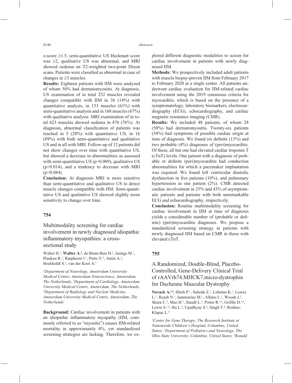z-score  $\geq 1.5$ , semi-quantitative US Heckmatt score was  $\geq$ 2, qualitative US was abnormal, and MRI showed oedema on T2-weighted two-point Dixon scans. Patients were classified as abnormal in case of changes in  $\geq$ 3 muscles.

**Results:** Eighteen patients with IIM were analysed of whom 50% had dermatomyositis. At diagnosis, US examination of in total 252 muscles revealed changes compatible with IIM in 36 (14%) with quantitative analysis, in 153 muscles (61%) with semi-quantitative analysis and in 168 muscles (67%) with qualitative analysis. MRI examination of in total 623 muscles showed oedema in 476 (76%). At diagnosis, abnormal classification of patients was reached in 5 (28%) with quantitative US, in 16 (89%) with both semi-quantitative and qualitative US and in all with MRI. Follow-up of 12 patients did not show changes over time with quantitative US, but showed a decrease in abnormalities as assessed with semi-quantitative US (p=0.009), qualitative US (p=0.014), and a tendency to decrease with MRI  $(p=0.084)$ .

**Conclusion:** At diagnosis MRI is more sensitive than semi-quantitative and qualitative US to detect muscle changes compatible with IIM. Semi-quantitative US and qualitative US showed slightly more sensitivity to change over time.

### **754**

Multimodality screening for cardiac involvement in newly diagnosed idiopathic inflammatory myopathies: a crosssectional study

Walter H.<sup>1</sup>, Walter A.<sup>1</sup>, de Bruin-Bon H.<sup>2</sup>, Jarings M.<sup>1</sup>, Planken R.<sup>3</sup>, Raaphorst J.<sup>1</sup>, Pinto Y.<sup>2</sup>, Amin A.<sup>2</sup>, Boekholdt S.<sup>2</sup>, van der Kooi A.<sup>1</sup>

*1 Department of Neurology, Amsterdam University Medical Centre, Amsterdam Neuroscience, Amsterdam, The Netherlands, 2 Department of Cardiology, Amsterdam University Medical Centre, Amsterdam, The Netherlands, 3 Department of Radiology and Nuclear Medicine, Amsterdam University Medical Centre, Amsterdam, The Netherlands*

**Background:** Cardiac involvement in patients with an idiopathic inflammatory myopathy (IIM, commonly referred to as "myositis") causes IIM-related mortality in approximately 4%, yet standardized screening strategies are lacking. Therefore, we explored different diagnostic modalities to screen for cardiac involvement in patients with newly diagnosed IIM.

**Methods:** We prospectively included adult patients with muscle biopsy-proven IIM from February 2017 to February 2020 at a single center. All patients underwent cardiac evaluation for IIM-related cardiac involvement using the 2019 consensus criteria for myocarditis, which is based on the presence of a symptomatology, laboratory biomarkers, electrocardiography (ECG), echocardiography, and cardiac magnetic resonance imaging (CMR).

**Results:** We included 48 patients, of whom 24 (50%) had dermatomyositis. Twenty-six patients (54%) had symptoms of possible cardiac origin at time of diagnosis. We found six definite  $(13\%)$  and two probable (4%) diagnoses of (peri)myocarditis. Of these, all but one had elevated cardiac troponin T (cTnT) levels. One patient with a diagnosis of probable or definite (peri)myocarditis had conduction abnormalities for which a pacemaker implantation was required. We found left ventricular diastolic dysfunction in five patients  $(10\%)$ , and pulmonary hypertension in one patient (2%). CMR detected cardiac involvement in 25% and 43% of asymptomatic patients and patients with both unremarkable ECG and echocardiography, respectively.

**Conclusion:** Routine multimodality screening for cardiac involvement in IIM at time of diagnosis yields a considerable number of (probable or definite) (peri)myocarditis diagnoses. We propose a standardized screening strategy in patients with newly diagnosed IIM based on CMR in those with elevated cTnT.

#### **755**

# A Randomized, Double-Blind, Placebo-Controlled, Gene-Delivery Clinical Trial of rAAVrh74.MHCK7.micro-dystrophin for Duchenne Muscular Dystrophy

Novack A.<sup>1,2</sup>, Shieh P.<sup>3</sup>, Sahenk Z.<sup>1</sup>, Lehman K.<sup>1</sup>, Lowes L.<sup>1</sup>, Reash N.<sup>1</sup>, Iammarino M.<sup>1</sup>, Alfano L.<sup>1</sup>, Woods J.<sup>3</sup>, Skura C.<sup>3</sup>, Mao H.<sup>3</sup>, Staudt L.<sup>3</sup>, Potter R.<sup>1,4</sup>, Griffin D.<sup>1,4</sup>, Lewis S.<sup>1,4</sup>, Hu L.<sup>4</sup>, Upadhyay S.<sup>4</sup>, Singh T.<sup>4</sup>, Rodino-Klapac L.4

*1 Center for Gene Therapy, The Research Institute at Nationwide Children's Hospital, Columbus, United States, 2 Department of Pediatrics and Neurology, The Ohio State University, Columbus, United States, 3 Ronald*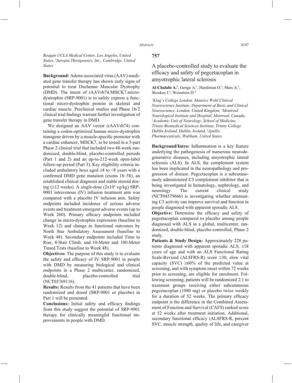*Reagan UCLA Medical Center, Los Angeles, United States, 4 Sarepta Therapeutics, Inc., Cambridge, United States*

**Background:** Adeno-associated virus (AAV)-mediated gene transfer therapy has shown early signs of potential to treat Duchenne Muscular Dystrophy (DMD). The intent of rAAVrh74.MHCK7.microdystrophin (SRP-9001) is to safely express a functional micro-dystrophin protein in skeletal and cardiac muscle. Preclinical studies and Phase 1b/2 clinical trial findings warrant further investigation of gene transfer therapy in DMD.

We designed an AAV vector (rAAVrh74) containing a codon-optimized human micro-dystrophin transgene driven by a muscle-specific promoter with a cardiac enhancer, MHCK7, to be tested in a 3-part Phase 2 clinical trial that included two 48-week randomized, double-blind, placebo-controlled periods (Part 1 and 2) and an up-to-212-week open-label follow-up period (Part 3). Key eligibility criteria included ambulatory boys aged  $\geq 4$  to  $\leq 8$  years with a confirmed DMD gene mutation (exons  $18-58$ ), an established clinical diagnosis and stable steroid dosing ( $\geq$ 12 weeks). A single-dose ( $2x10^1$  vg/kg) SRP-9001 intravenous (IV) infusion treatment arm was compared with a placebo IV infusion arm. Safety endpoints included incidence of serious adverse events and treatment-emergent adverse events (up to Week 260). Primary efficacy endpoints included change in micro-dystrophin expression (baseline to Week 12) and change in functional outcomes by North Star Ambulatory Assessment (baseline to Week 48). Secondary endpoints included Time to Rise, 4-Stair Climb, and 10-Meter and 100-Meter Timed Tests (baseline to Week 48).

**Objectives:** The purpose of this study is to evaluate the safety and efficacy of IV SRP-9001 in people with DMD by measuring biological and clinical endpoints in a Phase 2 multicenter, randomized, double-blind, placebo-controlled trial (NCT03769116).

**Results:** Results from the 41 patients that have been randomized and dosed (SRP-9001 or placebo) in Part 1 will be presented.

**Conclusions:** Initial safety and efficacy findings from this study suggest the potential of SRP-9001 therapy for clinically meaningful functional improvements in people with DMD.

### **757**

# A placebo-controlled study to evaluate the efficacy and safety of pegcetacoplan in amyotrophic lateral sclerosis

Al-Chalabi A.<sup>1</sup>, Genge A.<sup>2</sup>, Hardiman O.<sup>3</sup>, Shen A.<sup>4</sup>, Shoskes J.4 , Weinstein D.4

*1 King's College London, Maurice Wohl Clinical Neuroscience Institute, Department of Basic and Clinical Neuroscience, London, United Kingdom, 2 Montreal Neurological Institute and Hospital, Montreal, Canada, 3 Academic Unit of Neurology, School of Medicine, Trinity Biomedical Sciences Institute, Trinity College Dublin Ireland, Dublin, Ireland, 4 Apellis Pharmaceuticals, Waltham, United States*

**Background/Intro:** Inflammation is a key feature underlying the pathogenesis of numerous neurodegenerative diseases, including amyotrophic lateral sclerosis (ALS). In ALS, the complement system has been implicated in the neuropathology and progression of disease. Pegcetacoplan is a subcutaneously administered C3 complement inhibitor that is being investigated in hematology, nephrology, and neurology. The current clinical study (NCT04579666) is investigating whether attenuating C3 activity can improve survival and function in people diagnosed with apparent sporadic ALS.

**Objective:** Determine the efficacy and safety of pegcetacoplan compared to placebo among people diagnosed with ALS in a global, multicenter, randomized, double-blind, placebo-controlled, Phase 2 study.

**Patients & Study Design:** Approximately 228 patients diagnosed with apparent sporadic ALS,  $\geq 18$ years of age and with an ALS Functional Rating Scale-Revised (ALSFRS-R) score  $\geq 30$ , slow vital capacity (SVC)  $\geq 60\%$  of the predicted value at screening, and with symptom onset within 72 weeks prior to screening, are eligible for enrolment. Following screening, patients will be randomized 2:1 to treatment groups receiving either subcutaneous pegcetacoplan (1080 mg) or placebo twice weekly for a duration of 52 weeks. The primary efficacy endpoint is the difference in the Combined Assessment of Function and Survival (CAFS) ranked score at 52 weeks after treatment initiation. Additional, secondary functional efficacy (ALSFRS-R, percent SVC, muscle strength, quality of life, and caregiver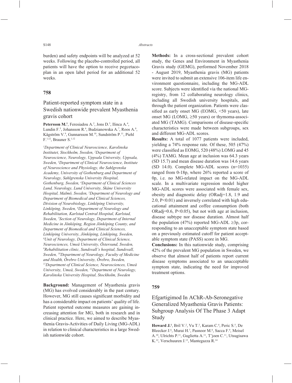burden) and safety endpoints will be analyzed at 52 weeks. Following the placebo-controlled period, all patients will have the option to receive pegcetacoplan in an open label period for an additional 52 weeks.

### **758**

# Patient-reported symptom state in a Swedish nationwide prevalent Myasthenia gravis cohort

**Petersson M.<sup>1</sup>**, Feresiadou A.<sup>2</sup>, Jons D.<sup>3</sup>, Ilinca A.<sup>4</sup>, Lundin F.<sup>5</sup>, Johansson R.<sup>6</sup>, Budzianowska A.<sup>7</sup>, Roos A.<sup>8</sup>, Kågström V.9 , Gunnarsson M.10, Sundström P.11, Piehl F.1,12, Brauner S.1,12

*1 Department of Clinical Neuroscience, Karolinska Institutet, Stockholm, Sweden, 2 Department of Neuroscience, Neurology, Uppsala University, Uppsala, Sweden, 3 Department of Clinical Neuroscience, Institute of Neuroscience and Physiology, the Sahlgrenska Academy, University of Gothenburg and Department of Neurology, Sahlgrenska University Hospital, Gothenburg, Sweden, 4 Department of Clinical Sciences Lund, Neurology, Lund University, Skåne University Hospital, Malmö, Sweden, 5 Department of Neurology and Department of Biomedical and Clinical Sciences, Division of Neurobiology, Linköping University, Linköping, Sweden, 6 Department of Neurology and Rehabilitation, Karlstad Central Hospital, Karlstad, Sweden, 7 Section of Neurology, Department of Internal Medicine in Jönköping, Region Jönköping County, and Department of Biomedical and Clinical Sciences, Linköping University, Jönköping, Linköping, Sweden, 8 Unit of Neurology, Department of Clinical Science, Neurosciences, Umeå University, Östersund, Sweden, 9 Rehabilitation clinic, Sundsvall's hospital, Sundsvall, Sweden, 10Department of Neurology, Faculty of Medicine and Health, Örebro University, Örebro, Sweden, 11Department of Clinical Science, Neurosciences, Umeå University, Umeå, Sweden, 12Department of Neurology, Karolinska University Hospital, Stockholm, Sweden*

**Background:** Management of Myasthenia gravis (MG) has evolved considerably in the past century. However, MG still causes significant morbidity and has a considerable impact on patients' quality of life. Patient reported outcome measures are gaining increasing attention for MG, both in research and in clinical practice. Here, we aimed to describe Myasthenia Gravis-Activities of Daily Living (MG-ADL) in relation to clinical characteristics in a large Swedish nationwide cohort.

**Methods:** In a cross-sectional prevalent cohort study, the Genes and Environment in Myasthenia Gravis study (GEMG), performed November 2018 - August 2019, Myasthenia gravis (MG) patients were invited to submit an extensive 106-item life environment questionnaire, including the MG-ADL score. Subjects were identified via the national MGregistry, from 12 collaborating neurology clinics, including all Swedish university hospitals, and through the patient organization. Patients were classified as early onset MG (EOMG,  $\leq 50$  years), late onset MG (LOMG,  $\geq 50$  years) or thymoma-associated MG (TAMG). Comparisons of disease-specific characteristics were made between subgroups, sex and different MG-ADL scores.

**Results:** A total of 1077 patients were included, yielding a 74% response rate. Of these, 505 (47%) were classified as EOMG, 520 (48%) LOMG and 45 (4%) TAMG. Mean age at inclusion was 64.3 years (SD 15.7) and mean disease duration was 14.6 years (SD 14.0). Complete MG-ADL scores (n=1035) ranged from 0-18p, where 26% reported a score of 0p, i.e. no MG-related impact on the MG-ADL scale. In a multivariate regression model higher MG-ADL scores were associated with female sex, obesity and diagnostic delay (ORadj=1.8, 1.9 and 2.0, P<0.01) and inversely correlated with high educational attainment and coffee consumption (both ORadj=0.6, P<0.05), but not with age at inclusion, disease subtype nor disease duration. Almost half the population (47%) reported MG-ADL  $\geq 3p$ , corresponding to an unacceptable symptom state based on a previously estimated cutoff for patient acceptable symptom state (PASS) score in MG.

**Conclusions:** In this nationwide study, comprising 42% of the prevalent MG population in Sweden, we observe that almost half of patients report current disease symptoms associated to an unacceptable symptom state, indicating the need for improved treatment options.

### **759**

# Efgartigimod In AChR-Ab-Seronegative Generalized Myasthenia Gravis Patients: Subgroup Analysis Of The Phase 3 Adapt Study

Howard J.<sup>1</sup>, Bril V.<sup>2</sup>, Vu T.<sup>3</sup>, Karam C.<sup>4</sup>, Peric S.<sup>5</sup>, De Bleecker J.<sup>6</sup>, Murai H.<sup>7</sup>, Pasnoor M.<sup>8</sup>, Sacca F.<sup>9</sup>, Meisel A.10, Ulrichts P.11, Guglietta A.11, T'joen C.11, Utsugisawa K.12, Verschuuren J.13, Mantegazza R.14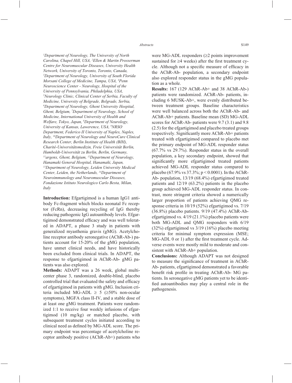*1 Department of Neurology, The University of North Carolina, Chapel Hill, USA, 2 Ellen & Martin Prosserman Centre for Neuromuscular Diseases, University Health Network, University of Toronto, Toronto, Canada, 3 Department of Neurology, University of South Florida Morsani College of Medicine, Tampa, USA, 4 Penn Neuroscience Center - Neurology, Hospital of the University of Pennsylvania, Philadelphia, USA, 5 Neurology Clinic, Clinical Center of Serbia, Faculty of Medicine, University of Belgrade, Belgrade, Serbia, 6 Department of Neurology, Ghent University Hospital, Ghent, Belgium, 7 Department of Neurology, School of Medicine, International University of Health and Welfare, Tokyo, Japan, 8 Department of Neurology, University of Kansas, Lawerence, USA, 9 NRSO Department, Federico II University of Naples, Naples, Italy, 10Department of Neurology and NeuroCure Clinical Research Center, Berlin Institute of Health (BIH), Charité-Universitätsmedizin, Freie Universität Berlin, Humboldt-Universität zu Berlin, Berlin, Germany, 11argenx, Ghent, Belgium, 12Department of Neurology, Hanamaki General Hospital, Hanamaki, Japan, 13Department of Neurology, Leiden University Medical Center, Leiden, the Netherlands, 14Department of Neuroimmunology and Neuromuscular Diseases, Fondazione Istituto Neurologico Carlo Besta, Milan, Italy*

**Introduction:** Efgartigimod is a human IgG1 antibody Fc-fragment which blocks neonatal Fc receptor (FcRn), decreasing recycling of IgG thereby reducing pathogenic IgG autoantibody levels. Efgartigimod demonstrated efficacy and was well tolerated in ADAPT, a phase 3 study in patients with generalized myasthenia gravis (gMG). Acetylcholine receptor antibody seronegative (AChR-Ab-) patients account for 15-20% of the gMG population, have unmet clinical needs, and have historically been excluded from clinical trials. In ADAPT, the response to efgartigimod in AChR-Ab- gMG patients was also explored.

**Methods:** ADAPT was a 26 week, global multicenter phase 3, randomized, double-blind, placebo controlled trial that evaluated the safety and efficacy of efgartigimod in patients with gMG. Inclusion criteria included MG-ADL  $\geq$  5 ( $\geq$ 50% non-ocular symptoms), MGFA class II-IV, and a stable dose of at least one gMG treatment. Patients were randomized 1:1 to receive four weekly infusions of efgartigimod (10 mg/kg) or matched placebo, with subsequent treatment cycles initiated according to clinical need as defined by MG-ADL score. The primary endpoint was percentage of acetylcholine receptor antibody positive (AChR-Ab+) patients who were MG-ADL responders  $(\geq 2)$  points improvement sustained for  $\geq$ 4 weeks) after the first treatment cycle. Although not a specific measure of efficacy in the AChR-Ab- population, a secondary endpoint also explored responder status in the gMG population as a whole.

**Results:** 167 (129 AChR-Ab+ and 38 AChR-Ab-) patients were randomized. AChR-Ab- patients, including 6 MUSK-Ab+, were evenly distributed between treatment groups. Baseline characteristics were well balanced across both the AChR-Ab- and AChR-Ab+ patients. Baseline mean (SD) MG-ADL scores for AChR-Ab- patients were 9.7 (3.1) and 9.8 (2.5) for the efgartigimod and placebo treated groups respectively. Significantly more AChR-Ab+ patients treated with efgartigimod compared to placebo met the primary endpoint of MG-ADL responder status (67.7% vs 29.7%). Responder status in the overall population, a key secondary endpoint, showed that significantly more efgartigimod treated patients achieved MG-ADL responder status compared to placebo (67.9% vs 37.3%; p < 0.0001). In the AChR-Ab- population, 13/19 (68.4%) efgartigimod treated patients and 12/19 (63.2%) patients in the placebo group achieved MG-ADL responder status. In contrast, more stringent criteria showed a numerically larger proportion of patients achieving QMG response criteria in 10/19 (52%) efgartigimod vs. 7/19 (36.8%) placebo patients. 9/19 (47.4%) AChR-Abefgartigimod vs. 4/19 (21.1%) placebo patients were both MG-ADL and QMG responders with 6/19 (32%) efgartigimod vs 3/19 (16%) placebo meeting criteria for minimal symptom expression (MSE; MG-ADL 0 or 1) after the first treatment cycle. Adverse events were mostly mild to moderate and consistent with AChR-Ab+ population.

**Conclusions:** Although ADAPT was not designed to measure the significance of treatment in AChR-Ab- patients, efgartigimod demonstrated a favorable benefit risk profile in treating AChR-Ab- MG patients. In seronegative gMG patients yet to be identified autoantibodies may play a central role in the pathogenesis.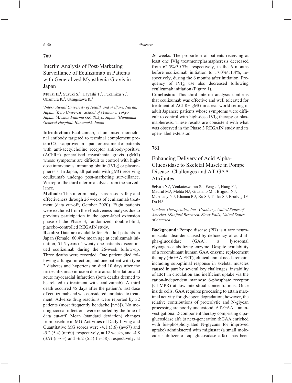### **760**

Interim Analysis of Post-Marketing Surveillance of Eculizumab in Patients with Generalized Myasthenia Gravis in Japan

Murai H.<sup>1</sup>, Suzuki S.<sup>2</sup>, Hayashi T.<sup>3</sup>, Fukamizu Y.<sup>3</sup>, Okamura K.3 , Utsugisawa K.4

*1 International University of Health and Welfare, Narita, Japan, 2 Keio University School of Medicine, Tokyo, Japan, 3 Alexion Pharma GK, Tokyo, Japan, 4 Hanamaki General Hospital, Hanamaki, Japan*

**Introduction:** Eculizumab, a humanised monoclonal antibody targeted to terminal complement protein C5, is approved in Japan for treatment of patients with anti-acetylcholine receptor antibody-positive (AChR+) generalised myasthenia gravis (gMG) whose symptoms are difficult to control with highdose intravenous immunoglobulin (IVIg) or plasmapheresis. In Japan, all patients with gMG receiving eculizumab undergo post-marketing surveillance. We report the third interim analysis from the surveillance.

**Methods:** This interim analysis assessed safety and effectiveness through 26 weeks of eculizumab treatment (data cut-off, October 2020). Eight patients were excluded from the effectiveness analysis due to previous participation in the open-label extension phase of the Phase 3, randomized, double-blind, placebo-controlled REGAIN study.

**Results:** Data are available for 96 adult patients in Japan (female, 60.4%; mean age at eculizumab initiation, 51.5 years). Twenty-one patients discontinued eculizumab during the 26-week follow-up. Three deaths were recorded. One patient died following a fungal infection, and one patient with type 2 diabetes and hypertension died 10 days after the first eculizumab infusion due to atrial fibrillation and acute myocardial infarction (both deaths deemed to be related to treatment with eculizumab). A third death occurred 45 days after the patient's last dose of eculizumab and was considered unrelated to treatment. Adverse drug reactions were reported by 32 patients (most frequently headache [n=8]). No meningococcal infections were reported by the time of data cut-off. Mean (standard deviation) changes from baseline in MG-Activities of Daily Living and Quantitative MG scores were -4.1 (3.6) (n=67) and -5.2 (5.4) (n=60), respectively, at 12 weeks, and -4.8 (3.9) (n=63) and -6.2 (5.5) (n=58), respectively, at

26 weeks. The proportion of patients receiving at least one IVIg treatment/plasmapheresis decreased from 62.5%/30.7%, respectively, in the 6 months before eculizumab initiation to 17.0%/11.4%, respectively, during the 6 months after initiation. Frequency of IVIg use also decreased following eculizumab initiation (Figure 1).

**Conclusion:** This third interim analysis confirms that eculizumab was effective and well tolerated for treatment of AChR+ gMG in a real-world setting in adult Japanese patients whose symptoms were difficult to control with high-dose IVIg therapy or plasmapheresis. These results are consistent with what was observed in the Phase 3 REGAIN study and its open-label extension.

### **761**

Enhancing Delivery of Acid Alpha-Glucosidase to Skeletal Muscle in Pompe Disease: Challenges and AT-GAA Attributes

Selvan N.<sup>1</sup>, Venkateswaran S.<sup>1</sup>, Feng J.<sup>1</sup>, Hung F.<sup>1</sup>, Madrid M.<sup>1</sup>, Mehta N.<sup>1</sup>, Graziano M.<sup>1</sup>, Brignol N.<sup>1</sup>, McAnany Y.<sup>1</sup>, Khanna R.<sup>1</sup>, Xu S.<sup>1</sup>, Tuske S.<sup>1</sup>, Brudvig J.<sup>2</sup>,  $Do H<sup>1</sup>$ 

*1 Amicus Therapeutics, Inc., Cranbury, United States of America, 2 Sanford Research, Sioux Falls, United States of America*

**Background:** Pompe disease (PD) is a rare neuromuscular disorder caused by deficiency of acid alpha-glucosidase (GAA), a lysosomal glycogen-catabolizing enzyme. Despite availability of a recombinant human GAA enzyme replacement therapy (rhGAA ERT), clinical unmet needs remain, including suboptimal response in skeletal muscles caused in part by several key challenges: instability of ERT in circulation and inefficient uptake via the cation-independent mannose 6-phosphate receptor (CI-MPR) at low interstitial concentrations. Once inside cells, GAA requires processing to attain maximal activity for glycogen degradation; however, the relative contributions of proteolytic and N-glycan processing are poorly understood. AT-GAA—an investigational 2-component therapy comprising cipaglucosidase alfa (a next-generation rhGAA enriched with bis-phosphorylated N-glycans for improved uptake) administered with miglustat (a small molecule stabilizer of cipaglucosidase alfa)—has been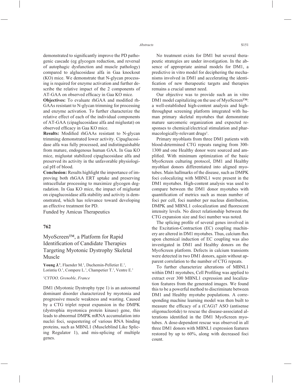demonstrated to significantly improve the PD pathogenic cascade (eg glycogen reduction, and reversal of autophagic dysfunction and muscle pathology) compared to alglucosidase alfa in Gaa knockout (KO) mice. We demonstrate that N-glycan processing is required for enzyme activation and further describe the relative impact of the 2 components of AT-GAA on observed efficacy in Gaa KO mice.

**Objectives:** To evaluate rhGAA and modified rh-GAAs resistant to N-glycan trimming for processing and enzyme activation. To further characterize the relative effect of each of the individual components of AT-GAA (cipaglucosidase alfa and miglustat) on observed efficacy in Gaa KO mice.

**Results:** Modified rhGAAs resistant to N-glycan trimming demonstrated lower activity. Cipaglucosidase alfa was fully processed, and indistinguishable from mature, endogenous human GAA. In Gaa KO mice, miglustat stabilized cipaglucosidase alfa and preserved its activity in the unfavorable physiological pH of blood.

**Conclusion:** Results highlight the importance of improving both rhGAA ERT uptake and preserving intracellular processing to maximize glycogen degradation. In Gaa KO mice, the impact of miglustat on cipaglucosidase alfa stability and activity is demonstrated, which has relevance toward developing an effective treatment for PD.

Funded by Amicus Therapeutics

### **762**

# MyoScreen™, a Platform for Rapid Identification of Candidate Therapies Targeting Myotonic Dystrophy Skeletal Muscle

Young J.<sup>1</sup>, Flaender M.<sup>1</sup>, Duchemin-Pelletier E.<sup>1</sup>, Lorintiu O.<sup>1</sup>, Compere L.<sup>1</sup>, Champetier T.<sup>1</sup>, Ventre E.<sup>1</sup>

#### *1 CYTOO, Grenoble, France*

DM1 (Myotonic Dystrophy type 1) is an autosomal dominant disorder characterized by myotonia and progressive muscle weakness and wasting. Caused by a CTG triplet repeat expansion in the DMPK (dystrophia myotonica protein kinase) gene, this leads to abnormal DMPK mRNA accumulation into nuclei foci, sequestering of various RNA binding proteins, such as MBNL1 (Muscleblind Like Splicing Regulator 1), and mis-splicing of multiple genes.

No treatment exists for DM1 but several therapeutic strategies are under investigation. In the absence of appropriate animal models for DM1, a predictive in vitro model for deciphering the mechanisms involved in DM1 and accelerating the identification of new therapeutic targets and therapies remains a crucial unmet need.

Our objective was to provide such an in vitro DM1 model capitalizing on the use of MyoScreen™: a well-established high-content analysis and highthroughput screening platform integrated with human primary skeletal myotubes that demonstrate mature sarcomeric organization and expected responses to chemical/electrical stimulation and pharmacologically-relevant drugs<sup>1</sup>.

Primary myoblasts from three DM1 patients with blood-determined CTG repeats ranging from 300- 1300 and one Healthy donor were sourced and amplified. With minimum optimization of the basic MyoScreen culturing protocol, DM1 and Healthy myoblast donors differentiated into aligned myotubes. Main hallmarks of the disease, such as DMPK foci colocalizing with MBNL1 were present in the DM1 myotubes. High-content analysis was used to compare between the DM1 donor myotubes with quantification of metrics such as mean number of foci per cell, foci number per nucleus distribution, DMPK and MBNL1 colocalization and fluorescent intensity levels. No direct relationship between the CTG expansion size and foci number was noted.

The splicing profile of several genes involved in the Excitation-Contraction (EC) coupling machinery are altered in DM1 myotubes. Thus, calcium flux upon chemical induction of EC coupling was also investigated in DM1 and Healthy donors on the MyoScreen platform. Defects in calcium transients were detected in two DM1 donors, again without apparent correlation to the number of CTG repeats.

To further characterize alterations of MBNL1 within DM1 myotubes, Cell Profiling was applied to extract over 300 MBNL1 expression and localization features from the generated images. We found this to be a powerful method to discriminate between DM1 and Healthy myotube populations. A corresponding machine learning model was then built to measure the efficacy of a (CAG)7 ASO (antisense oligonucleotide) to rescue the disease-associated alterations identified in the DM1 MyoScreen myotubes. A dose-dependent rescue was observed in all three DM1 donors with MBNL1 expression features restored by up to 60%, along with decreased foci count.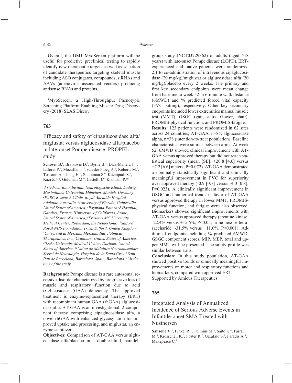Overall, the DM1 MyoScreen platform will be useful for predictive preclinical testing to rapidly identify new therapeutic targets as well as selection of candidate therapeutics targeting skeletal muscle including ASO conjugates, compounds, siRNAs and AAVs (adenovirus associated vectors) producing antisense RNAs and proteins.

<sup>1</sup>MyoScreen, a High-Throughput Phenotypic Screening Platform Enabling Muscle Drug Discovery (2018) SLAS Discov.

### **763**

Efficacy and safety of cipaglucosidase alfa/ miglustat versus alglucosidase alfa/placebo in late-onset Pompe disease: PROPEL study

Schoser B.<sup>1</sup>, Bratkovic D.<sup>2</sup>, Byrne B.<sup>3</sup>, Diaz-Manera J.<sup>11</sup>, Laforet P.<sup>4</sup>, Mozaffar T.<sup>5</sup>, van der Ploeg A.<sup>6</sup>, Roberts M.<sup>7</sup>, Toscano A.<sup>8</sup>, Jiang H.<sup>9</sup>, Sitaraman S.<sup>9</sup>, Kuchipudi S.<sup>9</sup>, Kazi Z.<sup>9,12</sup>, Goldman M.<sup>9</sup>, Castelli J.<sup>9</sup>, Kishnani P.<sup>10</sup>

*1 Friedrich-Baur-Institut, Neurologische Klinik, Ludwig-Maximilians-Universität München, Munich, Germany, 2 PARC Research Clinic, Royal Adelaide Hospital, Adelaide, Australia, 3 University of Florida, Gainesville, United States of America, 4 Raymond-Poincaré Hospital, Garches, France, 5 University of California, Irvine, United States of America, 6 Erasmus MC University Medical Center, Rotterdam, the Netherlands, 7 Salford Royal NHS Foundation Trust, Salford, United Kingdom, 8 Università di Messina, Messina, Italy, 9 Amicus Therapeutics, Inc., Cranbury, United States of America, 10Duke University Medical Center, Durham, United States of America, 11Unitat de Malalties Neuromusculars Servei de Neurologia, Hospital de la Santa Creu i Sant Pau de Barcelona, Barcelona, Spain, Barcelona, 12At the time of the study*

**Background:** Pompe disease is a rare autosomal recessive disorder characterized by progressive loss of muscle and respiratory function due to acid  $\alpha$ -glucosidase (GAA) deficiency. The approved treatment is enzyme-replacement therapy (ERT) with recombinant human GAA (rhGAA) alglucosidase alfa. AT-GAA is an investigational, 2-component therapy comprising cipaglucosidase alfa, a novel rhGAA with enhanced glycosylation for improved uptake and processing, and miglustat, an enzyme stabilizer.

**Objectives:** Comparison of AT-GAA versus alglucosidase alfa/placebo in a double-blind, parallelgroup study (NCT03729362) of adults (aged  $\geq 18$ years) with late-onset Pompe disease (LOPD). ERTexperienced and -naive patients were randomized 2:1 to co-administration of intravenous cipaglucosidase (20 mg/kg)/miglustat or alglucosidase alfa (20 mg/kg)/placebo every 2 weeks. The primary and first key secondary endpoints were mean change from baseline to week 52 in 6-minute walk distance (6MWD) and % predicted forced vital capacity (FVC; sitting), respectively. Other key secondary endpoints included lower extremities manual muscle test (MMT), GSGC (gait, stairs, Gower, chair), PROMIS-physical function, and PROMIS-fatigue.

**Results:** 123 patients were randomized in 62 sites across 24 countries; AT-GAA, n=85; alglucosidase alpha, n=38 (intention-to-treat population). Baseline characteristics were similar between arms. At week 52, 6MWD showed clinical improvement with AT-GAA versus approved therapy but did not reach statistical superiority (mean [SE]: +20.8 [4.6] versus +7.2 [6.6] meters; P=0.072). AT-GAA demonstrated a nominally statistically significant and clinically meaningful improvement in FVC for superiority over approved therapy (-0.9 [0.7] versus -4.0 [0.8];  $P=0.023$ ). A clinically significant improvement in GSGC and numerical trends in favor of AT-GAA versus approved therapy in lower MMT, PROMISphysical function, and fatigue were also observed. Biomarkers showed significant improvements with AT-GAA versus approved therapy (creatine kinase: -22.4% versus +15.6%, P<0.05; urine hexose tetrasaccharide: -31.5% versus +11.0%, P<0.001). Additional endpoints including % predicted 6MWD, GSGC component scores, MIP, MEP, total and upper MMT will be presented. The safety profile was similar between arms.

**Conclusion:** In this study population, AT-GAA showed positive trends or clinically meaningful improvements on motor and respiratory functions and biomarkers, compared with approved ERT. Supported by Amicus Therapeutics.

#### **765**

Integrated Analysis of Annualized Incidence of Serious Adverse Events in Infantile-onset SMA Treated with Nusinersen

**Sansone V.<sup>1</sup>**, Finkel R.<sup>2</sup>, Tulinius M.<sup>3</sup>, Saito K.<sup>4</sup>, Farrar M.<sup>5</sup>, Krosschell K.<sup>6</sup>, Foster R.<sup>7</sup>, Garafalo S.<sup>8</sup>, Paradis A.<sup>8</sup>, Makepeace C.7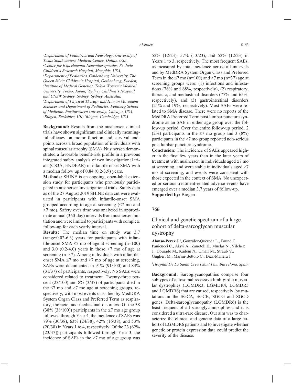*1 Department of Pediatrics and Neurology, University of Texas Southwestern Medical Center, Dallas, USA, 2 Center for Experimental Neurotherapeutics, St. Jude Children's Research Hospital, Memphis, USA, 3 Department of Pediatrics, Gothenburg University, The Queen Silvia Children's Hospital, Gothenburg, Sweden, 4 Institute of Medical Genetics, Tokyo Women's Medical University, Tokyo, Japan, 5 Sydney Children's Hospital and UNSW Sydney, Sydney, Sydney, Australia, 6 Department of Physical Therapy and Human Movement Sciences and Department of Pediatrics, Feinberg School of Medicine, Northwestern University, Chicago, USA, 7 Biogen, Berkshire, UK, 8 Biogen, Cambridge, USA*

**Background:** Results from the nusinersen clinical trials have shown significant and clinically meaningful efficacy on motor function and survival endpoints across a broad population of individuals with spinal muscular atrophy (SMA). Nusinersen demonstrated a favorable benefit-risk profile in a previous integrated safety analysis of two investigational trials (CS3A, ENDEAR) in infantile-onset SMA with a median follow up of 0.84 (0.2-3.9) years.

**Methods:** SHINE is an ongoing, open-label extension study for participants who previously participated in nusinersen investigational trials. Safety data as of the 27 August 2019 SHINE data cut were evaluated in participants with infantile-onset SMA grouped according to age at screening  $(\leq 7 \text{ mo and})$ >7 mo). Safety over time was analyzed in approximate annual (360-day) intervals from nusinersen initiation and were limited to participants with complete follow-up for each yearly interval.

**Results:** The median time on study was 3.7 (range:0.02-6.3) years for participants with infantile-onset SMA  $\leq$ 7 mo of age at screening (n=100) and 3.0  $(0.2-4.0)$  years in those  $>7$  mo of age at screening (n=37). Among individuals with infantileonset SMA  $\le$ 7 mo and  $>$ 7 mo of age at screening, SAEs were documented in 91% (91/100) and 84% (31/37) of participants, respectively. No SAEs were considered related to treatment. Twenty-three percent (23/100) and 8% (3/37) of participants died in the  $\leq$ 7 mo and  $>$ 7 mo age at screening groups, respectively, with most events classified by MedDRA System Organ Class and Preferred Term as respiratory, thoracic, and mediastinal disorders. Of the 38  $(38\% \, [38/100])$  participants in the  $\leq 7$  mo age group followed through Year 4, the incidence of SAEs was 79% (30/38), 63% (24/38), 42% (16/38), and 53% (20/38) in Years 1 to 4, respectively. Of the 23 (62% [23/37]) participants followed through Year 3, the incidence of SAEs in the >7 mo of age group was 52% (12/23), 57% (13/23), and 52% (12/23) in Years 1 to 3, respectively. The most frequent SAEs, as measured by total incidence across all intervals and by MedDRA System Organ Class and Preferred Term in the  $\leq$ 7 mo (n=100) and  $>$ 7 mo (n=37) age at screening groups were: (1) infections and infestations (76% and 68%, respectively), (2) respiratory, thoracic, and mediastinal disorders (77% and 65%, respectively), and (3) gastrointestinal disorders (21% and 19%, respectively). Most SAEs were related to SMA disease. There were no reports of the MedDRA Preferred Term post lumbar puncture syndrome as an SAE in either age group over the follow-up period. Over the entire follow-up period, 2 (2%) participants in the  $\leq$ 7 mo group and 3 (8%) participants in the >7 mo group reported non-serious post lumbar puncture syndrome.

**Conclusion:** The incidence of SAEs appeared higher in the first few years than in the later years of treatment with nusinersen in individuals aged  $\leq$ 7 mo at screening, and were stable in individuals aged >7 mo at screening, and events were consistent with those expected in the context of SMA. No unexpected or serious treatment-related adverse events have emerged over a median 3.7 years of follow-up. **Supported by:** Biogen

### **766**

Clinical and genetic spectrum of a large cohort of delta-sarcoglycan muscular dystrophy

**Alonso-Perez J.1** , González-Quereda L., Bruno C., Panicucci C., Alavi A., Zanoteli E., Muelas N., Vílchez J., Dourado M., Kadem N., Umair M., Straub V., Guglieri M., Marini-Bettolo C., Díaz-Manera J.

*1 Hospital De La Santa Creu I Sant Pau, Barcelona, Spain*

**Background:** Sarcoglycanopathies comprise four subtypes of autosomal recessive limb-girdle muscular dystrophies (LGMDR3, LGMDR4, LGMDR5 and LGMDR6) that are caused, respectively, by mutations in the SGCA, SGCB, SGCG and SGCD genes. Delta-sarcoglycanopathy (LGMDR6) is the least frequent of all sarcoglycanopaphies and it is considered a ultra-rare disease. Our aim was to characterize the clinical and genetic data of a large cohort of LGMDR6 patients and to investigate whether genetic or protein expression data could predict the severity of the disease.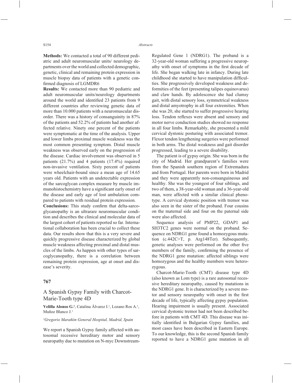**Methods:** We contacted a total of 90 different pediatric and adult neuromuscular units/ neurology departments over the world and collected demographic, genetic, clinical and remaining protein expression in muscle biopsy data of patients with a genetic confirmed diagnosis of LGMDR6

**Results:** We contacted more than 90 pediatric and adult neuromuscular units/neurology departments around the world and identified 23 patients from 9 different countries after reviewing genetic data of more than 10.000 patients with a neuromuscular disorder. There was a history of consanguinity in 87% of the patients and 52.2% of patients had another affected relative. Ninety one percent of the patients were symptomatic at the time of the analysis. Upper and lower limbs proximal muscle weakness was the most common presenting symptom. Distal muscle weakness was observed early on the progression of the disease. Cardiac involvement was observed in 5 patients (21.7%) and 4 patients (17.4%) required non-invasive ventilation. Sixty percent of patients were wheelchair-bound since a mean age of 14.65 years old. Patients with an undetectable expression of the sarcoglycan complex measure by muscle immunohistochemistry have a significant early onset of the disease and early age of lost ambulation compared to patients with residual protein expression.

**Conclusions:** This study confirm that delta-sarcoglycanopathy is an ultrarare neuromuscular condition and describes the clinical and molecular data of the largest cohort of patients reported so far. International collaboration has been crucial to collect these data. Our results show that this is a very severe and quickly progressive disease characterized by global muscle weakness affecting proximal and distal muscles of the limbs. As happen with other types of sarcoglycanopathy, there is a correlation between remaining protein expression, age at onset and disease's severity.

### **767**

# A Spanish Gypsy Family with Charcot-Marie-Tooth type 4D

**Velilla Alonso G.<sup>1</sup>**, Catalina Álvarez I.<sup>1</sup>, Lozano Ros A.<sup>1</sup>, Muñoz Blanco J.1

#### *1 Gregorio Marañón General Hospital, Madrid, Spain*

We report a Spanish Gypsy family affected with autosomal recessive hereditary motor and sensory neuropathy due to mutation on N-myc DownstreamRegulated Gene 1 (NDRG1). The proband is a 32-year-old woman suffering a progressive neuropathy with onset of symptoms in the first decade of life. She began walking late in infancy. During late childhood she started to have manipulation difficulties. She progressively developed weakness and deformities of the feet (presenting talipes equinovarus) and claw hands. By adolescence she had clumsy gait, with distal sensory loss, symmetrical weakness and distal amyotrophy in all four extremities. When she was 20, she started to suffer progressive hearing loss. Tendon reflexes were absent and sensory and motor nerve conduction studies showed no response in all four limbs. Remarkably, she presented a mild cervical dystonic posturing with associated tremor. Flexor tendon lengthening surgeries were performed in both arms. The distal weakness and gait disorder progressed, leading to a severe disability.

The patient is of gypsy origin. She was born in the city of Madrid. Her grandparent's families were from the Spanish southern region of Extremadura and from Portugal. Her parents were born in Madrid and they were apparently non-consanguineous and healthy. She was the youngest of four siblings, and two of them, a 38-year-old woman and a 36-year-old man, were affected with a similar clinical phenotype. A cervical dystonic position with tremor was also seen in the sister of the proband. Four cousins on the maternal side and four on the paternal side were also affected.

Sequence analysis of PMP22, GDAP1 and SH3TC2 genes were normal on the proband. Sequence on NDRG1 gene found a homozygous mutation (c.442C>T, p. Arg148Ter). Subsequently, genetic analyses were performed on the other five members of the family, confirming the presence of the NDRG1 gene mutation: affected siblings were homozygous and the healthy members were heterozygous.

Charcot-Marie-Tooth (CMT) disease type 4D (also known as Lom type) is a rare autosomal recessive hereditary neuropathy, caused by mutations in the NDRG1 gene. It is characterized by a severe motor and sensory neuropathy with onset in the first decade of life, typically affecting gypsy population. Hearing impairment is usually present. Associated cervical dystonic tremor had not been described before in patients with CMT 4D. This disease was initially identified in Bulgarian Gypsy families, and most cases have been described in Eastern Europe. To our knowledge, this is the second Spanish family reported to have a NDRG1 gene mutation in all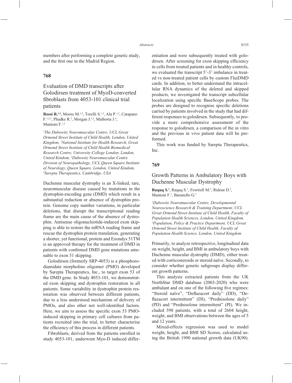members after performing a complete genetic study, and the first one in the Madrid Region.

### **768**

# Evaluation of DMD transcripts after Golodirsen treatment of MyoD-converted fibroblasts from 4053-101 clinical trial patients

**Rossi R.1,2**, Moore M.1,2, Torelli S.1,2, Ala P.1,2, Catapano  $F^{1,2,3}$ , Phadke R.<sup>3</sup>, Morgan J.<sup>1,2</sup>, Malhorta J.<sup>4</sup>, Muntoni  $F<sup>1,2</sup>$ 

*1 The Dubowitz Neuromuscular Centre, UCL Great Ormond Street Institute of Child Health, London, United Kingdom, 2 National Institute for Health Research, Great Ormond Street Institute of Child Health Biomedical Research Centre, University College London, London, United Kindom, 3 Dubowitz Neuromuscular Centre Division of Neuropathology, UCL Queen Square Institute of Neurology, Queen Square, London, United Kindom, 4 Sarepta Therapeutics, Cambridge, USA*

Duchenne muscular dystrophy is an X-linked, rare, neuromuscular disease caused by mutations in the dystrophin-encoding gene (DMD) which result in a substantial reduction or absence of dystrophin protein. Genome copy number variations, in particular deletions, that disrupt the transcriptional reading frame are the main cause of the absence of dystrophin. Antisense oligonucleotide-induced exon skipping is able to restore the mRNA reading frame and rescue the dystrophin protein translation, generating a shorter, yet functional, protein and Exondys 51TM is an approved therapy for the treatment of DMD in patients with confirmed DMD gene mutations amenable to exon 51 skipping.

Golodirsen (formerly SRP-4053) is a phosphorodiamidate morpholino oligomer (PMO) developed by Sarepta Therapeutics, Inc., to target exon 53 of the DMD gene. In Study 4053-101, we demonstrated exon skipping and dystrophin restoration in all patients. Some variability in dystrophin protein restoration was observed between different patients, due to a less understood mechanism of delivery of PMOs, and also other not well-identified factors. Here, we aim to assess the specific exon 53 PMOinduced skipping in primary cell cultures from patients recruited into the trial, to better characterise the efficiency of this process in different patients.

Fibroblasts, derived from the patients enrolled in study 4053-101, underwent Myo-D induced differentiation and were subsequently treated with golodirsen. After screening for exon skipping efficiency in cells from treated patients and in healthy controls, we evaluated the transcript 5'-3' imbalance in treated vs non-treated patient cells by custom FluiDMD cards. In addition, to better understand the intracellular RNA dynamics of the deleted and skipped products, we investigated the transcript subcellular localization using specific BaseScope probes. The probes are designed to recognise specific deletions carried by patients involved in the study that had different responses to golodirsen. Subsequently, to provide a more comprehensive assessment of the response to golodirsen, a comparison of the in vitro and the previous in vivo patient data will be performed.

This work was funded by Sarepta Therapeutics, Inc.

### **769**

# Growth Patterns in Ambulatory Boys with Duchenne Muscular Dystrophy

Raquq S.<sup>1</sup>, Raquq S.<sup>1</sup>, Fewtrell M.<sup>2</sup>, Ridout D.<sup>2</sup>, Muntoni F.<sup>1</sup>, Baranello G.<sup>1</sup>

*1 Dubowitz Neuromuscular Centre, Developmental Neuroscience Research & Training Department, UCL Great Ormond Street Institute of Child Health, Faculty of Population Health Sciences, London, United Kingdom, 2 Population, Policy & Practice Department, UCL Great Ormond Street Institute of Child Health, Faculty of Population Health Science, London, United Kingdom*

Primarily, to analyze retrospective, longitudinal data on weight, height, and BMI in ambulatory boys with Duchenne muscular dystrophy (DMD), either treated with corticosteroids or steroid naïve. Secondly, to consider whether genetic subgroups display different growth patterns.

This analysis extracted patients from the UK NorthStar DMD database (2003-2020) who were ambulant and on one of the following five regimes: "Steroid naïve", "Deflazacort daily" (DD), "Deflazacort intermittent" (DI), "Prednisolone daily" (PD) and "Prednisolone intermittent" (PI). We included 598 patients, with a total of 2604 height, weight, and BMI observations between the ages of 5 and 12 years.

Mixed-effects regression was used to model weight, height, and BMI SD Scores, calculated using the British 1990 national growth data (UK90).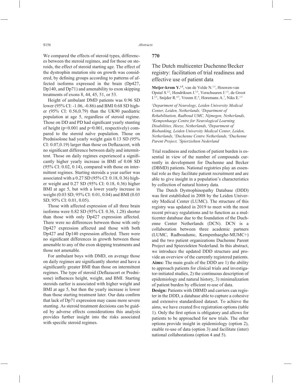We compared the effects of steroid types, differences between the steroid regimes, and for those on steroids, the effect of steroid starting age. The effect of the dystrophin mutation site on growth was considered, by defining groups according to patterns of affected isoforms expressed in the brain (Dp427, Dp140, and Dp71) and amenability to exon skipping treatments of exons 8, 44, 45, 51, or 53.

Height of ambulant DMD patients was 0.96 SD lower (95% CI: -1.06, -0.86) and BMI 0.68 SD higher (95% CI: 0.56,0.79) than the UK90 paediatric population at age 5, regardless of steroid regime. Those on DD and PD had significant yearly stunting of height ( $p<0.001$  and  $p=0.001$ , respectively) compared to the steroid naïve population. Those on Prednisolone had yearly weight gain 0.13 SD (95%  $CI: 0.07, 0.19$ ) larger than those on Deflazacort, with no significant difference between daily and intermittent. Those on daily regimes experienced a significantly higher yearly increase in BMI of 0.08 SD  $(95\% \text{ CI: } 0.02, 0.14)$ , compared with those on intermittent regimes. Starting steroids a year earlier was associated with a 0.27 SD (95% CI: 0.18, 0.36) higher weight and 0.27 SD (95% CI: 0.18, 0.36) higher BMI at age 5, but with a lower yearly increase in weight (0.03 SD; 95% CI: 0.01, 0.04) and BMI (0.03 SD; 95% CI: 0.01, 0.05).

Those with affected expression of all three brain isoforms were 0.82 SD (95% CI: 0.36, 1.28) shorter than those with only Dp427 expression affected. There were no differences between those with only Dp427 expression affected and those with both Dp427 and Dp140 expression affected. There were no significant differences in growth between those amenable to any of the exon skipping treatments and those not amenable.

For ambulant boys with DMD, on average those on daily regimes are significantly shorter and have a significantly greater BMI than those on intermittent regimes. The type of steroid (Deflazacort or Prednisone) influences height, weight, and BMI. Starting steroids earlier is associated with higher weight and BMI at age 5, but then the yearly increase is lower than those starting treatment later. Our data confirm that lack of Dp71 expression may cause more severe stunting. As steroid treatment decisions can be guided by adverse effects considerations this analysis provides further insight into the risks associated with specific steroid regimes.

### **770**

# The Dutch multicenter Duchenne/Becker registry: facilitation of trial readiness and effective use of patient data

Meijer-krom Y.<sup>1,5</sup>, van de Velde N.<sup>1,5</sup>, Houwen-van Opstal S.<sup>2,5</sup>, Hendriksen J.<sup>3,5</sup>, Verschuuren J.<sup>1,5</sup>, de Groot I.<sup>2,5</sup>, Snijder R.<sup>4,5</sup>, Vroom E.<sup>6</sup>, Horemans A.<sup>7</sup>, Niks E.<sup>1,5</sup>

*1 Department of Neurology, Leiden University Medical Center, Leiden, Netherlands, 2 Department of Rehabilitation, Radboud UMC, Nijmegen, Netherlands, 3 Kempenhaege Centre for Neurological Learning Disabilities, Heeze, Netherlands, 4 Department of Biobanking, Leiden University Medical Center, Leiden, Netherlands, 5 Duchenne Centre Netherlands, 6 Duchenne Parent Project, 7 Spierziekten Nederland* 

Trial readiness and reduction of patient burden is essential in view of the number of compounds currently in development for Duchenne and Becker (DBMD) patients. National registries play an essential role as they facilitate patient recruitment and are able to give insight in a population's characteristics by collection of natural history data.

The Dutch Dystrophinopathy Database (DDD) was first established in 2008 by the Leiden University Medical Center (LUMC). The structure of this registry was updated in 2019 to meet with the most recent privacy regulations and to function as a multicenter database due to the foundation of the Duchenne Center Netherlands (DCN). DCN is a collaboration between three academic partners (LUMC, Radboudumc, Kempenhaeghe-MUMC+) and the two patient organizations Duchenne Parent Project and Spierziekten Nederland. In this abstract, we introduce the updated DDD structure and provide an overview of the currently registered patients. **Aims:** The main goals of the DDD are 1) the ability to approach patients for clinical trials and investigator-initiated studies, 2) the continuous description of epidemiology and natural history, 3) minimalization of patient burden by efficient re-use of data.

**Design:** Patients with DBMD and carriers can register in the DDD, a database able to capture a cohesive and extensive standardized dataset. To achieve the aims, we have created five registration options (table 1). Only the first option is obligatory and allows for patients to be approached for new trials. The other options provide insight in epidemiology (option 2), enable re-use of data (option 3) and facilitate (inter) national collaborations (option 4 and 5).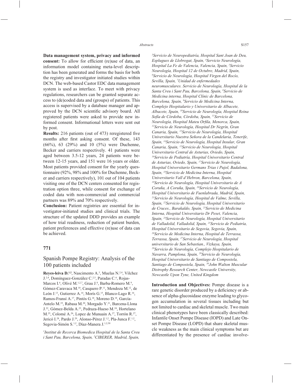**Data management system, privacy and informed**  consent: To allow for efficient (re)use of data, an information model containing meta-level description has been generated and forms the basis for both the registry and investigator initiated studies within DCN. The web-based Castor EDC data management system is used as interface. To meet with privacy regulations, researchers can be granted separate access to (de)coded data and (groups) of patients. This access is supervised by a database manager and approved by the DCN scientific advisory board. All registered patients were asked to provide new informed consent. Informational letters were sent out by post.

**Results:** 216 patients (out of 473) reregistered five months after first asking consent. Of these, 143 (66%), 63 (29%) and 10 (5%) were Duchenne, Becker and carriers respectively. 41 patients were aged between 3.5-12 years, 24 patients were between 12-15 years, and 151 were 16 years or older. Most patients provided consent for the yearly questionnaire (92%, 98% and 100% for Duchenne, Becker and carriers respectively), 101 out of 104 patients visiting one of the DCN centers consented for registration option three, while consent for exchange of coded data with non-commercial and commercial partners was 89% and 70% respectively.

**Conclusion:** Patient registries are essential for investigator-initiated studies and clinical trials. The structure of the updated DDD provides an example of how trial readiness, reduction of patient burden, patient preferences and effective (re)use of data can be achieved.

#### **771**

# Spanish Pompe Registry: Analysis of the 100 patients included

**Reyes-leiva D.<sup>1,2</sup>**, Nascimento A.<sup>3</sup>, Muelas N.<sup>2,4</sup>, Vilchez J.<sup>2,4</sup>, Domínguez-González C.<sup>2,5</sup>, Paradas C.<sup>6</sup>, Rojas-Marcos I.<sup>6</sup>, Olivé M.<sup>1,2,7</sup>, Grau J.<sup>8</sup>, Barba-Romero M.<sup>9</sup>, Gómez-Caravaca M.10, Casquero P.11, Mendoza M.12, de León J.<sup>13</sup>, Gutierrez A.<sup>14</sup>, Morís G.<sup>15</sup>, Blanco-Lago R.<sup>16</sup>, Ramos-Fransí A.17, Pintós G.18, Moreno D.18, García-Antelo M.19, Rabasa M.20, Morgado Y.21, Barcena-Llona J.22, Gómez-Belda A.23, Pedraza-Hueso M.24, Hortelano M.<sup>25</sup>, Colomé A.<sup>26</sup>, Lopez de Munuain A.<sup>27</sup>, Torrón R.<sup>27</sup>, Jericó I.<sup>28</sup>, Pardo J.<sup>29</sup>, Alonso-Pérez J.<sup>1,2</sup>, Pla-Junca F.<sup>1,2</sup>, Segovia-Simón S.<sup>1,2</sup>, Díaz-Manera J.<sup>1,2,30</sup>

*1 Institut de Recerca Biomedica Hospital de la Santa Creu i Sant Pau, Barcelona, Spain, 2 CIBERER, Madrid, Spain,* 

*3 Servicio de Neuropediatría, Hospital Sant Joan de Deu, Esplugues de Llobregat, Spain, 4 Servicio Neurología, Hospital La Fe de Valencia, Valencia, Spain, 5 Servicio Neurología, Hospital 12 de Octubre, Madrid, Spain, 6 Servicio de Neurología, Hospital Virgen del Rocío, Sevilla, Spain, 7 Unidad de enfermedades neuromusculares. Servicio de Neurología, Hospital de la Santa Creu i Sant Pau, Barcelona, Spain, 8 Servicio de Medicina interna, Hospital Clínic de Barcelona, Barcelona, Spain, 9 Servicio de Medicina Interna, Complejo Hospitalario y Universitario de Albacete, Albacete, Spain, 10Servicio de Neurología, Hospital Reina Sofía de Córdoba, Córdoba, Spain, 11Servicio de Neurología, Hospital Mateu Orfila, Menorca, Spain, <sup>12</sup>Servicio de Neurología, Hospital Dr Negrín, Gran Canaria, Spain, 13Servicio de Neurología, Hospital Universitario Nuestra Señora de la Candelaria, Tenerife, Spain, 14Servicio de Neurología, Hospital Insular, Gran Canaria, Spain, 15Servicio de Neurología, Hospital Universitario Central de Asturias, Oviedo, Spain, 16Servicio de Pediatría, Hospital Universitario Central de Asturias, Oviedo, Spain, 17Servicio de Neurología, Hospital Universitario Germans Trias i Pujol, Badalona, Spain, 18Servicio de Medicina Interna, Hospital Universitario Vall d'Hebron, Barcelona, Spain, 19Servicio de Neurología, Hospital Universitario de A Coruña, A Coruña, Spain, 20Servicio de Neurología, Hospital Universitario de Fuenlabrada, Madrid, Spain, 21Servicio de Neurología, Hospital de Valme, Sevilla, Spain, 22Servicio de Neurología, Hospital Universitario de Cruces., Barakaldo, Spain, 23Servicio de Medicina Interna, Hospital Universitario Dr Peset, Valencia, Spain, 24Servicio de Neurología, Hospital Universitario de Valladolid, Valladolid, Spain, 25Servicio de Pediatría, Hospital Universitario de Segovia, Segovia, Spain, 26Servicio de Medicina Interna, Hospital de Terrassa, Terrassa, Spain, 27Servicio de Neurología, Hospital universitario de San Sebastian., Vizkaya, Spain, 28Servicio de Neurología, Complejo Hospitalario de Navarra, Pamplona, Spain, 29Servicio de Neurología, Hospital Universitario de Santiago de Compostela, Santiago de Compostela, Spain, 30John Walton Muscular Distrophy Research Center, Newcastle University, Newcastle Upon Tyne, United Kingdom*

**Introduction and Objectives:** Pompe disease is a rare genetic disorder produced by a deficiency or absence of alpha-glucosidase enzyme leading to glycogen accumulation in several tissues including but not limited to cardiac and skeletal muscle. Two main clinical phenotypes have been classically described: Infantile Onset Pompe Disease (IOPD) and Late Onset Pompe Disease (LOPD) that share skeletal muscle weakness as the main clinical symptoms but are differentiated by the presence of cardiac involve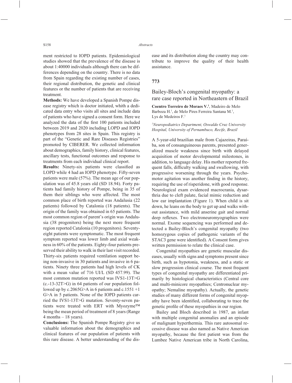ment restricted to IOPD patients. Epidemiological studies showed that the prevalence of the disease is about 1:40000 individuals although there can be differences depending on the country. There is no data from Spain regarding the existing number of cases, their regional distribution, the genetic and clinical features or the number of patients that are receiving treatment.

**Methods:** We have developed a Spanish Pompe disease registry which is doctor initiated, whith a dedicated data entry who visits all sites and include data of patients who have signed a consent form. Here we analyzed the data of the first 100 patients included between 2019 and 2020 including LOPD and IOPD phenotypes from 28 sites in Spain. This registry is part of the "Genetic and Rare Diseases Registries" promoted by CIBERER. We collected information about demographics, family history, clinical features, ancillary tests, functional outcomes and response to treatments from each individual clinical report.

**Results:** Ninety-six patients were classified as LOPD while 4 had an IOPD phenotype. Fifty-seven patients were male (57%). The mean age of our population was of 45.8 years old (SD 18.94). Forty patients had family history of Pompe, being in 35 of them their siblings who were affected. The most common place of birth reported was Andalusia (22 patients) followed by Catalonia (18 patients). The origin of the family was obtained in 65 patients. The most common region of parent's origin was Andalusia (38 progenitors) being the next more frequent region reported Catalonia (10 progenitors). Seventyeight patients were symptomatic. The most frequent symptom reported was lower limb and axial weakness in 60% of the patients. Eighty-four patients preserved their ability to walk in their last visit recorded. Thirty-six patients required ventilation support being non-invasive in 30 patients and invasive in 6 patients. Ninety three patients had high levels of CK with a mean value of 716 UI/L (SD 457.99). The most common mutation reported was IVS1-13T>G (c.-13-32T>G) in 64 patients of our population followed up by c.2065G $\geq$ A in 6 patients and c.1551 +1 G>A in 5 patients. None of the IOPD patients carried the IVS1-13T>G mutation. Seventy-seven patients were treated with ERT with Myozyme™ being the mean period of treatment of 8 years (Range 4 months – 18 years).

**Conclusions:** The Spanish Pompe Registry give us valuable information about the demographics and clinical features of our population of patients with this rare disease. A better understanding of the disease and its distribution along the country may contribute to improve the quality of their health assistance.

### **773**

# Bailey-Bloch's congenital myopathy: a rare case reported in Northeastern of Brazil

**Coentro Torreiro de Moraes V.1** , Madeiro de Melo Barboza H.<sup>1</sup>, de Melo Pires Ferreira Santana M.<sup>1</sup>, Lys de Medeiros F.<sup>1</sup>

*1 Neuropediatrics Department, Oswaldo Cruz University Hospital, University of Pernambuco, Recife, Brazil*

A 5-year-old brazilian male from Cajazeiras, Paraíba, son of consanguineous parents, presented generalized muscle weakness since birth with delayed acquisition of motor developmental milestones, in addition, to language delay. His mother reported frequent falls, difficulty walking and swallowing, with progressive worsening through the years. Psychomotor agitation was another finding in the history, requiring the use of risperidone, with good response. Neurological exam evidenced macrocrania, dysarthria due to cleft palate, facial mimic reduction and low ear implantation (Figure 1). When child is sit down, he leans on the body to get up and walks without assistance, with mild anserine gait and normal deep reflexes. Two electroneuromyographies were normal. Exome sequencing was performed and detected a Bailey-Bloch's congenital myopathy (two homozygous copies of pathogenic variants of the STAC3 gene were identified). A Consent form gives written permission to relate the clinical case.

Congenital myopathies are genetic muscular diseases, usually with signs and symptoms present since birth, such as hypotonia, weakness, and a static or slow progression clinical course. The most frequent types of congenital myopathy are differentiated primarily by histological characteristics (Central core and multi-minicore myopathies; Centronuclear myopathy; Nemaline myopathy). Actually, the genetic studies of many different forms of congenital myopathy have been identified, collaborating to trace the genetic profile of these myopathies in our region.

Bailey and Bloch described in 1987, an infant with multiple congenital anomalies and an episode of malignant hyperthermia. This rare autosomal recessive disease was also named as Native American myopathy, because the first patient was from the Lumbee Native American tribe in North Carolina,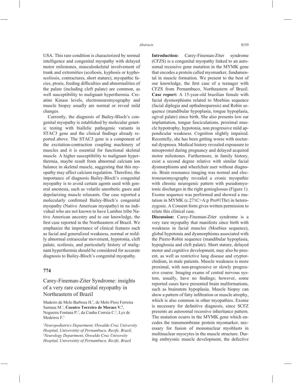USA. This rare condition is characterized by normal intelligence and congenital myopathy with delayed motor milestones, musculoskeletal involvement of trunk and extremities (scoliosis, kyphosis or kyphoscoliosis, contractures, short stature), myopathic facies, ptosis, feeding difficulties and abnormalities of the palate (including cleft palate) are common, as well susceptibility to malignant hyperthermia. Creatine Kinase levels, electroneuromyography and muscle biopsy usually are normal or reveal mild changes.

Currently, the diagnosis of Bailey-Bloch's congenital myopathy is established by molecular genetic testing with biallelic pathogenic variants in STAC3 gene and the clinical findings already reported above. The STAC3 gene is a component of the excitation-contraction coupling machinery of muscles and it is essential for functional skeletal muscle. A higher susceptibility to malignant hyperthermia, maybe result from abnormal calcium ion balance in skeletal muscle, suggesting that this myopathy may affect calcium regulation. Therefore, the importance of diagnosis Bailey-Bloch's congenital myopathy is to avoid certain agents used with general anestesia, such as volatile anesthetic gases and depolarizing muscle relaxants. Our case reported a molecularly confirmed Bailey-Bloch's congenital myopathy (Native American myopathy) in na individual who are not known to have Lumbee tribe Native American ancestry and to our knowledge, the first case reported in the Northeastern of Brazil. We emphasize the importance of clinical features such as facial and generalized weakness, normal or mildly abnormal extraocular movement, hypotonia, cleft palate, scoliosis, and particularly history of malignant hyperthermia should be considered for accurate diagnosis to Bailey-Bloch's congenital myopathy.

### **774**

Carey-Fineman-Ziter Syndrome: insights of a very rare congenital myopathy in Northeastern of Brazil

Madeiro de Melo Barboza H.<sup>1</sup>, de Melo Pires Ferreira Santana M.<sup>1</sup>, Coentro Torreiro de Moraes V.<sup>1</sup>, Nogueira Fontana P.2 , da Cunha Correia C.2 , Lys de Medeiros F.<sup>1</sup>

*1 Neuropediatrics Department, Oswaldo Cruz University Hospital, Universitity of Pernambuco, Recife, Brazil, 2 Neurology Department, Oswaldo Cruz University Hospital, Universitity of Pernambuco, Recife, Brazil*

**Introduction:** Carey-Fineman-Ziter syndrome (CFZS) is a congenital myopathy linked to an autosomal recessive gene mutation in the MYMK gene that encodes a protein called myomarker, fundamental in muscle formation. We present to the best of our knowledge, the first case of a teenager with CFZS from Pernambuco, Northeastern of Brazil. **Case report:** A 15-year-old brazilian female with facial dysmorphisms related to Moebius sequence (facial diplegia and opthalmoparesis) and Robin sequence (mandibular hypoplasia, tongue hypoplasia, ogival palate) since birth. She also presents low ear implantation, tongue fasciculations, proximal muscle hypotrophy, hypotonia, non progressive mild appendicular weakness. Cognition slightly impaired. Recentelly, she has been getting worse with nocturnal dyspnoea. Medical history revealed expousure to misoprostol during pregnancy and delayed acquired motor milestones. Furthermore, in family history, exist a second degree relative with similar facial dysmorphisms and wheelchair user without diagnosis. Brain resonance imaging was normal and electroneuromyography revealed a cronic myopathic with chronic neurogenic pattern with pseudomyotonic discharges in the right genioglossus (Figure 1). Exome sequence was performed and showed a mutation in MYMK (c.271C>A:p Pro91Thr) in heterozygosis. A Consent form gives written permission to relate this clinical case.

**Discussion:** Carey-Fineman-Ziter syndrome is a very rare myopathy that manifests since birth with weakness in facial muscles (Moebius sequence), global hypotonia and dysmorphisms associated with the Pierre-Robin sequence (mandibular hypoplasia, hypoglossia and cleft palate). Short stature, delayed motor and cognitive development, may also be present, as well as restrictive lung disease and cryptorchidism, in male patients. Muscle weakness is more proximal, with non-progressive or slowly progressive course. Imaging exams of central nervous system, usually, have no findings; however, some reported cases have presented brain malformations, such as brainstem hypoplasia. Muscle biopsy can show a pattern of fatty infiltration or muscle atrophy, which is also common in other myopathies. Exome is necessary for definitive diagnosis, since SCFZ presents an autosomal recessive inheritance pattern. The mutation ocurrs in the MYMK gene which encodes the transmembrane protein myomarker, necessary for fusion of mononuclear myoblasts in multinuclear myocytes in the muscle structure. During embryonic muscle development, the defective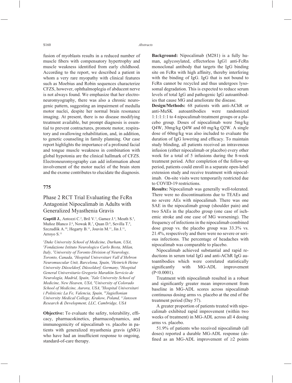fusion of myoblasts results in a reduced number of muscle fibers with compensatory hypertrophy and muscle weakness identified from early childhood. According to the report, we described a patient in whom a very rare myopathy with clinical features such as Moebius and Robin sequences characterize CFZS, however, ophthalmoplegia of abducent nerve is not always found. We emphasize that her electroneuromyography, there was also a chronic neurogenic pattern, suggesting an impairment of medulla motor nuclei, despite her normal brain resonance imaging. At present, there is no disease modifying treatment available, but prompt diagnosis is essential to prevent contractures, promote motor, respiratory and swallowing rehabilitation, and, in addition, to genetic counseling in family planning. Our case report highlights the importance of a profound facial and tongue muscle weakness in combination with global hypotonia are the clinical hallmark of CFZS. Electroneuromyography can add information about involvement of the motor nuclei of the brain stem and the exome contributes to elucidate the diagnosis.

### **775**

# Phase 2 RCT Trial Evaluating the FcRn Antagonist Nipocalimab in Adults with Generalized Myasthenia Gravis

**Guptill J.**, Antozzi C.<sup>2</sup>, Bril V.<sup>3</sup>, Gamez J.<sup>4</sup>, Meuth S.<sup>5</sup>, Muñoz Blanco J.<sup>6</sup>, Nowak R.<sup>7</sup>, Quan D.<sup>8</sup>, Sevilla T.<sup>9</sup>, Szczudlik A.<sup>10</sup>, Hegarty B.<sup>11</sup>, Jouvin M.<sup>11</sup>, Jin J.<sup>11</sup>, Arroyo S.<sup>11</sup>

*1 Duke University School of Medicine, Durham, USA, 2 Fondazione Istituto Neurologico Carlo Besta, Milan, Italy, 3 University of Toronto Division of Neurology, Toronto, Canada, 4 Hospital Universitari Vall d'Hebron Neuromuscular Unit, Barcelona, Spain, 5 Heinrich Heine University Düsseldorf, Düsseldorf, Germany, 6 Hospital General Universitario Gregorio Marañón Servicio de Neurología, Madrid, Spain, 7 Yale University School of Medicine, New Heaven, USA, 8 University of Colorado School of Medicine, Aurora, USA, 9 Hospital Universitari i Politècnic La Fe, Valencia, Spain, 10Jagiellonian University Medical College, Krakow, Poland, 11Janssen Research & Development, LLC, Cambridge, USA*

**Objective:** To evaluate the safety, tolerability, efficacy, pharmacokinetics, pharmacodynamics, and immunogenicity of nipocalimab vs. placebo in patients with generalized myasthenia gravis (gMG) who have had an insufficient response to ongoing, standard-of-care therapy.

**Background:** Nipocalimab (M281) is a fully human, aglycosylated, effectorless IgG1 anti-FcRn monoclonal antibody that targets the IgG binding site on FcRn with high affinity, thereby interfering with the binding of IgG. IgG that is not bound to FcRn cannot be recycled and thus undergoes lysosomal degradation. This is expected to reduce serum levels of total IgG and pathogenic IgG autoantibodies that cause MG and ameliorate the disease.

**Design/Methods:** 68 patients with anti-AChR or anti-MuSK autoantibodies were randomized 1:1:1:1:1 to 4 nipocalimab treatment groups or a placebo group. Doses of nipocalimab were 5mg/kg Q4W, 30mg/kg Q4W and 60 mg/kg Q2W. A single dose of 60mg/kg was also included to evaluate the duration of IgG lowering and efficacy. To maintain study blinding, all patients received an intravenous infusion (either nipocalimab or placebo) every other week for a total of 5 infusions during the 8-week treatment period. After completion of the follow-up period, patients could enroll in a separate open-label extension study and receive treatment with nipocalimab. On-site visits were temporarily restricted due to COVID-19 restrictions.

**Results:** Nipocalimab was generally well-tolerated. There were no discontinuations due to TEAEs and no severe AEs with nipocalimab. There was one SAE in the nipocalimab group (shoulder pain) and two SAEs in the placebo group (one case of ischemic stroke and one case of MG worsening). The frequency of infections in the nipocalimab combined dose group vs. the placebo group was 33.3% vs. 21.4%, respectively and there were no severe or serious infections. The percentage of headaches with nipocalimab was comparable to placebo.

Nipocalimab achieved substantial and rapid reductions in serum total IgG and anti-AChR IgG autoantibodies which were correlated statistically significantly with MG-ADL improvement (P<0.0001).

Treatment with nipocalimab resulted in a robust and significantly greater mean improvement from baseline in MG-ADL scores across nipocalimab continuous dosing arms vs. placebo at the end of the treatment period (Day 57).

A greater proportion of patients treated with nipocalimab exhibited rapid improvement (within two weeks of treatment) in MG-ADL across all 4 dosing arms vs. placebo.

51.9% of patients who received nipocalimab (all doses) reported a durable MG-ADL response (defined as an MG-ADL improvement of  $\geq 2$  points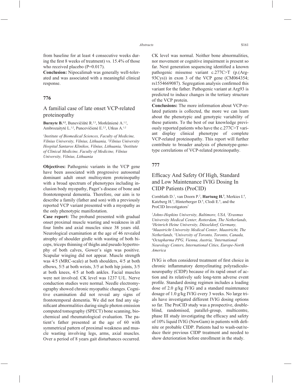from baseline for at least 4 consecutive weeks during the first 8 weeks of treatment) vs.  $15.4\%$  of those who received placebo (P=0.017).

**Conclusion:** Nipocalimab was generally well-tolerated and was associated with a meaningful clinical response.

#### **776**

# A familial case of late onset VCP-related proteinopathy

Burnyte B.<sup>1,2</sup>, Bunevičiūtė R.<sup>2,3</sup>, Morkūnienė A.<sup>1,2</sup>, Ambrozaitytė L.<sup>1,2</sup>, Puncevičienė E.<sup>2,3</sup>, Utkus A.<sup>1,2</sup>

*1 Institute of Biomedical Sciences, Faculty of Medicine, Vilnius University, Vilnius, Lithuania, 2 Vilnius University Hospital Santaros Klinikos, Vilnius, Lithuania, 3 Institute of Clinical Medicine, Faculty of Medicine, Vilnius University, Vilnius, Lithuania*

**Objectives:** Pathogenic variants in the VCP gene have been associated with progressive autosomal dominant adult onset multisystem proteinopathy with a broad spectrum of phenotypes including inclusion body myopathy, Paget's disease of bone and frontotemporal dementia. Therefore, our aim is to describe a family (father and son) with a previously reported VCP variant presented with a myopathy as the only phenotypic manifestation.

**Case report:** The proband presented with gradual onset proximal muscle wasting and weakness in all four limbs and axial muscles since 38 years old. Neurological examination at the age of 46 revealed atrophy of shoulder girdle with wasting of both biceps, triceps thinning of thighs and pseudo hypertrophy of both calves, Gower's sign was positive. Scapular winging did not appear. Muscle strength was 4/5 (MRC-scale) at both shoulders, 4/5 at both elbows, 5/5 at both wrists, 3/5 at both hip joints, 3/5 at both knees, 4/5 at both ankles. Facial muscles were not involved. CK level was 1237 U/L. Nerve conduction studies were normal. Needle electromyography showed chronic myopathic changes. Cognitive examination did not reveal any signs of frontotemporal dementia. We did not find any significant abnormalities during single photon emission computed tomography (SPECT) bone scanning, biochemical and rheumatological evaluation. The patient's father presented at the age of 60 with symmetrical pattern of proximal weakness and muscle wasting involving legs, arms, axial muscles. Over a period of 8 years gait disturbances occurred.

CK level was normal. Neither bone abnormalities, nor movement or cognitive impairment is present so far. Next generation sequencing identified a known pathogenic missense variant c.277C>T (p.(Arg-93Cys)) in exon 3 of the VCP gene (CM064354; rs1554669087). Segregation analysis confirmed this variant for the father. Pathogenic variant at Arg93 is predicted to induce changes in the tertiary structure of the VCP protein.

**Conclusions:** The more information about VCP-related patients is collected, the more we can learn about the phenotypic and genotypic variability of these patients. To the best of our knowledge previously reported patients who have the c.277C>T variant display clinical phenotype of complete VCP-related proteinopathy. This report will further contribute to broader analysis of phenotype-genotype correlations of VCP-related proteinopathy.

### **777**

# Efficacy And Safety Of High, Standard and Low Maintenance IVIG Dosing In CIDP Patients (ProCID)

Cornblath D.<sup>1</sup>, van Doorn P.<sup>2</sup>, **Hartung H.<sup>3</sup>**, Merkies I.<sup>4</sup>, Katzberg H.<sup>5</sup>, Hinterberger D.<sup>6</sup>, Clodi E.<sup>6</sup>, and the ProCID Investigators<sup>7</sup>

*1 Johns-Hopkins University, Baltimore, USA, 2 Erasmus University Medical Center, Rotterdam, The Netherlands, 3 Heinrich Heine University, Düsseldorf, Germany, 4 Maastricht University Medical Center, Maastricht, The Netherlands, 5 University of Toronto, Toronto, Canada, 6 Octapharma PPG, Vienna, Austria, 7 International Neurology Centers, International Cities, Europe-North America*

IVIG is often considered treatment of first choice in chronic inflammatory demyelinating polyradiculoneuropathy (CIDP) because of its rapid onset of action and its relatively safe long-term adverse event profile. Standard dosing regimen includes a loading dose of 2.0 g/kg IVIG and a standard maintenance dosage of 1.0 g/kg IVIG every 3 weeks. No large trials have investigated different IVIG dosing options so far. The ProCID study was a prospective, doubleblind, randomised, parallel-group, multicentre, phase III study investigating the efficacy and safety of 10% liquid IVIG (NewGam) in patients with definite or probable CIDP. Patients had to wash-out/reduce their previous CIDP treatment and needed to show deterioration before enrollment in the study.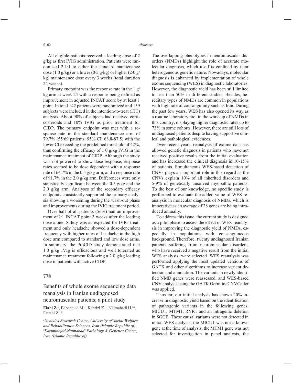All eligible patients received a loading dose of 2 g/kg as first IVIG administration. Patients were randomised 2:1:1 to either the standard maintenance dose (1.0 g/kg) or a lower (0.5 g/kg) or higher (2.0 g/ kg) maintenance dose every 3 weeks (total duration 24 weeks).

Primary endpoint was the response rate in the 1 g/ kg arm at week 24 with a response being defined as improvement in adjusted INCAT score by at least 1 point. In total 142 patients were randomized and 139 subjects were included in the intention-to-treat (ITT) analysis. About 90% of subjects had received corticosteroids and 10% IVIG as prior treatment for CIDP. The primary endpoint was met with a response rate in the standard maintenance arm of 79.7% (55/69 patients; 95% CI: 68.8-87.5) with the lower CI exceeding the predefined threshold of 42%, thus confirming the efficacy of  $1.0$  g/kg IVIG in the maintenance treatment of CIDP. Although the study was not powered to show dose response, response rates seemed to be dose dependent with a response rate of 64.7% in the 0.5 g/kg arm, and a response rate of 91.7% in the 2.0 g/kg arm. Differences were only statistically significant between the  $0.5$  g/kg and the 2.0 g/kg arm. Analyses of the secondary efficacy endpoints consistently supported the primary analysis showing a worsening during the wash-out phase and improvements during the IVIG treatment period.

Over half of all patients (56%) had an improvement of  $\geq 1$  INCAT point 3 weeks after the loading dose alone. Safety was as expected for IVIG treatment and only headache showed a dose-dependent frequency with higher rates of headache in the high dose arm compared to standard and low dose arms. In summary, the ProCID study demonstrated that  $1·0$  g/kg IVIg is efficacious and well tolerated as maintenance treatment following a 2·0 g/kg loading dose in patients with active CIDP.

#### **778**

Benefits of whole exome sequencing data reanalysis in Iranian undiagnosed neuromuscular patients; a pilot study

Elahi Z.<sup>1</sup>, Babanejad M.<sup>1</sup>, Kahrizi K.<sup>1</sup>, Najmabadi H.<sup>1,2</sup>, Fattahi Z.1,2

*1 Genetics Research Center, University of Social Welfare and Rehabilitation Sciences, Iran (Islamic Republic of), 2 Kariminejad-Najmabadi Pathology & Genetics Center, Iran (Islamic Republic of)*

The overlapping phenotypes in neuromuscular disorders (NMDs) highlight the role of accurate molecular diagnosis, which itself is confined by their heterogeneous genetic nature. Nowadays, molecular diagnosis is enhanced by implementation of whole exome sequencing (WES) in diagnostic laboratories. However, the diagnostic yield has been still limited to less than 50% in different studies. Besides, hereditary types of NMDs are common in populations with high rate of consanguinity such as Iran. During the past few years, WES has also opened its way as a routine laboratory tool in the work-up of NMDs in this country, displaying higher diagnostic rates up to 73% in some cohorts. However, there are still lots of undiagnosed patients despite having supportive clinical and pathological evidences.

Over recent years, reanalysis of exome data has allowed genetic diagnosis in patients who have not received positive results from the initial evaluation and has increased the clinical diagnosis in 10-15% of patients. Simultaneous WES-based detection of CNVs plays an important role in this regard as the CNVs explain 10% of all inherited disorders and 5-9% of genetically unsolved myopathic patients. To the best of our knowledge, no specific study is performed to evaluate the added value of WES-reanalysis in molecular diagnosis of NMDs, which is imperative as an average of 28 genes are being introduced annually.

To address this issue, the current study is designed as a pilot phase to assess the effect of WES-reanalysis in improving the diagnostic yield of NMDs, especially in populations with consanguineous background. Therefore, twenty undiagnosed Iranian patients suffering from neuromuscular disorders, who have received a negative result from the initial WES analysis, were selected. WES reanalysis was performed applying the most updated versions of GATK and other algorithms to increase variant detection and annotation. The variants in newly identified NMD genes were reassessed, and WES-based CNV analysis using the GATK GermlineCNVCaller was applied.

Thus far, our initial analysis has shown 20% increase in diagnostic yield based on the identification of pathogenic variants in the following genes; MICU1, MTM1, RYR1 and an intragenic deletion in SGCB. These causal variants were not detected in initial WES analysis; the MICU1 was not a known gene at the time of analysis, the MTM1 gene was not selected for investigation in panel analysis, the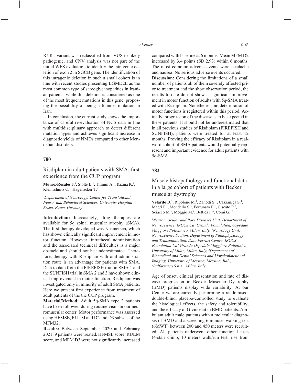RYR1 variant was reclassified from VUS to likely pathogenic, and CNV analysis was not part of the initial WES evaluation to identify the intragenic deletion of exon 2 in SGCB gene. The identification of this intragenic deletion in such a small cohort is in line with recent studies presenting LGMD2E as the most common type of sarcoglycanopathies in Iranian patients, while this deletion is considered as one of the most frequent mutations in this gene, proposing the possibility of being a founder mutation in Iran.

In conclusion, the current study shows the importance of careful re-evaluation of NGS data in line with multidisciplinary approach to detect different mutation types and achieves significant increase in diagnostic yields of NMDs compared to other Mendelian disorders.

#### **780**

# Risdiplam in adult patients with SMA: first experience from the CUP program

**Munoz-Rosales J.<sup>1</sup>**, Stolte B.<sup>1</sup>, Thimm A.<sup>1</sup>, Kizina K.<sup>1</sup>, Kleinschnitz C.<sup>1</sup>, Hagenacker T.<sup>1</sup>

*1 Department of Neurology, Center for Translational Neuro- and Behavioral Sciences, University Hospital Essen, Essen, Germany*

**Introduction:** Increasingly, drug therapies are available for 5q spinal muscular atrophy (SMA). The first therapy developed was Nusinersen, which has shown clinically significant improvement in motor function. However, intrathecal administration and the associated technical difficulties is a major obstacle and should not be underestimated. Therefore, therapy with Risdiplam with oral administration route is an advantage for patients with SMA. Data to date from the FIREFISH trial in SMA 1 and the SUNFISH trial in SMA 2 and 3 have shown clinical improvement in motor function. Risdiplam was investigated only in minority of adult SMA patients. Here we present first experience from treatment of adult patients of the the CUP program.

**Material/Method:** Adult 5q-SMA type 2 patients have been followed during routine visits in our neuromuscular center. Motor performance was assessed using HFMSE, RULM and D2 and D3 subsets of the MFM32.

**Results:** Between September 2020 and February 2021, 9 patients were treated. HFMSE score, RULM score, and MFM D3 were not significantly increased compared with baseline at 6 months. Mean MFM D2 increased by 3,4 points (SD 2,93) within 6 months. The most common adverse events were headache and nausea. No serious adverse events occurred.

**Discussion:** Considering the limitations of a small number of patients all of them severely affected prior to treatment and the short observation period, the results to date do not show a significant improvement in motor function of adults with 5q-SMA treated with Risdiplam. Nonetheless, no deterioration of motor functions is registered within this period. Actually, progression of the disease is to be expected in these patients. It should not be underestimated that in all previous studies of Risdiplam (FIREFISH and SUNFISH), patients were treated for at least 12 months. Proving the efficacy of Risdiplam in a realword cohort of SMA patients would potentially represent and important evidence for adult patients with 5q-SMA.

### **782**

Muscle histopathology and functional data in a large cohort of patients with Becker muscular dystrophy

Velardo D.<sup>1</sup>, Ripolone M.<sup>1</sup>, Zanotti S.<sup>1</sup>, Cazzaniga S.<sup>4</sup>, Magri F.<sup>2</sup>, Mondello S.<sup>3</sup>, Fortunato F.<sup>2</sup>, Ciscato P.<sup>2</sup>, Sciacco M.<sup>1</sup>, Moggio M.<sup>1</sup>, Bettica P.<sup>4</sup>, Comi G.<sup>1,2</sup>

*1 Neuromuscular and Rare Diseases Unit, Department of Neuroscience, IRCCS Ca' Granda Foundation, Ospedale Maggiore Policlinico, Milan, Italy, 2 Neurology Unit, Neuroscience Section, Department of Pathophysiology and Transplantation, Dino Ferrari Centre, IRCCS Foundation Ca' Granda Ospedale Maggiore Policlinico, University of Milan, Milan, Italy, 3 Department of Biomedical and Dental Sciences and Morphofunctional Imaging, University of Messina, Messina, Italy, 4 Italfarmaco S.p.A., Milan, Italy*

Age of onset, clinical presentation and rate of disease progression in Becker Muscular Dystrophy (BMD) patients display wide variability. At our Center we are currently performing a randomised, double-blind, placebo-controlled study to evaluate the histological effects, the safety and tolerability, and the efficacy of Givinostat in BMD patients. Ambulant adult male patients with a molecular diagnosis of BMD and a screening 6 minutes walking test (6MWT) between 200 and 450 meters were recruited. All patients underwent other functional tests (4-stair climb, 10 meters walk/run test, rise from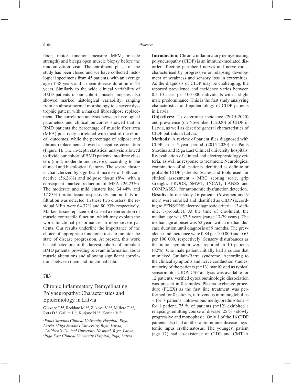floor, motor function measure MFM, muscle strength) and biceps open muscle biopsy before the randomization visit. The enrolment phase of the study has been closed and we have collected histological specimens from 45 patients, with an average age of 38 years and a mean disease duration of 23 years. Similarly to the wide clinical variability of BMD patients in our cohort, muscle biopsies also showed marked histological variability, ranging from an almost normal morphology to a severe dystrophic pattern with a marked fibroadipose replacement. The correlation analysis between histological parameters and clinical outcomes showed that in BMD patients the percentage of muscle fiber area (MFA) positively correlated with most of the clinical outcomes, while the percentage of adipose and fibrous replacement showed a negative correlation (Figure 1). The in-depth statistical analysis allowed to divide our cohort of BMD patients into three clusters (mild, moderate and severe), according to the clinical and histological features. The severe cluster is characterized by significant increase of both connective (56.26%) and adipose tissue (8%) with a consequent marked reduction of MFA (26.23%). The moderate and mild clusters had 34.44% and 17.83% fibrotic tissue respectively, and no fatty infiltration was detected. In these two clusters, the residual MFA were 64.37% and 80.93% respectively. Marked tissue replacement caused a deterioration of muscle contractile function, which may explain the worst functional performances in more severe patients. Our results underline the importance of the choice of appropriate functional tests to monitor the state of disease progression. At present, this work has collected one of the largest cohorts of ambulant BMD patients, providing relevant information about muscle alterations and allowing significant correlations between them and functional data.

#### **783**

# Chronic Inflammatory Demyelinating Polyneuropathy: Characteristics and Epidemiology in Latvia

Glazere I.<sup>1,2</sup>, Roddate M.<sup>1,2</sup>, Zukova V.<sup>1,2</sup>, Millere E.<sup>2,3</sup>, Rots D.<sup>2</sup>, Gailite L.<sup>2</sup>, Kurjane N.<sup>1,2</sup>, Kenina V.<sup>2,4</sup>

*1 Pauls Stradins Clinical University Hospital, Riga, Latvia, 2 Riga Stradins University, Riga, Latvia, 3 Children's Clinical University Hospital, Riga, Latvia, 4 Riga East Clinical University Hospital, Riga, Latvia*

**Introduction:** Chronic inflammatory demyelinating polyneuropathy (CIDP) is an immune-mediated disorder affecting peripheral nerves and nerve roots, characterised by progressive or relapsing development of weakness and sensory loss in extremities. As the diagnosis of CIDP may be challenging, the reported prevalence and incidence varies between 0.5-10 cases per 100 000 individuals with a slight male predominance. This is the first study analysing characteristics and epidemiology of CIDP patients in Latvia.

**Objectives:** To determine incidence (2015-2020) and prevalence (on November 1, 2020) of CIDP in Latvia, as well as describe general characteristics of CIDP patients in Latvia.

**Methods:** A review of patient files diagnosed with CIDP in a 5-year period (2015-2020) in Pauls Stradins and Riga East Clinical university hospitals. Re-evaluation of clinical and electrophysiology criteria, as well as response to treatment. Neurological examination of all patients identified as definite or probable CIDP patients. Scales and tools used for clinical assessment - MRC scoring scale, grip strength, I-RODS, 6MWT, INCAT, LANSS and COMPASS31 for autonomic dysfunction detection. **Results:** In our study 16 patients (6 women and 9 men) were enrolled and identified as CIDP (according to EFNS/PNS electrodiagnostic criteria: 13-definite, 3-probable). At the time of enrolment, the median age was 57,5 years (range 17-79 years). The median age at onset was 52 years with a median disease duration until diagnosis of 9 months. The prevalence and incidence were 0.84 per 100 000 and 0.65 per 100 000, respectively. Sensory disturbances as the initial symptom were reported in 10 patients (62%). One male patient initially had a course that mimicked Guillain-Barre syndrome. According to the clinical symptoms and nerve conduction studies, majority of the patients  $(n=13)$  manifested as typical sensorimotor CIDP. CSF analysis was available for 12 patients, verified cytoalbuminologic dissociation was present in 8 samples. Plasma exchange procedure ( $PLEX$ ) as the first line treatment was performed for 8 patients, intravenous immunoglobulins – for 7 patients, intravenous methylprednisolone – for 1 patient. 75 % of patients  $(n=12)$  exhibited a relapsing-remitting course of disease, 25 % - slowly progressive and monophasic. Only 1 of the 16 CIDP patients also had another autoimmune disease - systemic lupus erythematosus. The youngest patient (age 17) had co-existence of CIDP and CMT1A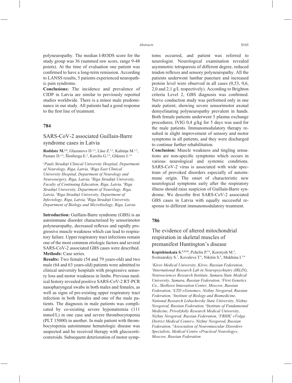polyneuropathy. The median I-RODS score for the study group was 36 (summed raw score, range 9-48 points). At the time of evaluation one patient was confirmed to have a long-term remission. According to LANSS results, 5 patients experienced neuropathic pain syndrome.

**Conclusions:** The incidence and prevalence of CIDP in Latvia are similar to previously reported studies worldwide. There is a minor male predominance in our study. All patients had a good response to the first line of treatment.

#### **784**

### SARS-CoV-2 associated Guillain-Barre syndrome cases in Latvia

Roddate M.<sup>1,3</sup>, Glazunovs D.<sup>2,3</sup>, Lāse Z.<sup>2,3</sup>, Kalniņa M.<sup>1,3</sup>, Pastare D.<sup>2,4</sup>, Šlosberga E.<sup>2</sup>, Karelis G.<sup>2,5</sup>, Glāzere I.<sup>1,6</sup>

*1 Pauls Stradiņš Clinical University Hospital, Department of Neurology, Riga, Latvia, 2 Riga East Clinical University Hospital, Department of Neurology and Neurosurgery, Riga, Latvia, 3 Riga Stradiņš University, Faculty of Continuing Education, Riga, Latvia, 4 Riga Stradiņš University, Department of Neurology, Riga, Latvia, 5 Riga Stradiņš University, Department of Infectology, Riga, Latvia, 6 Riga Stradiņš University, Department of Biology and Microbiology, Riga, Latvia*

**Introduction:** Guillain-Barre syndrome (GBS) is an autoimmune disorder characterised by sensorimotor polyneuropathy, decreased reflexes and rapidly progressive muscle weakness which can lead to respiratory failure. Upper respiratory tract infections remain one of the most common etiologic factors and several SARS-CoV-2 associated GBS cases were described. **Methods:** Case series.

**Results:** Two female (54 and 79 years-old) and two male (64 and 63 years-old) patients were admitted to clinical university hospitals with progressive sensory loss and motor weakness in limbs. Previous medical history revealed positive SARS-CoV-2 RT-PCR nasopharyngeal swabs in both males and females, as well as signs of pre-existing upper respiratory tract infection in both females and one of the male patients. The diagnosis in male patients was complicated by co-existing severe hyponatremia (111 mmol/L) in one case and severe thrombocytopenia (PLT 15000) in another. In male patient with thrombocytopenia autoimmune hematologic disease was suspected and he received therapy with glucocorticosteroids. Subsequent deterioration of motor symptoms occurred, and patient was referred to neurologist. Neurological examination revealed asymmetric tetraparesis of different degree, reduced tendon reflexes and sensory polyneuropathy. All the patients underwent lumbar puncture and increased protein level were observed in all cases (0,53, 0,6, 2,0 and 2,1 g/L respectively). According to Brighton criteria Level 2, GBS diagnosis was confirmed. Nerve conduction study was performed only in one male patient, showing severe sensorimotor axonal demyelinating polyneuropathy prevalent in hands. Both female patients underwent 5 plasma exchange procedures; IVIG 0,4 g/kg for 5 days was used for the male patients. Immunomodulatory therapy resulted in slight improvement of sensory and motor symptoms in all patients, and they were discharged to continue further rehabilitation.

**Conclusion:** Muscle weakness and tingling sensations are non-specific symptoms which occurs in various neurological and systemic conditions. SARS-CoV-2 virus is associated with wide spectrum of provoked disorders especially of autoimmune origin. The onset of characteristic new neurological symptoms early after the respiratory illness should raise suspicion of Guillain-Barre syndrome. We describe first SARS-CoV-2 associated GBS cases in Latvia with equally successful response to different immunomodulatory treatment.

#### **786**

# The evidence of altered mitochondrial respiration in skeletal muscles of premanifest Huntington's disease

Kopishinskaia S.<sup>1,2,3,4</sup>, Pchelin P.<sup>5,6</sup>, Korotysh M.<sup>4</sup>, Svetizarskiy S.<sup>7</sup>, Kovaleva T.<sup>6</sup>, Nikitin S.<sup>8</sup>, Mukhina I.<sup>5,6</sup>

*1 Kirov Medical University, Kirov, Russian Federation, 2 International Research Lab in Neuropsychiatry (IRLIN), Neurosciences Research Institute, Samara State Medical University, Samara, Russian Federation, 3 First Genetics Co., Skolkovo Innovation Center, Moscow, Russian Federation, 4 LTD «Genome», Nizhny Novgorod, Russian Federation, 5 Institute of Biology and Biomedicine, National Research Lobachevsky State University, Nizhny Novgorod, Russian Federation, 6 Institute of Fundamental Medicine, Privolzhsky Research Medical University, Nizhny Novgorod, Russian Federation, 7 FBIHC «Volga District Medical Center», Nizhny Novgorod, Russian Federation, 8 Association of Neuromuscular Disorders Specialists, Medical Centre «Practical Neurology», Moscow, Russian Federation*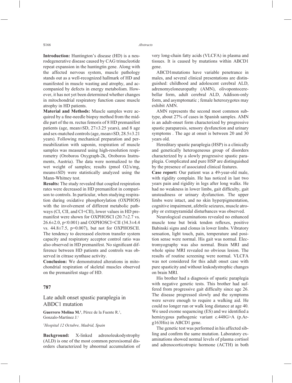**Introduction:** Huntington's disease (HD) is a neurodegenerative disease caused by CAG trinucleotide repeat expansion in the huntingtin gene. Along with the affected nervous system, muscle pathology stands out as a well-recognized hallmark of HD and manifested in muscle wasting and atrophy, and accompanied by defects in energy metabolism. However, it has not yet been determined whether changes in mitochondrial respiratory function cause muscle atrophy in HD patients.

**Material and Methods:** Muscle samples were acquired by a fine-needle biopsy method from the middle part of the m. rectus femoris of 8 HD premanifest patients (age, mean±SD, 27±3.25 years), and 8 age and sex-matched controls (age, mean±SD, 28.5±3.21 years). Following mechanical preparation and permeabilization with saponin, respiration of muscle samples was measured using high-resolution respirometry (Oroboros Oxygraph-2k, Oroboros Instruments, Austria). The data were normalized to the wet weight of samples; results (pmol O2/s/mg, means±SD) were statistically analyzed using the Mann-Whitney test.

**Results:** The study revealed that coupled respiration rates were decreased in HD premanifest in comparison to controls. In particular, when studying respiration during oxidative phosphorylation (OXPHOS) with the involvement of different metabolic pathways (CI, CII, and CI+CII), lower values in HD premanifest were shown for OXPHOSCI (20.7±2.7 vs. 26.6±2.0, p<0.001) and OXPHOSCI+CII (34.3±4.4 vs.  $44.8 \pm 7.5$ ,  $p=0.007$ ), but not for OXPHOSCII. The tendency to decreased electron transfer system capacity and respiratory acceptor control ratio was also observed in HD premanifest. No significant difference between HD patients and controls was observed in citrase synthase activity.

**Conclusion:** We demonstrated alterations in mitochondrial respiration of skeletal muscles observed on the premanifest stage of HD.

#### **787**

### Late adult onset spastic paraplegia in ABDC1 mutation

Guerrero Molina M.<sup>1</sup>, Pérez de la Fuente R.<sup>1</sup>, Gonzalo-Martínez J.1

*1 Hospital 12 Octubre, Madrid, Spain*

**Background:** X-linked adrenoleukodystrophy (ALD) is one of the most common peroxisomal disorders characterized by abnormal accumulation of very long-chain fatty acids (VLCFA) in plasma and tissues. It is caused by mutations within ABCD1 gene.

ABCD1mutations have variable penetrance in males, and several clinical presentations are distinguished: childhood and adolescent cerebral ALD, adrenomyeloneuropathy (AMN), olivopontocerebellar form, adult cerebral ALD, Addison-only form, and asymptomatic ; female heterozygotes may exhibit AMN.

AMN represents the second most common subtype, about 27% of cases in Spanish samples. AMN is an adult-onset form characterized by progressive spastic paraparesis, sensory dysfunction and urinary symptoms . The age at onset is between 20 and 30 years old.

Hereditary spastic paraplegia (HSP) is a clinically and genetically heterogeneous group of disorders characterized by a slowly progressive spastic paraplegia. Complicated and pure HSP are distinguished by the presence of associated clinical features.

**Case report:** Our patient was a 49-year-old male, with rigidity complain. He has noticed in last two years pain and rigidity in legs after long walks. He had no weakness in lower limbs, gait difficulty, gait unsteadiness or urinary dysfunction. The upper limbs were intact, and no skin hyperpigmentation, cognitive impairment, afebrile seizures, muscle atrophy or extrapyramidal disturbances was observed.

Neurological examinations revealed no enhanced muscle tone but brisk tendon reflexes, positive Babinski signs and clonus in lower limbs. Vibratory sensation, light touch, pain, temperature and position sense were normal. His gait was normal. Electromyography was also normal. Brain MRI and whole spine MRI revealed no obvious lesion. The results of routine screening were normal. VLCFA was not considered for this adult onset case with pure spasticity and without leukodystrophic changes on brain MRI.

His brother had a diagnosis of spastic paraplegia with negative genetic tests. This brother had suffered from progressive gait difficulty since age 26. The disease progressed slowly and the symptoms were severe enough to require a walking aid. He could no longer run or walk long distance at age 40. We used exome sequencing (ES) and we identified a hemizygous pathogenic variant c.448G>A (p.Arg163His) in ABCD1 gene.

The genetic test was performed in his affected sibling and confirm the same mutation. Laboratory examinations showed normal levels of plasma cortisol and adrenocorticotropic hormone (ACTH) in both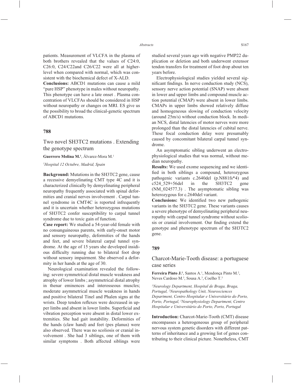patients. Measurement of VLCFA in the plasma of both brothers revealed that the values of C24:0, C26:0, C24/C22and C26/C22 were all at higherlevel when compared with normal, which was consistent with the biochemical defect of X-ALD.

**Conclusions:** ABCD1 mutations can cause a mild "pure HSP" phenotype in males without neuropathy. This phenotype can have a late onset . Plasma concentration of VLCFAs should be considered in HSP without neuropathy or changes on MRI. ES give us the possibility to broad the clinical-genetic spectrum of ABCD1 mutations.

#### **788**

Two novel SH3TC2 mutations . Extending the genotype spectrum

**Guerrero Molina M.1** , Álvarez-Mora M.1

*1 Hospital 12 Octubre, Madrid, Spain*

**Background:** Mutations in the SH3TC2 gene, cause a recessive demyelinating CMT type 4C and it is characterized clinically by demyelinating peripheral neuropathy frequently associated with spinal deformities and cranial nerves involvement . Carpal tunnel syndrome in CMT4C is reported infrequently and it is uncertain whether heterozygous mutations of SH3TC2 confer susceptibility to carpal tunnel syndrome due to toxic gain of function.

**Case report:** We studied a 54-year-old female with no consanguineous parents, with early-onset motor and sensory neuropathy, deformities of the hands and feet, and severe bilateral carpal tunnel syndrome. At the age of 15 years she developed insidious difficulty running due to bilateral foot drop without sensory impairment. She observed a deformity in her hands at the age of 30.

Neurological examination revealed the following: severe symmetrical distal muscle weakness and atrophy of lower limbs ; asymmetrical distal atrophy in thenar eminences and interosseous muscles; moderate asymmetrical muscle weakness in hands and positive bilateral Tinel and Phalen signs at the wrists. Deep tendon reflexes were decreased in upper limbs and absent in lower limbs. Superficial and vibration perception were absent in distal lower extremities. She had gait instability. Deformities of the hands (claw hand) and feet (pes planus) were also observed. There was no scoliosis or cranial involvement . She had 3 siblings, one of them with similar symptoms . Both affected siblings were studied several years ago with negative PMP22 duplication or deletion and both underwent extensor tendon transfers for treatment of foot drop about ten years before.

Electrophysiological studies yielded several significant findings. In nerve conduction study (NCS), sensory nerve action potential (SNAP) were absent in lower and upper limbs and compound muscle action potential (CMAP) were absent in lower limbs. CMAPs in upper limbs showed relatively diffuse and homogeneous slowing of conduction velocity (around 25m/s) without conduction block. In median NCS, distal latencies of motor nerves were more prolonged than the distal latencies of cubital nerve. These focal conduction delay were presumably caused by concomitant bilateral carpal tunnel syndrome.

An asymptomatic sibling underwent an electrophysiological studies that was normal, without median neuropathy.

**Results:** We used exome sequencing and we identified in both siblings a compound, heterozygous pathogenic variants c.2640del (p.N881fs\*4) and c524\_529+56del in the SH3TC2 gene (NM\_024577.3) . The asymptomatic sibling was heterozygous for c.2640del variant.

**Conclusions:** We identified two new pathogenic variants in the SH3TC2 gene. These variants causes a severe phenotype of demyelinating peripheral neuropathy with carpal tunnel syndrome without scoliosis or cranial involvement. Our finding extend the genotype and phenotype spectrum of the SH3TC2 gene.

#### **789**

# Charcot-Marie-Tooth disease: a portuguese case series

Ferreira Pinto J.<sup>1</sup>, Santos A.<sup>1</sup>, Mendonça Pinto M.<sup>2</sup>, Neves Cardoso M.<sup>3</sup>, Sousa A.<sup>3</sup>, Coelho T.<sup>3</sup>

*1 Neurology Department, Hospital de Braga, Braga, Portugal, 2 Neuropathology Unit, Neurosciences Department, Centro Hospitalar e Universitário do Porto, Porto, Portugal, 3 Neurophysiology Department, Centro Hospitalar e Universitário do Porto, Porto, Portugal*

**Introduction:** Charcot-Marie-Tooth (CMT) disease encompasses a heterogeneous group of peripheral nervous system genetic disorders with different patterns of inheritance and a growing list of genes contributing to their clinical picture. Nonetheless, CMT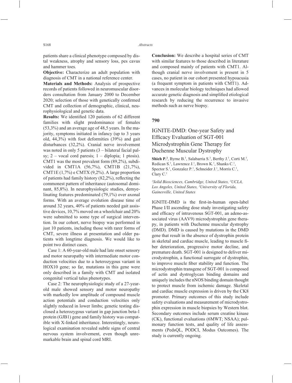patients share a clinical phenotype composed by distal weakness, atrophy and sensory loss, pes cavus and hammer toes.

**Objective:** Characterize an adult population with diagnosis of CMT in a national reference center.

**Materials and Methods:** Analysis of prospective records of patients followed in neuromuscular disorders consultation from January 2000 to December 2020; selection of those with genetically confirmed CMT and collection of demographic, clinical, neurophysiological and genetic data.

**Results:** We identified 120 patients of 62 different families with slight predominance of females (53,3%) and an average age of 48,5 years. In the majority, symptoms initiated in infancy (up to 3 years old, 44,3%) with foot deformities (39%) and gait disturbances (32,2%). Cranial nerve involvement was noted in only 5 patients (3 – bilateral facial palsy;  $2$  – vocal cord paresis;  $1$  – diplopia; 1 ptosis). CMT1 was the most prevalent form (89,2%), subdivided in CMT1A (56,7%), CMT1B (21,7%), CMT1E (1,7%) e CMTX (9,2%). A large proportion of patients had family history  $(82,2\%)$ , reflecting the commonest pattern of inheritance (autosomal dominant, 85,8%). In neurophysiologic studies, demyelinating features predominated (79,1%) over axonal forms. With an average evolution disease time of around 32 years, 40% of patients needed gait assistive devices, 10,7% moved on a wheelchair and 20% were submitted to some type of surgical intervention. In our cohort, nerve biopsy was performed in just 10 patients, including those with rarer forms of CMT, severe illness at presentation and older patients with longtime diagnosis. We would like to point two distinct cases.

Case 1: A 60-year-old male had late onset sensory and motor neuropathy with intermediate motor conduction velocities due to a heterozygous variant in HOX10 gene; so far, mutations in this gene were only described in a family with CMT and isolated congenital vertical talus phenotypes.

Case 2: The neurophysiologic study of a 27-yearold male showed sensory and motor neuropathy with markedly low amplitude of compound muscle action potentials and conduction velocities only slightly reduced in lower limbs; genetic testing disclosed a heterozygous variant in gap junction beta-1 protein (GJB1) gene and family history was compatible with X-linked inheritance. Interestingly, neurological examination revealed subtle signs of central nervous system involvement, even though unremarkable brain and spinal cord MRI.

**Conclusion:** We describe a hospital series of CMT with similar features to those described in literature and composed mainly of patients with CMT1. Although cranial nerve involvement is present in 5 cases, no patient in our cohort presented hypoacusia (a frequent symptom in patients with CMT1). Advances in molecular biology techniques had allowed accurate genetic diagnosis and simplified etiological research by reducing the recurrence to invasive methods such as nerve biopsy.

### **790**

# IGNITE-DMD: One-year Safety and Efficacy Evaluation of SGT-001 Microdystrophin Gene Therapy for Duchenne Muscular Dystrophy

Shieh P.<sup>2</sup>, Byrne B.<sup>3</sup>, Salabarria S.<sup>3</sup>, Berthy J.<sup>3</sup>, Corti M.<sup>3</sup>, Redican S.<sup>1</sup>, Lawrence J.<sup>1</sup>, Brown K.<sup>1</sup>, Shanks C.<sup>1</sup>, Spector S.<sup>1</sup>, Gonzalez P.<sup>1</sup>, Schneider J.<sup>1</sup>, Morris C.<sup>1</sup>, Clary C.1

*1 Solid Biosciences, Cambridge, United States, 2 UCLA, Los Angeles, United States, 3 University of Florida, Gainesville, United States*

IGNITE-DMD is the first-in-human open-label Phase I/II ascending dose study investigating safety and efficacy of intravenous SGT-001, an adeno-associated virus (AAV9) microdystrophin gene therapy, in patients with Duchenne muscular dystrophy (DMD). DMD is caused by mutations in the DMD gene that result in the absence of dystrophin protein in skeletal and cardiac muscle, leading to muscle fiber deterioration, progressive motor decline, and premature death. SGT-001 is designed to deliver microdystrophin, a functional surrogate of dystrophin, to improve muscle fiber stability and function. The microdystrophin transgene of SGT-001 is composed of actin and dystroglycan binding domains and uniquely includes the nNOS binding domain thought to protect muscle from ischemic damage. Skeletal and cardiac muscle expression is driven by the CK8 promoter. Primary outcomes of this study include safety evaluations and measurement of microdystrophin expression in muscle biopsies by Western blot. Secondary outcomes include serum creatine kinase (CK), functional evaluations (6MWT; NSAA); pulmonary function tests, and quality of life assessments (PedsQL, PODCI, Modus Outcomes). The study is currently ongoing.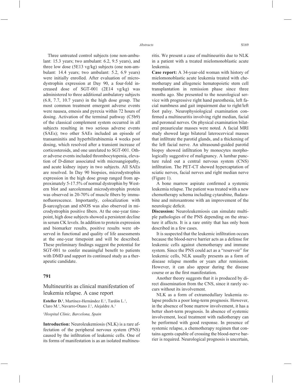Three untreated control subjects (one non-ambulant: 15.3 years; two ambulant: 6.2, 9.5 years), and three low dose (5E13 vg/kg) subjects (one non-ambulant: 14.4 years; two ambulant: 5.2, 6.9 years) were initially enrolled. After evaluation of microdystrophin expression at Day 90, a four-fold increased dose of SGT-001 (2E14 vg/kg) was administered to three additional ambulatory subjects (6.8, 7.7, 10.7 years) in the high dose group. The most common treatment emergent adverse events were nausea, emesis and pyrexia within 72 hours of dosing. Activation of the terminal pathway (C5b9) of the classical complement system occurred in all subjects resulting in two serious adverse events (SAEs); two other SAEs included an episode of transaminitis and hyperbilirubinemia 4 weeks post dosing, which resolved after a transient increase of corticosteroids, and one unrelated to SGT-001. Other adverse events included thrombocytopenia, elevation of D-dimer associated with microangiopathy, and acute kidney injury in two subjects. All SAEs are resolved. In Day 90 biopsies, microdystrophin expression in the high dose group ranged from approximately 5-17.5% of normal dystrophin by Western blot and sarcolemmal microdystrophin protein was observed in 20-70% of muscle fibers by immunofluorescence. Importantly, colocalization with β-sarcoglycan and nNOS was also observed in microdystrophin positive fibers. At the one-year timepoint, high dose subjects showed a persistent decline in serum CK levels. In addition to protein expression and biomarker results, positive results were observed in functional and quality of life assessments at the one-year timepoint and will be described. These preliminary findings suggest the potential for SGT-001 to confer meaningful benefit to patients with DMD and support its continued study as a therapeutic candidate.

### **791**

Multineuritis as clinical manifestation of leukemia relapse. A case report

Esteller D.<sup>1</sup>, Martínez-Hernández E.<sup>1</sup>, Tardón L.<sup>1</sup>, Claro M.<sup>1</sup>, Navarro-Otano J.<sup>1</sup>, Alejaldre A.<sup>1</sup>

*1 Hospital Clínic, Barcelona, Spain*

**Introduction:** Neuroleukemiosis (NLK) is a rare affectation of the peripheral nervous system (PNS) caused by the infiltration of leukemic cells. One of its forms of manifestation is as an isolated multineuritis. We present a case of multineuritis due to NLK in a patient with a treated mielomonoblastic acute leukemia.

**Case report:** A 34-year-old woman with history of mielomonoblastic acute leukemia treated with chemotherapy and allogeneic hematopoietic stem cell transplantation in remission phase since three months ago. She presented to the neurological service with progressive right hand paresthesia, left facial numbness and gait impairment due to right/left foot palsy. Neurophysiological examination confirmed a multineuritis involving right median, facial and peroneal nerves. On physical examination bilateral preauricular masses were noted. A facial MRI study showed large bilateral laterocervical masses that infiltrate the parotid glands, and a thickening of the left facial nerve. An ultrasound-guided parotid biopsy showed infiltration by monocytes morphologically suggestive of malignancy. A lumbar puncture ruled out a central nervous system (CNS) infiltration. The PET-CT showed hypercaptation of sciatic nerves, facial nerves and right median nerve (Figure 1).

A bone marrow aspirate confirmed a systemic leukemia relapse. The patient was treated with a new chemotherapy schema including cytarabine, fludarabine and mitoxantrone with an improvement of the neurologic deficit.

**Discussion:** Neuroleukemiosis can simulate multiple pathologies of the PNS depending on the structure it affects. It is a rare entity that has only been described in a few cases.

It is suspected that the leukemic infiltration occurs because the blood-nerve barrier acts as a defense for leukemic cells against chemotherapy and immune system. Since the PNS could act as a "reservoir" for leukemic cells, NLK usually presents as a form of disease relapse months or years after remission. However, it can also appear during the disease course or as the first manifestation.

Another theory suggests that it is produced by direct dissemination from the CNS, since it rarely occurs without its involvement.

NLK as a form of extramedullary leukemia relapse predicts a poor long-term prognosis. However, in the absence of bone marrow involvement, it has a better short-term prognosis. In absence of systemic involvement, local treatment with radiotherapy can be performed with good response. In presence of systemic relapse, a chemotherapy regimen that contains agents capable of crossing the blood-nerve barrier is required. Neurological prognosis is uncertain,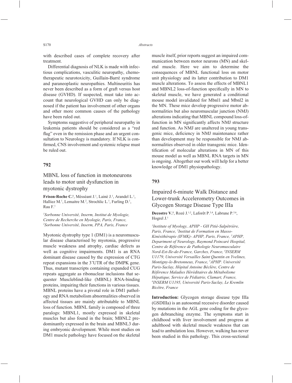with described cases of complete recovery after treatment.

Differential diagnosis of NLK is made with infectious complications, vasculitic neuropathy, chemotherapeutic neurotoxicity, Guillain-Barré syndrome and paraneoplastic neuropathies. Multineuritis has never been described as a form of graft versus host disease (GVHD). If suspected, must take into account that neurological GVHD can only be diagnosed if the patient has involvement of other organs and other more common causes of the pathology have been ruled out.

Symptoms suggestive of peripheral neuropathy in leukemia patients should be considered as a "red flag" even in the remission phase and an urgent consultation to Neurology is mandatory. If NLK is confirmed, CNS involvement and systemic relapse must be ruled out.

### **792**

MBNL loss of function in motoneurons leads to motor unit dysfunction in myotonic dystrophy

Frison-Roche C.<sup>1</sup>, Mésséant J.<sup>1</sup>, Lainè J.<sup>1</sup>, Arandel L.<sup>1</sup>, Halliez M.<sup>1</sup>, Lemaitre M.<sup>2</sup>, Strochlic L.<sup>1</sup>, Furling D.<sup>1</sup>, Rau F.1

*1 Sorbonne Université, Inserm, Institut de Myologie, Centre de Recherche en Myologie, Paris, France, 2 Sorbonne Université, Inserm, PPA, Paris, France*

Myotonic dystrophy type 1 (DM1) is a neuromuscular disease characterised by myotonia, progressive muscle weakness and atrophy, cardiac defects as well as cognitive impairments. DM1 is an RNA dominant disease caused by the expression of CTG repeat expansions in the 3'UTR of the DMPK gene. Thus, mutant transcripts containing expanded CUG repeats aggregate as ribonuclear inclusions that sequester Muscleblind-like (MBNL) RNA-binding proteins, impairing their functions in various tissues. MBNL proteins have a pivotal role in DM1 pathology and RNA metabolism abnormalities observed in affected tissues are mainly attributable to MBNL loss of function. MBNL family is composed of three paralogs: MBNL1, mostly expressed in skeletal muscles but also found in the brain; MBNL2 predominantly expressed in the brain and MBNL3 during embryonic development. While most studies on DM1 muscle pathology have focused on the skeletal muscle itself, prior reports suggest an impaired communication between motor neurons (MN) and skeletal muscle. Here we aim to determine the consequences of MBNL functional loss on motor unit physiology and its latter contribution to DM1 muscle alterations. To assess the effects of MBNL1 and MBNL2 loss-of-function specifically in MN to skeletal muscle, we have generated a conditional mouse model invalidated for Mbnl1 and Mbnl2 in the MN. These mice develop progressive motor abnormalities but also neuromuscular junction (NMJ) alterations indicating that MBNL compound loss-offunction in MN significantly affects NMJ structure and function. As NMJ are unaltered in young transgenic mice, deficiency in NMJ maintenance rather than development may be responsible for NMJ abnormalities observed in older transgenic mice. Identification of molecular alterations in MN of this mouse model as well as MBNL RNA targets in MN is ongoing. Altogether our work will help for a better knowledge of DM1 physiopathology.

### **793**

# Impaired 6-minute Walk Distance and Lower-trunk Accelerometry Outcomes in Glycogen Storage Disease Type IIIa

**Decostre V.<sup>1</sup>**, Rozé J.<sup>1,2</sup>, Laforêt P.<sup>3,4</sup>, Labrune P.<sup>5,6</sup>, Hogrel J.1

*1 Institute of Myology, APHP - GH Pitié-Salpêtrière, Paris, France, 2 Institut de Formation en Masso-Kinésithérapie (IFMK)- APHP, Paris, France, 3 APHP, Department of Neurology, Raymond Poincaré Hospital, Centre de Référence de Pathologie Neuromusculaire Nord-Est-Ile-de-France, Garches, France, 4 INSERM U1179, Université Versailles Saint Quentin en Yvelines, Montigny-le-Bretonneux, France, 5 APHP. Université Paris-Saclay, Hôpital Antoine Béclère, Centre de Référence Maladies Héréditaires du Métabolisme Hépatique, Service de Pédiatrie, Clamart, France, 6 INSERM U1195, Université Paris-Saclay, Le Kremlin Bicêtre, France*

**Introduction:** Glycogen storage disease type IIIa (GSDIIIa) is an autosomal recessive disorder caused by mutations in the AGL gene coding for the glycogen debranching enzyme. The symptoms start in childhood with liver involvement and progress at adulthood with skeletal muscle weakness that can lead to ambulation loss. However, walking has never been studied in this pathology. This cross-sectional